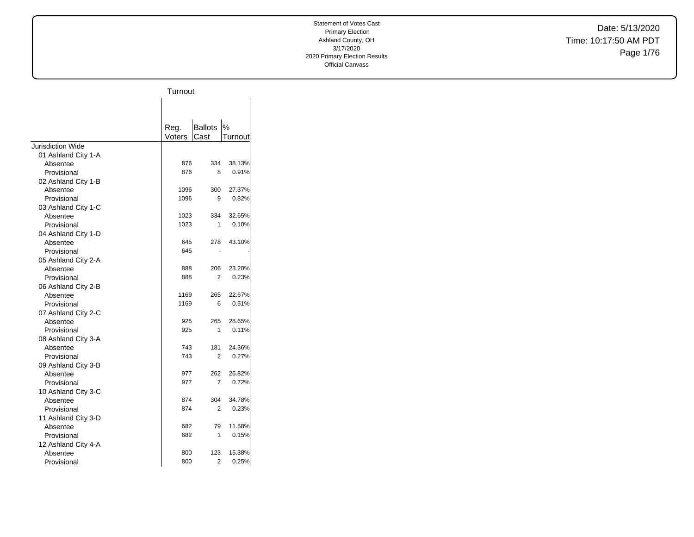Date: 5/13/2020 Time: 10:17:50 AM PDT Page 1/76

|                          | Turnout    |                |         |
|--------------------------|------------|----------------|---------|
|                          |            |                |         |
|                          |            |                |         |
|                          | Reg.       | <b>Ballots</b> | %       |
|                          | Voters     | Cast           | Turnout |
| <b>Jurisdiction Wide</b> |            |                |         |
| 01 Ashland City 1-A      |            |                |         |
| Absentee                 | 876        | 334            | 38.13%  |
| Provisional              | 876        | 8              | 0.91%   |
| 02 Ashland City 1-B      |            |                |         |
| Absentee                 | 1096       | 300            | 27.37%  |
| Provisional              | 1096       | 9              | 0.82%   |
| 03 Ashland City 1-C      |            |                |         |
| Absentee                 | 1023       | 334            | 32.65%  |
| Provisional              | 1023       | 1              | 0.10%   |
| 04 Ashland City 1-D      |            |                |         |
| Absentee                 | 645        | 278            | 43.10%  |
| Provisional              | 645        |                |         |
| 05 Ashland City 2-A      |            |                |         |
| Absentee                 | 888        | 206            | 23.20%  |
| Provisional              | 888        | 2              | 0.23%   |
| 06 Ashland City 2-B      |            |                |         |
| Absentee                 | 1169       | 265            | 22.67%  |
| Provisional              | 1169       | 6              | 0.51%   |
| 07 Ashland City 2-C      |            |                |         |
| Absentee                 | 925        | 265            | 28.65%  |
| Provisional              | 925        | 1              | 0.11%   |
| 08 Ashland City 3-A      |            |                |         |
| Absentee                 | 743<br>743 | 181<br>2       | 24.36%  |
| Provisional              |            |                | 0.27%   |
| 09 Ashland City 3-B      | 977        | 262            | 26.82%  |
| Absentee<br>Provisional  | 977        | 7              | 0.72%   |
| 10 Ashland City 3-C      |            |                |         |
| Absentee                 | 874        | 304            | 34.78%  |
| Provisional              | 874        | 2              | 0.23%   |
| 11 Ashland City 3-D      |            |                |         |
| Absentee                 | 682        | 79             | 11.58%  |
| Provisional              | 682        | 1              | 0.15%   |
| 12 Ashland City 4-A      |            |                |         |
| Absentee                 | 800        | 123            | 15.38%  |
| Provisional              | 800        | 2              | 0.25%   |
|                          |            |                |         |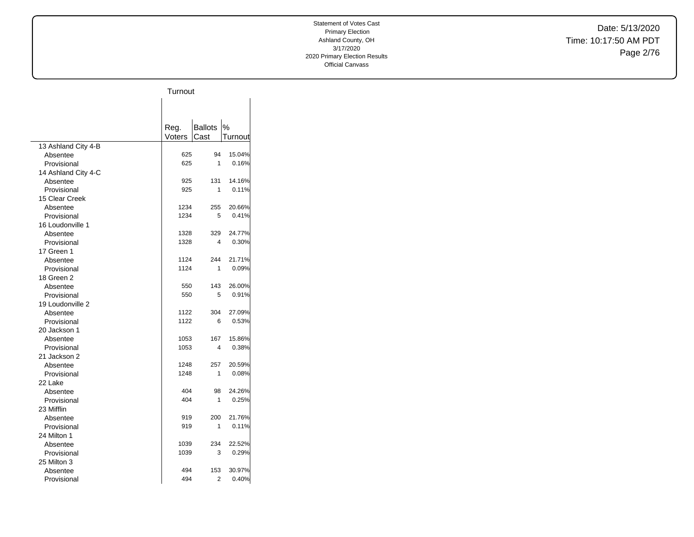Date: 5/13/2020 Time: 10:17:50 AM PDT Page 2/76

|                     | Turnout |                |         |
|---------------------|---------|----------------|---------|
|                     |         |                |         |
|                     |         |                |         |
|                     |         |                |         |
|                     | Reg.    | <b>Ballots</b> | $\%$    |
|                     | Voters  | Cast           | Turnout |
| 13 Ashland City 4-B |         |                |         |
| Absentee            | 625     | 94             | 15.04%  |
| Provisional         | 625     | 1              | 0.16%   |
| 14 Ashland City 4-C |         |                |         |
| Absentee            | 925     | 131            | 14.16%  |
| Provisional         | 925     | 1              | 0.11%   |
| 15 Clear Creek      |         |                |         |
| Absentee            | 1234    | 255            | 20.66%  |
| Provisional         | 1234    | 5              | 0.41%   |
| 16 Loudonville 1    |         |                |         |
| Absentee            | 1328    | 329            | 24.77%  |
| Provisional         | 1328    | 4              | 0.30%   |
| 17 Green 1          |         |                |         |
| Absentee            | 1124    | 244            | 21.71%  |
| Provisional         | 1124    | 1              | 0.09%   |
| 18 Green 2          |         |                |         |
| Absentee            | 550     | 143            | 26.00%  |
| Provisional         | 550     | 5              | 0.91%   |
| 19 Loudonville 2    |         |                |         |
| Absentee            | 1122    | 304            | 27.09%  |
| Provisional         | 1122    | 6              | 0.53%   |
| 20 Jackson 1        |         |                |         |
| Absentee            | 1053    | 167            | 15.86%  |
| Provisional         | 1053    | 4              | 0.38%   |
| 21 Jackson 2        |         |                |         |
| Absentee            | 1248    | 257            | 20.59%  |
| Provisional         | 1248    | 1              | 0.08%   |
| 22 Lake             |         |                |         |
| Absentee            | 404     | 98             | 24.26%  |
| Provisional         | 404     | 1              | 0.25%   |
| 23 Mifflin          |         |                |         |
| Absentee            | 919     | 200            | 21.76%  |
| Provisional         | 919     | 1              | 0.11%   |
| 24 Milton 1         |         |                |         |
| Absentee            | 1039    | 234            | 22.52%  |
| Provisional         | 1039    | 3              | 0.29%   |
| 25 Milton 3         |         |                |         |
| Absentee            | 494     | 153            | 30.97%  |
| Provisional         | 494     | 2              | 0.40%   |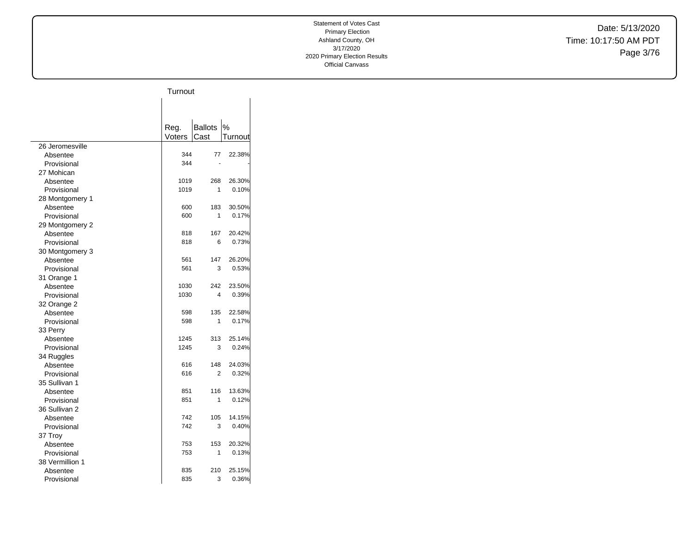Date: 5/13/2020 Time: 10:17:50 AM PDT Page 3/76

|                 | Turnout |                |         |
|-----------------|---------|----------------|---------|
|                 |         |                |         |
|                 |         |                |         |
|                 |         |                |         |
|                 | Reg.    | <b>Ballots</b> | %       |
|                 | Voters  | Cast           | Turnout |
| 26 Jeromesville |         |                |         |
| Absentee        | 344     | 77             | 22.38%  |
| Provisional     | 344     |                |         |
| 27 Mohican      |         |                |         |
| Absentee        | 1019    | 268            | 26.30%  |
| Provisional     | 1019    | 1              | 0.10%   |
| 28 Montgomery 1 |         |                |         |
| Absentee        | 600     | 183            | 30.50%  |
| Provisional     | 600     | 1              | 0.17%   |
| 29 Montgomery 2 |         |                |         |
| Absentee        | 818     | 167            | 20.42%  |
| Provisional     | 818     | 6              | 0.73%   |
| 30 Montgomery 3 |         |                |         |
| Absentee        | 561     | 147            | 26.20%  |
| Provisional     | 561     | 3              | 0.53%   |
| 31 Orange 1     |         |                |         |
| Absentee        | 1030    | 242            | 23.50%  |
| Provisional     | 1030    | 4              | 0.39%   |
| 32 Orange 2     |         |                |         |
| Absentee        | 598     | 135            | 22.58%  |
| Provisional     | 598     | 1              | 0.17%   |
| 33 Perry        |         |                |         |
| Absentee        | 1245    | 313            | 25.14%  |
| Provisional     | 1245    | 3              | 0.24%   |
| 34 Ruggles      |         |                |         |
| Absentee        | 616     | 148            | 24.03%  |
| Provisional     | 616     | 2              | 0.32%   |
| 35 Sullivan 1   |         |                |         |
| Absentee        | 851     | 116            | 13.63%  |
| Provisional     | 851     | 1              | 0.12%   |
| 36 Sullivan 2   |         |                |         |
| Absentee        | 742     | 105            | 14.15%  |
| Provisional     | 742     | 3              | 0.40%   |
| 37 Troy         |         |                |         |
| Absentee        | 753     | 153            | 20.32%  |
| Provisional     | 753     | 1              | 0.13%   |
| 38 Vermillion 1 |         |                |         |
| Absentee        | 835     | 210            | 25.15%  |
| Provisional     | 835     | 3              | 0.36%   |
|                 |         |                |         |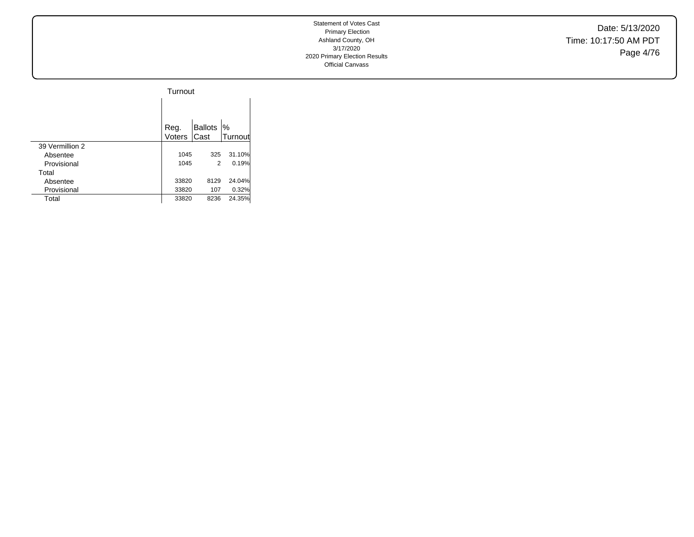Date: 5/13/2020 Time: 10:17:50 AM PDT Page 4/76

|                 | Turnout        |                        |                          |
|-----------------|----------------|------------------------|--------------------------|
|                 |                |                        |                          |
|                 | Reg.<br>Voters | <b>Ballots</b><br>Cast | $\frac{9}{6}$<br>Turnout |
| 39 Vermillion 2 |                |                        |                          |
| Absentee        | 1045           | 325                    | 31.10%                   |
| Provisional     | 1045           | 2                      | 0.19%                    |
| Total           |                |                        |                          |
| Absentee        | 33820          | 8129                   | 24.04%                   |
| Provisional     | 33820          | 107                    | 0.32%                    |
| Total           | 33820          | 8236                   | 24.35%                   |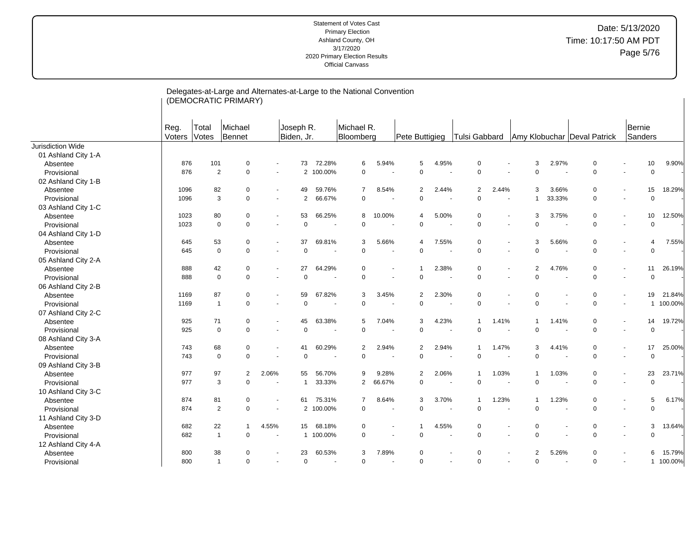| Michael<br>Michael R.<br>Joseph R.<br>Bernie<br>Reg.<br>Total<br>Voters<br>Votes<br>Bennet<br>Biden, Jr.<br>Sanders<br>Bloomberg<br>Tulsi Gabbard<br>Amy Klobuchar Deval Patrick<br>Pete Buttigieg<br>01 Ashland City 1-A<br>72.28%<br>5<br>4.95%<br>2.97%<br>9.90%<br>876<br>101<br>73<br>6<br>5.94%<br>$\Omega$<br>3<br>0<br>10<br>0<br>Absentee<br>876<br>$\overline{2}$<br>100.00%<br>$\mathbf 0$<br>$\mathbf 0$<br>$\mathbf 0$<br>$\mathbf 0$<br>Provisional<br>$\mathbf 0$<br>$\overline{2}$<br>$\Omega$<br>$\mathbf 0$<br>$\overline{\phantom{a}}$<br>$\ddot{\phantom{1}}$<br>02 Ashland City 1-B<br>2.44%<br>18.29%<br>1096<br>82<br>$\mathbf 0$<br>49<br>59.76%<br>8.54%<br>$\overline{2}$<br>2.44%<br>$\overline{2}$<br>3<br>3.66%<br>$\mathbf 0$<br>15<br>7<br>Absentee<br>$\blacksquare$<br>$\blacksquare$<br>3<br>66.67%<br>$\mathbf 0$<br>$\mathbf 0$<br>33.33%<br>$\mathbf 0$<br>Provisional<br>1096<br>$\mathbf 0$<br>2<br>$\mathbf 0$<br>$\mathbf 0$<br>$\mathbf 1$<br>$\blacksquare$<br>$\blacksquare$<br>03 Ashland City 1-C<br>1023<br>80<br>0<br>53<br>66.25%<br>8<br>10.00%<br>5.00%<br>$\Omega$<br>3<br>3.75%<br>0<br>10<br>12.50%<br>Absentee<br>$\overline{4}$<br>$\overline{\phantom{a}}$<br>$\mathbf 0$<br>$\mathbf 0$<br>0<br>$\mathbf 0$<br>Provisional<br>1023<br>0<br>$\mathbf 0$<br>0<br>$\Omega$<br>$\mathbf 0$<br>$\sim$<br>$\blacksquare$<br>$\sim$<br>$\overline{\phantom{a}}$<br>$\blacksquare$<br>04 Ashland City 1-D<br>53<br>0<br>37<br>69.81%<br>5.66%<br>7.55%<br>5.66%<br>$\mathbf 0$<br>7.55%<br>645<br>3<br>$\overline{4}$<br>$\Omega$<br>3<br>$\overline{4}$<br>Absentee<br>$\overline{\phantom{a}}$<br>$\Omega$<br>$\mathbf 0$<br>$\Omega$<br>$\Omega$<br>$\Omega$<br>$\mathbf 0$<br>645<br>$\mathbf 0$<br>$\Omega$<br>$\Omega$<br>Provisional<br>$\sim$<br>$\sim$<br>$\overline{\phantom{a}}$<br>$\sim$<br>05 Ashland City 2-A<br>888<br>42<br>27<br>64.29%<br>2.38%<br>2<br>4.76%<br>$\mathbf 0$<br>26.19%<br>0<br>0<br>$\Omega$<br>11<br>Absentee<br>$\mathbf{1}$<br>$\blacksquare$<br>$\blacksquare$<br>÷<br>$\mathbf 0$<br>$\mathbf 0$<br>$\mathbf 0$<br>$\mathbf 0$<br>$\overline{0}$<br>$\mathbf 0$<br>$\Omega$<br>Provisional<br>888<br>$\mathbf 0$<br>$\mathbf 0$<br>$\ddot{\phantom{1}}$<br>$\overline{a}$<br>06 Ashland City 2-B<br>87<br>59<br>67.82%<br>3<br>3.45%<br>$\overline{2}$<br>2.30%<br>$\mathbf 0$<br>$\mathbf 0$<br>21.84%<br>1169<br>0<br>$\Omega$<br>19<br>Absentee<br>$\blacksquare$<br>$\blacksquare$<br>$\overline{\phantom{a}}$<br>$\mathbf 0$<br>$\mathbf 0$<br>$\mathbf 0$<br>0<br>$\mathbf 0$<br>100.00%<br>1169<br>$\overline{1}$<br>$\mathbf 0$<br>$\mathbf 0$<br>Provisional<br>$\mathbf{1}$<br>$\blacksquare$<br>07 Ashland City 2-C<br>71<br>63.38%<br>7.04%<br>4.23%<br>1.41%<br>19.72%<br>925<br>0<br>45<br>5<br>3<br>1.41%<br>0<br>14<br>Absentee<br>-1<br>1<br>$\blacksquare$<br>$\blacksquare$<br>$\mathbf 0$<br>925<br>$\mathbf 0$<br>$\mathbf 0$<br>$\mathbf 0$<br>$\Omega$<br>$\mathbf 0$<br>$\mathbf 0$<br>Provisional<br>$\mathbf 0$<br>$\Omega$<br>$\blacksquare$<br>$\blacksquare$<br>$\overline{\phantom{a}}$<br>08 Ashland City 3-A<br>743<br>68<br>60.29%<br>$\overline{a}$<br>2.94%<br>$\overline{2}$<br>2.94%<br>1.47%<br>$\mathbf 0$<br>17<br>25.00%<br>0<br>41<br>3<br>4.41%<br>Absentee<br>$\mathbf 1$<br>$\blacksquare$<br>$\blacksquare$<br>$\mathbf 0$<br>$\mathbf 0$<br>Provisional<br>$\mathbf 0$<br>$\mathbf 0$<br>$\overline{0}$<br>$\mathbf 0$<br>$\mathbf 0$<br>743<br>$\mathbf 0$<br>$\Omega$<br>$\sim$<br>$\overline{a}$<br>÷.<br>09 Ashland City 3-B<br>977<br>97<br>$\overline{2}$<br>2.06%<br>56.70%<br>9.28%<br>$\overline{2}$<br>2.06%<br>1.03%<br>1.03%<br>$\mathbf 0$<br>23<br>23.71%<br>55<br>9<br>-1<br>Absentee<br>$\overline{\phantom{a}}$<br>$\mathbf 0$<br>0<br>Provisional<br>977<br>3<br>$\Omega$<br>33.33%<br>$\overline{2}$<br>66.67%<br>$\mathbf 0$<br>$\mathbf 0$<br>$\mathbf 0$<br>$\overline{1}$<br>$\blacksquare$<br>10 Ashland City 3-C<br>874<br>81<br>75.31%<br>8.64%<br>3<br>3.70%<br>1.23%<br>1.23%<br>0<br>5<br>6.17%<br>0<br>61<br>7<br>$\mathbf 1$<br>Absentee<br>$\overline{\phantom{a}}$<br>2<br>$\mathbf 0$<br>874<br>0<br>100.00%<br>$\mathbf 0$<br>0<br>$\mathbf 0$<br>$\mathbf 0$<br>Provisional<br>$\Omega$<br>$\mathbf{2}^{\circ}$<br>$\overline{\phantom{a}}$<br>$\blacksquare$<br>$\overline{\phantom{a}}$<br>11 Ashland City 3-D<br>22<br>4.55%<br>3<br>682<br>4.55%<br>68.18%<br>0<br>$\Omega$<br>0<br>$\mathbf 0$<br>13.64%<br>$\overline{1}$<br>15<br>Absentee<br>$\overline{1}$<br>$\Omega$<br>$\mathbf 0$<br>$\mathbf 0$<br>682<br>$\Omega$<br>1 100.00%<br>$\mathbf 0$<br>$\Omega$<br>$\Omega$<br>Provisional<br>$\overline{1}$<br>$\sim$<br>12 Ashland City 4-A<br>800<br>38<br>23<br>60.53%<br>7.89%<br>$\mathbf 0$<br>5.26%<br>$\mathbf 0$<br>15.79%<br>3<br>$\Omega$<br>2<br>6<br>Absentee<br>$\Omega$ |                   |  | Delegates-at-Large and Alternates-at-Large to the National Convention<br>(DEMOCRATIC PRIMARY) |  |  |  |  |  |  |  |  |
|-------------------------------------------------------------------------------------------------------------------------------------------------------------------------------------------------------------------------------------------------------------------------------------------------------------------------------------------------------------------------------------------------------------------------------------------------------------------------------------------------------------------------------------------------------------------------------------------------------------------------------------------------------------------------------------------------------------------------------------------------------------------------------------------------------------------------------------------------------------------------------------------------------------------------------------------------------------------------------------------------------------------------------------------------------------------------------------------------------------------------------------------------------------------------------------------------------------------------------------------------------------------------------------------------------------------------------------------------------------------------------------------------------------------------------------------------------------------------------------------------------------------------------------------------------------------------------------------------------------------------------------------------------------------------------------------------------------------------------------------------------------------------------------------------------------------------------------------------------------------------------------------------------------------------------------------------------------------------------------------------------------------------------------------------------------------------------------------------------------------------------------------------------------------------------------------------------------------------------------------------------------------------------------------------------------------------------------------------------------------------------------------------------------------------------------------------------------------------------------------------------------------------------------------------------------------------------------------------------------------------------------------------------------------------------------------------------------------------------------------------------------------------------------------------------------------------------------------------------------------------------------------------------------------------------------------------------------------------------------------------------------------------------------------------------------------------------------------------------------------------------------------------------------------------------------------------------------------------------------------------------------------------------------------------------------------------------------------------------------------------------------------------------------------------------------------------------------------------------------------------------------------------------------------------------------------------------------------------------------------------------------------------------------------------------------------------------------------------------------------------------------------------------------------------------------------------------------------------------------------------------------------------------------------------------------------------------------------------------------------------------------------------------------------------------------------------------------------------------------------------------------------------------------------------------------------------------------------------------------------------------------------------------------------------------------------------------------------------------------------------------------------------------------------------------------------------------------------------------------------------------------------------------------------------------------------------------------------------------------------------------------------------------------------------------------------------------------------------------------------------------------------------------------------------------------------------------------------------------------------------------|-------------------|--|-----------------------------------------------------------------------------------------------|--|--|--|--|--|--|--|--|
|                                                                                                                                                                                                                                                                                                                                                                                                                                                                                                                                                                                                                                                                                                                                                                                                                                                                                                                                                                                                                                                                                                                                                                                                                                                                                                                                                                                                                                                                                                                                                                                                                                                                                                                                                                                                                                                                                                                                                                                                                                                                                                                                                                                                                                                                                                                                                                                                                                                                                                                                                                                                                                                                                                                                                                                                                                                                                                                                                                                                                                                                                                                                                                                                                                                                                                                                                                                                                                                                                                                                                                                                                                                                                                                                                                                                                                                                                                                                                                                                                                                                                                                                                                                                                                                                                                                                                                                                                                                                                                                                                                                                                                                                                                                                                                                                                                                                               |                   |  |                                                                                               |  |  |  |  |  |  |  |  |
|                                                                                                                                                                                                                                                                                                                                                                                                                                                                                                                                                                                                                                                                                                                                                                                                                                                                                                                                                                                                                                                                                                                                                                                                                                                                                                                                                                                                                                                                                                                                                                                                                                                                                                                                                                                                                                                                                                                                                                                                                                                                                                                                                                                                                                                                                                                                                                                                                                                                                                                                                                                                                                                                                                                                                                                                                                                                                                                                                                                                                                                                                                                                                                                                                                                                                                                                                                                                                                                                                                                                                                                                                                                                                                                                                                                                                                                                                                                                                                                                                                                                                                                                                                                                                                                                                                                                                                                                                                                                                                                                                                                                                                                                                                                                                                                                                                                                               | Jurisdiction Wide |  |                                                                                               |  |  |  |  |  |  |  |  |
|                                                                                                                                                                                                                                                                                                                                                                                                                                                                                                                                                                                                                                                                                                                                                                                                                                                                                                                                                                                                                                                                                                                                                                                                                                                                                                                                                                                                                                                                                                                                                                                                                                                                                                                                                                                                                                                                                                                                                                                                                                                                                                                                                                                                                                                                                                                                                                                                                                                                                                                                                                                                                                                                                                                                                                                                                                                                                                                                                                                                                                                                                                                                                                                                                                                                                                                                                                                                                                                                                                                                                                                                                                                                                                                                                                                                                                                                                                                                                                                                                                                                                                                                                                                                                                                                                                                                                                                                                                                                                                                                                                                                                                                                                                                                                                                                                                                                               |                   |  |                                                                                               |  |  |  |  |  |  |  |  |
|                                                                                                                                                                                                                                                                                                                                                                                                                                                                                                                                                                                                                                                                                                                                                                                                                                                                                                                                                                                                                                                                                                                                                                                                                                                                                                                                                                                                                                                                                                                                                                                                                                                                                                                                                                                                                                                                                                                                                                                                                                                                                                                                                                                                                                                                                                                                                                                                                                                                                                                                                                                                                                                                                                                                                                                                                                                                                                                                                                                                                                                                                                                                                                                                                                                                                                                                                                                                                                                                                                                                                                                                                                                                                                                                                                                                                                                                                                                                                                                                                                                                                                                                                                                                                                                                                                                                                                                                                                                                                                                                                                                                                                                                                                                                                                                                                                                                               |                   |  |                                                                                               |  |  |  |  |  |  |  |  |
|                                                                                                                                                                                                                                                                                                                                                                                                                                                                                                                                                                                                                                                                                                                                                                                                                                                                                                                                                                                                                                                                                                                                                                                                                                                                                                                                                                                                                                                                                                                                                                                                                                                                                                                                                                                                                                                                                                                                                                                                                                                                                                                                                                                                                                                                                                                                                                                                                                                                                                                                                                                                                                                                                                                                                                                                                                                                                                                                                                                                                                                                                                                                                                                                                                                                                                                                                                                                                                                                                                                                                                                                                                                                                                                                                                                                                                                                                                                                                                                                                                                                                                                                                                                                                                                                                                                                                                                                                                                                                                                                                                                                                                                                                                                                                                                                                                                                               |                   |  |                                                                                               |  |  |  |  |  |  |  |  |
|                                                                                                                                                                                                                                                                                                                                                                                                                                                                                                                                                                                                                                                                                                                                                                                                                                                                                                                                                                                                                                                                                                                                                                                                                                                                                                                                                                                                                                                                                                                                                                                                                                                                                                                                                                                                                                                                                                                                                                                                                                                                                                                                                                                                                                                                                                                                                                                                                                                                                                                                                                                                                                                                                                                                                                                                                                                                                                                                                                                                                                                                                                                                                                                                                                                                                                                                                                                                                                                                                                                                                                                                                                                                                                                                                                                                                                                                                                                                                                                                                                                                                                                                                                                                                                                                                                                                                                                                                                                                                                                                                                                                                                                                                                                                                                                                                                                                               |                   |  |                                                                                               |  |  |  |  |  |  |  |  |
|                                                                                                                                                                                                                                                                                                                                                                                                                                                                                                                                                                                                                                                                                                                                                                                                                                                                                                                                                                                                                                                                                                                                                                                                                                                                                                                                                                                                                                                                                                                                                                                                                                                                                                                                                                                                                                                                                                                                                                                                                                                                                                                                                                                                                                                                                                                                                                                                                                                                                                                                                                                                                                                                                                                                                                                                                                                                                                                                                                                                                                                                                                                                                                                                                                                                                                                                                                                                                                                                                                                                                                                                                                                                                                                                                                                                                                                                                                                                                                                                                                                                                                                                                                                                                                                                                                                                                                                                                                                                                                                                                                                                                                                                                                                                                                                                                                                                               |                   |  |                                                                                               |  |  |  |  |  |  |  |  |
|                                                                                                                                                                                                                                                                                                                                                                                                                                                                                                                                                                                                                                                                                                                                                                                                                                                                                                                                                                                                                                                                                                                                                                                                                                                                                                                                                                                                                                                                                                                                                                                                                                                                                                                                                                                                                                                                                                                                                                                                                                                                                                                                                                                                                                                                                                                                                                                                                                                                                                                                                                                                                                                                                                                                                                                                                                                                                                                                                                                                                                                                                                                                                                                                                                                                                                                                                                                                                                                                                                                                                                                                                                                                                                                                                                                                                                                                                                                                                                                                                                                                                                                                                                                                                                                                                                                                                                                                                                                                                                                                                                                                                                                                                                                                                                                                                                                                               |                   |  |                                                                                               |  |  |  |  |  |  |  |  |
|                                                                                                                                                                                                                                                                                                                                                                                                                                                                                                                                                                                                                                                                                                                                                                                                                                                                                                                                                                                                                                                                                                                                                                                                                                                                                                                                                                                                                                                                                                                                                                                                                                                                                                                                                                                                                                                                                                                                                                                                                                                                                                                                                                                                                                                                                                                                                                                                                                                                                                                                                                                                                                                                                                                                                                                                                                                                                                                                                                                                                                                                                                                                                                                                                                                                                                                                                                                                                                                                                                                                                                                                                                                                                                                                                                                                                                                                                                                                                                                                                                                                                                                                                                                                                                                                                                                                                                                                                                                                                                                                                                                                                                                                                                                                                                                                                                                                               |                   |  |                                                                                               |  |  |  |  |  |  |  |  |
|                                                                                                                                                                                                                                                                                                                                                                                                                                                                                                                                                                                                                                                                                                                                                                                                                                                                                                                                                                                                                                                                                                                                                                                                                                                                                                                                                                                                                                                                                                                                                                                                                                                                                                                                                                                                                                                                                                                                                                                                                                                                                                                                                                                                                                                                                                                                                                                                                                                                                                                                                                                                                                                                                                                                                                                                                                                                                                                                                                                                                                                                                                                                                                                                                                                                                                                                                                                                                                                                                                                                                                                                                                                                                                                                                                                                                                                                                                                                                                                                                                                                                                                                                                                                                                                                                                                                                                                                                                                                                                                                                                                                                                                                                                                                                                                                                                                                               |                   |  |                                                                                               |  |  |  |  |  |  |  |  |
|                                                                                                                                                                                                                                                                                                                                                                                                                                                                                                                                                                                                                                                                                                                                                                                                                                                                                                                                                                                                                                                                                                                                                                                                                                                                                                                                                                                                                                                                                                                                                                                                                                                                                                                                                                                                                                                                                                                                                                                                                                                                                                                                                                                                                                                                                                                                                                                                                                                                                                                                                                                                                                                                                                                                                                                                                                                                                                                                                                                                                                                                                                                                                                                                                                                                                                                                                                                                                                                                                                                                                                                                                                                                                                                                                                                                                                                                                                                                                                                                                                                                                                                                                                                                                                                                                                                                                                                                                                                                                                                                                                                                                                                                                                                                                                                                                                                                               |                   |  |                                                                                               |  |  |  |  |  |  |  |  |
|                                                                                                                                                                                                                                                                                                                                                                                                                                                                                                                                                                                                                                                                                                                                                                                                                                                                                                                                                                                                                                                                                                                                                                                                                                                                                                                                                                                                                                                                                                                                                                                                                                                                                                                                                                                                                                                                                                                                                                                                                                                                                                                                                                                                                                                                                                                                                                                                                                                                                                                                                                                                                                                                                                                                                                                                                                                                                                                                                                                                                                                                                                                                                                                                                                                                                                                                                                                                                                                                                                                                                                                                                                                                                                                                                                                                                                                                                                                                                                                                                                                                                                                                                                                                                                                                                                                                                                                                                                                                                                                                                                                                                                                                                                                                                                                                                                                                               |                   |  |                                                                                               |  |  |  |  |  |  |  |  |
|                                                                                                                                                                                                                                                                                                                                                                                                                                                                                                                                                                                                                                                                                                                                                                                                                                                                                                                                                                                                                                                                                                                                                                                                                                                                                                                                                                                                                                                                                                                                                                                                                                                                                                                                                                                                                                                                                                                                                                                                                                                                                                                                                                                                                                                                                                                                                                                                                                                                                                                                                                                                                                                                                                                                                                                                                                                                                                                                                                                                                                                                                                                                                                                                                                                                                                                                                                                                                                                                                                                                                                                                                                                                                                                                                                                                                                                                                                                                                                                                                                                                                                                                                                                                                                                                                                                                                                                                                                                                                                                                                                                                                                                                                                                                                                                                                                                                               |                   |  |                                                                                               |  |  |  |  |  |  |  |  |
|                                                                                                                                                                                                                                                                                                                                                                                                                                                                                                                                                                                                                                                                                                                                                                                                                                                                                                                                                                                                                                                                                                                                                                                                                                                                                                                                                                                                                                                                                                                                                                                                                                                                                                                                                                                                                                                                                                                                                                                                                                                                                                                                                                                                                                                                                                                                                                                                                                                                                                                                                                                                                                                                                                                                                                                                                                                                                                                                                                                                                                                                                                                                                                                                                                                                                                                                                                                                                                                                                                                                                                                                                                                                                                                                                                                                                                                                                                                                                                                                                                                                                                                                                                                                                                                                                                                                                                                                                                                                                                                                                                                                                                                                                                                                                                                                                                                                               |                   |  |                                                                                               |  |  |  |  |  |  |  |  |
|                                                                                                                                                                                                                                                                                                                                                                                                                                                                                                                                                                                                                                                                                                                                                                                                                                                                                                                                                                                                                                                                                                                                                                                                                                                                                                                                                                                                                                                                                                                                                                                                                                                                                                                                                                                                                                                                                                                                                                                                                                                                                                                                                                                                                                                                                                                                                                                                                                                                                                                                                                                                                                                                                                                                                                                                                                                                                                                                                                                                                                                                                                                                                                                                                                                                                                                                                                                                                                                                                                                                                                                                                                                                                                                                                                                                                                                                                                                                                                                                                                                                                                                                                                                                                                                                                                                                                                                                                                                                                                                                                                                                                                                                                                                                                                                                                                                                               |                   |  |                                                                                               |  |  |  |  |  |  |  |  |
|                                                                                                                                                                                                                                                                                                                                                                                                                                                                                                                                                                                                                                                                                                                                                                                                                                                                                                                                                                                                                                                                                                                                                                                                                                                                                                                                                                                                                                                                                                                                                                                                                                                                                                                                                                                                                                                                                                                                                                                                                                                                                                                                                                                                                                                                                                                                                                                                                                                                                                                                                                                                                                                                                                                                                                                                                                                                                                                                                                                                                                                                                                                                                                                                                                                                                                                                                                                                                                                                                                                                                                                                                                                                                                                                                                                                                                                                                                                                                                                                                                                                                                                                                                                                                                                                                                                                                                                                                                                                                                                                                                                                                                                                                                                                                                                                                                                                               |                   |  |                                                                                               |  |  |  |  |  |  |  |  |
|                                                                                                                                                                                                                                                                                                                                                                                                                                                                                                                                                                                                                                                                                                                                                                                                                                                                                                                                                                                                                                                                                                                                                                                                                                                                                                                                                                                                                                                                                                                                                                                                                                                                                                                                                                                                                                                                                                                                                                                                                                                                                                                                                                                                                                                                                                                                                                                                                                                                                                                                                                                                                                                                                                                                                                                                                                                                                                                                                                                                                                                                                                                                                                                                                                                                                                                                                                                                                                                                                                                                                                                                                                                                                                                                                                                                                                                                                                                                                                                                                                                                                                                                                                                                                                                                                                                                                                                                                                                                                                                                                                                                                                                                                                                                                                                                                                                                               |                   |  |                                                                                               |  |  |  |  |  |  |  |  |
|                                                                                                                                                                                                                                                                                                                                                                                                                                                                                                                                                                                                                                                                                                                                                                                                                                                                                                                                                                                                                                                                                                                                                                                                                                                                                                                                                                                                                                                                                                                                                                                                                                                                                                                                                                                                                                                                                                                                                                                                                                                                                                                                                                                                                                                                                                                                                                                                                                                                                                                                                                                                                                                                                                                                                                                                                                                                                                                                                                                                                                                                                                                                                                                                                                                                                                                                                                                                                                                                                                                                                                                                                                                                                                                                                                                                                                                                                                                                                                                                                                                                                                                                                                                                                                                                                                                                                                                                                                                                                                                                                                                                                                                                                                                                                                                                                                                                               |                   |  |                                                                                               |  |  |  |  |  |  |  |  |
|                                                                                                                                                                                                                                                                                                                                                                                                                                                                                                                                                                                                                                                                                                                                                                                                                                                                                                                                                                                                                                                                                                                                                                                                                                                                                                                                                                                                                                                                                                                                                                                                                                                                                                                                                                                                                                                                                                                                                                                                                                                                                                                                                                                                                                                                                                                                                                                                                                                                                                                                                                                                                                                                                                                                                                                                                                                                                                                                                                                                                                                                                                                                                                                                                                                                                                                                                                                                                                                                                                                                                                                                                                                                                                                                                                                                                                                                                                                                                                                                                                                                                                                                                                                                                                                                                                                                                                                                                                                                                                                                                                                                                                                                                                                                                                                                                                                                               |                   |  |                                                                                               |  |  |  |  |  |  |  |  |
|                                                                                                                                                                                                                                                                                                                                                                                                                                                                                                                                                                                                                                                                                                                                                                                                                                                                                                                                                                                                                                                                                                                                                                                                                                                                                                                                                                                                                                                                                                                                                                                                                                                                                                                                                                                                                                                                                                                                                                                                                                                                                                                                                                                                                                                                                                                                                                                                                                                                                                                                                                                                                                                                                                                                                                                                                                                                                                                                                                                                                                                                                                                                                                                                                                                                                                                                                                                                                                                                                                                                                                                                                                                                                                                                                                                                                                                                                                                                                                                                                                                                                                                                                                                                                                                                                                                                                                                                                                                                                                                                                                                                                                                                                                                                                                                                                                                                               |                   |  |                                                                                               |  |  |  |  |  |  |  |  |
|                                                                                                                                                                                                                                                                                                                                                                                                                                                                                                                                                                                                                                                                                                                                                                                                                                                                                                                                                                                                                                                                                                                                                                                                                                                                                                                                                                                                                                                                                                                                                                                                                                                                                                                                                                                                                                                                                                                                                                                                                                                                                                                                                                                                                                                                                                                                                                                                                                                                                                                                                                                                                                                                                                                                                                                                                                                                                                                                                                                                                                                                                                                                                                                                                                                                                                                                                                                                                                                                                                                                                                                                                                                                                                                                                                                                                                                                                                                                                                                                                                                                                                                                                                                                                                                                                                                                                                                                                                                                                                                                                                                                                                                                                                                                                                                                                                                                               |                   |  |                                                                                               |  |  |  |  |  |  |  |  |
|                                                                                                                                                                                                                                                                                                                                                                                                                                                                                                                                                                                                                                                                                                                                                                                                                                                                                                                                                                                                                                                                                                                                                                                                                                                                                                                                                                                                                                                                                                                                                                                                                                                                                                                                                                                                                                                                                                                                                                                                                                                                                                                                                                                                                                                                                                                                                                                                                                                                                                                                                                                                                                                                                                                                                                                                                                                                                                                                                                                                                                                                                                                                                                                                                                                                                                                                                                                                                                                                                                                                                                                                                                                                                                                                                                                                                                                                                                                                                                                                                                                                                                                                                                                                                                                                                                                                                                                                                                                                                                                                                                                                                                                                                                                                                                                                                                                                               |                   |  |                                                                                               |  |  |  |  |  |  |  |  |
|                                                                                                                                                                                                                                                                                                                                                                                                                                                                                                                                                                                                                                                                                                                                                                                                                                                                                                                                                                                                                                                                                                                                                                                                                                                                                                                                                                                                                                                                                                                                                                                                                                                                                                                                                                                                                                                                                                                                                                                                                                                                                                                                                                                                                                                                                                                                                                                                                                                                                                                                                                                                                                                                                                                                                                                                                                                                                                                                                                                                                                                                                                                                                                                                                                                                                                                                                                                                                                                                                                                                                                                                                                                                                                                                                                                                                                                                                                                                                                                                                                                                                                                                                                                                                                                                                                                                                                                                                                                                                                                                                                                                                                                                                                                                                                                                                                                                               |                   |  |                                                                                               |  |  |  |  |  |  |  |  |
|                                                                                                                                                                                                                                                                                                                                                                                                                                                                                                                                                                                                                                                                                                                                                                                                                                                                                                                                                                                                                                                                                                                                                                                                                                                                                                                                                                                                                                                                                                                                                                                                                                                                                                                                                                                                                                                                                                                                                                                                                                                                                                                                                                                                                                                                                                                                                                                                                                                                                                                                                                                                                                                                                                                                                                                                                                                                                                                                                                                                                                                                                                                                                                                                                                                                                                                                                                                                                                                                                                                                                                                                                                                                                                                                                                                                                                                                                                                                                                                                                                                                                                                                                                                                                                                                                                                                                                                                                                                                                                                                                                                                                                                                                                                                                                                                                                                                               |                   |  |                                                                                               |  |  |  |  |  |  |  |  |
|                                                                                                                                                                                                                                                                                                                                                                                                                                                                                                                                                                                                                                                                                                                                                                                                                                                                                                                                                                                                                                                                                                                                                                                                                                                                                                                                                                                                                                                                                                                                                                                                                                                                                                                                                                                                                                                                                                                                                                                                                                                                                                                                                                                                                                                                                                                                                                                                                                                                                                                                                                                                                                                                                                                                                                                                                                                                                                                                                                                                                                                                                                                                                                                                                                                                                                                                                                                                                                                                                                                                                                                                                                                                                                                                                                                                                                                                                                                                                                                                                                                                                                                                                                                                                                                                                                                                                                                                                                                                                                                                                                                                                                                                                                                                                                                                                                                                               |                   |  |                                                                                               |  |  |  |  |  |  |  |  |
|                                                                                                                                                                                                                                                                                                                                                                                                                                                                                                                                                                                                                                                                                                                                                                                                                                                                                                                                                                                                                                                                                                                                                                                                                                                                                                                                                                                                                                                                                                                                                                                                                                                                                                                                                                                                                                                                                                                                                                                                                                                                                                                                                                                                                                                                                                                                                                                                                                                                                                                                                                                                                                                                                                                                                                                                                                                                                                                                                                                                                                                                                                                                                                                                                                                                                                                                                                                                                                                                                                                                                                                                                                                                                                                                                                                                                                                                                                                                                                                                                                                                                                                                                                                                                                                                                                                                                                                                                                                                                                                                                                                                                                                                                                                                                                                                                                                                               |                   |  |                                                                                               |  |  |  |  |  |  |  |  |
|                                                                                                                                                                                                                                                                                                                                                                                                                                                                                                                                                                                                                                                                                                                                                                                                                                                                                                                                                                                                                                                                                                                                                                                                                                                                                                                                                                                                                                                                                                                                                                                                                                                                                                                                                                                                                                                                                                                                                                                                                                                                                                                                                                                                                                                                                                                                                                                                                                                                                                                                                                                                                                                                                                                                                                                                                                                                                                                                                                                                                                                                                                                                                                                                                                                                                                                                                                                                                                                                                                                                                                                                                                                                                                                                                                                                                                                                                                                                                                                                                                                                                                                                                                                                                                                                                                                                                                                                                                                                                                                                                                                                                                                                                                                                                                                                                                                                               |                   |  |                                                                                               |  |  |  |  |  |  |  |  |
|                                                                                                                                                                                                                                                                                                                                                                                                                                                                                                                                                                                                                                                                                                                                                                                                                                                                                                                                                                                                                                                                                                                                                                                                                                                                                                                                                                                                                                                                                                                                                                                                                                                                                                                                                                                                                                                                                                                                                                                                                                                                                                                                                                                                                                                                                                                                                                                                                                                                                                                                                                                                                                                                                                                                                                                                                                                                                                                                                                                                                                                                                                                                                                                                                                                                                                                                                                                                                                                                                                                                                                                                                                                                                                                                                                                                                                                                                                                                                                                                                                                                                                                                                                                                                                                                                                                                                                                                                                                                                                                                                                                                                                                                                                                                                                                                                                                                               |                   |  |                                                                                               |  |  |  |  |  |  |  |  |
|                                                                                                                                                                                                                                                                                                                                                                                                                                                                                                                                                                                                                                                                                                                                                                                                                                                                                                                                                                                                                                                                                                                                                                                                                                                                                                                                                                                                                                                                                                                                                                                                                                                                                                                                                                                                                                                                                                                                                                                                                                                                                                                                                                                                                                                                                                                                                                                                                                                                                                                                                                                                                                                                                                                                                                                                                                                                                                                                                                                                                                                                                                                                                                                                                                                                                                                                                                                                                                                                                                                                                                                                                                                                                                                                                                                                                                                                                                                                                                                                                                                                                                                                                                                                                                                                                                                                                                                                                                                                                                                                                                                                                                                                                                                                                                                                                                                                               |                   |  |                                                                                               |  |  |  |  |  |  |  |  |
|                                                                                                                                                                                                                                                                                                                                                                                                                                                                                                                                                                                                                                                                                                                                                                                                                                                                                                                                                                                                                                                                                                                                                                                                                                                                                                                                                                                                                                                                                                                                                                                                                                                                                                                                                                                                                                                                                                                                                                                                                                                                                                                                                                                                                                                                                                                                                                                                                                                                                                                                                                                                                                                                                                                                                                                                                                                                                                                                                                                                                                                                                                                                                                                                                                                                                                                                                                                                                                                                                                                                                                                                                                                                                                                                                                                                                                                                                                                                                                                                                                                                                                                                                                                                                                                                                                                                                                                                                                                                                                                                                                                                                                                                                                                                                                                                                                                                               |                   |  |                                                                                               |  |  |  |  |  |  |  |  |
|                                                                                                                                                                                                                                                                                                                                                                                                                                                                                                                                                                                                                                                                                                                                                                                                                                                                                                                                                                                                                                                                                                                                                                                                                                                                                                                                                                                                                                                                                                                                                                                                                                                                                                                                                                                                                                                                                                                                                                                                                                                                                                                                                                                                                                                                                                                                                                                                                                                                                                                                                                                                                                                                                                                                                                                                                                                                                                                                                                                                                                                                                                                                                                                                                                                                                                                                                                                                                                                                                                                                                                                                                                                                                                                                                                                                                                                                                                                                                                                                                                                                                                                                                                                                                                                                                                                                                                                                                                                                                                                                                                                                                                                                                                                                                                                                                                                                               |                   |  |                                                                                               |  |  |  |  |  |  |  |  |
|                                                                                                                                                                                                                                                                                                                                                                                                                                                                                                                                                                                                                                                                                                                                                                                                                                                                                                                                                                                                                                                                                                                                                                                                                                                                                                                                                                                                                                                                                                                                                                                                                                                                                                                                                                                                                                                                                                                                                                                                                                                                                                                                                                                                                                                                                                                                                                                                                                                                                                                                                                                                                                                                                                                                                                                                                                                                                                                                                                                                                                                                                                                                                                                                                                                                                                                                                                                                                                                                                                                                                                                                                                                                                                                                                                                                                                                                                                                                                                                                                                                                                                                                                                                                                                                                                                                                                                                                                                                                                                                                                                                                                                                                                                                                                                                                                                                                               |                   |  |                                                                                               |  |  |  |  |  |  |  |  |
|                                                                                                                                                                                                                                                                                                                                                                                                                                                                                                                                                                                                                                                                                                                                                                                                                                                                                                                                                                                                                                                                                                                                                                                                                                                                                                                                                                                                                                                                                                                                                                                                                                                                                                                                                                                                                                                                                                                                                                                                                                                                                                                                                                                                                                                                                                                                                                                                                                                                                                                                                                                                                                                                                                                                                                                                                                                                                                                                                                                                                                                                                                                                                                                                                                                                                                                                                                                                                                                                                                                                                                                                                                                                                                                                                                                                                                                                                                                                                                                                                                                                                                                                                                                                                                                                                                                                                                                                                                                                                                                                                                                                                                                                                                                                                                                                                                                                               |                   |  |                                                                                               |  |  |  |  |  |  |  |  |
|                                                                                                                                                                                                                                                                                                                                                                                                                                                                                                                                                                                                                                                                                                                                                                                                                                                                                                                                                                                                                                                                                                                                                                                                                                                                                                                                                                                                                                                                                                                                                                                                                                                                                                                                                                                                                                                                                                                                                                                                                                                                                                                                                                                                                                                                                                                                                                                                                                                                                                                                                                                                                                                                                                                                                                                                                                                                                                                                                                                                                                                                                                                                                                                                                                                                                                                                                                                                                                                                                                                                                                                                                                                                                                                                                                                                                                                                                                                                                                                                                                                                                                                                                                                                                                                                                                                                                                                                                                                                                                                                                                                                                                                                                                                                                                                                                                                                               |                   |  |                                                                                               |  |  |  |  |  |  |  |  |
|                                                                                                                                                                                                                                                                                                                                                                                                                                                                                                                                                                                                                                                                                                                                                                                                                                                                                                                                                                                                                                                                                                                                                                                                                                                                                                                                                                                                                                                                                                                                                                                                                                                                                                                                                                                                                                                                                                                                                                                                                                                                                                                                                                                                                                                                                                                                                                                                                                                                                                                                                                                                                                                                                                                                                                                                                                                                                                                                                                                                                                                                                                                                                                                                                                                                                                                                                                                                                                                                                                                                                                                                                                                                                                                                                                                                                                                                                                                                                                                                                                                                                                                                                                                                                                                                                                                                                                                                                                                                                                                                                                                                                                                                                                                                                                                                                                                                               |                   |  |                                                                                               |  |  |  |  |  |  |  |  |
|                                                                                                                                                                                                                                                                                                                                                                                                                                                                                                                                                                                                                                                                                                                                                                                                                                                                                                                                                                                                                                                                                                                                                                                                                                                                                                                                                                                                                                                                                                                                                                                                                                                                                                                                                                                                                                                                                                                                                                                                                                                                                                                                                                                                                                                                                                                                                                                                                                                                                                                                                                                                                                                                                                                                                                                                                                                                                                                                                                                                                                                                                                                                                                                                                                                                                                                                                                                                                                                                                                                                                                                                                                                                                                                                                                                                                                                                                                                                                                                                                                                                                                                                                                                                                                                                                                                                                                                                                                                                                                                                                                                                                                                                                                                                                                                                                                                                               |                   |  |                                                                                               |  |  |  |  |  |  |  |  |
|                                                                                                                                                                                                                                                                                                                                                                                                                                                                                                                                                                                                                                                                                                                                                                                                                                                                                                                                                                                                                                                                                                                                                                                                                                                                                                                                                                                                                                                                                                                                                                                                                                                                                                                                                                                                                                                                                                                                                                                                                                                                                                                                                                                                                                                                                                                                                                                                                                                                                                                                                                                                                                                                                                                                                                                                                                                                                                                                                                                                                                                                                                                                                                                                                                                                                                                                                                                                                                                                                                                                                                                                                                                                                                                                                                                                                                                                                                                                                                                                                                                                                                                                                                                                                                                                                                                                                                                                                                                                                                                                                                                                                                                                                                                                                                                                                                                                               |                   |  |                                                                                               |  |  |  |  |  |  |  |  |
| 100.00%<br>800<br>$\mathbf 0$<br>$\mathbf 0$<br>$\mathbf 0$<br>$\mathbf 0$<br>0<br>$\mathbf 0$<br>Provisional<br>$\overline{1}$<br>$\mathbf 0$<br>$\mathbf{1}$<br>$\overline{\phantom{a}}$                                                                                                                                                                                                                                                                                                                                                                                                                                                                                                                                                                                                                                                                                                                                                                                                                                                                                                                                                                                                                                                                                                                                                                                                                                                                                                                                                                                                                                                                                                                                                                                                                                                                                                                                                                                                                                                                                                                                                                                                                                                                                                                                                                                                                                                                                                                                                                                                                                                                                                                                                                                                                                                                                                                                                                                                                                                                                                                                                                                                                                                                                                                                                                                                                                                                                                                                                                                                                                                                                                                                                                                                                                                                                                                                                                                                                                                                                                                                                                                                                                                                                                                                                                                                                                                                                                                                                                                                                                                                                                                                                                                                                                                                                    |                   |  |                                                                                               |  |  |  |  |  |  |  |  |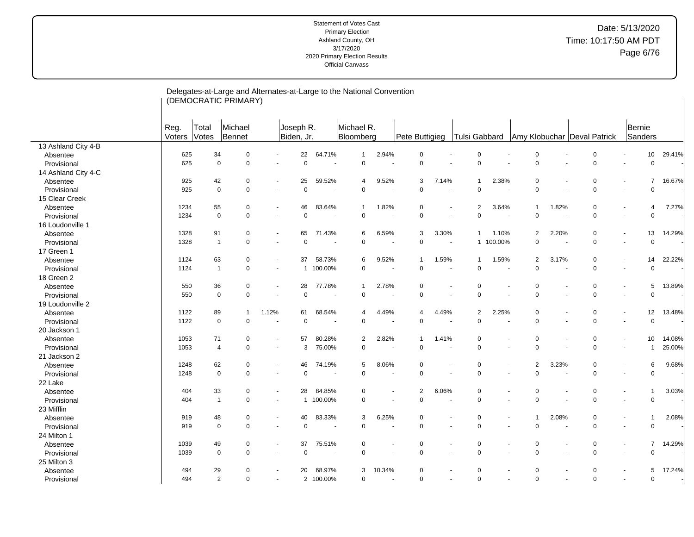| Michael R.<br>Michael<br>Bernie<br>Reg.<br>Total<br>Joseph R.<br>Votes<br>Bennet<br>Sanders<br>Voters<br>Biden, Jr.<br>Bloomberg<br>Pete Buttigieg<br>Tulsi Gabbard<br>Amy Klobuchar Deval Patrick<br>13 Ashland City 4-B<br>34<br>22<br>64.71%<br>2.94%<br>29.41%<br>625<br>$\mathbf 0$<br>$\mathbf{1}$<br>$\mathbf 0$<br>$\mathbf 0$<br>$\mathbf 0$<br>$\mathbf 0$<br>10<br>Absentee<br>625<br>$\mathbf 0$<br>$\mathbf 0$<br>$\mathbf 0$<br>$\Omega$<br>$\pmb{0}$<br>$\Omega$<br>$\mathbf 0$<br>$\overline{0}$<br>$\Omega$<br>Provisional<br>$\sim$<br>14 Ashland City 4-C<br>16.67%<br>25<br>59.52%<br>$\overline{7}$<br>925<br>42<br>9.52%<br>3<br>7.14%<br>2.38%<br>0<br>0<br>Absentee<br>0<br>$\mathbf{1}$<br>4<br>$\overline{\phantom{a}}$<br>$\mathbf 0$<br>$\mathbf 0$<br>$\mathbf 0$<br>$\Omega$<br>$\mathbf 0$<br>$\mathbf 0$<br>$\mathbf 0$<br>$\mathbf 0$<br>925<br>$\mathbf 0$<br>Provisional<br>$\sim$<br>$\overline{\phantom{a}}$<br>$\overline{\phantom{a}}$<br>$\overline{\phantom{a}}$<br>$\overline{a}$<br>15 Clear Creek<br>1234<br>55<br>$\mathbf 0$<br>46<br>83.64%<br>1.82%<br>$\overline{2}$<br>3.64%<br>1.82%<br>$\mathbf 0$<br>7.27%<br>0<br>$\mathbf{1}$<br>4<br>$\mathbf{1}$<br>Absentee<br>$\blacksquare$<br>$\mathbf 0$<br>$\mathbf 0$<br>$\mathbf 0$<br>$\Omega$<br>1234<br>$\mathbf 0$<br>$\mathbf 0$<br>$\Omega$<br>$\mathbf 0$<br>$\Omega$<br>Provisional<br>$\blacksquare$<br>$\overline{\phantom{a}}$<br>$\overline{a}$<br>$\ddot{\phantom{1}}$<br>$\overline{\phantom{a}}$<br>16 Loudonville 1<br>1328<br>91<br>65<br>71.43%<br>6.59%<br>3.30%<br>2.20%<br>13<br>14.29%<br>0<br>6<br>3<br>1.10%<br>2<br>0<br>Absentee<br>-1<br>$\overline{\phantom{a}}$<br>$\overline{0}$<br>$\mathbf 0$<br>$\mathbf 0$<br>$\mathbf 0$<br>1328<br>$\mathbf{1}$<br>$\mathbf 0$<br>0<br>$\mathbf 0$<br>100.00%<br>Provisional<br>1<br>$\sim$<br>$\sim$<br>$\blacksquare$<br>17 Green 1<br>63<br>$\mathbf 0$<br>22.22%<br>1124<br>$\Omega$<br>37<br>58.73%<br>9.52%<br>1.59%<br>1.59%<br>2<br>3.17%<br>14<br>Absentee<br>6<br>$\mathbf 1$<br>$\mathbf{1}$<br>$\sim$<br>100.00%<br>$\mathbf 0$<br>$\mathbf 0$<br>$\Omega$<br>$\mathbf 0$<br>$\overline{0}$<br>1124<br>$\overline{1}$<br>$\mathbf 0$<br>$\Omega$<br>Provisional<br>$\mathbf{1}$<br>$\blacksquare$<br>$\overline{\phantom{a}}$<br>18 Green 2<br>550<br>36<br>28<br>77.78%<br>2.78%<br>$\mathbf 0$<br>5<br>13.89%<br>0<br>$\Omega$<br>0<br>Absentee<br>$\mathbf{1}$<br>0<br>$\overline{\phantom{a}}$<br>$\mathsf 0$<br>550<br>$\mathbf 0$<br>$\mathbf 0$<br>0<br>$\pmb{0}$<br>$\pmb{0}$<br>$\mathbf 0$<br>0<br>$\pmb{0}$<br>Provisional<br>$\blacksquare$<br>÷,<br>$\overline{a}$<br>19 Loudonville 2<br>1122<br>89<br>1.12%<br>61<br>68.54%<br>4.49%<br>4.49%<br>2<br>2.25%<br>$\mathbf 0$<br>$\mathbf 0$<br>12<br>13.48%<br>Absentee<br>$\overline{1}$<br>4<br>4<br>$\blacksquare$<br>$\mathsf 0$<br>$\overline{0}$<br>$\mathbf 0$<br>$\mathbf 0$<br>0<br>$\mathbf 0$<br>$\pmb{0}$<br>$\mathbf 0$<br>$\mathbf 0$<br>1122<br>Provisional<br>$\blacksquare$<br>$\blacksquare$<br>$\overline{\phantom{a}}$<br>20 Jackson 1<br>1053<br>71<br>80.28%<br>$\overline{2}$<br>2.82%<br>0<br>$\mathbf 0$<br>14.08%<br>$\mathbf 0$<br>57<br>1.41%<br>$\mathbf 0$<br>10<br>Absentee<br>-1<br>$\sim$<br>$\blacksquare$<br>$\mathbf 0$<br>$\Omega$<br>$\mathbf 0$<br>25.00%<br>1053<br>$\overline{4}$<br>$\mathbf 0$<br>3<br>75.00%<br>$\Omega$<br>$\Omega$<br>$\overline{1}$<br>Provisional<br>$\blacksquare$<br>$\sim$<br>$\blacksquare$<br>21 Jackson 2<br>3.23%<br>$\mathbf 0$<br>9.68%<br>1248<br>62<br>$\mathbf 0$<br>46<br>74.19%<br>5<br>8.06%<br>$\mathbf 0$<br>$\overline{a}$<br>6<br>Absentee<br>$\mathbf 0$<br>$\blacksquare$<br>$\overline{a}$<br>$\mathbf 0$<br>$\mathbf 0$<br>$\mathbf 0$<br>$\mathbf 0$<br>$\mathbf 0$<br>$\mathbf 0$<br>$\mathbf 0$<br>$\mathbf 0$<br>$\Omega$<br>Provisional<br>1248<br>$\overline{\phantom{a}}$<br>$\blacksquare$<br>$\blacksquare$<br>22 Lake<br>33<br>84.85%<br>$\sqrt{2}$<br>6.06%<br>$\mathbf 0$<br>3.03%<br>404<br>$\mathbf 0$<br>28<br>$\mathbf 0$<br>$\mathbf 0$<br>$\mathbf 0$<br>$\overline{1}$<br>Absentee<br>$\overline{\phantom{a}}$<br>$\mathbf 0$<br>$\mathbf 0$<br>$\mathbf{1}$<br>$\mathbf 0$<br>100.00%<br>$\mathbf 0$<br>$\Omega$<br>$\Omega$<br>$\overline{0}$<br>404<br>Provisional<br>$\mathbf{1}$<br>$\overline{\phantom{a}}$<br>$\ddot{\phantom{1}}$<br>$\ddot{\phantom{1}}$<br>23 Mifflin<br>40<br>83.33%<br>6.25%<br>2.08%<br>$\mathbf 0$<br>2.08%<br>919<br>48<br>0<br>3<br>$\mathbf 0$<br>$\Omega$<br>$\mathbf 1$<br>Absentee<br>$\overline{\phantom{a}}$<br>$\blacksquare$<br>$\mathbf 0$<br>$\mathbf 0$<br>$\mathbf 0$<br>$\overline{0}$<br>$\mathbf 0$<br>$\mathbf 0$<br>$\mathbf 0$<br>$\Omega$<br>919<br>0<br>Provisional<br>$\blacksquare$<br>$\sim$<br>24 Milton 1<br>$\mathbf 0$<br>$\overline{7}$<br>14.29%<br>1039<br>49<br>0<br>37<br>75.51%<br>0<br>0<br>$\mathbf 0$<br>$\mathbf 0$<br>Absentee<br>$\overline{\phantom{a}}$<br>$\blacksquare$<br>$\mathbf 0$<br>$\mathbf 0$<br>$\mathbf 0$<br>$\Omega$<br>$\Omega$<br>$\mathbf 0$<br>$\Omega$<br>1039<br>$\mathbf 0$<br>$\Omega$<br>Provisional<br>25 Milton 3 |          |  | Delegates-at-Large and Alternates-at-Large to the National Convention<br>(DEMOCRATIC PRIMARY) |    |        |   |        |          |          |   |             |  |   |        |
|-----------------------------------------------------------------------------------------------------------------------------------------------------------------------------------------------------------------------------------------------------------------------------------------------------------------------------------------------------------------------------------------------------------------------------------------------------------------------------------------------------------------------------------------------------------------------------------------------------------------------------------------------------------------------------------------------------------------------------------------------------------------------------------------------------------------------------------------------------------------------------------------------------------------------------------------------------------------------------------------------------------------------------------------------------------------------------------------------------------------------------------------------------------------------------------------------------------------------------------------------------------------------------------------------------------------------------------------------------------------------------------------------------------------------------------------------------------------------------------------------------------------------------------------------------------------------------------------------------------------------------------------------------------------------------------------------------------------------------------------------------------------------------------------------------------------------------------------------------------------------------------------------------------------------------------------------------------------------------------------------------------------------------------------------------------------------------------------------------------------------------------------------------------------------------------------------------------------------------------------------------------------------------------------------------------------------------------------------------------------------------------------------------------------------------------------------------------------------------------------------------------------------------------------------------------------------------------------------------------------------------------------------------------------------------------------------------------------------------------------------------------------------------------------------------------------------------------------------------------------------------------------------------------------------------------------------------------------------------------------------------------------------------------------------------------------------------------------------------------------------------------------------------------------------------------------------------------------------------------------------------------------------------------------------------------------------------------------------------------------------------------------------------------------------------------------------------------------------------------------------------------------------------------------------------------------------------------------------------------------------------------------------------------------------------------------------------------------------------------------------------------------------------------------------------------------------------------------------------------------------------------------------------------------------------------------------------------------------------------------------------------------------------------------------------------------------------------------------------------------------------------------------------------------------------------------------------------------------------------------------------------------------------------------------------------------------------------------------------------------------------------------------------------------------------------------------------------------------------------------------------------------------------------------------------------------------------------------------------------------------------------------------------------------------------------------------------------------------------------------------------------------------------------------------------------------------------------------------------------------------------------------------------------------------------------------------------------------------------------------------------------------------------------------------------------------------------------------------------------------------------------------------------------------------------|----------|--|-----------------------------------------------------------------------------------------------|----|--------|---|--------|----------|----------|---|-------------|--|---|--------|
|                                                                                                                                                                                                                                                                                                                                                                                                                                                                                                                                                                                                                                                                                                                                                                                                                                                                                                                                                                                                                                                                                                                                                                                                                                                                                                                                                                                                                                                                                                                                                                                                                                                                                                                                                                                                                                                                                                                                                                                                                                                                                                                                                                                                                                                                                                                                                                                                                                                                                                                                                                                                                                                                                                                                                                                                                                                                                                                                                                                                                                                                                                                                                                                                                                                                                                                                                                                                                                                                                                                                                                                                                                                                                                                                                                                                                                                                                                                                                                                                                                                                                                                                                                                                                                                                                                                                                                                                                                                                                                                                                                                                                                                                                                                                                                                                                                                                                                                                                                                                                                                                                                                                                                             |          |  |                                                                                               |    |        |   |        |          |          |   |             |  |   |        |
|                                                                                                                                                                                                                                                                                                                                                                                                                                                                                                                                                                                                                                                                                                                                                                                                                                                                                                                                                                                                                                                                                                                                                                                                                                                                                                                                                                                                                                                                                                                                                                                                                                                                                                                                                                                                                                                                                                                                                                                                                                                                                                                                                                                                                                                                                                                                                                                                                                                                                                                                                                                                                                                                                                                                                                                                                                                                                                                                                                                                                                                                                                                                                                                                                                                                                                                                                                                                                                                                                                                                                                                                                                                                                                                                                                                                                                                                                                                                                                                                                                                                                                                                                                                                                                                                                                                                                                                                                                                                                                                                                                                                                                                                                                                                                                                                                                                                                                                                                                                                                                                                                                                                                                             |          |  |                                                                                               |    |        |   |        |          |          |   |             |  |   |        |
|                                                                                                                                                                                                                                                                                                                                                                                                                                                                                                                                                                                                                                                                                                                                                                                                                                                                                                                                                                                                                                                                                                                                                                                                                                                                                                                                                                                                                                                                                                                                                                                                                                                                                                                                                                                                                                                                                                                                                                                                                                                                                                                                                                                                                                                                                                                                                                                                                                                                                                                                                                                                                                                                                                                                                                                                                                                                                                                                                                                                                                                                                                                                                                                                                                                                                                                                                                                                                                                                                                                                                                                                                                                                                                                                                                                                                                                                                                                                                                                                                                                                                                                                                                                                                                                                                                                                                                                                                                                                                                                                                                                                                                                                                                                                                                                                                                                                                                                                                                                                                                                                                                                                                                             |          |  |                                                                                               |    |        |   |        |          |          |   |             |  |   |        |
|                                                                                                                                                                                                                                                                                                                                                                                                                                                                                                                                                                                                                                                                                                                                                                                                                                                                                                                                                                                                                                                                                                                                                                                                                                                                                                                                                                                                                                                                                                                                                                                                                                                                                                                                                                                                                                                                                                                                                                                                                                                                                                                                                                                                                                                                                                                                                                                                                                                                                                                                                                                                                                                                                                                                                                                                                                                                                                                                                                                                                                                                                                                                                                                                                                                                                                                                                                                                                                                                                                                                                                                                                                                                                                                                                                                                                                                                                                                                                                                                                                                                                                                                                                                                                                                                                                                                                                                                                                                                                                                                                                                                                                                                                                                                                                                                                                                                                                                                                                                                                                                                                                                                                                             |          |  |                                                                                               |    |        |   |        |          |          |   |             |  |   |        |
|                                                                                                                                                                                                                                                                                                                                                                                                                                                                                                                                                                                                                                                                                                                                                                                                                                                                                                                                                                                                                                                                                                                                                                                                                                                                                                                                                                                                                                                                                                                                                                                                                                                                                                                                                                                                                                                                                                                                                                                                                                                                                                                                                                                                                                                                                                                                                                                                                                                                                                                                                                                                                                                                                                                                                                                                                                                                                                                                                                                                                                                                                                                                                                                                                                                                                                                                                                                                                                                                                                                                                                                                                                                                                                                                                                                                                                                                                                                                                                                                                                                                                                                                                                                                                                                                                                                                                                                                                                                                                                                                                                                                                                                                                                                                                                                                                                                                                                                                                                                                                                                                                                                                                                             |          |  |                                                                                               |    |        |   |        |          |          |   |             |  |   |        |
|                                                                                                                                                                                                                                                                                                                                                                                                                                                                                                                                                                                                                                                                                                                                                                                                                                                                                                                                                                                                                                                                                                                                                                                                                                                                                                                                                                                                                                                                                                                                                                                                                                                                                                                                                                                                                                                                                                                                                                                                                                                                                                                                                                                                                                                                                                                                                                                                                                                                                                                                                                                                                                                                                                                                                                                                                                                                                                                                                                                                                                                                                                                                                                                                                                                                                                                                                                                                                                                                                                                                                                                                                                                                                                                                                                                                                                                                                                                                                                                                                                                                                                                                                                                                                                                                                                                                                                                                                                                                                                                                                                                                                                                                                                                                                                                                                                                                                                                                                                                                                                                                                                                                                                             |          |  |                                                                                               |    |        |   |        |          |          |   |             |  |   |        |
|                                                                                                                                                                                                                                                                                                                                                                                                                                                                                                                                                                                                                                                                                                                                                                                                                                                                                                                                                                                                                                                                                                                                                                                                                                                                                                                                                                                                                                                                                                                                                                                                                                                                                                                                                                                                                                                                                                                                                                                                                                                                                                                                                                                                                                                                                                                                                                                                                                                                                                                                                                                                                                                                                                                                                                                                                                                                                                                                                                                                                                                                                                                                                                                                                                                                                                                                                                                                                                                                                                                                                                                                                                                                                                                                                                                                                                                                                                                                                                                                                                                                                                                                                                                                                                                                                                                                                                                                                                                                                                                                                                                                                                                                                                                                                                                                                                                                                                                                                                                                                                                                                                                                                                             |          |  |                                                                                               |    |        |   |        |          |          |   |             |  |   |        |
|                                                                                                                                                                                                                                                                                                                                                                                                                                                                                                                                                                                                                                                                                                                                                                                                                                                                                                                                                                                                                                                                                                                                                                                                                                                                                                                                                                                                                                                                                                                                                                                                                                                                                                                                                                                                                                                                                                                                                                                                                                                                                                                                                                                                                                                                                                                                                                                                                                                                                                                                                                                                                                                                                                                                                                                                                                                                                                                                                                                                                                                                                                                                                                                                                                                                                                                                                                                                                                                                                                                                                                                                                                                                                                                                                                                                                                                                                                                                                                                                                                                                                                                                                                                                                                                                                                                                                                                                                                                                                                                                                                                                                                                                                                                                                                                                                                                                                                                                                                                                                                                                                                                                                                             |          |  |                                                                                               |    |        |   |        |          |          |   |             |  |   |        |
|                                                                                                                                                                                                                                                                                                                                                                                                                                                                                                                                                                                                                                                                                                                                                                                                                                                                                                                                                                                                                                                                                                                                                                                                                                                                                                                                                                                                                                                                                                                                                                                                                                                                                                                                                                                                                                                                                                                                                                                                                                                                                                                                                                                                                                                                                                                                                                                                                                                                                                                                                                                                                                                                                                                                                                                                                                                                                                                                                                                                                                                                                                                                                                                                                                                                                                                                                                                                                                                                                                                                                                                                                                                                                                                                                                                                                                                                                                                                                                                                                                                                                                                                                                                                                                                                                                                                                                                                                                                                                                                                                                                                                                                                                                                                                                                                                                                                                                                                                                                                                                                                                                                                                                             |          |  |                                                                                               |    |        |   |        |          |          |   |             |  |   |        |
|                                                                                                                                                                                                                                                                                                                                                                                                                                                                                                                                                                                                                                                                                                                                                                                                                                                                                                                                                                                                                                                                                                                                                                                                                                                                                                                                                                                                                                                                                                                                                                                                                                                                                                                                                                                                                                                                                                                                                                                                                                                                                                                                                                                                                                                                                                                                                                                                                                                                                                                                                                                                                                                                                                                                                                                                                                                                                                                                                                                                                                                                                                                                                                                                                                                                                                                                                                                                                                                                                                                                                                                                                                                                                                                                                                                                                                                                                                                                                                                                                                                                                                                                                                                                                                                                                                                                                                                                                                                                                                                                                                                                                                                                                                                                                                                                                                                                                                                                                                                                                                                                                                                                                                             |          |  |                                                                                               |    |        |   |        |          |          |   |             |  |   |        |
|                                                                                                                                                                                                                                                                                                                                                                                                                                                                                                                                                                                                                                                                                                                                                                                                                                                                                                                                                                                                                                                                                                                                                                                                                                                                                                                                                                                                                                                                                                                                                                                                                                                                                                                                                                                                                                                                                                                                                                                                                                                                                                                                                                                                                                                                                                                                                                                                                                                                                                                                                                                                                                                                                                                                                                                                                                                                                                                                                                                                                                                                                                                                                                                                                                                                                                                                                                                                                                                                                                                                                                                                                                                                                                                                                                                                                                                                                                                                                                                                                                                                                                                                                                                                                                                                                                                                                                                                                                                                                                                                                                                                                                                                                                                                                                                                                                                                                                                                                                                                                                                                                                                                                                             |          |  |                                                                                               |    |        |   |        |          |          |   |             |  |   |        |
|                                                                                                                                                                                                                                                                                                                                                                                                                                                                                                                                                                                                                                                                                                                                                                                                                                                                                                                                                                                                                                                                                                                                                                                                                                                                                                                                                                                                                                                                                                                                                                                                                                                                                                                                                                                                                                                                                                                                                                                                                                                                                                                                                                                                                                                                                                                                                                                                                                                                                                                                                                                                                                                                                                                                                                                                                                                                                                                                                                                                                                                                                                                                                                                                                                                                                                                                                                                                                                                                                                                                                                                                                                                                                                                                                                                                                                                                                                                                                                                                                                                                                                                                                                                                                                                                                                                                                                                                                                                                                                                                                                                                                                                                                                                                                                                                                                                                                                                                                                                                                                                                                                                                                                             |          |  |                                                                                               |    |        |   |        |          |          |   |             |  |   |        |
|                                                                                                                                                                                                                                                                                                                                                                                                                                                                                                                                                                                                                                                                                                                                                                                                                                                                                                                                                                                                                                                                                                                                                                                                                                                                                                                                                                                                                                                                                                                                                                                                                                                                                                                                                                                                                                                                                                                                                                                                                                                                                                                                                                                                                                                                                                                                                                                                                                                                                                                                                                                                                                                                                                                                                                                                                                                                                                                                                                                                                                                                                                                                                                                                                                                                                                                                                                                                                                                                                                                                                                                                                                                                                                                                                                                                                                                                                                                                                                                                                                                                                                                                                                                                                                                                                                                                                                                                                                                                                                                                                                                                                                                                                                                                                                                                                                                                                                                                                                                                                                                                                                                                                                             |          |  |                                                                                               |    |        |   |        |          |          |   |             |  |   |        |
|                                                                                                                                                                                                                                                                                                                                                                                                                                                                                                                                                                                                                                                                                                                                                                                                                                                                                                                                                                                                                                                                                                                                                                                                                                                                                                                                                                                                                                                                                                                                                                                                                                                                                                                                                                                                                                                                                                                                                                                                                                                                                                                                                                                                                                                                                                                                                                                                                                                                                                                                                                                                                                                                                                                                                                                                                                                                                                                                                                                                                                                                                                                                                                                                                                                                                                                                                                                                                                                                                                                                                                                                                                                                                                                                                                                                                                                                                                                                                                                                                                                                                                                                                                                                                                                                                                                                                                                                                                                                                                                                                                                                                                                                                                                                                                                                                                                                                                                                                                                                                                                                                                                                                                             |          |  |                                                                                               |    |        |   |        |          |          |   |             |  |   |        |
|                                                                                                                                                                                                                                                                                                                                                                                                                                                                                                                                                                                                                                                                                                                                                                                                                                                                                                                                                                                                                                                                                                                                                                                                                                                                                                                                                                                                                                                                                                                                                                                                                                                                                                                                                                                                                                                                                                                                                                                                                                                                                                                                                                                                                                                                                                                                                                                                                                                                                                                                                                                                                                                                                                                                                                                                                                                                                                                                                                                                                                                                                                                                                                                                                                                                                                                                                                                                                                                                                                                                                                                                                                                                                                                                                                                                                                                                                                                                                                                                                                                                                                                                                                                                                                                                                                                                                                                                                                                                                                                                                                                                                                                                                                                                                                                                                                                                                                                                                                                                                                                                                                                                                                             |          |  |                                                                                               |    |        |   |        |          |          |   |             |  |   |        |
|                                                                                                                                                                                                                                                                                                                                                                                                                                                                                                                                                                                                                                                                                                                                                                                                                                                                                                                                                                                                                                                                                                                                                                                                                                                                                                                                                                                                                                                                                                                                                                                                                                                                                                                                                                                                                                                                                                                                                                                                                                                                                                                                                                                                                                                                                                                                                                                                                                                                                                                                                                                                                                                                                                                                                                                                                                                                                                                                                                                                                                                                                                                                                                                                                                                                                                                                                                                                                                                                                                                                                                                                                                                                                                                                                                                                                                                                                                                                                                                                                                                                                                                                                                                                                                                                                                                                                                                                                                                                                                                                                                                                                                                                                                                                                                                                                                                                                                                                                                                                                                                                                                                                                                             |          |  |                                                                                               |    |        |   |        |          |          |   |             |  |   |        |
|                                                                                                                                                                                                                                                                                                                                                                                                                                                                                                                                                                                                                                                                                                                                                                                                                                                                                                                                                                                                                                                                                                                                                                                                                                                                                                                                                                                                                                                                                                                                                                                                                                                                                                                                                                                                                                                                                                                                                                                                                                                                                                                                                                                                                                                                                                                                                                                                                                                                                                                                                                                                                                                                                                                                                                                                                                                                                                                                                                                                                                                                                                                                                                                                                                                                                                                                                                                                                                                                                                                                                                                                                                                                                                                                                                                                                                                                                                                                                                                                                                                                                                                                                                                                                                                                                                                                                                                                                                                                                                                                                                                                                                                                                                                                                                                                                                                                                                                                                                                                                                                                                                                                                                             |          |  |                                                                                               |    |        |   |        |          |          |   |             |  |   |        |
|                                                                                                                                                                                                                                                                                                                                                                                                                                                                                                                                                                                                                                                                                                                                                                                                                                                                                                                                                                                                                                                                                                                                                                                                                                                                                                                                                                                                                                                                                                                                                                                                                                                                                                                                                                                                                                                                                                                                                                                                                                                                                                                                                                                                                                                                                                                                                                                                                                                                                                                                                                                                                                                                                                                                                                                                                                                                                                                                                                                                                                                                                                                                                                                                                                                                                                                                                                                                                                                                                                                                                                                                                                                                                                                                                                                                                                                                                                                                                                                                                                                                                                                                                                                                                                                                                                                                                                                                                                                                                                                                                                                                                                                                                                                                                                                                                                                                                                                                                                                                                                                                                                                                                                             |          |  |                                                                                               |    |        |   |        |          |          |   |             |  |   |        |
|                                                                                                                                                                                                                                                                                                                                                                                                                                                                                                                                                                                                                                                                                                                                                                                                                                                                                                                                                                                                                                                                                                                                                                                                                                                                                                                                                                                                                                                                                                                                                                                                                                                                                                                                                                                                                                                                                                                                                                                                                                                                                                                                                                                                                                                                                                                                                                                                                                                                                                                                                                                                                                                                                                                                                                                                                                                                                                                                                                                                                                                                                                                                                                                                                                                                                                                                                                                                                                                                                                                                                                                                                                                                                                                                                                                                                                                                                                                                                                                                                                                                                                                                                                                                                                                                                                                                                                                                                                                                                                                                                                                                                                                                                                                                                                                                                                                                                                                                                                                                                                                                                                                                                                             |          |  |                                                                                               |    |        |   |        |          |          |   |             |  |   |        |
|                                                                                                                                                                                                                                                                                                                                                                                                                                                                                                                                                                                                                                                                                                                                                                                                                                                                                                                                                                                                                                                                                                                                                                                                                                                                                                                                                                                                                                                                                                                                                                                                                                                                                                                                                                                                                                                                                                                                                                                                                                                                                                                                                                                                                                                                                                                                                                                                                                                                                                                                                                                                                                                                                                                                                                                                                                                                                                                                                                                                                                                                                                                                                                                                                                                                                                                                                                                                                                                                                                                                                                                                                                                                                                                                                                                                                                                                                                                                                                                                                                                                                                                                                                                                                                                                                                                                                                                                                                                                                                                                                                                                                                                                                                                                                                                                                                                                                                                                                                                                                                                                                                                                                                             |          |  |                                                                                               |    |        |   |        |          |          |   |             |  |   |        |
|                                                                                                                                                                                                                                                                                                                                                                                                                                                                                                                                                                                                                                                                                                                                                                                                                                                                                                                                                                                                                                                                                                                                                                                                                                                                                                                                                                                                                                                                                                                                                                                                                                                                                                                                                                                                                                                                                                                                                                                                                                                                                                                                                                                                                                                                                                                                                                                                                                                                                                                                                                                                                                                                                                                                                                                                                                                                                                                                                                                                                                                                                                                                                                                                                                                                                                                                                                                                                                                                                                                                                                                                                                                                                                                                                                                                                                                                                                                                                                                                                                                                                                                                                                                                                                                                                                                                                                                                                                                                                                                                                                                                                                                                                                                                                                                                                                                                                                                                                                                                                                                                                                                                                                             |          |  |                                                                                               |    |        |   |        |          |          |   |             |  |   |        |
|                                                                                                                                                                                                                                                                                                                                                                                                                                                                                                                                                                                                                                                                                                                                                                                                                                                                                                                                                                                                                                                                                                                                                                                                                                                                                                                                                                                                                                                                                                                                                                                                                                                                                                                                                                                                                                                                                                                                                                                                                                                                                                                                                                                                                                                                                                                                                                                                                                                                                                                                                                                                                                                                                                                                                                                                                                                                                                                                                                                                                                                                                                                                                                                                                                                                                                                                                                                                                                                                                                                                                                                                                                                                                                                                                                                                                                                                                                                                                                                                                                                                                                                                                                                                                                                                                                                                                                                                                                                                                                                                                                                                                                                                                                                                                                                                                                                                                                                                                                                                                                                                                                                                                                             |          |  |                                                                                               |    |        |   |        |          |          |   |             |  |   |        |
|                                                                                                                                                                                                                                                                                                                                                                                                                                                                                                                                                                                                                                                                                                                                                                                                                                                                                                                                                                                                                                                                                                                                                                                                                                                                                                                                                                                                                                                                                                                                                                                                                                                                                                                                                                                                                                                                                                                                                                                                                                                                                                                                                                                                                                                                                                                                                                                                                                                                                                                                                                                                                                                                                                                                                                                                                                                                                                                                                                                                                                                                                                                                                                                                                                                                                                                                                                                                                                                                                                                                                                                                                                                                                                                                                                                                                                                                                                                                                                                                                                                                                                                                                                                                                                                                                                                                                                                                                                                                                                                                                                                                                                                                                                                                                                                                                                                                                                                                                                                                                                                                                                                                                                             |          |  |                                                                                               |    |        |   |        |          |          |   |             |  |   |        |
|                                                                                                                                                                                                                                                                                                                                                                                                                                                                                                                                                                                                                                                                                                                                                                                                                                                                                                                                                                                                                                                                                                                                                                                                                                                                                                                                                                                                                                                                                                                                                                                                                                                                                                                                                                                                                                                                                                                                                                                                                                                                                                                                                                                                                                                                                                                                                                                                                                                                                                                                                                                                                                                                                                                                                                                                                                                                                                                                                                                                                                                                                                                                                                                                                                                                                                                                                                                                                                                                                                                                                                                                                                                                                                                                                                                                                                                                                                                                                                                                                                                                                                                                                                                                                                                                                                                                                                                                                                                                                                                                                                                                                                                                                                                                                                                                                                                                                                                                                                                                                                                                                                                                                                             |          |  |                                                                                               |    |        |   |        |          |          |   |             |  |   |        |
|                                                                                                                                                                                                                                                                                                                                                                                                                                                                                                                                                                                                                                                                                                                                                                                                                                                                                                                                                                                                                                                                                                                                                                                                                                                                                                                                                                                                                                                                                                                                                                                                                                                                                                                                                                                                                                                                                                                                                                                                                                                                                                                                                                                                                                                                                                                                                                                                                                                                                                                                                                                                                                                                                                                                                                                                                                                                                                                                                                                                                                                                                                                                                                                                                                                                                                                                                                                                                                                                                                                                                                                                                                                                                                                                                                                                                                                                                                                                                                                                                                                                                                                                                                                                                                                                                                                                                                                                                                                                                                                                                                                                                                                                                                                                                                                                                                                                                                                                                                                                                                                                                                                                                                             |          |  |                                                                                               |    |        |   |        |          |          |   |             |  |   |        |
|                                                                                                                                                                                                                                                                                                                                                                                                                                                                                                                                                                                                                                                                                                                                                                                                                                                                                                                                                                                                                                                                                                                                                                                                                                                                                                                                                                                                                                                                                                                                                                                                                                                                                                                                                                                                                                                                                                                                                                                                                                                                                                                                                                                                                                                                                                                                                                                                                                                                                                                                                                                                                                                                                                                                                                                                                                                                                                                                                                                                                                                                                                                                                                                                                                                                                                                                                                                                                                                                                                                                                                                                                                                                                                                                                                                                                                                                                                                                                                                                                                                                                                                                                                                                                                                                                                                                                                                                                                                                                                                                                                                                                                                                                                                                                                                                                                                                                                                                                                                                                                                                                                                                                                             |          |  |                                                                                               |    |        |   |        |          |          |   |             |  |   |        |
|                                                                                                                                                                                                                                                                                                                                                                                                                                                                                                                                                                                                                                                                                                                                                                                                                                                                                                                                                                                                                                                                                                                                                                                                                                                                                                                                                                                                                                                                                                                                                                                                                                                                                                                                                                                                                                                                                                                                                                                                                                                                                                                                                                                                                                                                                                                                                                                                                                                                                                                                                                                                                                                                                                                                                                                                                                                                                                                                                                                                                                                                                                                                                                                                                                                                                                                                                                                                                                                                                                                                                                                                                                                                                                                                                                                                                                                                                                                                                                                                                                                                                                                                                                                                                                                                                                                                                                                                                                                                                                                                                                                                                                                                                                                                                                                                                                                                                                                                                                                                                                                                                                                                                                             |          |  |                                                                                               |    |        |   |        |          |          |   |             |  |   |        |
|                                                                                                                                                                                                                                                                                                                                                                                                                                                                                                                                                                                                                                                                                                                                                                                                                                                                                                                                                                                                                                                                                                                                                                                                                                                                                                                                                                                                                                                                                                                                                                                                                                                                                                                                                                                                                                                                                                                                                                                                                                                                                                                                                                                                                                                                                                                                                                                                                                                                                                                                                                                                                                                                                                                                                                                                                                                                                                                                                                                                                                                                                                                                                                                                                                                                                                                                                                                                                                                                                                                                                                                                                                                                                                                                                                                                                                                                                                                                                                                                                                                                                                                                                                                                                                                                                                                                                                                                                                                                                                                                                                                                                                                                                                                                                                                                                                                                                                                                                                                                                                                                                                                                                                             |          |  |                                                                                               |    |        |   |        |          |          |   |             |  |   |        |
|                                                                                                                                                                                                                                                                                                                                                                                                                                                                                                                                                                                                                                                                                                                                                                                                                                                                                                                                                                                                                                                                                                                                                                                                                                                                                                                                                                                                                                                                                                                                                                                                                                                                                                                                                                                                                                                                                                                                                                                                                                                                                                                                                                                                                                                                                                                                                                                                                                                                                                                                                                                                                                                                                                                                                                                                                                                                                                                                                                                                                                                                                                                                                                                                                                                                                                                                                                                                                                                                                                                                                                                                                                                                                                                                                                                                                                                                                                                                                                                                                                                                                                                                                                                                                                                                                                                                                                                                                                                                                                                                                                                                                                                                                                                                                                                                                                                                                                                                                                                                                                                                                                                                                                             |          |  |                                                                                               |    |        |   |        |          |          |   |             |  |   |        |
|                                                                                                                                                                                                                                                                                                                                                                                                                                                                                                                                                                                                                                                                                                                                                                                                                                                                                                                                                                                                                                                                                                                                                                                                                                                                                                                                                                                                                                                                                                                                                                                                                                                                                                                                                                                                                                                                                                                                                                                                                                                                                                                                                                                                                                                                                                                                                                                                                                                                                                                                                                                                                                                                                                                                                                                                                                                                                                                                                                                                                                                                                                                                                                                                                                                                                                                                                                                                                                                                                                                                                                                                                                                                                                                                                                                                                                                                                                                                                                                                                                                                                                                                                                                                                                                                                                                                                                                                                                                                                                                                                                                                                                                                                                                                                                                                                                                                                                                                                                                                                                                                                                                                                                             |          |  |                                                                                               |    |        |   |        |          |          |   |             |  |   |        |
|                                                                                                                                                                                                                                                                                                                                                                                                                                                                                                                                                                                                                                                                                                                                                                                                                                                                                                                                                                                                                                                                                                                                                                                                                                                                                                                                                                                                                                                                                                                                                                                                                                                                                                                                                                                                                                                                                                                                                                                                                                                                                                                                                                                                                                                                                                                                                                                                                                                                                                                                                                                                                                                                                                                                                                                                                                                                                                                                                                                                                                                                                                                                                                                                                                                                                                                                                                                                                                                                                                                                                                                                                                                                                                                                                                                                                                                                                                                                                                                                                                                                                                                                                                                                                                                                                                                                                                                                                                                                                                                                                                                                                                                                                                                                                                                                                                                                                                                                                                                                                                                                                                                                                                             |          |  |                                                                                               |    |        |   |        |          |          |   |             |  |   |        |
|                                                                                                                                                                                                                                                                                                                                                                                                                                                                                                                                                                                                                                                                                                                                                                                                                                                                                                                                                                                                                                                                                                                                                                                                                                                                                                                                                                                                                                                                                                                                                                                                                                                                                                                                                                                                                                                                                                                                                                                                                                                                                                                                                                                                                                                                                                                                                                                                                                                                                                                                                                                                                                                                                                                                                                                                                                                                                                                                                                                                                                                                                                                                                                                                                                                                                                                                                                                                                                                                                                                                                                                                                                                                                                                                                                                                                                                                                                                                                                                                                                                                                                                                                                                                                                                                                                                                                                                                                                                                                                                                                                                                                                                                                                                                                                                                                                                                                                                                                                                                                                                                                                                                                                             |          |  |                                                                                               |    |        |   |        |          |          |   |             |  |   |        |
|                                                                                                                                                                                                                                                                                                                                                                                                                                                                                                                                                                                                                                                                                                                                                                                                                                                                                                                                                                                                                                                                                                                                                                                                                                                                                                                                                                                                                                                                                                                                                                                                                                                                                                                                                                                                                                                                                                                                                                                                                                                                                                                                                                                                                                                                                                                                                                                                                                                                                                                                                                                                                                                                                                                                                                                                                                                                                                                                                                                                                                                                                                                                                                                                                                                                                                                                                                                                                                                                                                                                                                                                                                                                                                                                                                                                                                                                                                                                                                                                                                                                                                                                                                                                                                                                                                                                                                                                                                                                                                                                                                                                                                                                                                                                                                                                                                                                                                                                                                                                                                                                                                                                                                             |          |  |                                                                                               |    |        |   |        |          |          |   |             |  |   |        |
|                                                                                                                                                                                                                                                                                                                                                                                                                                                                                                                                                                                                                                                                                                                                                                                                                                                                                                                                                                                                                                                                                                                                                                                                                                                                                                                                                                                                                                                                                                                                                                                                                                                                                                                                                                                                                                                                                                                                                                                                                                                                                                                                                                                                                                                                                                                                                                                                                                                                                                                                                                                                                                                                                                                                                                                                                                                                                                                                                                                                                                                                                                                                                                                                                                                                                                                                                                                                                                                                                                                                                                                                                                                                                                                                                                                                                                                                                                                                                                                                                                                                                                                                                                                                                                                                                                                                                                                                                                                                                                                                                                                                                                                                                                                                                                                                                                                                                                                                                                                                                                                                                                                                                                             |          |  |                                                                                               |    |        |   |        |          |          |   |             |  |   |        |
|                                                                                                                                                                                                                                                                                                                                                                                                                                                                                                                                                                                                                                                                                                                                                                                                                                                                                                                                                                                                                                                                                                                                                                                                                                                                                                                                                                                                                                                                                                                                                                                                                                                                                                                                                                                                                                                                                                                                                                                                                                                                                                                                                                                                                                                                                                                                                                                                                                                                                                                                                                                                                                                                                                                                                                                                                                                                                                                                                                                                                                                                                                                                                                                                                                                                                                                                                                                                                                                                                                                                                                                                                                                                                                                                                                                                                                                                                                                                                                                                                                                                                                                                                                                                                                                                                                                                                                                                                                                                                                                                                                                                                                                                                                                                                                                                                                                                                                                                                                                                                                                                                                                                                                             |          |  |                                                                                               |    |        |   |        |          |          |   |             |  |   |        |
|                                                                                                                                                                                                                                                                                                                                                                                                                                                                                                                                                                                                                                                                                                                                                                                                                                                                                                                                                                                                                                                                                                                                                                                                                                                                                                                                                                                                                                                                                                                                                                                                                                                                                                                                                                                                                                                                                                                                                                                                                                                                                                                                                                                                                                                                                                                                                                                                                                                                                                                                                                                                                                                                                                                                                                                                                                                                                                                                                                                                                                                                                                                                                                                                                                                                                                                                                                                                                                                                                                                                                                                                                                                                                                                                                                                                                                                                                                                                                                                                                                                                                                                                                                                                                                                                                                                                                                                                                                                                                                                                                                                                                                                                                                                                                                                                                                                                                                                                                                                                                                                                                                                                                                             |          |  |                                                                                               |    |        |   |        |          |          |   |             |  |   |        |
|                                                                                                                                                                                                                                                                                                                                                                                                                                                                                                                                                                                                                                                                                                                                                                                                                                                                                                                                                                                                                                                                                                                                                                                                                                                                                                                                                                                                                                                                                                                                                                                                                                                                                                                                                                                                                                                                                                                                                                                                                                                                                                                                                                                                                                                                                                                                                                                                                                                                                                                                                                                                                                                                                                                                                                                                                                                                                                                                                                                                                                                                                                                                                                                                                                                                                                                                                                                                                                                                                                                                                                                                                                                                                                                                                                                                                                                                                                                                                                                                                                                                                                                                                                                                                                                                                                                                                                                                                                                                                                                                                                                                                                                                                                                                                                                                                                                                                                                                                                                                                                                                                                                                                                             |          |  |                                                                                               |    |        |   |        |          |          |   |             |  |   |        |
|                                                                                                                                                                                                                                                                                                                                                                                                                                                                                                                                                                                                                                                                                                                                                                                                                                                                                                                                                                                                                                                                                                                                                                                                                                                                                                                                                                                                                                                                                                                                                                                                                                                                                                                                                                                                                                                                                                                                                                                                                                                                                                                                                                                                                                                                                                                                                                                                                                                                                                                                                                                                                                                                                                                                                                                                                                                                                                                                                                                                                                                                                                                                                                                                                                                                                                                                                                                                                                                                                                                                                                                                                                                                                                                                                                                                                                                                                                                                                                                                                                                                                                                                                                                                                                                                                                                                                                                                                                                                                                                                                                                                                                                                                                                                                                                                                                                                                                                                                                                                                                                                                                                                                                             |          |  |                                                                                               |    |        |   |        |          |          |   |             |  |   |        |
| 29<br>494<br>$\overline{\phantom{a}}$                                                                                                                                                                                                                                                                                                                                                                                                                                                                                                                                                                                                                                                                                                                                                                                                                                                                                                                                                                                                                                                                                                                                                                                                                                                                                                                                                                                                                                                                                                                                                                                                                                                                                                                                                                                                                                                                                                                                                                                                                                                                                                                                                                                                                                                                                                                                                                                                                                                                                                                                                                                                                                                                                                                                                                                                                                                                                                                                                                                                                                                                                                                                                                                                                                                                                                                                                                                                                                                                                                                                                                                                                                                                                                                                                                                                                                                                                                                                                                                                                                                                                                                                                                                                                                                                                                                                                                                                                                                                                                                                                                                                                                                                                                                                                                                                                                                                                                                                                                                                                                                                                                                                       | Absentee |  | $\Omega$                                                                                      | 20 | 68.97% | 3 | 10.34% | $\Omega$ | $\Omega$ | 0 | $\mathbf 0$ |  | 5 | 17.24% |
| 2<br>2 100.00%<br>$\Omega$<br>$\mathbf 0$<br>$\mathbf 0$<br>494<br>$\Omega$<br>$\Omega$<br>$\Omega$<br>$\Omega$<br>Provisional                                                                                                                                                                                                                                                                                                                                                                                                                                                                                                                                                                                                                                                                                                                                                                                                                                                                                                                                                                                                                                                                                                                                                                                                                                                                                                                                                                                                                                                                                                                                                                                                                                                                                                                                                                                                                                                                                                                                                                                                                                                                                                                                                                                                                                                                                                                                                                                                                                                                                                                                                                                                                                                                                                                                                                                                                                                                                                                                                                                                                                                                                                                                                                                                                                                                                                                                                                                                                                                                                                                                                                                                                                                                                                                                                                                                                                                                                                                                                                                                                                                                                                                                                                                                                                                                                                                                                                                                                                                                                                                                                                                                                                                                                                                                                                                                                                                                                                                                                                                                                                              |          |  |                                                                                               |    |        |   |        |          |          |   |             |  |   |        |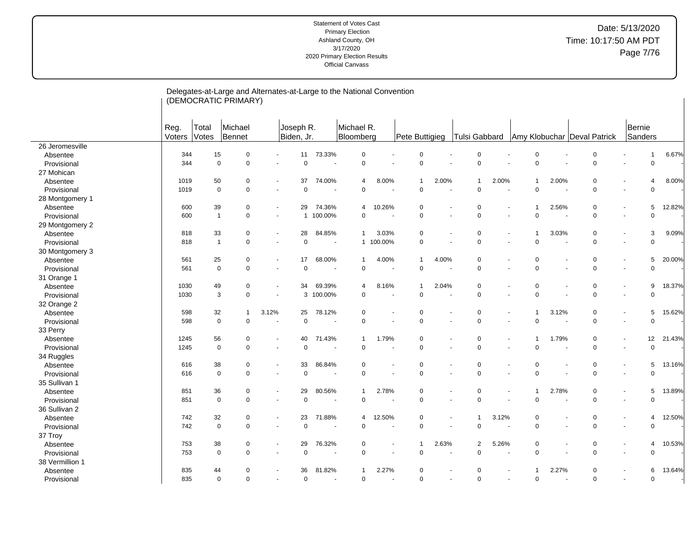| Michael R.<br>Michael<br>Joseph R.<br>Bernie<br>Reg.<br>Total<br>Voters<br>Votes<br>Bennet<br>Biden, Jr.<br>Tulsi Gabbard<br>Sanders<br>Bloomberg<br>Pete Buttigieg<br>Amy Klobuchar Deval Patrick<br>26 Jeromesville<br>15<br>73.33%<br>$\mathbf 0$<br>$\mathbf 0$<br>344<br>$\mathbf 0$<br>11<br>$\mathbf 0$<br>$\Omega$<br>0<br>$\overline{1}$<br>Absentee<br>$\Omega$<br>$\mathbf 0$<br>344<br>$\mathbf 0$<br>$\mathbf 0$<br>$\mathbf 0$<br>$\Omega$<br>$\Omega$<br>$\overline{0}$<br>$\Omega$<br>Provisional<br>27 Mohican<br>50<br>37<br>74.00%<br>8.00%<br>2.00%<br>2.00%<br>2.00%<br>1019<br>$\mathbf 0$<br>0<br>Absentee<br>4<br>$\mathbf 1$<br>$\mathbf{1}$<br>1<br>4<br>$\sim$<br>$\Omega$<br>$\mathbf 0$<br>$\mathbf 0$<br>$\mathbf 0$<br>$\mathbf 0$<br>$\Omega$<br>$\Omega$<br>$\mathbf 0$<br>$\mathbf 0$<br>1019<br>Provisional<br>$\sim$<br>÷.<br>÷.<br>$\sim$<br>28 Montgomery 1<br>600<br>39<br>$\Omega$<br>29<br>74.36%<br>10.26%<br>$\mathbf 0$<br>$\Omega$<br>2.56%<br>$\mathbf 0$<br>5<br>Absentee<br>4<br>1<br>$\sim$<br>$\mathbf 0$<br>$\mathbf 0$<br>$\mathbf 0$<br>$\mathbf 0$<br>$\mathbf 0$<br>$\mathbf 0$<br>600<br>$\mathbf{1}$<br>100.00%<br>$\mathbf 0$<br>Provisional<br>$\overline{1}$<br>$\blacksquare$<br>$\blacksquare$<br>÷,<br>$\blacksquare$<br>29 Montgomery 2<br>818<br>33<br>$\Omega$<br>28<br>84.85%<br>3.03%<br>3.03%<br>$\mathbf 0$<br>3<br>$\mathbf{1}$<br>0<br>$\Omega$<br>Absentee<br>1<br>$\overline{\phantom{a}}$<br>$\mathbf 0$<br>$\mathbf{1}$<br>$\mathbf 0$<br>0<br>1 100.00%<br>$\mathbf 0$<br>$\Omega$<br>$\mathbf 0$<br>$\mathbf 0$<br>818<br>Provisional<br>÷,<br>$\overline{\phantom{a}}$<br>$\overline{\phantom{a}}$<br>30 Montgomery 3<br>25<br>$\pmb{0}$<br>$\mathbf 0$<br>17<br>68.00%<br>4.00%<br>$\mathbf 0$<br>$\mathbf 0$<br>5<br>Absentee<br>561<br>$\mathbf{1}$<br>4.00%<br>1<br>$\overline{\phantom{a}}$<br>$\ddot{\phantom{1}}$<br>$\mathbf 0$<br>$\mathbf 0$<br>$\mathbf 0$<br>$\mathbf 0$<br>$\mathbf 0$<br>$\mathbf 0$<br>561<br>$\mathbf 0$<br>0<br>$\mathbf 0$<br>Provisional<br>$\blacksquare$<br>$\overline{a}$<br>31 Orange 1<br>1030<br>49<br>69.39%<br>8.16%<br>2.04%<br>0<br>$\pmb{0}$<br>9<br>18.37%<br>$\mathbf 0$<br>34<br>$\mathbf 0$<br>Absentee<br>$\mathbf 1$<br>4<br>$\overline{a}$<br>$\overline{\phantom{a}}$<br>$\mathbf 0$<br>3<br>3 100.00%<br>$\mathbf 0$<br>$\Omega$<br>$\mathbf 0$<br>1030<br>$\mathbf 0$<br>$\mathbf 0$<br>$\Omega$<br>Provisional<br>$\sim$<br>$\ddot{\phantom{1}}$<br>$\ddot{\phantom{1}}$<br>32 Orange 2<br>598<br>32<br>3.12%<br>78.12%<br>$\mathbf 0$<br>3.12%<br>$\mathbf 0$<br>25<br>$\Omega$<br>$\mathbf 0$<br>5<br>Absentee<br>$\overline{1}$<br>$\overline{\phantom{a}}$<br>$\mathbf 0$<br>$\mathbf 0$<br>$\Omega$<br>$\mathbf 0$<br>$\mathbf 0$<br>$\Omega$<br>$\Omega$<br>$\Omega$<br>$\Omega$<br>598<br>Provisional<br>÷.<br>33 Perry<br>56<br>71.43%<br>1.79%<br>1.79%<br>$\mathbf 0$<br>12<br>1245<br>0<br>40<br>0<br>$\mathbf 0$<br>Absentee<br>$\mathbf{1}$<br>$\blacksquare$<br>$\overline{\phantom{a}}$<br>$\Omega$<br>$\mathbf 0$<br>$\Omega$<br>$\mathbf 0$<br>$\Omega$<br>$\Omega$<br>$\Omega$<br>$\mathbf 0$<br>Provisional<br>1245<br>$\Omega$<br>$\sim$<br>34 Ruggles<br>38<br>33<br>86.84%<br>$\mathbf 0$<br>5<br>13.16%<br>616<br>$\mathbf 0$<br>$\mathbf 0$<br>$\Omega$<br>$\Omega$<br>$\mathbf 0$<br>Absentee<br>$\sim$<br>$\mathsf 0$<br>$\mathbf 0$<br>$\mathbf 0$<br>$\mathbf 0$<br>$\pmb{0}$<br>$\pmb{0}$<br>$\mathbf 0$<br>$\mathbf 0$<br>$\mathbf 0$<br>616<br>Provisional<br>$\sim$<br>$\blacksquare$<br>35 Sullivan 1<br>2.78%<br>13.89%<br>851<br>36<br>$\mathbf 0$<br>29<br>80.56%<br>2.78%<br>$\mathbf 0$<br>$\mathbf 0$<br>$\mathbf 0$<br>5<br>$\mathbf{1}$<br>Absentee<br>1<br>$\sim$<br>$\ddot{\phantom{1}}$<br>$\mathbf 0$<br>$\mathbf 0$<br>851<br>$\mathbf 0$<br>$\mathbf 0$<br>$\mathbf 0$<br>$\mathbf 0$<br>$\mathbf 0$<br>$\overline{0}$<br>$\Omega$<br>Provisional<br>36 Sullivan 2<br>32<br>3.12%<br>742<br>$\mathbf 0$<br>23<br>71.88%<br>12.50%<br>$\mathbf 0$<br>$\mathbf 0$<br>$\mathbf 0$<br>12.50%<br>Absentee<br>$\overline{4}$<br>$\overline{4}$<br>$\blacksquare$<br>$\mathbf 0$<br>$\mathbf 0$<br>$\mathbf 0$<br>742<br>$\mathbf 0$<br>0<br>$\Omega$<br>$\mathbf 0$<br>0<br>Provisional<br>$\Omega$<br>$\overline{\phantom{a}}$<br>37 Troy<br>38<br>29<br>76.32%<br>5.26%<br>$\mathbf 0$<br>10.53%<br>753<br>0<br>2.63%<br>$\overline{2}$<br>0<br>$\overline{4}$<br>Absentee<br>0<br>$\mathbf 1$<br>$\overline{\phantom{a}}$<br>$\blacksquare$<br>$\mathbf 0$<br>$\mathbf 0$<br>$\mathbf 0$<br>$\mathbf 0$<br>$\mathbf 0$<br>753<br>$\mathbf 0$<br>$\mathbf 0$<br>$\Omega$<br>$\Omega$<br>Provisional<br>38 Vermillion 1<br>835<br>36<br>81.82%<br>2.27%<br>2.27%<br>$\mathbf 0$<br>13.64%<br>44<br>$\Omega$<br>$\Omega$<br>$\Omega$<br>6<br>Absentee<br>835<br>$\mathbf 0$<br>$\mathbf 0$<br>$\Omega$<br>$\Omega$<br>$\mathbf 0$<br>$\Omega$<br>$\Omega$<br>$\Omega$<br>$\Omega$<br>Provisional<br>$\overline{\phantom{a}}$ |  | (DEMOCRATIC PRIMARY) |  |  |  |  |  |  |  |        |
|---------------------------------------------------------------------------------------------------------------------------------------------------------------------------------------------------------------------------------------------------------------------------------------------------------------------------------------------------------------------------------------------------------------------------------------------------------------------------------------------------------------------------------------------------------------------------------------------------------------------------------------------------------------------------------------------------------------------------------------------------------------------------------------------------------------------------------------------------------------------------------------------------------------------------------------------------------------------------------------------------------------------------------------------------------------------------------------------------------------------------------------------------------------------------------------------------------------------------------------------------------------------------------------------------------------------------------------------------------------------------------------------------------------------------------------------------------------------------------------------------------------------------------------------------------------------------------------------------------------------------------------------------------------------------------------------------------------------------------------------------------------------------------------------------------------------------------------------------------------------------------------------------------------------------------------------------------------------------------------------------------------------------------------------------------------------------------------------------------------------------------------------------------------------------------------------------------------------------------------------------------------------------------------------------------------------------------------------------------------------------------------------------------------------------------------------------------------------------------------------------------------------------------------------------------------------------------------------------------------------------------------------------------------------------------------------------------------------------------------------------------------------------------------------------------------------------------------------------------------------------------------------------------------------------------------------------------------------------------------------------------------------------------------------------------------------------------------------------------------------------------------------------------------------------------------------------------------------------------------------------------------------------------------------------------------------------------------------------------------------------------------------------------------------------------------------------------------------------------------------------------------------------------------------------------------------------------------------------------------------------------------------------------------------------------------------------------------------------------------------------------------------------------------------------------------------------------------------------------------------------------------------------------------------------------------------------------------------------------------------------------------------------------------------------------------------------------------------------------------------------------------------------------------------------------------------------------------------------------------------------------------------------------------------------------------------------------------------------------------------------------------------------------------------------------------------------------------------------------------------------------------------------------------------------------------------------------------------------------------------------------------------------------------------------------------------------------------------------------------------------------------------------------------------------------------------------------------------------------------------------------------------------------------------------------------------------------------------------------------------------------------|--|----------------------|--|--|--|--|--|--|--|--------|
|                                                                                                                                                                                                                                                                                                                                                                                                                                                                                                                                                                                                                                                                                                                                                                                                                                                                                                                                                                                                                                                                                                                                                                                                                                                                                                                                                                                                                                                                                                                                                                                                                                                                                                                                                                                                                                                                                                                                                                                                                                                                                                                                                                                                                                                                                                                                                                                                                                                                                                                                                                                                                                                                                                                                                                                                                                                                                                                                                                                                                                                                                                                                                                                                                                                                                                                                                                                                                                                                                                                                                                                                                                                                                                                                                                                                                                                                                                                                                                                                                                                                                                                                                                                                                                                                                                                                                                                                                                                                                                                                                                                                                                                                                                                                                                                                                                                                                                                                                                                                               |  |                      |  |  |  |  |  |  |  |        |
|                                                                                                                                                                                                                                                                                                                                                                                                                                                                                                                                                                                                                                                                                                                                                                                                                                                                                                                                                                                                                                                                                                                                                                                                                                                                                                                                                                                                                                                                                                                                                                                                                                                                                                                                                                                                                                                                                                                                                                                                                                                                                                                                                                                                                                                                                                                                                                                                                                                                                                                                                                                                                                                                                                                                                                                                                                                                                                                                                                                                                                                                                                                                                                                                                                                                                                                                                                                                                                                                                                                                                                                                                                                                                                                                                                                                                                                                                                                                                                                                                                                                                                                                                                                                                                                                                                                                                                                                                                                                                                                                                                                                                                                                                                                                                                                                                                                                                                                                                                                                               |  |                      |  |  |  |  |  |  |  |        |
|                                                                                                                                                                                                                                                                                                                                                                                                                                                                                                                                                                                                                                                                                                                                                                                                                                                                                                                                                                                                                                                                                                                                                                                                                                                                                                                                                                                                                                                                                                                                                                                                                                                                                                                                                                                                                                                                                                                                                                                                                                                                                                                                                                                                                                                                                                                                                                                                                                                                                                                                                                                                                                                                                                                                                                                                                                                                                                                                                                                                                                                                                                                                                                                                                                                                                                                                                                                                                                                                                                                                                                                                                                                                                                                                                                                                                                                                                                                                                                                                                                                                                                                                                                                                                                                                                                                                                                                                                                                                                                                                                                                                                                                                                                                                                                                                                                                                                                                                                                                                               |  |                      |  |  |  |  |  |  |  | 6.67%  |
|                                                                                                                                                                                                                                                                                                                                                                                                                                                                                                                                                                                                                                                                                                                                                                                                                                                                                                                                                                                                                                                                                                                                                                                                                                                                                                                                                                                                                                                                                                                                                                                                                                                                                                                                                                                                                                                                                                                                                                                                                                                                                                                                                                                                                                                                                                                                                                                                                                                                                                                                                                                                                                                                                                                                                                                                                                                                                                                                                                                                                                                                                                                                                                                                                                                                                                                                                                                                                                                                                                                                                                                                                                                                                                                                                                                                                                                                                                                                                                                                                                                                                                                                                                                                                                                                                                                                                                                                                                                                                                                                                                                                                                                                                                                                                                                                                                                                                                                                                                                                               |  |                      |  |  |  |  |  |  |  |        |
|                                                                                                                                                                                                                                                                                                                                                                                                                                                                                                                                                                                                                                                                                                                                                                                                                                                                                                                                                                                                                                                                                                                                                                                                                                                                                                                                                                                                                                                                                                                                                                                                                                                                                                                                                                                                                                                                                                                                                                                                                                                                                                                                                                                                                                                                                                                                                                                                                                                                                                                                                                                                                                                                                                                                                                                                                                                                                                                                                                                                                                                                                                                                                                                                                                                                                                                                                                                                                                                                                                                                                                                                                                                                                                                                                                                                                                                                                                                                                                                                                                                                                                                                                                                                                                                                                                                                                                                                                                                                                                                                                                                                                                                                                                                                                                                                                                                                                                                                                                                                               |  |                      |  |  |  |  |  |  |  |        |
|                                                                                                                                                                                                                                                                                                                                                                                                                                                                                                                                                                                                                                                                                                                                                                                                                                                                                                                                                                                                                                                                                                                                                                                                                                                                                                                                                                                                                                                                                                                                                                                                                                                                                                                                                                                                                                                                                                                                                                                                                                                                                                                                                                                                                                                                                                                                                                                                                                                                                                                                                                                                                                                                                                                                                                                                                                                                                                                                                                                                                                                                                                                                                                                                                                                                                                                                                                                                                                                                                                                                                                                                                                                                                                                                                                                                                                                                                                                                                                                                                                                                                                                                                                                                                                                                                                                                                                                                                                                                                                                                                                                                                                                                                                                                                                                                                                                                                                                                                                                                               |  |                      |  |  |  |  |  |  |  | 8.00%  |
|                                                                                                                                                                                                                                                                                                                                                                                                                                                                                                                                                                                                                                                                                                                                                                                                                                                                                                                                                                                                                                                                                                                                                                                                                                                                                                                                                                                                                                                                                                                                                                                                                                                                                                                                                                                                                                                                                                                                                                                                                                                                                                                                                                                                                                                                                                                                                                                                                                                                                                                                                                                                                                                                                                                                                                                                                                                                                                                                                                                                                                                                                                                                                                                                                                                                                                                                                                                                                                                                                                                                                                                                                                                                                                                                                                                                                                                                                                                                                                                                                                                                                                                                                                                                                                                                                                                                                                                                                                                                                                                                                                                                                                                                                                                                                                                                                                                                                                                                                                                                               |  |                      |  |  |  |  |  |  |  |        |
|                                                                                                                                                                                                                                                                                                                                                                                                                                                                                                                                                                                                                                                                                                                                                                                                                                                                                                                                                                                                                                                                                                                                                                                                                                                                                                                                                                                                                                                                                                                                                                                                                                                                                                                                                                                                                                                                                                                                                                                                                                                                                                                                                                                                                                                                                                                                                                                                                                                                                                                                                                                                                                                                                                                                                                                                                                                                                                                                                                                                                                                                                                                                                                                                                                                                                                                                                                                                                                                                                                                                                                                                                                                                                                                                                                                                                                                                                                                                                                                                                                                                                                                                                                                                                                                                                                                                                                                                                                                                                                                                                                                                                                                                                                                                                                                                                                                                                                                                                                                                               |  |                      |  |  |  |  |  |  |  |        |
|                                                                                                                                                                                                                                                                                                                                                                                                                                                                                                                                                                                                                                                                                                                                                                                                                                                                                                                                                                                                                                                                                                                                                                                                                                                                                                                                                                                                                                                                                                                                                                                                                                                                                                                                                                                                                                                                                                                                                                                                                                                                                                                                                                                                                                                                                                                                                                                                                                                                                                                                                                                                                                                                                                                                                                                                                                                                                                                                                                                                                                                                                                                                                                                                                                                                                                                                                                                                                                                                                                                                                                                                                                                                                                                                                                                                                                                                                                                                                                                                                                                                                                                                                                                                                                                                                                                                                                                                                                                                                                                                                                                                                                                                                                                                                                                                                                                                                                                                                                                                               |  |                      |  |  |  |  |  |  |  | 12.82% |
|                                                                                                                                                                                                                                                                                                                                                                                                                                                                                                                                                                                                                                                                                                                                                                                                                                                                                                                                                                                                                                                                                                                                                                                                                                                                                                                                                                                                                                                                                                                                                                                                                                                                                                                                                                                                                                                                                                                                                                                                                                                                                                                                                                                                                                                                                                                                                                                                                                                                                                                                                                                                                                                                                                                                                                                                                                                                                                                                                                                                                                                                                                                                                                                                                                                                                                                                                                                                                                                                                                                                                                                                                                                                                                                                                                                                                                                                                                                                                                                                                                                                                                                                                                                                                                                                                                                                                                                                                                                                                                                                                                                                                                                                                                                                                                                                                                                                                                                                                                                                               |  |                      |  |  |  |  |  |  |  |        |
|                                                                                                                                                                                                                                                                                                                                                                                                                                                                                                                                                                                                                                                                                                                                                                                                                                                                                                                                                                                                                                                                                                                                                                                                                                                                                                                                                                                                                                                                                                                                                                                                                                                                                                                                                                                                                                                                                                                                                                                                                                                                                                                                                                                                                                                                                                                                                                                                                                                                                                                                                                                                                                                                                                                                                                                                                                                                                                                                                                                                                                                                                                                                                                                                                                                                                                                                                                                                                                                                                                                                                                                                                                                                                                                                                                                                                                                                                                                                                                                                                                                                                                                                                                                                                                                                                                                                                                                                                                                                                                                                                                                                                                                                                                                                                                                                                                                                                                                                                                                                               |  |                      |  |  |  |  |  |  |  |        |
|                                                                                                                                                                                                                                                                                                                                                                                                                                                                                                                                                                                                                                                                                                                                                                                                                                                                                                                                                                                                                                                                                                                                                                                                                                                                                                                                                                                                                                                                                                                                                                                                                                                                                                                                                                                                                                                                                                                                                                                                                                                                                                                                                                                                                                                                                                                                                                                                                                                                                                                                                                                                                                                                                                                                                                                                                                                                                                                                                                                                                                                                                                                                                                                                                                                                                                                                                                                                                                                                                                                                                                                                                                                                                                                                                                                                                                                                                                                                                                                                                                                                                                                                                                                                                                                                                                                                                                                                                                                                                                                                                                                                                                                                                                                                                                                                                                                                                                                                                                                                               |  |                      |  |  |  |  |  |  |  | 9.09%  |
|                                                                                                                                                                                                                                                                                                                                                                                                                                                                                                                                                                                                                                                                                                                                                                                                                                                                                                                                                                                                                                                                                                                                                                                                                                                                                                                                                                                                                                                                                                                                                                                                                                                                                                                                                                                                                                                                                                                                                                                                                                                                                                                                                                                                                                                                                                                                                                                                                                                                                                                                                                                                                                                                                                                                                                                                                                                                                                                                                                                                                                                                                                                                                                                                                                                                                                                                                                                                                                                                                                                                                                                                                                                                                                                                                                                                                                                                                                                                                                                                                                                                                                                                                                                                                                                                                                                                                                                                                                                                                                                                                                                                                                                                                                                                                                                                                                                                                                                                                                                                               |  |                      |  |  |  |  |  |  |  |        |
|                                                                                                                                                                                                                                                                                                                                                                                                                                                                                                                                                                                                                                                                                                                                                                                                                                                                                                                                                                                                                                                                                                                                                                                                                                                                                                                                                                                                                                                                                                                                                                                                                                                                                                                                                                                                                                                                                                                                                                                                                                                                                                                                                                                                                                                                                                                                                                                                                                                                                                                                                                                                                                                                                                                                                                                                                                                                                                                                                                                                                                                                                                                                                                                                                                                                                                                                                                                                                                                                                                                                                                                                                                                                                                                                                                                                                                                                                                                                                                                                                                                                                                                                                                                                                                                                                                                                                                                                                                                                                                                                                                                                                                                                                                                                                                                                                                                                                                                                                                                                               |  |                      |  |  |  |  |  |  |  |        |
|                                                                                                                                                                                                                                                                                                                                                                                                                                                                                                                                                                                                                                                                                                                                                                                                                                                                                                                                                                                                                                                                                                                                                                                                                                                                                                                                                                                                                                                                                                                                                                                                                                                                                                                                                                                                                                                                                                                                                                                                                                                                                                                                                                                                                                                                                                                                                                                                                                                                                                                                                                                                                                                                                                                                                                                                                                                                                                                                                                                                                                                                                                                                                                                                                                                                                                                                                                                                                                                                                                                                                                                                                                                                                                                                                                                                                                                                                                                                                                                                                                                                                                                                                                                                                                                                                                                                                                                                                                                                                                                                                                                                                                                                                                                                                                                                                                                                                                                                                                                                               |  |                      |  |  |  |  |  |  |  | 20.00% |
|                                                                                                                                                                                                                                                                                                                                                                                                                                                                                                                                                                                                                                                                                                                                                                                                                                                                                                                                                                                                                                                                                                                                                                                                                                                                                                                                                                                                                                                                                                                                                                                                                                                                                                                                                                                                                                                                                                                                                                                                                                                                                                                                                                                                                                                                                                                                                                                                                                                                                                                                                                                                                                                                                                                                                                                                                                                                                                                                                                                                                                                                                                                                                                                                                                                                                                                                                                                                                                                                                                                                                                                                                                                                                                                                                                                                                                                                                                                                                                                                                                                                                                                                                                                                                                                                                                                                                                                                                                                                                                                                                                                                                                                                                                                                                                                                                                                                                                                                                                                                               |  |                      |  |  |  |  |  |  |  |        |
|                                                                                                                                                                                                                                                                                                                                                                                                                                                                                                                                                                                                                                                                                                                                                                                                                                                                                                                                                                                                                                                                                                                                                                                                                                                                                                                                                                                                                                                                                                                                                                                                                                                                                                                                                                                                                                                                                                                                                                                                                                                                                                                                                                                                                                                                                                                                                                                                                                                                                                                                                                                                                                                                                                                                                                                                                                                                                                                                                                                                                                                                                                                                                                                                                                                                                                                                                                                                                                                                                                                                                                                                                                                                                                                                                                                                                                                                                                                                                                                                                                                                                                                                                                                                                                                                                                                                                                                                                                                                                                                                                                                                                                                                                                                                                                                                                                                                                                                                                                                                               |  |                      |  |  |  |  |  |  |  |        |
|                                                                                                                                                                                                                                                                                                                                                                                                                                                                                                                                                                                                                                                                                                                                                                                                                                                                                                                                                                                                                                                                                                                                                                                                                                                                                                                                                                                                                                                                                                                                                                                                                                                                                                                                                                                                                                                                                                                                                                                                                                                                                                                                                                                                                                                                                                                                                                                                                                                                                                                                                                                                                                                                                                                                                                                                                                                                                                                                                                                                                                                                                                                                                                                                                                                                                                                                                                                                                                                                                                                                                                                                                                                                                                                                                                                                                                                                                                                                                                                                                                                                                                                                                                                                                                                                                                                                                                                                                                                                                                                                                                                                                                                                                                                                                                                                                                                                                                                                                                                                               |  |                      |  |  |  |  |  |  |  |        |
|                                                                                                                                                                                                                                                                                                                                                                                                                                                                                                                                                                                                                                                                                                                                                                                                                                                                                                                                                                                                                                                                                                                                                                                                                                                                                                                                                                                                                                                                                                                                                                                                                                                                                                                                                                                                                                                                                                                                                                                                                                                                                                                                                                                                                                                                                                                                                                                                                                                                                                                                                                                                                                                                                                                                                                                                                                                                                                                                                                                                                                                                                                                                                                                                                                                                                                                                                                                                                                                                                                                                                                                                                                                                                                                                                                                                                                                                                                                                                                                                                                                                                                                                                                                                                                                                                                                                                                                                                                                                                                                                                                                                                                                                                                                                                                                                                                                                                                                                                                                                               |  |                      |  |  |  |  |  |  |  |        |
|                                                                                                                                                                                                                                                                                                                                                                                                                                                                                                                                                                                                                                                                                                                                                                                                                                                                                                                                                                                                                                                                                                                                                                                                                                                                                                                                                                                                                                                                                                                                                                                                                                                                                                                                                                                                                                                                                                                                                                                                                                                                                                                                                                                                                                                                                                                                                                                                                                                                                                                                                                                                                                                                                                                                                                                                                                                                                                                                                                                                                                                                                                                                                                                                                                                                                                                                                                                                                                                                                                                                                                                                                                                                                                                                                                                                                                                                                                                                                                                                                                                                                                                                                                                                                                                                                                                                                                                                                                                                                                                                                                                                                                                                                                                                                                                                                                                                                                                                                                                                               |  |                      |  |  |  |  |  |  |  |        |
|                                                                                                                                                                                                                                                                                                                                                                                                                                                                                                                                                                                                                                                                                                                                                                                                                                                                                                                                                                                                                                                                                                                                                                                                                                                                                                                                                                                                                                                                                                                                                                                                                                                                                                                                                                                                                                                                                                                                                                                                                                                                                                                                                                                                                                                                                                                                                                                                                                                                                                                                                                                                                                                                                                                                                                                                                                                                                                                                                                                                                                                                                                                                                                                                                                                                                                                                                                                                                                                                                                                                                                                                                                                                                                                                                                                                                                                                                                                                                                                                                                                                                                                                                                                                                                                                                                                                                                                                                                                                                                                                                                                                                                                                                                                                                                                                                                                                                                                                                                                                               |  |                      |  |  |  |  |  |  |  | 15.62% |
|                                                                                                                                                                                                                                                                                                                                                                                                                                                                                                                                                                                                                                                                                                                                                                                                                                                                                                                                                                                                                                                                                                                                                                                                                                                                                                                                                                                                                                                                                                                                                                                                                                                                                                                                                                                                                                                                                                                                                                                                                                                                                                                                                                                                                                                                                                                                                                                                                                                                                                                                                                                                                                                                                                                                                                                                                                                                                                                                                                                                                                                                                                                                                                                                                                                                                                                                                                                                                                                                                                                                                                                                                                                                                                                                                                                                                                                                                                                                                                                                                                                                                                                                                                                                                                                                                                                                                                                                                                                                                                                                                                                                                                                                                                                                                                                                                                                                                                                                                                                                               |  |                      |  |  |  |  |  |  |  |        |
|                                                                                                                                                                                                                                                                                                                                                                                                                                                                                                                                                                                                                                                                                                                                                                                                                                                                                                                                                                                                                                                                                                                                                                                                                                                                                                                                                                                                                                                                                                                                                                                                                                                                                                                                                                                                                                                                                                                                                                                                                                                                                                                                                                                                                                                                                                                                                                                                                                                                                                                                                                                                                                                                                                                                                                                                                                                                                                                                                                                                                                                                                                                                                                                                                                                                                                                                                                                                                                                                                                                                                                                                                                                                                                                                                                                                                                                                                                                                                                                                                                                                                                                                                                                                                                                                                                                                                                                                                                                                                                                                                                                                                                                                                                                                                                                                                                                                                                                                                                                                               |  |                      |  |  |  |  |  |  |  |        |
|                                                                                                                                                                                                                                                                                                                                                                                                                                                                                                                                                                                                                                                                                                                                                                                                                                                                                                                                                                                                                                                                                                                                                                                                                                                                                                                                                                                                                                                                                                                                                                                                                                                                                                                                                                                                                                                                                                                                                                                                                                                                                                                                                                                                                                                                                                                                                                                                                                                                                                                                                                                                                                                                                                                                                                                                                                                                                                                                                                                                                                                                                                                                                                                                                                                                                                                                                                                                                                                                                                                                                                                                                                                                                                                                                                                                                                                                                                                                                                                                                                                                                                                                                                                                                                                                                                                                                                                                                                                                                                                                                                                                                                                                                                                                                                                                                                                                                                                                                                                                               |  |                      |  |  |  |  |  |  |  | 21.43% |
|                                                                                                                                                                                                                                                                                                                                                                                                                                                                                                                                                                                                                                                                                                                                                                                                                                                                                                                                                                                                                                                                                                                                                                                                                                                                                                                                                                                                                                                                                                                                                                                                                                                                                                                                                                                                                                                                                                                                                                                                                                                                                                                                                                                                                                                                                                                                                                                                                                                                                                                                                                                                                                                                                                                                                                                                                                                                                                                                                                                                                                                                                                                                                                                                                                                                                                                                                                                                                                                                                                                                                                                                                                                                                                                                                                                                                                                                                                                                                                                                                                                                                                                                                                                                                                                                                                                                                                                                                                                                                                                                                                                                                                                                                                                                                                                                                                                                                                                                                                                                               |  |                      |  |  |  |  |  |  |  |        |
|                                                                                                                                                                                                                                                                                                                                                                                                                                                                                                                                                                                                                                                                                                                                                                                                                                                                                                                                                                                                                                                                                                                                                                                                                                                                                                                                                                                                                                                                                                                                                                                                                                                                                                                                                                                                                                                                                                                                                                                                                                                                                                                                                                                                                                                                                                                                                                                                                                                                                                                                                                                                                                                                                                                                                                                                                                                                                                                                                                                                                                                                                                                                                                                                                                                                                                                                                                                                                                                                                                                                                                                                                                                                                                                                                                                                                                                                                                                                                                                                                                                                                                                                                                                                                                                                                                                                                                                                                                                                                                                                                                                                                                                                                                                                                                                                                                                                                                                                                                                                               |  |                      |  |  |  |  |  |  |  |        |
|                                                                                                                                                                                                                                                                                                                                                                                                                                                                                                                                                                                                                                                                                                                                                                                                                                                                                                                                                                                                                                                                                                                                                                                                                                                                                                                                                                                                                                                                                                                                                                                                                                                                                                                                                                                                                                                                                                                                                                                                                                                                                                                                                                                                                                                                                                                                                                                                                                                                                                                                                                                                                                                                                                                                                                                                                                                                                                                                                                                                                                                                                                                                                                                                                                                                                                                                                                                                                                                                                                                                                                                                                                                                                                                                                                                                                                                                                                                                                                                                                                                                                                                                                                                                                                                                                                                                                                                                                                                                                                                                                                                                                                                                                                                                                                                                                                                                                                                                                                                                               |  |                      |  |  |  |  |  |  |  |        |
|                                                                                                                                                                                                                                                                                                                                                                                                                                                                                                                                                                                                                                                                                                                                                                                                                                                                                                                                                                                                                                                                                                                                                                                                                                                                                                                                                                                                                                                                                                                                                                                                                                                                                                                                                                                                                                                                                                                                                                                                                                                                                                                                                                                                                                                                                                                                                                                                                                                                                                                                                                                                                                                                                                                                                                                                                                                                                                                                                                                                                                                                                                                                                                                                                                                                                                                                                                                                                                                                                                                                                                                                                                                                                                                                                                                                                                                                                                                                                                                                                                                                                                                                                                                                                                                                                                                                                                                                                                                                                                                                                                                                                                                                                                                                                                                                                                                                                                                                                                                                               |  |                      |  |  |  |  |  |  |  |        |
|                                                                                                                                                                                                                                                                                                                                                                                                                                                                                                                                                                                                                                                                                                                                                                                                                                                                                                                                                                                                                                                                                                                                                                                                                                                                                                                                                                                                                                                                                                                                                                                                                                                                                                                                                                                                                                                                                                                                                                                                                                                                                                                                                                                                                                                                                                                                                                                                                                                                                                                                                                                                                                                                                                                                                                                                                                                                                                                                                                                                                                                                                                                                                                                                                                                                                                                                                                                                                                                                                                                                                                                                                                                                                                                                                                                                                                                                                                                                                                                                                                                                                                                                                                                                                                                                                                                                                                                                                                                                                                                                                                                                                                                                                                                                                                                                                                                                                                                                                                                                               |  |                      |  |  |  |  |  |  |  |        |
|                                                                                                                                                                                                                                                                                                                                                                                                                                                                                                                                                                                                                                                                                                                                                                                                                                                                                                                                                                                                                                                                                                                                                                                                                                                                                                                                                                                                                                                                                                                                                                                                                                                                                                                                                                                                                                                                                                                                                                                                                                                                                                                                                                                                                                                                                                                                                                                                                                                                                                                                                                                                                                                                                                                                                                                                                                                                                                                                                                                                                                                                                                                                                                                                                                                                                                                                                                                                                                                                                                                                                                                                                                                                                                                                                                                                                                                                                                                                                                                                                                                                                                                                                                                                                                                                                                                                                                                                                                                                                                                                                                                                                                                                                                                                                                                                                                                                                                                                                                                                               |  |                      |  |  |  |  |  |  |  |        |
|                                                                                                                                                                                                                                                                                                                                                                                                                                                                                                                                                                                                                                                                                                                                                                                                                                                                                                                                                                                                                                                                                                                                                                                                                                                                                                                                                                                                                                                                                                                                                                                                                                                                                                                                                                                                                                                                                                                                                                                                                                                                                                                                                                                                                                                                                                                                                                                                                                                                                                                                                                                                                                                                                                                                                                                                                                                                                                                                                                                                                                                                                                                                                                                                                                                                                                                                                                                                                                                                                                                                                                                                                                                                                                                                                                                                                                                                                                                                                                                                                                                                                                                                                                                                                                                                                                                                                                                                                                                                                                                                                                                                                                                                                                                                                                                                                                                                                                                                                                                                               |  |                      |  |  |  |  |  |  |  |        |
|                                                                                                                                                                                                                                                                                                                                                                                                                                                                                                                                                                                                                                                                                                                                                                                                                                                                                                                                                                                                                                                                                                                                                                                                                                                                                                                                                                                                                                                                                                                                                                                                                                                                                                                                                                                                                                                                                                                                                                                                                                                                                                                                                                                                                                                                                                                                                                                                                                                                                                                                                                                                                                                                                                                                                                                                                                                                                                                                                                                                                                                                                                                                                                                                                                                                                                                                                                                                                                                                                                                                                                                                                                                                                                                                                                                                                                                                                                                                                                                                                                                                                                                                                                                                                                                                                                                                                                                                                                                                                                                                                                                                                                                                                                                                                                                                                                                                                                                                                                                                               |  |                      |  |  |  |  |  |  |  |        |
|                                                                                                                                                                                                                                                                                                                                                                                                                                                                                                                                                                                                                                                                                                                                                                                                                                                                                                                                                                                                                                                                                                                                                                                                                                                                                                                                                                                                                                                                                                                                                                                                                                                                                                                                                                                                                                                                                                                                                                                                                                                                                                                                                                                                                                                                                                                                                                                                                                                                                                                                                                                                                                                                                                                                                                                                                                                                                                                                                                                                                                                                                                                                                                                                                                                                                                                                                                                                                                                                                                                                                                                                                                                                                                                                                                                                                                                                                                                                                                                                                                                                                                                                                                                                                                                                                                                                                                                                                                                                                                                                                                                                                                                                                                                                                                                                                                                                                                                                                                                                               |  |                      |  |  |  |  |  |  |  |        |
|                                                                                                                                                                                                                                                                                                                                                                                                                                                                                                                                                                                                                                                                                                                                                                                                                                                                                                                                                                                                                                                                                                                                                                                                                                                                                                                                                                                                                                                                                                                                                                                                                                                                                                                                                                                                                                                                                                                                                                                                                                                                                                                                                                                                                                                                                                                                                                                                                                                                                                                                                                                                                                                                                                                                                                                                                                                                                                                                                                                                                                                                                                                                                                                                                                                                                                                                                                                                                                                                                                                                                                                                                                                                                                                                                                                                                                                                                                                                                                                                                                                                                                                                                                                                                                                                                                                                                                                                                                                                                                                                                                                                                                                                                                                                                                                                                                                                                                                                                                                                               |  |                      |  |  |  |  |  |  |  |        |
|                                                                                                                                                                                                                                                                                                                                                                                                                                                                                                                                                                                                                                                                                                                                                                                                                                                                                                                                                                                                                                                                                                                                                                                                                                                                                                                                                                                                                                                                                                                                                                                                                                                                                                                                                                                                                                                                                                                                                                                                                                                                                                                                                                                                                                                                                                                                                                                                                                                                                                                                                                                                                                                                                                                                                                                                                                                                                                                                                                                                                                                                                                                                                                                                                                                                                                                                                                                                                                                                                                                                                                                                                                                                                                                                                                                                                                                                                                                                                                                                                                                                                                                                                                                                                                                                                                                                                                                                                                                                                                                                                                                                                                                                                                                                                                                                                                                                                                                                                                                                               |  |                      |  |  |  |  |  |  |  |        |
|                                                                                                                                                                                                                                                                                                                                                                                                                                                                                                                                                                                                                                                                                                                                                                                                                                                                                                                                                                                                                                                                                                                                                                                                                                                                                                                                                                                                                                                                                                                                                                                                                                                                                                                                                                                                                                                                                                                                                                                                                                                                                                                                                                                                                                                                                                                                                                                                                                                                                                                                                                                                                                                                                                                                                                                                                                                                                                                                                                                                                                                                                                                                                                                                                                                                                                                                                                                                                                                                                                                                                                                                                                                                                                                                                                                                                                                                                                                                                                                                                                                                                                                                                                                                                                                                                                                                                                                                                                                                                                                                                                                                                                                                                                                                                                                                                                                                                                                                                                                                               |  |                      |  |  |  |  |  |  |  |        |
|                                                                                                                                                                                                                                                                                                                                                                                                                                                                                                                                                                                                                                                                                                                                                                                                                                                                                                                                                                                                                                                                                                                                                                                                                                                                                                                                                                                                                                                                                                                                                                                                                                                                                                                                                                                                                                                                                                                                                                                                                                                                                                                                                                                                                                                                                                                                                                                                                                                                                                                                                                                                                                                                                                                                                                                                                                                                                                                                                                                                                                                                                                                                                                                                                                                                                                                                                                                                                                                                                                                                                                                                                                                                                                                                                                                                                                                                                                                                                                                                                                                                                                                                                                                                                                                                                                                                                                                                                                                                                                                                                                                                                                                                                                                                                                                                                                                                                                                                                                                                               |  |                      |  |  |  |  |  |  |  |        |
|                                                                                                                                                                                                                                                                                                                                                                                                                                                                                                                                                                                                                                                                                                                                                                                                                                                                                                                                                                                                                                                                                                                                                                                                                                                                                                                                                                                                                                                                                                                                                                                                                                                                                                                                                                                                                                                                                                                                                                                                                                                                                                                                                                                                                                                                                                                                                                                                                                                                                                                                                                                                                                                                                                                                                                                                                                                                                                                                                                                                                                                                                                                                                                                                                                                                                                                                                                                                                                                                                                                                                                                                                                                                                                                                                                                                                                                                                                                                                                                                                                                                                                                                                                                                                                                                                                                                                                                                                                                                                                                                                                                                                                                                                                                                                                                                                                                                                                                                                                                                               |  |                      |  |  |  |  |  |  |  |        |
|                                                                                                                                                                                                                                                                                                                                                                                                                                                                                                                                                                                                                                                                                                                                                                                                                                                                                                                                                                                                                                                                                                                                                                                                                                                                                                                                                                                                                                                                                                                                                                                                                                                                                                                                                                                                                                                                                                                                                                                                                                                                                                                                                                                                                                                                                                                                                                                                                                                                                                                                                                                                                                                                                                                                                                                                                                                                                                                                                                                                                                                                                                                                                                                                                                                                                                                                                                                                                                                                                                                                                                                                                                                                                                                                                                                                                                                                                                                                                                                                                                                                                                                                                                                                                                                                                                                                                                                                                                                                                                                                                                                                                                                                                                                                                                                                                                                                                                                                                                                                               |  |                      |  |  |  |  |  |  |  |        |
|                                                                                                                                                                                                                                                                                                                                                                                                                                                                                                                                                                                                                                                                                                                                                                                                                                                                                                                                                                                                                                                                                                                                                                                                                                                                                                                                                                                                                                                                                                                                                                                                                                                                                                                                                                                                                                                                                                                                                                                                                                                                                                                                                                                                                                                                                                                                                                                                                                                                                                                                                                                                                                                                                                                                                                                                                                                                                                                                                                                                                                                                                                                                                                                                                                                                                                                                                                                                                                                                                                                                                                                                                                                                                                                                                                                                                                                                                                                                                                                                                                                                                                                                                                                                                                                                                                                                                                                                                                                                                                                                                                                                                                                                                                                                                                                                                                                                                                                                                                                                               |  |                      |  |  |  |  |  |  |  |        |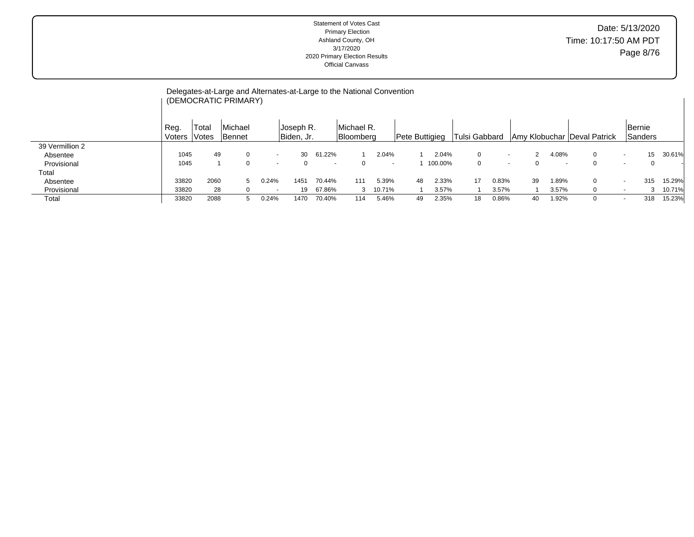|                 |                |                | Delegates-at-Large and Alternates-at-Large to the National Convention<br>(DEMOCRATIC PRIMARY) |                          |                         |        |                         |                          |    |                |               |       |              |        |                               |   |                          |                          |        |
|-----------------|----------------|----------------|-----------------------------------------------------------------------------------------------|--------------------------|-------------------------|--------|-------------------------|--------------------------|----|----------------|---------------|-------|--------------|--------|-------------------------------|---|--------------------------|--------------------------|--------|
|                 | Reg.<br>Voters | Total<br>Votes | Michael<br><b>Bennet</b>                                                                      |                          | Joseph R.<br>Biden, Jr. |        | Michael R.<br>Bloomberg |                          |    | Pete Buttigieg | Tulsi Gabbard |       |              |        | Amy Klobuchar   Deval Patrick |   |                          | <b>Bernie</b><br>Sanders |        |
| 39 Vermillion 2 |                |                |                                                                                               |                          |                         |        |                         |                          |    |                |               |       |              |        |                               |   |                          |                          |        |
| Absentee        | 1045           | 49             |                                                                                               | $\overline{\phantom{a}}$ | 30                      | 61.22% |                         | 2.04%                    |    | 2.04%          | $\Omega$      |       | $\mathbf{2}$ | 4.08%  |                               | 0 | $\overline{\phantom{a}}$ | 15                       | 30.61% |
| Provisional     | 1045           |                | $\Omega$                                                                                      | $\overline{\phantom{a}}$ |                         | $\sim$ |                         | $\overline{\phantom{a}}$ |    | 100.00%        | 0             |       | 0            | $\sim$ |                               | 0 | $\overline{\phantom{a}}$ | 0                        |        |
| Total           |                |                |                                                                                               |                          |                         |        |                         |                          |    |                |               |       |              |        |                               |   |                          |                          |        |
| Absentee        | 33820          | 2060           | 5.                                                                                            | 0.24%                    | 1451                    | 70.44% | 111                     | 5.39%                    | 48 | 2.33%          | 17            | 0.83% | 39           | 1.89%  |                               | 0 | $\overline{\phantom{a}}$ | 315                      | 15.29% |
| Provisional     | 33820          | 28             |                                                                                               | $\sim$                   | 19                      | 67.86% | $\mathcal{R}$           | 10.71%                   |    | 3.57%          |               | 3.57% |              | 3.57%  |                               | 0 | $\overline{\phantom{a}}$ | 3                        | 10.71% |
| Total           | 33820          | 2088           |                                                                                               | 0.24%                    | 1470                    | 70.40% | 114                     | 5.46%                    | 49 | 2.35%          | 18            | 0.86% | 40           | 1.92%  |                               | 0 | $\overline{\phantom{a}}$ | 318                      | 15.23% |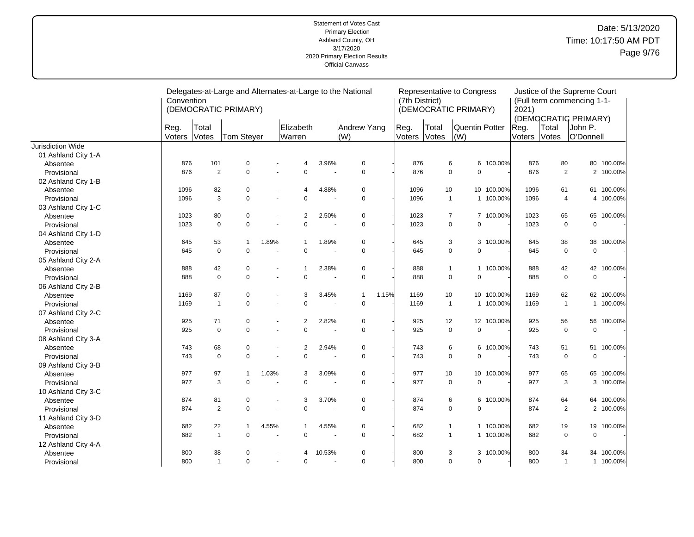|                     | Convention     |                | Delegates-at-Large and Alternates-at-Large to the National<br>(DEMOCRATIC PRIMARY) |                          |                     |        |                                |       | (7th District) |                | Representative to Congress<br>(DEMOCRATIC PRIMARY) |            | Justice of the Supreme Court<br>(Full term commencing 1-1-<br>2021) |                                                                |                  |                           |  |
|---------------------|----------------|----------------|------------------------------------------------------------------------------------|--------------------------|---------------------|--------|--------------------------------|-------|----------------|----------------|----------------------------------------------------|------------|---------------------------------------------------------------------|----------------------------------------------------------------|------------------|---------------------------|--|
|                     | Reg.<br>Voters | Total<br>Votes | Tom Steyer                                                                         |                          | Elizabeth<br>Warren |        | Andrew Yang<br>$\mathsf{I}(W)$ |       | Reg.<br>Voters | Total<br>Votes | <b>Quentin Potter</b><br>(W)                       |            | Reg.<br>Voters                                                      | (DEMOCRATIC PRIMARY)<br>Total<br>John P.<br>Votes<br>O'Donnell |                  |                           |  |
| Jurisdiction Wide   |                |                |                                                                                    |                          |                     |        |                                |       |                |                |                                                    |            |                                                                     |                                                                |                  |                           |  |
| 01 Ashland City 1-A |                |                |                                                                                    |                          |                     |        |                                |       |                |                |                                                    |            |                                                                     |                                                                |                  |                           |  |
| Absentee            | 876            | 101            | $\pmb{0}$                                                                          |                          | 4                   | 3.96%  | $\mathbf 0$                    |       | 876            |                | 6                                                  | 6 100.00%  | 876                                                                 | 80                                                             | 80               | 100.00%                   |  |
| Provisional         | 876            | 2              | $\mathbf 0$                                                                        |                          | $\mathbf 0$         | ÷,     | $\mathbf 0$                    |       | 876            |                | $\mathbf 0$<br>$\mathbf 0$                         |            | 876                                                                 | $\overline{2}$                                                 |                  | 2 100.00%                 |  |
| 02 Ashland City 1-B |                |                |                                                                                    |                          |                     |        |                                |       |                |                |                                                    |            |                                                                     |                                                                |                  |                           |  |
| Absentee            | 1096           | 82             | 0                                                                                  |                          | 4                   | 4.88%  | 0                              |       | 1096           | 10             |                                                    | 10 100.00% | 1096                                                                | 61                                                             | 61               | 100.00%                   |  |
| Provisional         | 1096           | 3              | $\mathbf 0$                                                                        | $\blacksquare$           | $\mathbf 0$         |        | $\mathbf 0$                    |       | 1096           |                | $\mathbf{1}$                                       | 1 100.00%  | 1096                                                                |                                                                | 4                | 100.00%<br>$\overline{4}$ |  |
| 03 Ashland City 1-C |                |                |                                                                                    |                          |                     |        |                                |       |                |                |                                                    |            |                                                                     |                                                                |                  |                           |  |
| Absentee            | 1023           | 80             | $\mathbf 0$                                                                        | $\blacksquare$           | 2                   | 2.50%  | $\Omega$                       |       | 1023           |                | $\overline{7}$                                     | 7 100.00%  | 1023                                                                | 65                                                             | 65               | 100.00%                   |  |
| Provisional         | 1023           | $\mathbf 0$    | $\mathbf 0$                                                                        |                          | $\mathbf 0$         |        | $\mathbf 0$                    |       | 1023           |                | $\mathbf 0$<br>$\mathbf 0$                         |            | 1023                                                                | $\mathbf 0$                                                    | $\mathbf 0$      |                           |  |
| 04 Ashland City 1-D |                |                |                                                                                    |                          |                     |        |                                |       |                |                |                                                    |            |                                                                     |                                                                |                  |                           |  |
| Absentee            | 645            | 53             | $\mathbf{1}$                                                                       | 1.89%                    | $\mathbf{1}$        | 1.89%  | 0                              |       | 645            |                | 3                                                  | 3 100.00%  | 645                                                                 | 38                                                             | 38               | 100.00%                   |  |
| Provisional         | 645            | $\mathbf 0$    | $\mathbf 0$                                                                        |                          | $\mathbf 0$         |        | $\mathbf 0$                    |       | 645            |                | $\mathbf 0$<br>$\mathbf 0$                         |            | 645                                                                 |                                                                | 0<br>$\mathbf 0$ |                           |  |
| 05 Ashland City 2-A |                |                |                                                                                    |                          |                     |        |                                |       |                |                |                                                    |            |                                                                     |                                                                |                  |                           |  |
| Absentee            | 888            | 42             | $\pmb{0}$                                                                          |                          | 1                   | 2.38%  | 0                              |       | 888            |                | $\mathbf{1}$                                       | 1 100.00%  | 888                                                                 | 42                                                             | 42               | 100.00%                   |  |
| Provisional         | 888            | $\mathbf 0$    | $\mathbf 0$                                                                        | $\sim$                   | $\mathbf 0$         |        | $\mathbf 0$                    |       | 888            |                | $\mathbf 0$<br>$\mathbf 0$                         |            | 888                                                                 |                                                                | 0<br>$\mathbf 0$ |                           |  |
| 06 Ashland City 2-B |                |                |                                                                                    |                          |                     |        |                                |       |                |                |                                                    |            |                                                                     |                                                                |                  |                           |  |
| Absentee            | 1169           | 87             | $\pmb{0}$                                                                          | $\blacksquare$           | 3                   | 3.45%  | $\mathbf{1}$                   | 1.15% | 1169           | 10             |                                                    | 10 100.00% | 1169                                                                | 62                                                             |                  | 62 100.00%                |  |
| Provisional         | 1169           | $\mathbf{1}$   | $\mathbf 0$                                                                        | $\overline{a}$           | $\mathbf 0$         | ÷      | $\mathbf 0$                    |       | 1169           |                | $\mathbf{1}$                                       | 1 100.00%  | 1169                                                                | $\overline{1}$                                                 |                  | 100.00%<br>$\mathbf{1}$   |  |
| 07 Ashland City 2-C |                |                |                                                                                    |                          |                     |        |                                |       |                |                |                                                    |            |                                                                     |                                                                |                  |                           |  |
| Absentee            | 925            | 71             | $\mathbf 0$                                                                        | $\overline{\phantom{a}}$ | 2                   | 2.82%  | $\Omega$                       |       | 925            | 12             |                                                    | 12 100.00% | 925                                                                 | 56                                                             | 56               | 100.00%                   |  |
| Provisional         | 925            | $\mathbf 0$    | $\mathbf 0$                                                                        |                          | $\mathbf 0$         |        | $\pmb{0}$                      |       | 925            |                | $\mathbf 0$<br>$\mathbf 0$                         |            | 925                                                                 | $\mathbf 0$                                                    | $\mathbf 0$      |                           |  |
| 08 Ashland City 3-A |                |                |                                                                                    |                          |                     |        |                                |       |                |                |                                                    |            |                                                                     |                                                                |                  |                           |  |
| Absentee            | 743            | 68             | 0                                                                                  |                          | 2                   | 2.94%  | $\mathbf 0$                    |       | 743            |                | 6<br>6                                             | 100.00%    | 743                                                                 | 51                                                             | 51               | 100.00%                   |  |
| Provisional         | 743            | $\mathbf 0$    | $\mathbf 0$                                                                        |                          | $\mathbf 0$         |        | $\Omega$                       |       | 743            |                | $\mathbf 0$<br>$\mathbf 0$                         |            | 743                                                                 | $\mathbf 0$                                                    | $\mathbf 0$      |                           |  |
| 09 Ashland City 3-B |                |                |                                                                                    |                          |                     |        |                                |       |                |                |                                                    |            |                                                                     |                                                                |                  |                           |  |
| Absentee            | 977            | 97             | 1                                                                                  | 1.03%                    | 3                   | 3.09%  | 0                              |       | 977            | 10             | 10                                                 | 100.00%    | 977                                                                 | 65                                                             | 65               | 100.00%                   |  |
| Provisional         | 977            | 3              | $\Omega$                                                                           |                          | $\mathbf 0$         |        | $\Omega$                       |       | 977            |                | $\mathbf 0$<br>$\Omega$                            |            | 977                                                                 |                                                                | 3                | 3 100.00%                 |  |
| 10 Ashland City 3-C |                |                |                                                                                    |                          |                     |        |                                |       |                |                |                                                    |            |                                                                     |                                                                |                  |                           |  |
| Absentee            | 874            | 81             | $\mathbf 0$                                                                        |                          | 3                   | 3.70%  | $\Omega$                       |       | 874            |                | 6<br>6                                             | 100.00%    | 874                                                                 | 64                                                             | 64               | 100.00%                   |  |
| Provisional         | 874            | 2              | $\mathbf 0$                                                                        | ÷.                       | $\mathbf 0$         |        | $\mathbf 0$                    |       | 874            |                | $\mathbf 0$<br>$\mathbf 0$                         |            | 874                                                                 |                                                                | $\overline{2}$   | 2 100.00%                 |  |
| 11 Ashland City 3-D |                |                |                                                                                    |                          |                     |        |                                |       |                |                |                                                    |            |                                                                     |                                                                |                  |                           |  |
| Absentee            | 682            | 22             | 1                                                                                  | 4.55%                    | $\mathbf 1$         | 4.55%  | $\mathbf 0$                    |       | 682            |                | $\mathbf{1}$                                       | 1 100.00%  | 682                                                                 | 19                                                             | 19               | 100.00%                   |  |
| Provisional         | 682            | $\mathbf{1}$   | $\mathbf 0$                                                                        |                          | $\mathbf 0$         |        | $\Omega$                       |       | 682            |                | $\mathbf{1}$                                       | 1 100.00%  | 682                                                                 | $\mathbf 0$                                                    | $\mathbf 0$      |                           |  |
| 12 Ashland City 4-A |                |                |                                                                                    |                          |                     |        |                                |       |                |                |                                                    |            |                                                                     |                                                                |                  |                           |  |
| Absentee            | 800            | 38             | 0                                                                                  |                          | 4                   | 10.53% | $\mathbf 0$                    |       | 800            |                | 3                                                  | 3 100.00%  | 800                                                                 | 34                                                             | 34               | 100.00%                   |  |
| Provisional         | 800            | $\mathbf{1}$   | $\mathbf 0$                                                                        | $\overline{\phantom{a}}$ | $\mathbf 0$         |        | $\Omega$                       |       | 800            |                | 0<br>$\mathbf 0$                                   |            | 800                                                                 | $\overline{1}$                                                 |                  | 1 100.00%                 |  |
|                     |                |                |                                                                                    |                          |                     |        |                                |       |                |                |                                                    |            |                                                                     |                                                                |                  |                           |  |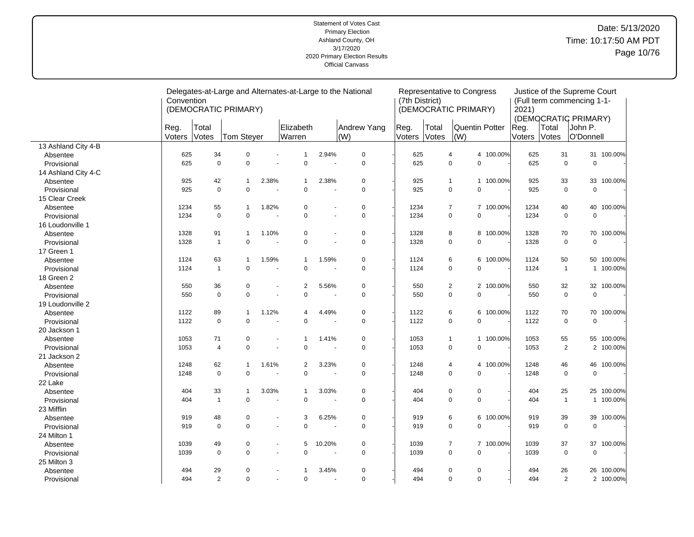|                     | Convention    |                | (DEMOCRATIC PRIMARY) |                      |                     |                          | Delegates-at-Large and Alternates-at-Large to the National | (7th District) |                | Representative to Congress<br>(DEMOCRATIC PRIMARY) |                | 2021)          | Justice of the Supreme Court<br>(Full term commencing 1-1-     |                            |            |  |
|---------------------|---------------|----------------|----------------------|----------------------|---------------------|--------------------------|------------------------------------------------------------|----------------|----------------|----------------------------------------------------|----------------|----------------|----------------------------------------------------------------|----------------------------|------------|--|
|                     | Reg<br>Voters | Total<br>Votes | Tom Steyer           |                      | Elizabeth<br>Warren |                          | Andrew Yang<br>(W)                                         | Reg.<br>Voters | Total<br>Votes | (W)                                                | Quentin Potter | Reg.<br>Voters | (DEMOCRATIC PRIMARY)<br>Total<br>John P.<br>Votes<br>O'Donnell |                            |            |  |
| 13 Ashland City 4-B |               |                |                      |                      |                     |                          |                                                            |                |                |                                                    |                |                |                                                                |                            |            |  |
| Absentee            | 625           | 34             | $\overline{0}$       | $\overline{a}$       | $\mathbf{1}$        | 2.94%                    | $\pmb{0}$                                                  | 625            |                | $\overline{4}$                                     | 4 100.00%      | 625            | 31                                                             |                            | 31 100.00% |  |
| Provisional         | 625           | $\mathbf 0$    | $\Omega$             |                      | $\mathbf 0$         | ÷.                       | $\mathbf 0$                                                | 625            |                | $\mathbf 0$                                        | $\mathbf 0$    | 625            |                                                                | $\mathbf 0$<br>$\mathbf 0$ |            |  |
| 14 Ashland City 4-C |               |                |                      |                      |                     |                          |                                                            |                |                |                                                    |                |                |                                                                |                            |            |  |
| Absentee            | 925           | 42             | $\mathbf 1$          | 2.38%                | $\mathbf{1}$        | 2.38%                    | $\mathbf 0$                                                | 925            |                | $\mathbf{1}$                                       | 1 100.00%      | 925            | 33                                                             | 33                         | 100.00%    |  |
| Provisional         | 925           | $\mathbf 0$    | $\mathbf 0$          | ٠                    | $\mathbf 0$         | ÷,                       | $\mathsf 0$                                                | 925            |                | 0                                                  | $\pmb{0}$      | 925            |                                                                | $\mathbf 0$<br>$\mathbf 0$ |            |  |
| 15 Clear Creek      |               |                |                      |                      |                     |                          |                                                            |                |                |                                                    |                |                |                                                                |                            |            |  |
| Absentee            | 1234          | 55             | $\mathbf{1}$         | 1.82%                | $\mathbf 0$         | $\blacksquare$           | $\pmb{0}$                                                  | 1234           |                | $\overline{7}$                                     | 7 100.00%      | 1234           | 40                                                             | 40                         | 100.00%    |  |
| Provisional         | 1234          | $\mathbf 0$    | $\Omega$             | $\ddot{\phantom{1}}$ | $\mathbf 0$         | $\overline{a}$           | $\mathbf 0$                                                | 1234           |                | $\mathbf 0$                                        | $\mathbf 0$    | 1234           |                                                                | $\mathbf 0$<br>$\mathbf 0$ |            |  |
| 16 Loudonville 1    |               |                |                      |                      |                     |                          |                                                            |                |                |                                                    |                |                |                                                                |                            |            |  |
| Absentee            | 1328          | 91             | $\mathbf{1}$         | 1.10%                | 0                   | $\blacksquare$           | $\mathbf 0$                                                | 1328           |                | 8                                                  | 100.00%<br>8   | 1328           | 70                                                             | 70                         | 100.00%    |  |
| Provisional         | 1328          | $\mathbf{1}$   | $\pmb{0}$            |                      | $\mathbf 0$         | ÷,                       | $\mathsf 0$                                                | 1328           |                | $\pmb{0}$                                          | $\mathbf 0$    | 1328           |                                                                | $\mathbf 0$<br>$\mathbf 0$ |            |  |
| 17 Green 1          |               |                |                      |                      |                     |                          |                                                            |                |                |                                                    |                |                |                                                                |                            |            |  |
| Absentee            | 1124          | 63             | $\mathbf 1$          | 1.59%                | $\mathbf{1}$        | 1.59%                    | $\pmb{0}$                                                  | 1124           |                | 6                                                  | 100.00%<br>6   | 1124           | 50                                                             |                            | 50 100.00% |  |
| Provisional         | 1124          | $\mathbf{1}$   | $\mathbf 0$          |                      | $\mathbf 0$         | ÷.                       | $\mathbf 0$                                                | 1124           |                | $\mathbf 0$                                        | $\mathbf 0$    | 1124           | $\overline{1}$                                                 |                            | 1 100.00%  |  |
| 18 Green 2          |               |                |                      |                      |                     |                          |                                                            |                |                |                                                    |                |                |                                                                |                            |            |  |
| Absentee            | 550           | 36             | $\mathbf 0$          |                      | 2                   | 5.56%                    | $\mathbf 0$                                                | 550            |                | $\overline{2}$                                     | 2 100.00%      | 550            | 32                                                             | 32                         | 100.00%    |  |
| Provisional         | 550           | $\mathbf 0$    | $\mathbf 0$          | ä,                   | $\mathbf 0$         | $\overline{\phantom{a}}$ | $\mathbf 0$                                                | 550            |                | $\pmb{0}$                                          | $\pmb{0}$      | 550            |                                                                | $\mathbf 0$<br>$\mathbf 0$ |            |  |
| 19 Loudonville 2    |               |                |                      |                      |                     |                          |                                                            |                |                |                                                    |                |                |                                                                |                            |            |  |
| Absentee            | 1122          | 89             | $\mathbf{1}$         | 1.12%                | $\overline{4}$      | 4.49%                    | $\mathbf 0$                                                | 1122           |                | 6                                                  | 6<br>100.00%   | 1122           | 70                                                             | 70                         | 100.00%    |  |
| Provisional         | 1122          | $\mathbf 0$    | $\mathbf 0$          |                      | $\mathbf 0$         |                          | $\mathbf 0$                                                | 1122           |                | $\pmb{0}$                                          | $\mathbf 0$    | 1122           |                                                                | $\mathbf 0$<br>$\mathbf 0$ |            |  |
| 20 Jackson 1        |               |                |                      |                      |                     |                          |                                                            |                |                |                                                    |                |                |                                                                |                            |            |  |
| Absentee            | 1053          | 71             | $\mathbf 0$          |                      | $\mathbf{1}$        | 1.41%                    | $\mathbf 0$                                                | 1053           |                | $\mathbf{1}$                                       | 1 100.00%      | 1053           | 55                                                             |                            | 55 100.00% |  |
| Provisional         | 1053          | $\overline{4}$ | $\mathbf 0$          | $\blacksquare$       | $\pmb{0}$           |                          | $\mathbf 0$                                                | 1053           |                | 0                                                  | $\pmb{0}$      | 1053           |                                                                | $\overline{2}$             | 2 100.00%  |  |
| 21 Jackson 2        |               |                |                      |                      |                     |                          |                                                            |                |                |                                                    |                |                |                                                                |                            |            |  |
| Absentee            | 1248          | 62             | $\mathbf 1$          | 1.61%                | 2                   | 3.23%                    | $\mathbf 0$                                                | 1248           |                | 4                                                  | 100.00%<br>4   | 1248           | 46                                                             | 46                         | 100.00%    |  |
| Provisional         | 1248          | $\mathbf 0$    | $\mathbf 0$          |                      | $\mathbf 0$         |                          | $\mathbf 0$                                                | 1248           |                | 0                                                  | $\mathbf 0$    | 1248           |                                                                | 0<br>$\mathbf 0$           |            |  |
| 22 Lake             |               |                |                      |                      |                     |                          |                                                            |                |                |                                                    |                |                |                                                                |                            |            |  |
| Absentee            | 404           | 33             | $\mathbf{1}$         | 3.03%                | $\mathbf{1}$        | 3.03%                    | $\mathbf 0$                                                | 404            |                | 0                                                  | $\mathbf 0$    | 404            | 25                                                             |                            | 25 100.00% |  |
| Provisional         | 404           | $\mathbf{1}$   | $\mathbf 0$          |                      | $\mathbf 0$         | $\ddot{\phantom{1}}$     | $\mathbf 0$                                                | 404            |                | $\mathbf 0$                                        | $\mathbf 0$    | 404            |                                                                | $\overline{1}$             | 1 100.00%  |  |
| 23 Mifflin          |               |                |                      |                      |                     |                          |                                                            |                |                |                                                    |                |                |                                                                |                            |            |  |
| Absentee            | 919           | 48             | 0                    |                      | 3                   | 6.25%                    | $\pmb{0}$                                                  | 919            |                | 6                                                  | 6<br>100.00%   | 919            | 39                                                             | 39                         | 100.00%    |  |
| Provisional         | 919           | $\mathbf 0$    | $\mathbf 0$          | $\blacksquare$       | $\mathbf 0$         | $\ddot{\phantom{1}}$     | $\mathbf 0$                                                | 919            |                | 0                                                  | $\mathbf 0$    | 919            |                                                                | $\mathbf 0$<br>$\mathbf 0$ |            |  |
| 24 Milton 1         |               |                |                      |                      |                     |                          |                                                            |                |                |                                                    |                |                |                                                                |                            |            |  |
| Absentee            | 1039          | 49             | $\mathbf 0$          | ٠                    | 5                   | 10.20%                   | $\mathbf 0$                                                | 1039           |                | 7                                                  | 7 100.00%      | 1039           | 37                                                             | 37                         | 100.00%    |  |
| Provisional         | 1039          | $\mathbf 0$    | $\mathbf 0$          |                      | $\mathbf 0$         | $\blacksquare$           | $\mathbf 0$                                                | 1039           |                | $\pmb{0}$                                          | $\mathbf 0$    | 1039           |                                                                | $\mathbf 0$<br>$\mathbf 0$ |            |  |
| 25 Milton 3         |               |                |                      |                      |                     |                          |                                                            |                |                |                                                    |                |                |                                                                |                            |            |  |
| Absentee            | 494           | 29             | 0                    |                      | $\mathbf 1$         | 3.45%                    | $\mathbf 0$                                                | 494            |                | 0                                                  | 0              | 494            | 26                                                             |                            | 26 100.00% |  |
| Provisional         | 494           | $\overline{2}$ | $\mathbf 0$          | $\blacksquare$       | $\mathbf 0$         | ÷,                       | $\mathbf 0$                                                | 494            |                | $\mathbf 0$                                        | $\mathbf 0$    | 494            |                                                                | $\overline{2}$             | 2 100.00%  |  |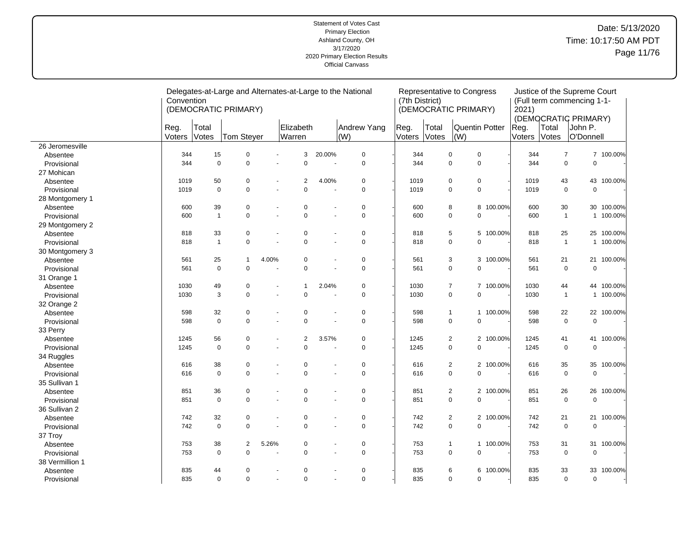|                 | Convention |              | (DEMOCRATIC PRIMARY) |                |                |                      | Delegates-at-Large and Alternates-at-Large to the National | (7th District) |       | Representative to Congress<br>(DEMOCRATIC PRIMARY) |                           | Justice of the Supreme Court<br>(Full term commencing 1-1-<br>2021) |                                          |                            |            |  |  |
|-----------------|------------|--------------|----------------------|----------------|----------------|----------------------|------------------------------------------------------------|----------------|-------|----------------------------------------------------|---------------------------|---------------------------------------------------------------------|------------------------------------------|----------------------------|------------|--|--|
|                 | Reg.       | Total        |                      |                | Elizabeth      |                      | Andrew Yang                                                | Reg.           | Total | Quentin Potter                                     |                           | Reg.                                                                | (DEMOCRATIC PRIMARY)<br>Total<br>John P. |                            |            |  |  |
|                 | Voters     | Votes        | Tom Steyer           |                | Warren         |                      | (W)                                                        | Voters         | Votes | $\vert$ (W)                                        |                           | Voters                                                              | Votes                                    | O'Donnell                  |            |  |  |
| 26 Jeromesville |            |              |                      |                |                |                      |                                                            |                |       |                                                    |                           |                                                                     |                                          |                            |            |  |  |
| Absentee        | 344        | 15           | $\pmb{0}$            | $\blacksquare$ | 3              | 20.00%               | $\pmb{0}$                                                  | 344            |       | $\pmb{0}$<br>$\pmb{0}$                             |                           | 344                                                                 |                                          | $\overline{7}$             | 7 100.00%  |  |  |
| Provisional     | 344        | $\mathbf 0$  | $\mathbf 0$          |                | $\mathbf 0$    | ÷,                   | $\pmb{0}$                                                  | 344            |       | $\mathbf 0$<br>$\mathsf 0$                         |                           | 344                                                                 |                                          | $\mathbf 0$<br>$\mathbf 0$ |            |  |  |
| 27 Mohican      |            |              |                      |                |                |                      |                                                            |                |       |                                                    |                           |                                                                     |                                          |                            |            |  |  |
| Absentee        | 1019       | 50           | 0                    |                | 2              | 4.00%                | 0                                                          | 1019           |       | $\mathbf 0$<br>0                                   |                           | 1019                                                                | 43                                       | 43                         | 100.00%    |  |  |
| Provisional     | 1019       | $\Omega$     | $\Omega$             | ÷,             | $\Omega$       | ä,                   | $\mathbf 0$                                                | 1019           |       | $\mathbf 0$                                        | $\mathbf 0$               | 1019                                                                |                                          | $\mathbf 0$<br>$\mathbf 0$ |            |  |  |
| 28 Montgomery 1 |            |              |                      |                |                |                      |                                                            |                |       |                                                    |                           |                                                                     |                                          |                            |            |  |  |
| Absentee        | 600        | 39           | $\mathbf 0$          |                | $\mathbf 0$    |                      | $\mathbf 0$                                                | 600            |       | 8                                                  | 100.00%<br>8              | 600                                                                 | 30                                       | 30                         | 100.00%    |  |  |
| Provisional     | 600        | $\mathbf{1}$ | $\mathbf 0$          | ä,             | $\mathbf 0$    | $\blacksquare$       | $\mathbf 0$                                                | 600            |       | $\mathbf 0$<br>$\mathbf 0$                         |                           | 600                                                                 |                                          | $\mathbf{1}$               | 1 100.00%  |  |  |
| 29 Montgomery 2 |            |              |                      |                |                |                      |                                                            |                |       |                                                    |                           |                                                                     |                                          |                            |            |  |  |
| Absentee        | 818        | 33           | 0                    |                | 0              | $\blacksquare$       | $\pmb{0}$                                                  | 818            |       | 5                                                  | 100.00%<br>5              | 818                                                                 | 25                                       | 25                         | 100.00%    |  |  |
| Provisional     | 818        | $\mathbf{1}$ | $\mathbf 0$          | $\overline{a}$ | $\mathbf 0$    | $\overline{a}$       | $\mathbf 0$                                                | 818            |       | $\mathsf 0$<br>$\mathbf 0$                         |                           | 818                                                                 |                                          | $\mathbf{1}$               | 1 100.00%  |  |  |
| 30 Montgomery 3 |            |              |                      |                |                |                      |                                                            |                |       |                                                    |                           |                                                                     |                                          |                            |            |  |  |
| Absentee        | 561        | 25           | $\overline{1}$       | 4.00%          | $\mathbf 0$    | $\blacksquare$       | $\mathbf 0$                                                | 561            |       | 3                                                  | 3<br>100.00%              | 561                                                                 | 21                                       | 21                         | 100.00%    |  |  |
| Provisional     | 561        | $\mathbf 0$  | $\mathbf 0$          |                | $\mathbf 0$    | ÷,                   | $\mathbf 0$                                                | 561            |       | $\mathbf 0$<br>$\mathbf 0$                         |                           | 561                                                                 |                                          | 0<br>$\mathbf 0$           |            |  |  |
| 31 Orange 1     |            |              |                      |                |                |                      |                                                            |                |       |                                                    |                           |                                                                     |                                          |                            |            |  |  |
| Absentee        | 1030       | 49           | 0                    |                | $\mathbf{1}$   | 2.04%                | $\pmb{0}$                                                  | 1030           |       | $\overline{7}$                                     | 7 100.00%                 | 1030                                                                | 44                                       | 44                         | 100.00%    |  |  |
| Provisional     | 1030       | 3            | $\Omega$             |                | $\mathbf 0$    | $\ddot{\phantom{1}}$ | $\mathbf 0$                                                | 1030           |       | $\mathbf 0$<br>$\mathbf 0$                         |                           | 1030                                                                |                                          | $\mathbf{1}$               | 1 100.00%  |  |  |
| 32 Orange 2     |            |              |                      |                |                |                      |                                                            |                |       |                                                    |                           |                                                                     |                                          |                            |            |  |  |
| Absentee        | 598        | 32           | $\mathbf 0$          |                | $\mathbf 0$    | $\blacksquare$       | $\mathbf 0$                                                | 598            |       | $\mathbf{1}$                                       | 100.00%<br>$\mathbf{1}$   | 598                                                                 | 22                                       | 22                         | 100.00%    |  |  |
| Provisional     | 598        | $\mathbf 0$  | $\mathbf 0$          | ÷,             | $\mathbf 0$    | ÷,                   | $\mathbf 0$                                                | 598            |       | $\mathsf 0$<br>$\mathbf 0$                         |                           | 598                                                                 |                                          | $\mathbf 0$<br>$\pmb{0}$   |            |  |  |
| 33 Perry        |            |              |                      |                |                |                      |                                                            |                |       |                                                    |                           |                                                                     |                                          |                            |            |  |  |
| Absentee        | 1245       | 56           | $\mathbf 0$          |                | $\overline{2}$ | 3.57%                | $\pmb{0}$                                                  | 1245           |       | $\overline{2}$                                     | 2 100.00%                 | 1245                                                                | 41                                       | 41                         | 100.00%    |  |  |
| Provisional     | 1245       | $\Omega$     | $\mathbf 0$          | ٠              | $\mathbf 0$    | ä,                   | $\mathbf 0$                                                | 1245           |       | $\mathbf 0$<br>$\mathbf 0$                         |                           | 1245                                                                |                                          | $\mathbf 0$<br>$\mathbf 0$ |            |  |  |
| 34 Ruggles      |            |              |                      |                |                |                      |                                                            |                |       |                                                    |                           |                                                                     |                                          |                            |            |  |  |
| Absentee        | 616        | 38           | $\mathbf 0$          |                | $\mathbf 0$    | $\blacksquare$       | $\mathbf 0$                                                | 616            |       | 2                                                  | 2 100.00%                 | 616                                                                 | 35                                       | 35                         | 100.00%    |  |  |
| Provisional     | 616        | $\mathbf 0$  | $\mathbf 0$          |                | $\mathsf 0$    | ä,                   | $\mathbf 0$                                                | 616            |       | $\mathbf 0$<br>$\mathbf 0$                         |                           | 616                                                                 |                                          | 0<br>$\mathbf 0$           |            |  |  |
| 35 Sullivan 1   |            |              |                      |                |                |                      |                                                            |                |       |                                                    |                           |                                                                     |                                          |                            |            |  |  |
| Absentee        | 851        | 36           | 0                    |                | $\mathbf 0$    | $\blacksquare$       | $\pmb{0}$                                                  | 851            |       | $\overline{2}$                                     | 2 100.00%                 | 851                                                                 | 26                                       | 26                         | 100.00%    |  |  |
| Provisional     | 851        | $\mathbf 0$  | $\Omega$             |                | $\mathbf 0$    |                      | $\mathbf 0$                                                | 851            |       | $\mathbf 0$<br>$\mathbf 0$                         |                           | 851                                                                 |                                          | $\mathbf 0$<br>$\mathbf 0$ |            |  |  |
| 36 Sullivan 2   |            |              |                      |                |                |                      |                                                            |                |       |                                                    |                           |                                                                     |                                          |                            |            |  |  |
| Absentee        | 742        | 32           | 0                    |                | $\mathbf 0$    | $\overline{a}$       | $\mathbf 0$                                                | 742            |       | $\sqrt{2}$                                         | $\overline{2}$<br>100.00% | 742                                                                 | 21                                       | 21                         | 100.00%    |  |  |
| Provisional     | 742        | $\mathbf 0$  | $\Omega$             |                | $\mathbf 0$    | ÷.                   | $\mathbf 0$                                                | 742            |       | $\mathsf 0$<br>$\mathbf 0$                         |                           | 742                                                                 |                                          | $\mathbf 0$<br>$\mathbf 0$ |            |  |  |
| 37 Troy         |            |              |                      |                |                |                      |                                                            |                |       |                                                    |                           |                                                                     |                                          |                            |            |  |  |
| Absentee        | 753        | 38           | $\overline{2}$       | 5.26%          | 0              | $\blacksquare$       | $\mathbf 0$                                                | 753            |       | $\mathbf{1}$                                       | 1 100.00%                 | 753                                                                 | 31                                       |                            | 31 100.00% |  |  |
| Provisional     | 753        | $\mathbf 0$  | $\Omega$             |                | $\mathbf 0$    | ÷.                   | $\mathbf 0$                                                | 753            |       | $\mathbf 0$<br>$\mathbf 0$                         |                           | 753                                                                 |                                          | $\mathbf 0$<br>$\mathbf 0$ |            |  |  |
| 38 Vermillion 1 |            |              |                      |                |                |                      |                                                            |                |       |                                                    |                           |                                                                     |                                          |                            |            |  |  |
| Absentee        | 835        | 44           | 0                    |                | 0              |                      | 0                                                          | 835            |       | 6                                                  | 6<br>100.00%              | 835                                                                 | 33                                       | 33                         | 100.00%    |  |  |
| Provisional     | 835        | $\Omega$     | $\Omega$             |                | $\mathbf 0$    | $\blacksquare$       | $\mathbf 0$                                                | 835            |       | $\mathbf 0$<br>$\mathbf 0$                         |                           | 835                                                                 |                                          | $\Omega$<br>$\mathbf 0$    |            |  |  |
|                 |            |              |                      |                |                |                      |                                                            |                |       |                                                    |                           |                                                                     |                                          |                            |            |  |  |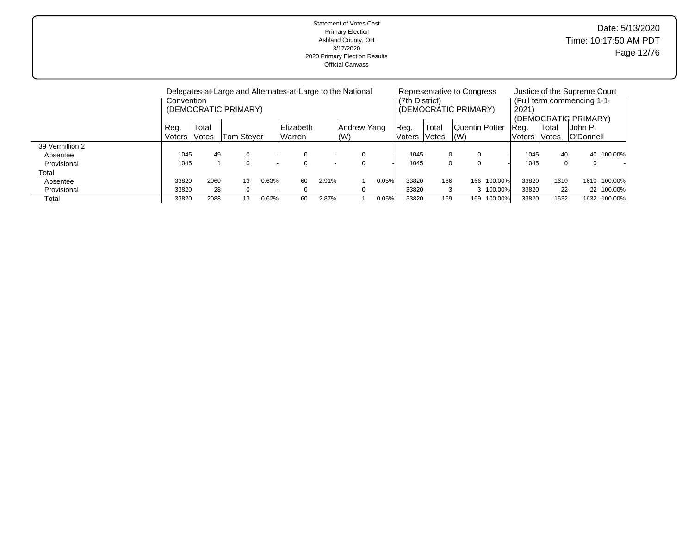| Date: 5/13/2020<br>Time: 10:17:50 AM PDT<br>Page 12/76 | Statement of Votes Cast<br><b>Primary Election</b><br>Ashland County, OH<br>3/17/2020<br>2020 Primary Election Results<br><b>Official Canvass</b> |
|--------------------------------------------------------|---------------------------------------------------------------------------------------------------------------------------------------------------|
|                                                        |                                                                                                                                                   |

|                 | Convention     |                              | Delegates-at-Large and Alternates-at-Large to the National<br>(DEMOCRATIC PRIMARY) |                          |                     |                          |                            |       | (7th District)  |                | Representative to Congress<br>(DEMOCRATIC PRIMARY) |           | Justice of the Supreme Court<br>(Full term commencing 1-1-<br>2021'<br>(DEMOCRATIC PRIMARY)<br>John P.<br>Total<br>Reg.<br><b>O'Donnell</b><br>Votes<br>lVoters<br>1045<br>40<br>40<br>1045<br>$\Omega$<br>0 |      |      |              |  |  |
|-----------------|----------------|------------------------------|------------------------------------------------------------------------------------|--------------------------|---------------------|--------------------------|----------------------------|-------|-----------------|----------------|----------------------------------------------------|-----------|--------------------------------------------------------------------------------------------------------------------------------------------------------------------------------------------------------------|------|------|--------------|--|--|
|                 | Reg.<br>Voters | Total<br><i><b>Notes</b></i> | Tom Stever                                                                         |                          | Elizabeth<br>Warren |                          | Andrew Yang<br>$\vert$ (W) |       | ∣Reg.<br>Voters | Total<br>Votes | Quentin Potter<br>l (W)                            |           |                                                                                                                                                                                                              |      |      |              |  |  |
| 39 Vermillion 2 |                |                              |                                                                                    |                          |                     |                          |                            |       |                 |                |                                                    |           |                                                                                                                                                                                                              |      |      |              |  |  |
| Absentee        | 1045           | 49                           |                                                                                    |                          | 0                   |                          | $\Omega$                   |       | 1045            |                | 0<br>0                                             |           |                                                                                                                                                                                                              |      |      | 100.00%      |  |  |
| Provisional     | 1045           |                              | 0                                                                                  | $\overline{\phantom{0}}$ | 0                   | $\overline{\phantom{a}}$ | $\Omega$                   |       | 1045            |                | $\Omega$<br>0                                      |           |                                                                                                                                                                                                              |      |      |              |  |  |
| Total           |                |                              |                                                                                    |                          |                     |                          |                            |       |                 |                |                                                    |           |                                                                                                                                                                                                              |      |      |              |  |  |
| Absentee        | 33820          | 2060                         | 13                                                                                 | 0.63%                    | 60                  | 2.91%                    |                            | 0.05% | 33820           | 166            | 166                                                | 100.00%   | 33820                                                                                                                                                                                                        | 1610 | 1610 | 100.00%      |  |  |
| Provisional     | 33820          | 28                           |                                                                                    | $\overline{\phantom{0}}$ | $\Omega$            | $\overline{\phantom{a}}$ | $\Omega$                   |       | 33820           |                | 3                                                  | 3 100.00% | 33820                                                                                                                                                                                                        | 22   |      | 22 100.00%   |  |  |
| Total           | 33820          | 2088                         | 13                                                                                 | 0.62%                    | 60                  | 2.87%                    |                            | 0.05% | 33820           | 169            | 169                                                | 100.00%   | 33820                                                                                                                                                                                                        | 1632 |      | 1632 100.00% |  |  |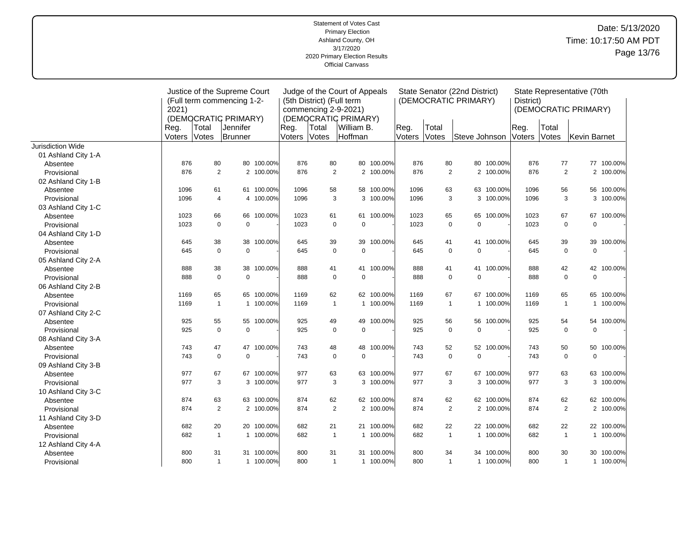|                     | Justice of the Supreme Court |                            |                      |            | Judge of the Court of Appeals |                           |                      |            | State Senator (22nd District) |              |                            |            |           |              | State Representative (70th |            |
|---------------------|------------------------------|----------------------------|----------------------|------------|-------------------------------|---------------------------|----------------------|------------|-------------------------------|--------------|----------------------------|------------|-----------|--------------|----------------------------|------------|
|                     |                              | (Full term commencing 1-2- |                      |            |                               | (5th District) (Full term |                      |            |                               |              | (DEMOCRATIC PRIMARY)       |            | District) |              |                            |            |
|                     | 2021)                        |                            |                      |            |                               |                           | commencing 2-9-2021) |            |                               |              |                            |            |           |              | (DEMOCRATIC PRIMARY)       |            |
|                     |                              |                            | (DEMOCRATIC PRIMARY) |            |                               |                           | (DEMOCRATIC PRIMARY) |            |                               |              |                            |            |           |              |                            |            |
|                     | Reg.                         | Total                      | Uennifer             |            | Reg.                          | Total                     | William B.           |            | Reg.                          | Total        |                            |            | Reg.      | Total        |                            |            |
|                     | Voters                       | Votes                      | Brunner              |            | Voters                        | Votes                     | Hoffman              |            | Voters                        | Votes        | Steve Johnson              |            | Voters    | Votes        | Kevin Barnet               |            |
| Jurisdiction Wide   |                              |                            |                      |            |                               |                           |                      |            |                               |              |                            |            |           |              |                            |            |
| 01 Ashland City 1-A |                              |                            |                      |            |                               |                           |                      |            |                               |              |                            |            |           |              |                            |            |
| Absentee            | 876                          | 80                         |                      | 80 100.00% | 876                           | 80                        | 80                   | 100.00%    | 876                           | 80           |                            | 80 100.00% | 876       | 77           |                            | 77 100.00% |
| Provisional         | 876                          | 2                          |                      | 2 100.00%  | 876                           | $\overline{2}$            |                      | 2 100.00%  | 876                           |              | $\overline{2}$             | 2 100.00%  | 876       | 2            |                            | 2 100.00%  |
| 02 Ashland City 1-B |                              |                            |                      |            |                               |                           |                      |            |                               |              |                            |            |           |              |                            |            |
| Absentee            | 1096                         | 61                         |                      | 61 100.00% | 1096                          | 58                        | 58                   | 100.00%    | 1096                          | 63           |                            | 63 100.00% | 1096      | 56           | 56                         | 100.00%    |
| Provisional         | 1096                         | $\overline{4}$             |                      | 4 100.00%  | 1096                          | 3                         |                      | 3 100.00%  | 1096                          |              | 3                          | 3 100.00%  | 1096      | 3            |                            | 3 100.00%  |
| 03 Ashland City 1-C |                              |                            |                      |            |                               |                           |                      |            |                               |              |                            |            |           |              |                            |            |
| Absentee            | 1023                         | 66                         |                      | 66 100.00% | 1023                          | 61                        | 61                   | 100.00%    | 1023                          | 65           |                            | 65 100.00% | 1023      | 67           | 67                         | 100.00%    |
| Provisional         | 1023                         | $\mathbf 0$                | $\mathbf 0$          |            | 1023                          | $\mathbf 0$               | $\mathbf 0$          |            | 1023                          |              | $\mathbf 0$<br>$\mathbf 0$ |            | 1023      | $\mathbf 0$  | $\mathbf 0$                |            |
| 04 Ashland City 1-D |                              |                            |                      |            |                               |                           |                      |            |                               |              |                            |            |           |              |                            |            |
| Absentee            | 645                          | 38                         | 38                   | 100.00%    | 645                           | 39                        | 39                   | 100.00%    | 645                           | 41           |                            | 41 100.00% | 645       | 39           | 39                         | 100.00%    |
| Provisional         | 645                          | $\mathbf 0$                | $\mathbf 0$          |            | 645                           | $\mathbf 0$               | $\mathbf 0$          |            | 645                           |              | $\mathbf 0$<br>$\mathbf 0$ |            | 645       | $\mathbf 0$  | $\mathbf 0$                |            |
| 05 Ashland City 2-A |                              |                            |                      |            |                               |                           |                      |            |                               |              |                            |            |           |              |                            |            |
| Absentee            | 888                          | 38                         |                      | 38 100.00% | 888                           | 41                        |                      | 41 100.00% | 888                           | 41           |                            | 41 100.00% | 888       | 42           |                            | 42 100.00% |
| Provisional         | 888                          | $\Omega$                   | $\Omega$             |            | 888                           | $\mathbf 0$               | $\Omega$             |            | 888                           |              | $\mathbf 0$<br>$\mathbf 0$ |            | 888       | $\Omega$     | $\mathbf 0$                |            |
| 06 Ashland City 2-B |                              |                            |                      |            |                               |                           |                      |            |                               |              |                            |            |           |              |                            |            |
| Absentee            | 1169                         | 65                         |                      | 65 100.00% | 1169                          | 62                        | 62                   | 100.00%    | 1169                          | 67           |                            | 67 100.00% | 1169      | 65           | 65                         | 100.00%    |
| Provisional         | 1169                         | $\mathbf{1}$               |                      | 1 100.00%  | 1169                          | $\mathbf{1}$              |                      | 1 100.00%  | 1169                          |              | $\mathbf{1}$               | 1 100.00%  | 1169      | $\mathbf{1}$ |                            | 1 100.00%  |
| 07 Ashland City 2-C |                              |                            |                      |            |                               |                           |                      |            |                               |              |                            |            |           |              |                            |            |
| Absentee            | 925                          | 55                         |                      | 55 100.00% | 925                           | 49                        | 49                   | 100.00%    | 925                           | 56           |                            | 56 100.00% | 925       | 54           |                            | 54 100.00% |
| Provisional         | 925                          | $\mathbf 0$                | $\mathbf 0$          |            | 925                           | $\mathbf 0$               | $\mathbf 0$          |            | 925                           |              | $\mathbf 0$<br>$\mathbf 0$ |            | 925       | $\mathbf 0$  | $\mathbf 0$                |            |
| 08 Ashland City 3-A |                              |                            |                      |            |                               |                           |                      |            |                               |              |                            |            |           |              |                            |            |
| Absentee            | 743                          | 47                         |                      | 47 100.00% | 743                           | 48                        | 48                   | 100.00%    | 743                           | 52           |                            | 52 100.00% | 743       | 50           | 50                         | 100.00%    |
| Provisional         | 743                          | $\mathbf 0$                | $\mathbf 0$          |            | 743                           | $\mathbf 0$               | $\mathbf 0$          |            | 743                           |              | $\mathbf 0$<br>$\pmb{0}$   |            | 743       | $\mathbf 0$  | $\mathbf 0$                |            |
| 09 Ashland City 3-B |                              |                            |                      |            |                               |                           |                      |            |                               |              |                            |            |           |              |                            |            |
| Absentee            | 977                          | 67                         | 67                   | 100.00%    | 977                           | 63                        | 63                   | 100.00%    | 977                           | 67           |                            | 67 100.00% | 977       | 63           | 63                         | 100.00%    |
| Provisional         | 977                          | 3                          |                      | 3 100.00%  | 977                           | 3                         | 3                    | 100.00%    | 977                           |              | 3                          | 3 100.00%  | 977       | 3            |                            | 3 100.00%  |
| 10 Ashland City 3-C |                              |                            |                      |            |                               |                           |                      |            |                               |              |                            |            |           |              |                            |            |
| Absentee            | 874                          | 63                         |                      | 63 100.00% | 874                           | 62                        |                      | 62 100.00% | 874                           | 62           |                            | 62 100.00% | 874       | 62           |                            | 62 100.00% |
| Provisional         | 874                          | 2                          |                      | 2 100.00%  | 874                           | $\overline{2}$            |                      | 2 100.00%  | 874                           |              | $\overline{2}$             | 2 100.00%  | 874       | 2            |                            | 2 100.00%  |
| 11 Ashland City 3-D |                              |                            |                      |            |                               |                           |                      |            |                               |              |                            |            |           |              |                            |            |
| Absentee            | 682                          | 20                         |                      | 20 100.00% | 682                           | 21                        | 21                   | 100.00%    | 682                           | 22           |                            | 22 100.00% | 682       | 22           |                            | 22 100.00% |
| Provisional         | 682                          | $\overline{1}$             |                      | 1 100.00%  | 682                           | $\mathbf{1}$              |                      | 1 100.00%  | 682                           |              | $\mathbf{1}$               | 1 100.00%  | 682       | $\mathbf{1}$ |                            | 1 100.00%  |
| 12 Ashland City 4-A |                              |                            |                      |            |                               |                           |                      |            |                               |              |                            |            |           |              |                            |            |
| Absentee            | 800                          | 31                         |                      | 31 100.00% | 800                           | 31                        | 31                   | 100.00%    | 800                           | 34           |                            | 34 100.00% | 800       | 30           |                            | 30 100.00% |
| Provisional         | 800                          | $\mathbf{1}$               |                      | 1 100.00%  | 800                           | $\mathbf{1}$              |                      | 1 100.00%  | 800                           | $\mathbf{1}$ |                            | 1 100.00%  | 800       | $\mathbf{1}$ |                            | 1 100.00%  |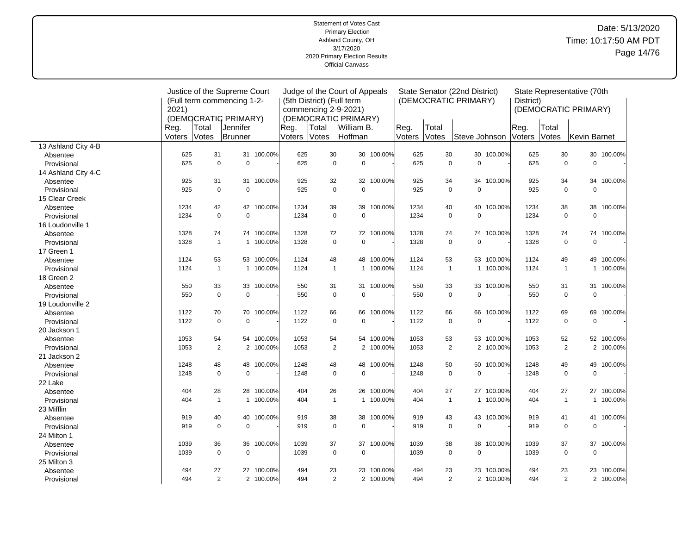#### Statement of Votes Cast Primary Election Ashland County, OH 3/17/2020 2020 Primary Election Results Official Canvass Date: 5/13/2020 Time: 10:17:50 AM PDT Page 14/76

|                     | Justice of the Supreme Court |              |                            |            | Judge of the Court of Appeals |                           |                      |            | State Senator (22nd District) |                |                      |            |           |                | State Representative (70th |            |
|---------------------|------------------------------|--------------|----------------------------|------------|-------------------------------|---------------------------|----------------------|------------|-------------------------------|----------------|----------------------|------------|-----------|----------------|----------------------------|------------|
|                     |                              |              | (Full term commencing 1-2- |            |                               | (5th District) (Full term |                      |            |                               |                | (DEMOCRATIC PRIMARY) |            | District) |                |                            |            |
|                     | 2021)                        |              |                            |            |                               | commencing 2-9-2021)      |                      |            |                               |                |                      |            |           |                | (DEMOCRATIC PRIMARY)       |            |
|                     |                              |              | (DEMOCRATIC PRIMARY)       |            |                               |                           | (DEMOCRATIC PRIMARY) |            |                               |                |                      |            |           |                |                            |            |
|                     | Reg.                         | Total        | Jennifer                   |            | Reg.                          | Total                     | William B.           |            | Reg.                          | Total          |                      |            | Reg.      | Total          |                            |            |
|                     | Voters                       | Votes        | Brunner                    |            | Voters                        | Votes                     | Hoffman              |            | Voters                        | Votes          | Steve Johnson        |            | Voters    | Votes          | Kevin Barnet               |            |
| 13 Ashland City 4-B |                              |              |                            |            |                               |                           |                      |            |                               |                |                      |            |           |                |                            |            |
| Absentee            | 625                          | 31           |                            | 31 100.00% | 625                           | 30                        |                      | 30 100.00% | 625                           | 30             |                      | 30 100.00% | 625       | 30             |                            | 30 100.00% |
| Provisional         | 625                          | $\mathbf 0$  | $\pmb{0}$                  |            | 625                           | $\mathbf 0$               | $\pmb{0}$            |            | 625                           | $\pmb{0}$      | $\mathbf 0$          |            | 625       | $\mathbf 0$    | $\mathbf 0$                |            |
| 14 Ashland City 4-C |                              |              |                            |            |                               |                           |                      |            |                               |                |                      |            |           |                |                            |            |
| Absentee            | 925                          | 31           |                            | 31 100.00% | 925                           | 32                        |                      | 32 100.00% | 925                           | 34             |                      | 34 100.00% | 925       | 34             | 34                         | 100.00%    |
| Provisional         | 925                          | $\mathbf 0$  | $\mathbf 0$                |            | 925                           | $\mathbf 0$               | $\mathbf 0$          |            | 925                           | $\mathbf 0$    | $\mathbf 0$          |            | 925       | $\mathbf 0$    | $\mathbf 0$                |            |
| 15 Clear Creek      |                              |              |                            |            |                               |                           |                      |            |                               |                |                      |            |           |                |                            |            |
| Absentee            | 1234                         | 42           |                            | 42 100.00% | 1234                          | 39                        | 39                   | 100.00%    | 1234                          | 40             |                      | 40 100.00% | 1234      | 38             | 38                         | 100.00%    |
| Provisional         | 1234                         | $\mathbf 0$  | $\mathbf 0$                |            | 1234                          | $\mathbf 0$               | $\pmb{0}$            |            | 1234                          | $\mathbf 0$    | $\mathbf 0$          |            | 1234      | $\mathbf 0$    | $\mathbf 0$                |            |
| 16 Loudonville 1    |                              |              |                            |            |                               |                           |                      |            |                               |                |                      |            |           |                |                            |            |
| Absentee            | 1328                         | 74           |                            | 74 100.00% | 1328                          | 72                        |                      | 72 100.00% | 1328                          | 74             |                      | 74 100.00% | 1328      | 74             |                            | 74 100.00% |
| Provisional         | 1328                         | $\mathbf{1}$ |                            | 1 100.00%  | 1328                          | $\mathbf 0$               | $\mathbf 0$          |            | 1328                          | $\mathbf 0$    | $\mathbf 0$          |            | 1328      | $\mathbf 0$    | $\mathbf 0$                |            |
| 17 Green 1          |                              |              |                            |            |                               |                           |                      |            |                               |                |                      |            |           |                |                            |            |
| Absentee            | 1124                         | 53           |                            | 53 100.00% | 1124                          | 48                        | 48                   | 100.00%    | 1124                          | 53             |                      | 53 100.00% | 1124      | 49             | 49                         | 100.00%    |
| Provisional         | 1124                         | $\mathbf{1}$ |                            | 1 100.00%  | 1124                          | $\mathbf{1}$              | 1                    | 100.00%    | 1124                          | $\mathbf{1}$   |                      | 1 100.00%  | 1124      | $\mathbf{1}$   |                            | 1 100.00%  |
| 18 Green 2          |                              |              |                            |            |                               |                           |                      |            |                               |                |                      |            |           |                |                            |            |
| Absentee            | 550                          | 33           |                            | 33 100.00% | 550                           | 31                        |                      | 31 100.00% | 550                           | 33             |                      | 33 100.00% | 550       | 31             |                            | 31 100.00% |
| Provisional         | 550                          | $\mathbf 0$  | $\Omega$                   |            | 550                           | $\mathbf 0$               | $\mathbf 0$          |            | 550                           | $\mathbf 0$    | $\mathbf 0$          |            | 550       | $\mathbf 0$    | $\mathbf 0$                |            |
| 19 Loudonville 2    |                              |              |                            |            |                               |                           |                      |            |                               |                |                      |            |           |                |                            |            |
| Absentee            | 1122                         | 70           |                            | 70 100.00% | 1122                          | 66                        | 66                   | 100.00%    | 1122                          | 66             |                      | 66 100.00% | 1122      | 69             | 69                         | 100.00%    |
| Provisional         | 1122                         | $\mathbf 0$  | $\Omega$                   |            | 1122                          | $\mathbf 0$               | $\mathbf 0$          |            | 1122                          | $\mathbf 0$    | $\mathbf 0$          |            | 1122      | $\mathbf 0$    | $\mathbf 0$                |            |
| 20 Jackson 1        |                              |              |                            |            |                               |                           |                      |            |                               |                |                      |            |           |                |                            |            |
| Absentee            | 1053                         | 54           |                            | 54 100.00% | 1053                          | 54                        |                      | 54 100.00% | 1053                          | 53             |                      | 53 100.00% | 1053      | 52             |                            | 52 100.00% |
| Provisional         | 1053                         | 2            |                            | 2 100.00%  | 1053                          | 2                         |                      | 2 100.00%  | 1053                          | $\overline{2}$ |                      | 2 100.00%  | 1053      | 2              |                            | 2 100.00%  |
| 21 Jackson 2        |                              |              |                            |            |                               |                           |                      |            |                               |                |                      |            |           |                |                            |            |
| Absentee            | 1248                         | 48           |                            | 48 100.00% | 1248                          | 48                        | 48                   | 100.00%    | 1248                          | 50             |                      | 50 100.00% | 1248      | 49             | 49                         | 100.00%    |
| Provisional         | 1248                         | $\mathbf 0$  | $\mathbf 0$                |            | 1248                          | $\mathbf 0$               | $\mathbf 0$          |            | 1248                          | $\mathbf 0$    | $\mathbf 0$          |            | 1248      | $\mathbf 0$    | $\mathbf 0$                |            |
| 22 Lake             |                              |              |                            |            |                               |                           |                      |            |                               |                |                      |            |           |                |                            |            |
| Absentee            | 404                          | 28           |                            | 28 100.00% | 404                           | 26                        | 26                   | 100.00%    | 404                           | 27             |                      | 27 100.00% | 404       | 27             |                            | 27 100.00% |
| Provisional         | 404                          | $\mathbf{1}$ |                            | 1 100.00%  | 404                           | $\mathbf{1}$              |                      | 1 100.00%  | 404                           | $\mathbf{1}$   |                      | 1 100.00%  | 404       | $\overline{1}$ |                            | 1 100.00%  |
| 23 Mifflin          |                              |              |                            |            |                               |                           |                      |            |                               |                |                      |            |           |                |                            |            |
| Absentee            | 919                          | 40           |                            | 40 100.00% | 919                           | 38                        | 38                   | 100.00%    | 919                           | 43             |                      | 43 100.00% | 919       | 41             |                            | 41 100.00% |
| Provisional         | 919                          | $\mathbf 0$  | $\mathbf 0$                |            | 919                           | $\mathbf 0$               | $\mathbf 0$          |            | 919                           | $\mathbf 0$    | $\mathbf 0$          |            | 919       | $\mathbf 0$    | $\mathbf 0$                |            |
| 24 Milton 1         |                              |              |                            |            |                               |                           |                      |            |                               |                |                      |            |           |                |                            |            |
| Absentee            | 1039                         | 36           |                            | 36 100.00% | 1039                          | 37                        | 37                   | 100.00%    | 1039                          | 38             | 38                   | 100.00%    | 1039      | 37             | 37                         | 100.00%    |
| Provisional         | 1039                         | $\mathbf 0$  | $\Omega$                   |            | 1039                          | $\mathbf 0$               | $\mathbf 0$          |            | 1039                          | $\mathbf 0$    | $\mathbf 0$          |            | 1039      | $\mathbf 0$    | $\mathbf 0$                |            |
| 25 Milton 3         |                              |              |                            |            |                               |                           |                      |            |                               |                |                      |            |           |                |                            |            |
| Absentee            | 494                          | 27           |                            | 27 100.00% | 494                           | 23                        |                      | 23 100.00% | 494                           | 23             |                      | 23 100.00% | 494       | 23             |                            | 23 100.00% |
| Provisional         | 494                          | 2            |                            | 2 100.00%  | 494                           | $\overline{2}$            |                      | 2 100.00%  | 494                           | $\overline{2}$ |                      | 2 100.00%  | 494       | 2              |                            | 2 100.00%  |
|                     |                              |              |                            |            |                               |                           |                      |            |                               |                |                      |            |           |                |                            |            |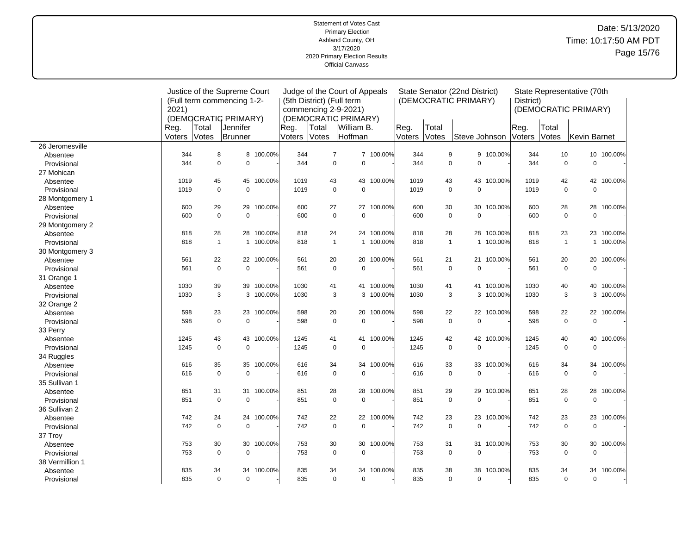| <b>Statement of Votes Cast</b><br><b>Primary Election</b><br>Ashland County, OH<br>3/17/2020<br>2020 Primary Election Results<br><b>Official Canvass</b> | Date: 5/13/2020<br>Time: 10:17:50 AM PDT<br>Page 15/76 |
|----------------------------------------------------------------------------------------------------------------------------------------------------------|--------------------------------------------------------|
|                                                                                                                                                          |                                                        |

|                 | Justice of the Supreme Court |              |                            |            | Judge of the Court of Appeals |                           |                      |            | State Senator (22nd District)<br>(DEMOCRATIC PRIMARY) |              |               |            |           |              | State Representative (70th |            |
|-----------------|------------------------------|--------------|----------------------------|------------|-------------------------------|---------------------------|----------------------|------------|-------------------------------------------------------|--------------|---------------|------------|-----------|--------------|----------------------------|------------|
|                 |                              |              | (Full term commencing 1-2- |            |                               | (5th District) (Full term |                      |            |                                                       |              |               |            | District) |              |                            |            |
|                 | 2021)                        |              |                            |            |                               | commencing 2-9-2021)      |                      |            |                                                       |              |               |            |           |              | (DEMOCRATIC PRIMARY)       |            |
|                 |                              |              | (DEMOCRATIC PRIMARY)       |            |                               |                           | (DEMOCRATIC PRIMARY) |            |                                                       |              |               |            |           |              |                            |            |
|                 | Reg.                         | Total        | Jennifer                   |            | Reg.                          | Total                     | William B.           |            | Reg.                                                  | Total        |               |            | Reg.      | Total        |                            |            |
|                 | Voters                       | Votes        | Brunner                    |            | Voters                        | Votes                     | Hoffman              |            | Voters                                                | Votes        | Steve Johnson |            | Voters    | Votes        | Kevin Barnet               |            |
| 26 Jeromesville |                              |              |                            |            |                               |                           |                      |            |                                                       |              |               |            |           |              |                            |            |
| Absentee        | 344                          | 8            |                            | 8 100.00%  | 344                           | $\overline{7}$            |                      | 7 100.00%  | 344                                                   | 9            |               | 9 100.00%  | 344       | 10           |                            | 10 100.00% |
| Provisional     | 344                          | $\mathbf 0$  | $\Omega$                   |            | 344                           | $\mathbf 0$               | $\Omega$             |            | 344                                                   | $\mathbf 0$  | $\mathbf 0$   |            | 344       | $\mathbf 0$  | $\mathbf 0$                |            |
| 27 Mohican      |                              |              |                            |            |                               |                           |                      |            |                                                       |              |               |            |           |              |                            |            |
| Absentee        | 1019                         | 45           |                            | 45 100.00% | 1019                          | 43                        | 43                   | 100.00%    | 1019                                                  | 43           |               | 43 100.00% | 1019      | 42           | 42                         | 100.00%    |
| Provisional     | 1019                         | $\Omega$     | $\Omega$                   |            | 1019                          | $\mathbf 0$               | $\Omega$             |            | 1019                                                  | $\mathbf 0$  | $\Omega$      |            | 1019      | $\Omega$     | $\Omega$                   |            |
| 28 Montgomery 1 |                              |              |                            |            |                               |                           |                      |            |                                                       |              |               |            |           |              |                            |            |
| Absentee        | 600                          | 29           |                            | 29 100.00% | 600                           | 27                        | 27                   | 100.00%    | 600                                                   | 30           |               | 30 100.00% | 600       | 28           | 28                         | 100.00%    |
| Provisional     | 600                          | $\mathsf 0$  | $\mathbf 0$                |            | 600                           | $\pmb{0}$                 | $\mathbf 0$          |            | 600                                                   | $\mathbf 0$  | $\mathbf 0$   |            | 600       | $\mathsf 0$  | $\mathbf 0$                |            |
| 29 Montgomery 2 |                              |              |                            |            |                               |                           |                      |            |                                                       |              |               |            |           |              |                            |            |
| Absentee        | 818                          | 28           |                            | 28 100.00% | 818                           | 24                        | 24                   | 100.00%    | 818                                                   | 28           |               | 28 100.00% | 818       | 23           |                            | 23 100.00% |
| Provisional     | 818                          | $\mathbf{1}$ |                            | 1 100.00%  | 818                           | $\mathbf{1}$              |                      | 1 100.00%  | 818                                                   | $\mathbf{1}$ |               | 1 100.00%  | 818       | $\mathbf{1}$ |                            | 1 100.00%  |
| 30 Montgomery 3 |                              |              |                            |            |                               |                           |                      |            |                                                       |              |               |            |           |              |                            |            |
| Absentee        | 561                          | 22           |                            | 22 100.00% | 561                           | 20                        | 20                   | 100.00%    | 561                                                   | 21           |               | 21 100.00% | 561       | 20           | 20                         | 100.00%    |
| Provisional     | 561                          | $\mathbf 0$  | $\mathbf 0$                |            | 561                           | $\mathbf 0$               | $\mathbf 0$          |            | 561                                                   | $\mathbf 0$  | $\mathbf 0$   |            | 561       | $\mathbf 0$  | $\mathbf 0$                |            |
| 31 Orange 1     |                              |              |                            |            |                               |                           |                      |            |                                                       |              |               |            |           |              |                            |            |
| Absentee        | 1030                         | 39           |                            | 39 100.00% | 1030                          | 41                        | 41                   | 100.00%    | 1030                                                  | 41           |               | 41 100.00% | 1030      | 40           | 40                         | 100.00%    |
| Provisional     | 1030                         | 3            |                            | 3 100.00%  | 1030                          | 3                         |                      | 3 100.00%  | 1030                                                  | 3            |               | 3 100.00%  | 1030      | 3            |                            | 3 100.00%  |
| 32 Orange 2     |                              |              |                            |            |                               |                           |                      |            |                                                       |              |               |            |           |              |                            |            |
| Absentee        | 598                          | 23           |                            | 23 100.00% | 598                           | 20                        | 20                   | 100.00%    | 598                                                   | 22           |               | 22 100.00% | 598       | 22           |                            | 22 100.00% |
| Provisional     | 598                          | $\mathbf 0$  | $\mathbf 0$                |            | 598                           | $\mathbf 0$               | $\mathbf 0$          |            | 598                                                   | $\mathbf 0$  | $\mathbf 0$   |            | 598       | $\mathbf 0$  | $\mathbf 0$                |            |
| 33 Perry        |                              |              |                            |            |                               |                           |                      |            |                                                       |              |               |            |           |              |                            |            |
| Absentee        | 1245                         | 43           |                            | 43 100.00% | 1245                          | 41                        | 41                   | 100.00%    | 1245                                                  | 42           |               | 42 100.00% | 1245      | 40           | 40                         | 100.00%    |
| Provisional     | 1245                         | $\mathbf 0$  | $\Omega$                   |            | 1245                          | $\mathbf 0$               | $\Omega$             |            | 1245                                                  | $\mathbf 0$  | $\mathbf 0$   |            | 1245      | $\mathbf 0$  | $\mathbf 0$                |            |
| 34 Ruggles      |                              |              |                            |            |                               |                           |                      |            |                                                       |              |               |            |           |              |                            |            |
| Absentee        | 616                          | 35           |                            | 35 100.00% | 616                           | 34                        | 34                   | 100.00%    | 616                                                   | 33           |               | 33 100.00% | 616       | 34           | 34                         | 100.00%    |
| Provisional     | 616                          | $\mathbf 0$  | $\mathbf 0$                |            | 616                           | $\mathbf 0$               | $\Omega$             |            | 616                                                   | $\mathbf 0$  | $\mathbf 0$   |            | 616       | $\mathbf 0$  | $\mathbf 0$                |            |
| 35 Sullivan 1   |                              |              |                            |            |                               |                           |                      |            |                                                       |              |               |            |           |              |                            |            |
| Absentee        | 851                          | 31           |                            | 31 100.00% | 851                           | 28                        | 28                   | 100.00%    | 851                                                   | 29           |               | 29 100.00% | 851       | 28           | 28                         | 100.00%    |
| Provisional     | 851                          | $\mathbf 0$  | $\Omega$                   |            | 851                           | $\mathbf 0$               | $\mathbf 0$          |            | 851                                                   | $\mathbf 0$  | $\mathbf 0$   |            | 851       | $\mathbf 0$  | $\mathbf 0$                |            |
| 36 Sullivan 2   |                              |              |                            |            |                               |                           |                      |            |                                                       |              |               |            |           |              |                            |            |
| Absentee        | 742                          | 24           |                            | 24 100.00% | 742                           | 22                        |                      | 22 100.00% | 742                                                   | 23           |               | 23 100.00% | 742       | 23           | 23                         | 100.00%    |
| Provisional     | 742                          | $\mathbf 0$  | $\mathbf 0$                |            | 742                           | $\mathbf 0$               | $\mathbf 0$          |            | 742                                                   | $\mathbf 0$  | $\pmb{0}$     |            | 742       | $\mathbf 0$  | $\pmb{0}$                  |            |
| 37 Troy         |                              |              |                            |            |                               |                           |                      |            |                                                       |              |               |            |           |              |                            |            |
| Absentee        | 753                          | 30           |                            | 30 100.00% | 753                           | 30                        | 30                   | 100.00%    | 753                                                   | 31           |               | 31 100.00% | 753       | 30           | 30                         | 100.00%    |
| Provisional     | 753                          | $\mathbf 0$  | $\mathbf 0$                |            | 753                           | 0                         | $\mathbf 0$          |            | 753                                                   | $\mathbf 0$  | $\pmb{0}$     |            | 753       | $\mathbf 0$  | $\mathbf 0$                |            |
| 38 Vermillion 1 |                              |              |                            |            |                               |                           |                      |            |                                                       |              |               |            |           |              |                            |            |
| Absentee        | 835                          | 34           | 34                         | 100.00%    | 835                           | 34                        | 34                   | 100.00%    | 835                                                   | 38           |               | 38 100.00% | 835       | 34           | 34                         | 100.00%    |
| Provisional     | 835                          | $\mathbf 0$  | $\Omega$                   |            | 835                           | $\mathbf 0$               | $\Omega$             |            | 835                                                   | $\mathbf 0$  | $\mathbf 0$   |            | 835       | $\mathbf 0$  | $\mathbf 0$                |            |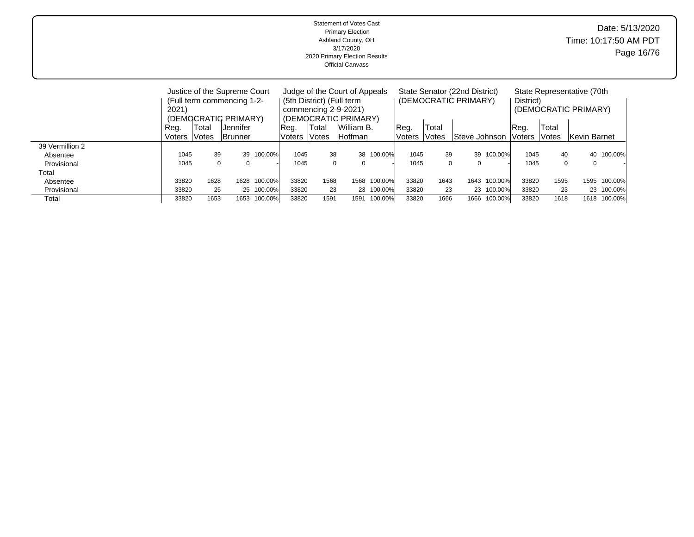|                 | <b>Statement of Votes Cast</b><br><b>Primary Election</b><br>Ashland County, OH<br>3/17/2020<br>2020 Primary Election Results<br><b>Official Canvass</b> |                                                                                                  |         |                                    |                                                                                             |       |          |         |                                                       |       |                   |            |                                                     | Date: 5/13/2020<br>Time: 10:17:50 AM PDT<br>Page 16/76 |              |              |  |  |  |
|-----------------|----------------------------------------------------------------------------------------------------------------------------------------------------------|--------------------------------------------------------------------------------------------------|---------|------------------------------------|---------------------------------------------------------------------------------------------|-------|----------|---------|-------------------------------------------------------|-------|-------------------|------------|-----------------------------------------------------|--------------------------------------------------------|--------------|--------------|--|--|--|
|                 | 2021)<br>Reg.                                                                                                                                            | Justice of the Supreme Court<br>(Full term commencing 1-2-<br>(DEMOCRATIC PRIMARY)<br>IJennifer. | Reg.    | (5th District) (Full term<br>Total | Judge of the Court of Appeals<br>commencing 2-9-2021)<br>(DEMOCRATIC PRIMARY)<br>William B. |       | Reg.     | Total   | State Senator (22nd District)<br>(DEMOCRATIC PRIMARY) |       | District)<br>Reg. | Total      | State Representative (70th)<br>(DEMOCRATIC PRIMARY) |                                                        |              |              |  |  |  |
|                 | Voters                                                                                                                                                   | <i><b>Votes</b></i>                                                                              | Brunner |                                    | Voters                                                                                      | Votes | Hoffman  |         | Voters                                                | Votes | Steve Johnson     |            | Voters                                              | Votes                                                  | Kevin Barnet |              |  |  |  |
| 39 Vermillion 2 |                                                                                                                                                          |                                                                                                  |         |                                    |                                                                                             |       |          |         |                                                       |       |                   |            |                                                     |                                                        |              |              |  |  |  |
| Absentee        | 1045                                                                                                                                                     | 39                                                                                               | 39      | 100.00%                            | 1045                                                                                        | 38    | 38       | 100.00% | 1045                                                  | 39    |                   | 39 100.00% | 1045                                                | 40                                                     | 40           | 100.00%      |  |  |  |
| Provisional     | $\mathbf 0$<br>1045<br>$\Omega$                                                                                                                          |                                                                                                  |         |                                    | 1045                                                                                        | 0     | $\Omega$ |         | 1045                                                  | 0     | $\Omega$          |            | 1045                                                | $\Omega$                                               | $\mathbf 0$  |              |  |  |  |
| Total           |                                                                                                                                                          |                                                                                                  |         |                                    |                                                                                             |       |          |         |                                                       |       |                   |            |                                                     |                                                        |              |              |  |  |  |
| Absentee        | 33820                                                                                                                                                    | 1628                                                                                             | 1628    | 100.00%                            | 33820                                                                                       | 1568  | 1568     | 100.00% | 33820                                                 | 1643  | 1643              | 100.00%    | 33820                                               | 1595                                                   |              | 1595 100.00% |  |  |  |
| Provisional     | 33820                                                                                                                                                    | 25                                                                                               |         | 25 100.00%                         | 33820                                                                                       | 23    | 23       | 100.00% | 33820                                                 | 23    |                   | 23 100.00% | 33820                                               | 23                                                     |              | 23 100.00%   |  |  |  |
| Total           | 33820                                                                                                                                                    | 1653                                                                                             | 1653    | 100.00%                            | 33820                                                                                       | 1591  | 1591     | 100.00% | 33820                                                 | 1666  | 1666              | 100.00%    | 33820                                               | 1618                                                   |              | 1618 100.00% |  |  |  |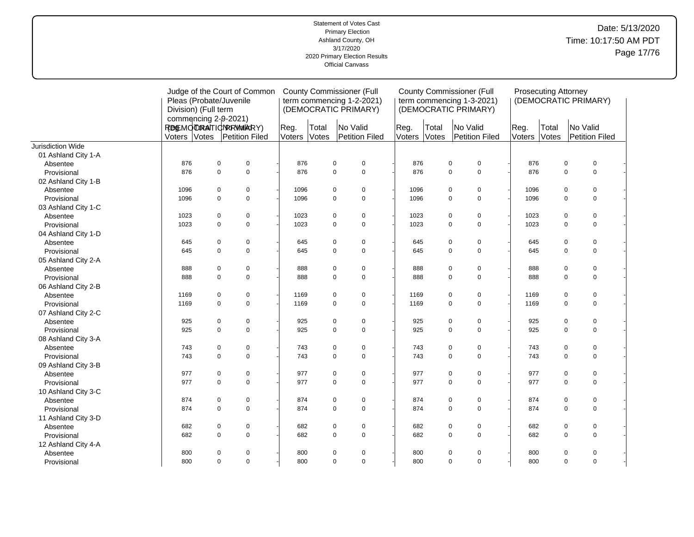#### Statement of Votes Cast Primary Election Ashland County, OH 3/17/2020 2020 Primary Election Results Official Canvass Date: 5/13/2020 Time: 10:17:50 AM PDT Page 17/76

|                     |                         |             | Judge of the Court of Common | <b>County Commissioner (Full</b> |       |                               |  | <b>County Commissioner (Full</b> |       |                            |      |        | <b>Prosecuting Attorney</b> |             |                      |  |
|---------------------|-------------------------|-------------|------------------------------|----------------------------------|-------|-------------------------------|--|----------------------------------|-------|----------------------------|------|--------|-----------------------------|-------------|----------------------|--|
|                     | Pleas (Probate/Juvenile |             |                              |                                  |       | term commencing 1-2-2021)     |  |                                  |       | term commencing 1-3-2021)  |      |        |                             |             | (DEMOCRATIC PRIMARY) |  |
|                     | Division) (Full term    |             |                              |                                  |       | (DEMOCRATIC PRIMARY)          |  |                                  |       | (DEMOCRATIC PRIMARY)       |      |        |                             |             |                      |  |
|                     | commencing 2-9-2021)    |             |                              |                                  |       |                               |  |                                  |       |                            |      |        |                             |             |                      |  |
|                     | REMOTRATIONRRWARY)      |             |                              | Reg.                             | Total | No Valid                      |  | Reg.                             | Total | No Valid                   | Reg. |        | Total                       |             | No Valid             |  |
|                     | Voters Votes            |             | Petition Filed               | Voters                           | Votes | Petition Filed                |  | Voters                           | Votes | Petition Filed             |      | Voters | Votes                       |             | Petition Filed       |  |
| Jurisdiction Wide   |                         |             |                              |                                  |       |                               |  |                                  |       |                            |      |        |                             |             |                      |  |
| 01 Ashland City 1-A |                         |             |                              |                                  |       |                               |  |                                  |       |                            |      |        |                             |             |                      |  |
| Absentee            | 876                     | $\pmb{0}$   | $\mathbf 0$                  | 876                              |       | $\pmb{0}$<br>$\mathbf 0$      |  | 876                              |       | $\mathbf 0$<br>$\pmb{0}$   |      | 876    |                             | 0           | $\pmb{0}$            |  |
| Provisional         | 876                     | $\mathbf 0$ | $\mathbf 0$                  | 876                              |       | $\mathbf 0$<br>$\mathbf 0$    |  | 876                              |       | $\mathbf 0$<br>$\mathbf 0$ |      | 876    |                             | $\mathbf 0$ | $\pmb{0}$            |  |
| 02 Ashland City 1-B |                         |             |                              |                                  |       |                               |  |                                  |       |                            |      |        |                             |             |                      |  |
| Absentee            | 1096                    | $\mathbf 0$ | 0                            | 1096                             |       | $\pmb{0}$<br>$\mathbf 0$      |  | 1096                             |       | $\pmb{0}$<br>0             |      | 1096   |                             | $\mathbf 0$ | $\pmb{0}$            |  |
| Provisional         | 1096                    | $\mathbf 0$ | $\mathbf 0$                  | 1096                             |       | $\mathbf 0$<br>$\mathbf 0$    |  | 1096                             |       | 0<br>$\mathbf 0$           |      | 1096   |                             | $\mathbf 0$ | $\pmb{0}$            |  |
| 03 Ashland City 1-C |                         |             |                              |                                  |       |                               |  |                                  |       |                            |      |        |                             |             |                      |  |
| Absentee            | 1023                    | $\mathbf 0$ | 0                            | 1023                             |       | $\pmb{0}$<br>$\mathbf 0$      |  | 1023                             |       | $\pmb{0}$<br>0             |      | 1023   |                             | 0           | $\mathbf 0$          |  |
| Provisional         | 1023                    | $\mathbf 0$ | 0                            | 1023                             |       | $\overline{0}$<br>$\pmb{0}$   |  | 1023                             |       | 0<br>$\mathsf 0$           |      | 1023   |                             | $\mathbf 0$ | $\pmb{0}$            |  |
| 04 Ashland City 1-D |                         |             |                              |                                  |       |                               |  |                                  |       |                            |      |        |                             |             |                      |  |
| Absentee            | 645                     | $\mathbf 0$ | 0                            | 645                              |       | $\pmb{0}$<br>$\mathbf 0$      |  | 645                              |       | 0<br>$\pmb{0}$             |      | 645    |                             | $\mathbf 0$ | $\mathbf 0$          |  |
| Provisional         | 645                     | $\mathbf 0$ | $\mathbf 0$                  | 645                              |       | $\pmb{0}$<br>$\mathbf 0$      |  | 645                              |       | 0<br>$\mathbf 0$           |      | 645    |                             | $\mathbf 0$ | $\pmb{0}$            |  |
| 05 Ashland City 2-A |                         |             |                              |                                  |       |                               |  |                                  |       |                            |      |        |                             |             |                      |  |
| Absentee            | 888                     | $\mathbf 0$ | 0                            | 888                              |       | $\pmb{0}$<br>$\pmb{0}$        |  | 888                              |       | 0<br>$\pmb{0}$             |      | 888    |                             | 0           | $\pmb{0}$            |  |
| Provisional         | 888                     | $\mathbf 0$ | $\mathbf 0$                  | 888                              |       | $\overline{0}$<br>$\mathbf 0$ |  | 888                              |       | $\mathsf 0$<br>$\mathbf 0$ |      | 888    |                             | $\Omega$    | $\mathbf 0$          |  |
| 06 Ashland City 2-B |                         |             |                              |                                  |       |                               |  |                                  |       |                            |      |        |                             |             |                      |  |
| Absentee            | 1169                    | $\mathbf 0$ | 0                            | 1169                             |       | $\pmb{0}$<br>$\mathbf 0$      |  | 1169                             |       | $\pmb{0}$<br>$\mathbf 0$   |      | 1169   |                             | 0           | $\mathbf 0$          |  |
| Provisional         | 1169                    | $\Omega$    | $\mathbf 0$                  | 1169                             |       | $\mathbf 0$<br>$\mathbf 0$    |  | 1169                             |       | $\mathbf 0$<br>$\mathbf 0$ |      | 1169   |                             | $\Omega$    | $\mathbf 0$          |  |
| 07 Ashland City 2-C |                         |             |                              |                                  |       |                               |  |                                  |       |                            |      |        |                             |             |                      |  |
| Absentee            | 925                     | $\pmb{0}$   | 0                            | 925                              |       | $\pmb{0}$<br>$\pmb{0}$        |  | 925                              |       | $\pmb{0}$<br>$\pmb{0}$     |      | 925    |                             | 0           | $\pmb{0}$            |  |
| Provisional         | 925                     | $\mathbf 0$ | $\mathbf 0$                  | 925                              |       | $\mathbf 0$<br>$\mathbf 0$    |  | 925                              |       | $\mathbf 0$<br>$\pmb{0}$   |      | 925    |                             | $\mathbf 0$ | $\mathbf 0$          |  |
| 08 Ashland City 3-A |                         |             |                              |                                  |       |                               |  |                                  |       |                            |      |        |                             |             |                      |  |
| Absentee            | 743                     | $\mathbf 0$ | 0                            | 743                              |       | $\pmb{0}$<br>$\mathbf 0$      |  | 743                              |       | 0<br>$\pmb{0}$             |      | 743    |                             | $\mathbf 0$ | 0                    |  |
| Provisional         | 743                     | $\mathbf 0$ | $\pmb{0}$                    | 743                              |       | $\mathbf 0$<br>$\pmb{0}$      |  | 743                              |       | $\pmb{0}$<br>$\pmb{0}$     |      | 743    |                             | $\mathbf 0$ | $\pmb{0}$            |  |
| 09 Ashland City 3-B |                         |             |                              |                                  |       |                               |  |                                  |       |                            |      |        |                             |             |                      |  |
| Absentee            | 977                     | $\mathbf 0$ | 0                            | 977                              |       | $\pmb{0}$<br>$\mathbf 0$      |  | 977                              |       | 0<br>$\pmb{0}$             |      | 977    |                             | 0           | $\pmb{0}$            |  |
| Provisional         | 977                     | $\mathbf 0$ | $\mathbf 0$                  | 977                              |       | $\mathbf 0$<br>$\mathbf 0$    |  | 977                              |       | $\mathbf 0$<br>$\pmb{0}$   |      | 977    |                             | $\mathbf 0$ | $\pmb{0}$            |  |
| 10 Ashland City 3-C |                         |             |                              |                                  |       |                               |  |                                  |       |                            |      |        |                             |             |                      |  |
| Absentee            | 874                     | $\mathbf 0$ | 0                            | 874                              |       | $\pmb{0}$<br>0                |  | 874                              |       | 0<br>$\pmb{0}$             |      | 874    |                             | 0           | $\mathbf 0$          |  |
| Provisional         | 874                     | $\mathbf 0$ | $\mathbf 0$                  | 874                              |       | $\overline{0}$<br>$\mathbf 0$ |  | 874                              |       | 0<br>$\mathsf 0$           |      | 874    |                             | $\mathbf 0$ | $\pmb{0}$            |  |
| 11 Ashland City 3-D |                         |             |                              |                                  |       |                               |  |                                  |       |                            |      |        |                             |             |                      |  |
| Absentee            | 682                     | $\mathbf 0$ | 0                            | 682                              |       | $\pmb{0}$<br>$\mathbf 0$      |  | 682                              |       | $\pmb{0}$<br>$\pmb{0}$     |      | 682    |                             | $\mathbf 0$ | 0                    |  |
| Provisional         | 682                     | $\mathbf 0$ | $\mathbf 0$                  | 682                              |       | $\mathbf 0$<br>$\mathbf 0$    |  | 682                              |       | $\mathbf 0$<br>$\mathbf 0$ |      | 682    |                             | $\Omega$    | $\pmb{0}$            |  |
| 12 Ashland City 4-A |                         |             |                              |                                  |       |                               |  |                                  |       |                            |      |        |                             |             |                      |  |
| Absentee            | 800                     | $\mathbf 0$ | 0                            | 800                              |       | $\pmb{0}$<br>$\mathbf 0$      |  | 800                              |       | 0<br>$\mathbf 0$           |      | 800    |                             | $\mathbf 0$ | $\pmb{0}$            |  |
| Provisional         | 800                     | $\mathbf 0$ | $\pmb{0}$                    | 800                              |       | $\mathbf 0$<br>$\mathbf 0$    |  | 800                              |       | $\pmb{0}$<br>$\mathbf 0$   |      | 800    |                             | $\mathbf 0$ | $\mathbf 0$          |  |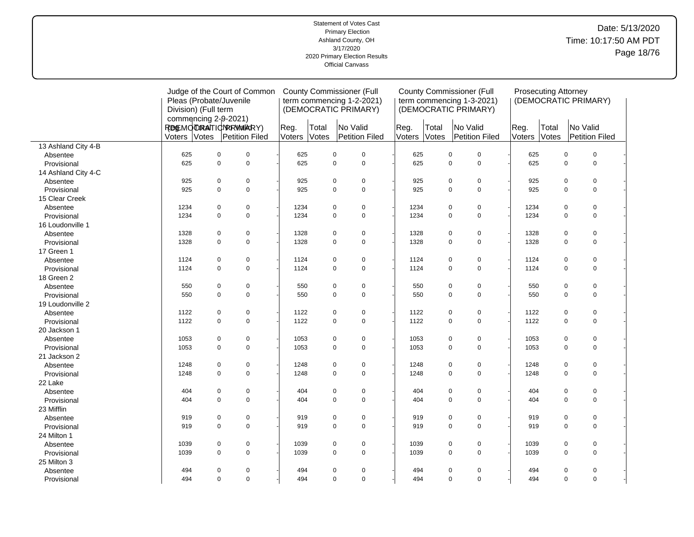# Date: 5/13/2020 Time: 10:17:50 AM PDT Page 18/76

|                     | Pleas (Probate/Juvenile<br>Division) (Full term<br>commencing 2-9-2021) | Judge of the Court of Common |                |                | <b>County Commissioner (Full</b><br>term commencing 1-2-2021)<br>(DEMOCRATIC PRIMARY) |                |                | <b>County Commissioner (Full</b><br>term commencing 1-3-2021)<br>(DEMOCRATIC PRIMARY) |                | <b>Prosecuting Attorney</b> | (DEMOCRATIC PRIMARY)       |  |
|---------------------|-------------------------------------------------------------------------|------------------------------|----------------|----------------|---------------------------------------------------------------------------------------|----------------|----------------|---------------------------------------------------------------------------------------|----------------|-----------------------------|----------------------------|--|
|                     | REMOTRATIONRRWARRY)<br>Voters Votes                                     | Petition Filed               | Reg.<br>Voters | Total<br>Votes | No Valid<br>Petition Filed                                                            | Reg.<br>Voters | Total<br>Votes | No Valid<br>Petition Filed                                                            | Reg.<br>Voters | Total<br>Votes              | No Valid<br>Petition Filed |  |
| 13 Ashland City 4-B |                                                                         |                              |                |                |                                                                                       |                |                |                                                                                       |                |                             |                            |  |
| Absentee            | 625                                                                     | $\pmb{0}$<br>$\mathbf 0$     | 625            |                | 0<br>$\mathbf 0$                                                                      | 625            |                | $\mathbf 0$<br>0                                                                      | 625            |                             | $\mathbf 0$<br>$\pmb{0}$   |  |
| Provisional         | 625                                                                     | $\pmb{0}$<br>$\mathsf 0$     | 625            |                | $\pmb{0}$<br>$\mathbf 0$                                                              | 625            |                | $\mathsf 0$<br>$\pmb{0}$                                                              | 625            |                             | $\mathbf 0$<br>$\mathsf 0$ |  |
| 14 Ashland City 4-C |                                                                         |                              |                |                |                                                                                       |                |                |                                                                                       |                |                             |                            |  |
| Absentee            | 925                                                                     | $\pmb{0}$<br>$\pmb{0}$       | 925            |                | $\pmb{0}$<br>$\pmb{0}$                                                                | 925            |                | $\mathbf 0$<br>$\pmb{0}$                                                              | 925            |                             | 0<br>$\pmb{0}$             |  |
| Provisional         | 925                                                                     | $\mathbf 0$<br>$\mathbf 0$   | 925            |                | $\mathbf 0$<br>$\mathbf 0$                                                            | 925            |                | $\mathbf 0$<br>$\mathbf 0$                                                            | 925            |                             | $\mathbf 0$<br>$\mathbf 0$ |  |
| 15 Clear Creek      |                                                                         |                              |                |                |                                                                                       |                |                |                                                                                       |                |                             |                            |  |
| Absentee            | 1234                                                                    | $\mathbf 0$<br>$\mathbf 0$   | 1234           |                | 0<br>$\pmb{0}$                                                                        | 1234           |                | $\mathbf 0$<br>0                                                                      | 1234           |                             | $\pmb{0}$<br>$\mathbf 0$   |  |
| Provisional         | 1234                                                                    | $\mathbf 0$<br>$\mathsf 0$   | 1234           |                | $\mathbf 0$<br>0                                                                      | 1234           |                | $\pmb{0}$<br>$\mathbf 0$                                                              | 1234           |                             | $\pmb{0}$<br>$\mathbf 0$   |  |
| 16 Loudonville 1    |                                                                         |                              |                |                |                                                                                       |                |                |                                                                                       |                |                             |                            |  |
| Absentee            | 1328                                                                    | $\mathbf 0$<br>$\mathbf 0$   | 1328           |                | 0<br>$\mathbf 0$                                                                      | 1328           |                | $\pmb{0}$<br>$\mathbf 0$                                                              | 1328           |                             | $\pmb{0}$<br>$\mathbf 0$   |  |
| Provisional         | 1328                                                                    | $\mathbf 0$<br>$\mathbf 0$   | 1328           |                | $\mathbf 0$<br>$\mathbf 0$                                                            | 1328           |                | $\mathbf 0$<br>$\mathbf 0$                                                            | 1328           |                             | $\Omega$<br>$\mathbf 0$    |  |
| 17 Green 1          |                                                                         |                              |                |                |                                                                                       |                |                |                                                                                       |                |                             |                            |  |
| Absentee            | 1124                                                                    | $\pmb{0}$<br>$\mathbf 0$     | 1124           |                | 0<br>$\mathbf 0$                                                                      | 1124           |                | $\mathbf 0$<br>0                                                                      | 1124           |                             | 0<br>$\mathbf 0$           |  |
| Provisional         | 1124                                                                    | $\mathbf 0$<br>$\mathbf 0$   | 1124           |                | $\mathbf 0$<br>$\mathbf 0$                                                            | 1124           |                | $\mathbf 0$<br>$\mathbf 0$                                                            | 1124           |                             | $\mathbf 0$<br>$\mathbf 0$ |  |
| 18 Green 2          |                                                                         |                              |                |                |                                                                                       |                |                |                                                                                       |                |                             |                            |  |
| Absentee            | 550                                                                     | $\mathbf 0$<br>$\mathbf 0$   | 550            |                | 0<br>$\pmb{0}$                                                                        | 550            |                | $\mathbf 0$<br>0                                                                      | 550            |                             | $\mathbf 0$<br>0           |  |
| Provisional         | 550                                                                     | $\mathbf 0$<br>$\mathsf 0$   | 550            |                | $\mathbf 0$<br>$\mathbf 0$                                                            | 550            |                | $\mathbf 0$<br>$\mathsf 0$                                                            | 550            |                             | $\mathbf 0$<br>$\pmb{0}$   |  |
| 19 Loudonville 2    |                                                                         |                              |                |                |                                                                                       |                |                |                                                                                       |                |                             |                            |  |
| Absentee            | 1122                                                                    | $\pmb{0}$<br>$\mathbf 0$     | 1122           |                | 0<br>$\pmb{0}$                                                                        | 1122           |                | $\mathsf 0$<br>$\pmb{0}$                                                              | 1122           |                             | $\pmb{0}$<br>$\mathbf 0$   |  |
| Provisional         | 1122                                                                    | $\pmb{0}$<br>$\mathbf 0$     | 1122           |                | 0<br>$\mathbf 0$                                                                      | 1122           |                | $\pmb{0}$<br>$\mathbf 0$                                                              | 1122           |                             | $\mathbf 0$<br>0           |  |
| 20 Jackson 1        |                                                                         |                              |                |                |                                                                                       |                |                |                                                                                       |                |                             |                            |  |
| Absentee            | 1053                                                                    | 0<br>$\mathbf 0$             | 1053           |                | 0<br>$\pmb{0}$                                                                        | 1053           |                | $\mathbf 0$<br>0                                                                      | 1053           |                             | $\mathbf 0$<br>0           |  |
| Provisional         | 1053                                                                    | $\mathbf 0$<br>$\mathbf 0$   | 1053           |                | $\mathbf 0$<br>$\mathbf 0$                                                            | 1053           |                | $\mathbf 0$<br>$\mathbf 0$                                                            | 1053           |                             | $\Omega$<br>$\mathbf 0$    |  |
| 21 Jackson 2        |                                                                         |                              |                |                |                                                                                       |                |                |                                                                                       |                |                             |                            |  |
| Absentee            | 1248                                                                    | $\mathbf 0$<br>$\mathbf 0$   | 1248           |                | $\mathbf 0$<br>0                                                                      | 1248           |                | $\pmb{0}$<br>$\mathbf 0$                                                              | 1248           |                             | $\pmb{0}$<br>$\mathbf 0$   |  |
| Provisional         | 1248                                                                    | $\mathbf 0$<br>$\mathsf 0$   | 1248           |                | $\mathbf 0$<br>0                                                                      | 1248           |                | $\mathbf 0$<br>$\mathsf 0$                                                            | 1248           |                             | $\mathbf 0$<br>$\mathbf 0$ |  |
| 22 Lake             |                                                                         |                              |                |                |                                                                                       |                |                |                                                                                       |                |                             |                            |  |
| Absentee            | 404                                                                     | $\mathbf 0$<br>$\mathbf 0$   | 404            |                | 0<br>$\pmb{0}$                                                                        | 404            |                | $\mathbf 0$<br>0                                                                      | 404            |                             | $\mathbf 0$<br>0           |  |
| Provisional         | 404                                                                     | $\Omega$<br>$\mathbf 0$      | 404            |                | $\Omega$<br>$\mathbf 0$                                                               | 404            |                | $\mathbf 0$<br>$\mathbf 0$                                                            | 404            |                             | $\mathbf 0$<br>$\Omega$    |  |
| 23 Mifflin          |                                                                         |                              |                |                |                                                                                       |                |                |                                                                                       |                |                             |                            |  |
| Absentee            | 919                                                                     | $\mathbf 0$<br>$\mathbf 0$   | 919            |                | 0<br>$\pmb{0}$                                                                        | 919            |                | $\pmb{0}$<br>$\mathbf 0$                                                              | 919            |                             | $\pmb{0}$<br>$\mathbf 0$   |  |
| Provisional         | 919                                                                     | $\pmb{0}$<br>$\mathsf 0$     | 919            |                | 0<br>$\mathbf 0$                                                                      | 919            |                | $\mathsf 0$<br>$\pmb{0}$                                                              | 919            |                             | $\mathsf 0$<br>0           |  |
| 24 Milton 1         |                                                                         |                              |                |                |                                                                                       |                |                |                                                                                       |                |                             |                            |  |
| Absentee            | 1039                                                                    | $\mathbf 0$<br>$\mathbf 0$   | 1039           |                | 0<br>$\mathbf 0$                                                                      | 1039           |                | $\mathbf 0$<br>0                                                                      | 1039           |                             | $\mathbf 0$<br>0           |  |
| Provisional         | 1039                                                                    | $\mathbf 0$<br>$\mathsf 0$   | 1039           |                | 0<br>$\mathbf 0$                                                                      | 1039           |                | $\pmb{0}$<br>$\mathbf 0$                                                              | 1039           |                             | $\mathbf 0$<br>$\pmb{0}$   |  |
| 25 Milton 3         |                                                                         |                              |                |                |                                                                                       |                |                |                                                                                       |                |                             |                            |  |
| Absentee            | 494                                                                     | $\mathbf 0$<br>0             | 494            |                | 0<br>0                                                                                | 494            |                | 0<br>0                                                                                | 494            |                             | 0<br>0                     |  |
| Provisional         | 494                                                                     | $\mathsf 0$<br>$\mathbf 0$   | 494            |                | $\mathbf 0$<br>$\mathbf 0$                                                            | 494            |                | 0<br>$\mathbf 0$                                                                      | 494            |                             | $\pmb{0}$<br>$\mathbf 0$   |  |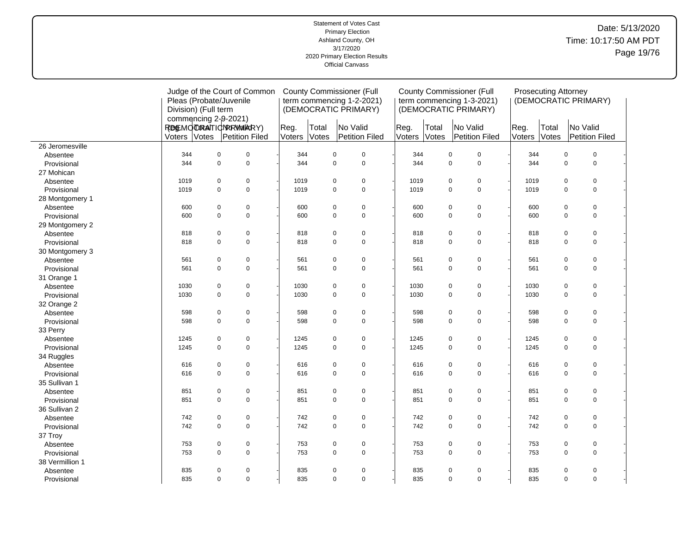# Date: 5/13/2020 Time: 10:17:50 AM PDT Page 19/76

|                 | Pleas (Probate/Juvenile<br>Division) (Full term<br>commencing 2-9-2021) | Judge of the Court of Common             |                | <b>County Commissioner (Full</b><br>term commencing 1-2-2021)<br>(DEMOCRATIC PRIMARY) |                            | <b>County Commissioner (Full</b><br>term commencing 1-3-2021)<br>(DEMOCRATIC PRIMARY) |                | <b>Prosecuting Attorney</b>        | (DEMOCRATIC PRIMARY) |                |                            |
|-----------------|-------------------------------------------------------------------------|------------------------------------------|----------------|---------------------------------------------------------------------------------------|----------------------------|---------------------------------------------------------------------------------------|----------------|------------------------------------|----------------------|----------------|----------------------------|
|                 | Voters Votes                                                            | REMOTORAITIONRRWAIKRY)<br>Petition Filed | Reg.<br>Voters | Total<br>Votes                                                                        | No Valid<br>Petition Filed | Reg.<br>Voters                                                                        | Total<br>Votes | No Valid<br>Petition Filed         | Reg.<br>Voters       | Total<br>Votes | No Valid<br>Petition Filed |
| 26 Jeromesville |                                                                         |                                          |                |                                                                                       |                            |                                                                                       |                |                                    |                      |                |                            |
| Absentee        | 344                                                                     | $\mathbf 0$<br>$\pmb{0}$                 | 344            | 0                                                                                     | $\mathbf 0$                | 344                                                                                   |                | $\mathsf 0$<br>$\mathbf 0$         | 344                  |                | $\mathbf 0$<br>$\pmb{0}$   |
| Provisional     | 344                                                                     | $\mathbf 0$<br>$\mathsf 0$               | 344            | 0                                                                                     | $\mathbf 0$                | 344                                                                                   |                | $\mathsf 0$<br>$\mathsf 0$         | 344                  |                | $\mathsf 0$<br>$\mathbf 0$ |
| 27 Mohican      |                                                                         |                                          |                |                                                                                       |                            |                                                                                       |                |                                    |                      |                |                            |
| Absentee        | 1019                                                                    | $\mathbf 0$<br>$\mathbf 0$               | 1019           | 0                                                                                     | $\mathbf 0$                | 1019                                                                                  |                | $\mathsf 0$<br>$\mathbf 0$         | 1019                 |                | $\mathbf 0$<br>0           |
| Provisional     | 1019                                                                    | $\mathbf 0$<br>$\mathbf 0$               | 1019           | 0                                                                                     | $\mathbf 0$                | 1019                                                                                  |                | $\mathbf 0$<br>$\mathbf 0$         | 1019                 |                | $\mathbf 0$<br>0           |
| 28 Montgomery 1 |                                                                         |                                          |                |                                                                                       |                            |                                                                                       |                |                                    |                      |                |                            |
| Absentee        | 600                                                                     | $\mathbf 0$<br>$\pmb{0}$                 | 600            | 0                                                                                     | $\mathbf 0$                | 600                                                                                   |                | $\mathsf 0$<br>$\mathsf 0$         | 600                  |                | 0<br>$\mathbf 0$           |
| Provisional     | 600                                                                     | $\mathbf 0$<br>$\mathbf 0$               | 600            | 0                                                                                     | $\mathbf 0$                | 600                                                                                   |                | $\mathsf 0$<br>$\mathsf 0$         | 600                  |                | $\mathbf 0$<br>0           |
| 29 Montgomery 2 |                                                                         |                                          |                |                                                                                       |                            |                                                                                       |                |                                    |                      |                |                            |
| Absentee        | 818                                                                     | $\mathbf 0$<br>$\mathbf 0$               | 818            | 0                                                                                     | $\mathbf 0$                | 818                                                                                   |                | $\mathsf 0$<br>0                   | 818                  |                | 0<br>0                     |
| Provisional     | 818                                                                     | $\Omega$<br>$\mathbf 0$                  | 818            | $\overline{0}$                                                                        | $\Omega$                   | 818                                                                                   |                | $\mathbf 0$<br>$\mathbf 0$         | 818                  |                | $\mathbf 0$<br>$\Omega$    |
| 30 Montgomery 3 |                                                                         |                                          |                |                                                                                       |                            |                                                                                       |                |                                    |                      |                |                            |
| Absentee        | 561                                                                     | $\mathbf 0$<br>$\mathbf 0$               | 561            | 0                                                                                     | $\mathbf 0$                | 561                                                                                   |                | $\mathsf 0$<br>$\pmb{0}$           | 561                  |                | $\pmb{0}$<br>$\mathbf 0$   |
| Provisional     | 561                                                                     | $\pmb{0}$<br>$\mathbf 0$                 | 561            | 0                                                                                     | $\mathbf 0$                | 561                                                                                   |                | $\pmb{0}$<br>$\mathsf 0$           | 561                  |                | 0<br>$\mathbf 0$           |
| 31 Orange 1     |                                                                         |                                          |                |                                                                                       |                            |                                                                                       |                |                                    |                      |                |                            |
| Absentee        | 1030                                                                    | $\mathbf 0$<br>$\mathbf 0$               | 1030           | 0                                                                                     | $\pmb{0}$                  | 1030                                                                                  |                | $\mathsf 0$<br>$\pmb{0}$           | 1030                 |                | $\pmb{0}$<br>$\mathbf 0$   |
| Provisional     | 1030                                                                    | $\mathbf 0$<br>$\Omega$                  | 1030           | 0                                                                                     | $\mathbf 0$                | 1030                                                                                  |                | $\mathbf 0$<br>$\mathbf 0$         | 1030                 |                | $\Omega$<br>$\mathbf 0$    |
| 32 Orange 2     |                                                                         |                                          |                |                                                                                       |                            |                                                                                       |                |                                    |                      |                |                            |
| Absentee        | 598                                                                     | $\mathbf 0$<br>$\mathbf 0$               | 598            | 0                                                                                     | $\mathbf 0$                | 598                                                                                   |                | $\mathsf 0$<br>$\pmb{0}$           | 598                  |                | $\mathbf 0$<br>0           |
| Provisional     | 598                                                                     | $\mathsf 0$<br>$\mathsf 0$               | 598            | 0                                                                                     | $\mathbf 0$                | 598                                                                                   |                | $\mathsf{O}\xspace$<br>$\mathsf 0$ | 598                  |                | 0<br>$\mathbf 0$           |
| 33 Perry        |                                                                         |                                          |                |                                                                                       |                            |                                                                                       |                |                                    |                      |                |                            |
| Absentee        | 1245                                                                    | $\mathbf 0$<br>$\mathbf 0$               | 1245           | 0                                                                                     | $\pmb{0}$                  | 1245                                                                                  |                | $\mathsf 0$<br>$\pmb{0}$           | 1245                 |                | 0<br>$\mathbf 0$           |
| Provisional     | 1245                                                                    | $\mathbf 0$<br>$\mathbf 0$               | 1245           | 0                                                                                     | $\mathbf 0$                | 1245                                                                                  |                | $\mathbf 0$<br>$\mathbf 0$         | 1245                 |                | $\mathbf 0$<br>0           |
| 34 Ruggles      |                                                                         |                                          |                |                                                                                       |                            |                                                                                       |                |                                    |                      |                |                            |
| Absentee        | 616                                                                     | 0<br>$\mathbf 0$                         | 616            | 0                                                                                     | $\mathbf 0$                | 616                                                                                   |                | $\mathbf 0$<br>0                   | 616                  |                | 0<br>0                     |
| Provisional     | 616                                                                     | $\mathbf 0$<br>$\mathbf 0$               | 616            | 0                                                                                     | $\mathbf 0$                | 616                                                                                   |                | $\mathsf{O}\xspace$<br>$\mathbf 0$ | 616                  |                | $\Omega$<br>0              |
| 35 Sullivan 1   |                                                                         |                                          |                |                                                                                       |                            |                                                                                       |                |                                    |                      |                |                            |
| Absentee        | 851                                                                     | $\mathbf 0$<br>$\pmb{0}$                 | 851            | 0                                                                                     | $\mathbf 0$                | 851                                                                                   |                | $\mathsf 0$<br>$\mathbf 0$         | 851                  |                | $\mathbf 0$<br>0           |
| Provisional     | 851                                                                     | $\mathbf 0$<br>$\mathbf 0$               | 851            | 0                                                                                     | $\mathbf 0$                | 851                                                                                   |                | $\mathbf 0$<br>$\mathbf 0$         | 851                  |                | $\mathbf 0$<br>0           |
| 36 Sullivan 2   |                                                                         |                                          |                |                                                                                       |                            |                                                                                       |                |                                    |                      |                |                            |
| Absentee        | 742                                                                     | 0<br>$\mathbf 0$                         | 742            | 0                                                                                     | $\pmb{0}$                  | 742                                                                                   |                | $\mathbf 0$<br>0                   | 742                  |                | $\mathbf 0$<br>0           |
| Provisional     | 742                                                                     | $\mathbf 0$<br>$\mathbf 0$               | 742            | $\overline{0}$                                                                        | $\mathbf 0$                | 742                                                                                   |                | $\mathsf 0$<br>$\mathbf 0$         | 742                  |                | 0<br>$\mathbf 0$           |
| 37 Troy         |                                                                         |                                          |                |                                                                                       |                            |                                                                                       |                |                                    |                      |                |                            |
| Absentee        | 753                                                                     | $\mathbf 0$<br>$\mathbf 0$               | 753            | 0                                                                                     | $\mathbf 0$                | 753                                                                                   |                | $\mathsf 0$<br>0                   | 753                  |                | $\mathbf 0$<br>0           |
| Provisional     | 753                                                                     | $\mathbf 0$<br>$\mathbf 0$               | 753            | 0                                                                                     | $\mathbf 0$                | 753                                                                                   |                | $\mathbf 0$<br>$\mathbf 0$         | 753                  |                | $\mathbf 0$<br>$\mathbf 0$ |
| 38 Vermillion 1 |                                                                         |                                          |                |                                                                                       |                            |                                                                                       |                |                                    |                      |                |                            |
| Absentee        | 835                                                                     | $\mathbf 0$<br>$\pmb{0}$                 | 835            | 0                                                                                     | $\mathbf 0$                | 835                                                                                   |                | $\pmb{0}$<br>$\pmb{0}$             | 835                  |                | $\mathbf 0$<br>0           |
| Provisional     | 835                                                                     | $\mathbf 0$<br>$\mathbf 0$               | 835            | 0                                                                                     | $\mathbf 0$                | 835                                                                                   |                | $\mathbf 0$<br>$\mathbf 0$         | 835                  |                | $\mathbf 0$<br>0           |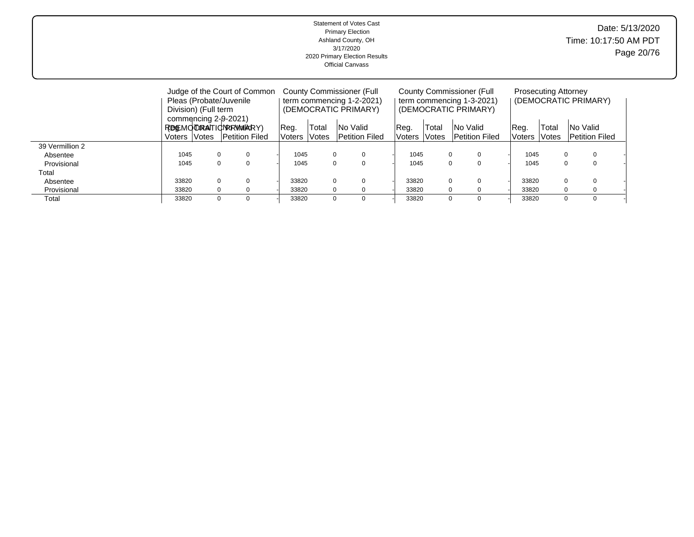|                 |                                  |                            | Judge of the Court of Common |                     |                       | County Commissioner (Full |               | County Commissioner (Full |                           | <b>Prosecuting Attorney</b> |                       |                      |  |
|-----------------|----------------------------------|----------------------------|------------------------------|---------------------|-----------------------|---------------------------|---------------|---------------------------|---------------------------|-----------------------------|-----------------------|----------------------|--|
|                 |                                  |                            | Pleas (Probate/Juvenile      |                     |                       | term commencing 1-2-2021) |               |                           | term commencing 1-3-2021) |                             |                       | (DEMOCRATIC PRIMARY) |  |
|                 |                                  | Division) (Full term       |                              |                     |                       | (DEMOCRATIC PRIMARY)      |               |                           | (DEMOCRATIC PRIMARY)      |                             |                       |                      |  |
|                 |                                  |                            | commencing 2-9-2021)         |                     |                       |                           |               |                           |                           |                             |                       |                      |  |
|                 |                                  | REMOTRATIONRRWARY)<br>Req. |                              |                     | Total                 | INo Valid                 | Total<br>Reg. |                           | <b>No Valid</b>           | Reg.                        | Total                 | <b>No Valid</b>      |  |
|                 | Petition Filed<br>Voters   Votes |                            | <b>Voters</b>                | <i><b>Notes</b></i> | <b>Petition Filed</b> | Voters                    | <b>Notes</b>  | <b>Petition Filed</b>     | Voters                    | <b>Notes</b>                | <b>Petition Filed</b> |                      |  |
| 39 Vermillion 2 |                                  |                            |                              |                     |                       |                           |               |                           |                           |                             |                       |                      |  |
| Absentee        | 1045                             |                            |                              | 1045                |                       | 0                         | 1045          | $\Omega$                  | 0                         | 1045                        |                       | 0<br>$\Omega$        |  |
| Provisional     | 1045                             |                            |                              | 1045                |                       | 0                         | 1045          | $\Omega$                  | 0                         | 1045                        |                       |                      |  |
| Total           |                                  |                            |                              |                     |                       |                           |               |                           |                           |                             |                       |                      |  |
| Absentee        | 33820                            |                            |                              | 33820               |                       | 0                         | 33820         |                           | $\Omega$<br>$\Omega$      | 33820                       |                       | $\Omega$             |  |
| Provisional     | 33820                            |                            |                              | 33820               |                       | 0                         | 33820         | $\Omega$                  | 0                         | 33820                       |                       | $\Omega$             |  |
| Total           | 33820                            |                            |                              | 33820               |                       | 0                         | 33820         | $\Omega$                  | $\Omega$                  | 33820                       |                       | 0<br>$\Omega$        |  |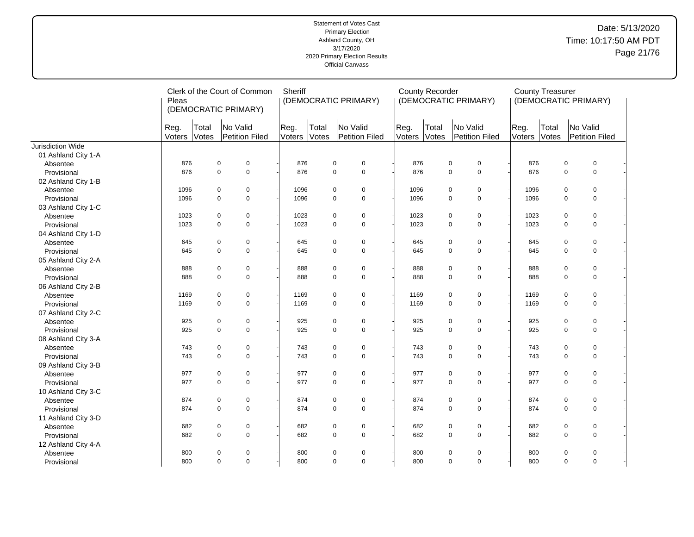|                          | Pleas          |                | Clerk of the Court of Common<br>(DEMOCRATIC PRIMARY) | Sheriff        |                | (DEMOCRATIC PRIMARY)              |                | <b>County Recorder</b> | (DEMOCRATIC PRIMARY)              |                | <b>County Treasurer</b> |             | (DEMOCRATIC PRIMARY)              |  |
|--------------------------|----------------|----------------|------------------------------------------------------|----------------|----------------|-----------------------------------|----------------|------------------------|-----------------------------------|----------------|-------------------------|-------------|-----------------------------------|--|
|                          | Reg.<br>Voters | Total<br>Votes | No Valid<br>Petition Filed                           | Reg.<br>Voters | Total<br>Votes | No Valid<br><b>Petition Filed</b> | Reg.<br>Voters | Total<br>Votes         | No Valid<br><b>Petition Filed</b> | Reg.<br>Voters | Total<br>Votes          |             | No Valid<br><b>Petition Filed</b> |  |
| <b>Jurisdiction Wide</b> |                |                |                                                      |                |                |                                   |                |                        |                                   |                |                         |             |                                   |  |
| 01 Ashland City 1-A      |                |                |                                                      |                |                |                                   |                |                        |                                   |                |                         |             |                                   |  |
| Absentee                 | 876            |                | $\mathbf 0$<br>$\pmb{0}$                             | 876            |                | 0<br>$\mathbf 0$                  |                | 876                    | $\pmb{0}$<br>$\pmb{0}$            | 876            |                         | $\pmb{0}$   | $\mathbf 0$                       |  |
| Provisional              | 876            |                | $\mathbf 0$<br>$\mathbf 0$                           | 876            |                | $\mathbf 0$<br>$\mathbf 0$        |                | 876                    | $\mathbf 0$<br>$\mathbf 0$        | 876            |                         | $\mathbf 0$ | $\mathbf 0$                       |  |
| 02 Ashland City 1-B      |                |                |                                                      |                |                |                                   |                |                        |                                   |                |                         |             |                                   |  |
| Absentee                 | 1096           |                | 0<br>0                                               | 1096           |                | 0<br>0                            |                | 1096                   | $\pmb{0}$<br>$\pmb{0}$            | 1096           |                         | $\pmb{0}$   | $\mathbf 0$                       |  |
| Provisional              | 1096           |                | $\mathbf 0$<br>$\mathbf 0$                           | 1096           |                | 0<br>$\mathbf 0$                  |                | 1096                   | $\pmb{0}$<br>0                    | 1096           |                         | $\mathbf 0$ | $\mathbf 0$                       |  |
| 03 Ashland City 1-C      |                |                |                                                      |                |                |                                   |                |                        |                                   |                |                         |             |                                   |  |
| Absentee                 | 1023           |                | 0<br>0                                               | 1023           |                | 0<br>$\mathbf 0$                  |                | 1023                   | 0<br>$\pmb{0}$                    | 1023           |                         | $\mathbf 0$ | $\mathbf 0$                       |  |
| Provisional              | 1023           |                | $\mathbf 0$<br>$\mathbf 0$                           | 1023           |                | $\mathbf 0$<br>$\mathbf 0$        |                | 1023                   | $\pmb{0}$<br>0                    | 1023           |                         | $\Omega$    | $\mathbf 0$                       |  |
| 04 Ashland City 1-D      |                |                |                                                      |                |                |                                   |                |                        |                                   |                |                         |             |                                   |  |
| Absentee                 | 645            |                | 0<br>0                                               | 645            |                | 0<br>$\pmb{0}$                    |                | 645                    | 0<br>$\pmb{0}$                    | 645            |                         | 0           | $\pmb{0}$                         |  |
| Provisional              | 645            |                | $\mathbf 0$<br>$\mathbf 0$                           | 645            |                | $\mathbf 0$<br>$\mathbf 0$        |                | 645                    | $\pmb{0}$<br>$\pmb{0}$            | 645            |                         | $\mathbf 0$ | $\mathbf 0$                       |  |
| 05 Ashland City 2-A      |                |                |                                                      |                |                |                                   |                |                        |                                   |                |                         |             |                                   |  |
| Absentee                 | 888            |                | 0<br>0                                               | 888            |                | 0<br>0                            |                | 888                    | $\pmb{0}$<br>0                    | 888            |                         | $\pmb{0}$   | $\mathbf 0$                       |  |
| Provisional              | 888            |                | $\pmb{0}$<br>$\mathbf 0$                             | 888            |                | 0<br>$\mathbf 0$                  |                | 888                    | $\pmb{0}$<br>$\pmb{0}$            | 888            |                         | $\mathbf 0$ | $\pmb{0}$                         |  |
| 06 Ashland City 2-B      |                |                |                                                      |                |                |                                   |                |                        |                                   |                |                         |             |                                   |  |
| Absentee                 | 1169           |                | 0<br>0                                               | 1169           |                | 0<br>$\mathbf 0$                  |                | 1169                   | 0<br>$\pmb{0}$                    | 1169           |                         | $\mathbf 0$ | $\mathbf 0$                       |  |
| Provisional              | 1169           |                | $\mathbf 0$<br>$\mathbf 0$                           | 1169           |                | 0<br>$\mathbf 0$                  |                | 1169                   | $\mathbf 0$<br>$\mathbf 0$        | 1169           |                         | $\Omega$    | $\mathbf 0$                       |  |
| 07 Ashland City 2-C      |                |                |                                                      |                |                |                                   |                |                        |                                   |                |                         |             |                                   |  |
| Absentee                 | 925            |                | 0<br>0                                               | 925            |                | 0<br>$\mathbf 0$                  |                | 925                    | $\pmb{0}$<br>0                    | 925            |                         | $\pmb{0}$   | $\mathbf 0$                       |  |
| Provisional              | 925            |                | $\pmb{0}$<br>$\mathbf 0$                             | 925            |                | 0<br>$\mathbf 0$                  |                | 925                    | $\pmb{0}$<br>0                    | 925            |                         | $\mathbf 0$ | $\mathbf 0$                       |  |
| 08 Ashland City 3-A      |                |                |                                                      |                |                |                                   |                |                        |                                   |                |                         |             |                                   |  |
| Absentee                 | 743            |                | 0<br>0                                               | 743            |                | 0<br>0                            |                | 743                    | 0<br>$\pmb{0}$                    | 743            |                         | 0           | $\mathbf 0$                       |  |
| Provisional              | 743            |                | $\Omega$<br>$\mathbf 0$                              | 743            |                | $\mathbf 0$<br>$\Omega$           |                | 743                    | $\mathbf 0$<br>$\mathbf 0$        | 743            |                         | $\Omega$    | $\mathbf 0$                       |  |
| 09 Ashland City 3-B      |                |                |                                                      |                |                |                                   |                |                        |                                   |                |                         |             |                                   |  |
| Absentee                 | 977            |                | 0<br>0                                               | 977            |                | 0<br>$\mathbf 0$                  |                | 977                    | $\pmb{0}$<br>$\pmb{0}$            | 977            |                         | 0           | $\pmb{0}$                         |  |
| Provisional              | 977            |                | $\mathbf 0$<br>$\mathbf 0$                           | 977            |                | 0<br>$\mathbf 0$                  |                | 977                    | 0<br>$\pmb{0}$                    | 977            |                         | $\mathbf 0$ | $\mathbf 0$                       |  |
| 10 Ashland City 3-C      |                |                |                                                      |                |                |                                   |                |                        |                                   |                |                         |             |                                   |  |
| Absentee                 | 874            |                | 0<br>0                                               | 874            |                | 0<br>$\mathbf 0$                  |                | 874                    | 0<br>$\pmb{0}$                    | 874            |                         | $\pmb{0}$   | $\mathbf 0$                       |  |
| Provisional              | 874            |                | $\mathbf 0$<br>$\pmb{0}$                             | 874            |                | 0<br>$\mathbf 0$                  |                | 874                    | $\pmb{0}$<br>$\pmb{0}$            | 874            |                         | $\mathbf 0$ | $\mathbf 0$                       |  |
| 11 Ashland City 3-D      |                |                |                                                      |                |                |                                   |                |                        |                                   |                |                         |             |                                   |  |
| Absentee                 | 682            |                | 0<br>0                                               | 682            |                | 0<br>$\pmb{0}$                    |                | 682                    | 0<br>$\pmb{0}$                    | 682            |                         | 0           | $\pmb{0}$                         |  |
| Provisional              | 682            |                | $\mathbf 0$<br>$\Omega$                              | 682            |                | $\mathbf 0$<br>$\mathbf 0$        |                | 682                    | $\mathbf 0$<br>$\mathbf 0$        | 682            |                         | $\Omega$    | $\mathbf 0$                       |  |
| 12 Ashland City 4-A      |                |                |                                                      |                |                |                                   |                |                        |                                   |                |                         |             |                                   |  |
| Absentee                 | 800            |                | 0<br>0                                               | 800            |                | 0<br>0                            |                | 800                    | 0<br>0                            | 800            |                         | 0           | 0                                 |  |
| Provisional              | 800            |                | $\mathbf 0$<br>$\mathbf 0$                           | 800            |                | 0<br>$\mathbf 0$                  |                | 800                    | $\pmb{0}$<br>$\pmb{0}$            | 800            |                         | $\mathbf 0$ | $\mathbf 0$                       |  |
|                          |                |                |                                                      |                |                |                                   |                |                        |                                   |                |                         |             |                                   |  |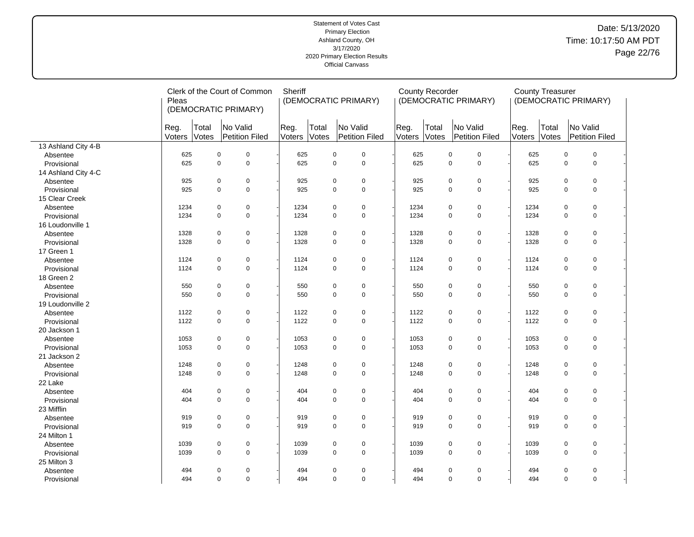# Date: 5/13/2020 Time: 10:17:50 AM PDT Page 22/76

|                     | Pleas          |                | Clerk of the Court of Common<br>(DEMOCRATIC PRIMARY) | Sheriff        |                | (DEMOCRATIC PRIMARY)       |                | <b>County Recorder</b> | (DEMOCRATIC PRIMARY)       |                | <b>County Treasurer</b> | (DEMOCRATIC PRIMARY)       |
|---------------------|----------------|----------------|------------------------------------------------------|----------------|----------------|----------------------------|----------------|------------------------|----------------------------|----------------|-------------------------|----------------------------|
|                     | Reg.<br>Voters | Total<br>Votes | No Valid<br>Petition Filed                           | Reg.<br>Voters | Total<br>Votes | No Valid<br>Petition Filed | Reg.<br>Voters | Total<br>Votes         | No Valid<br>Petition Filed | Reg.<br>Voters | Total<br>Votes          | No Valid<br>Petition Filed |
| 13 Ashland City 4-B |                |                |                                                      |                |                |                            |                |                        |                            |                |                         |                            |
| Absentee            | 625            | $\pmb{0}$      | $\pmb{0}$                                            | 625            |                | $\pmb{0}$<br>0             | 625            |                        | $\mathsf 0$<br>0           | 625            |                         | $\mathbf 0$<br>$\pmb{0}$   |
| Provisional         | 625            | $\mathbf 0$    | $\mathsf 0$                                          | 625            |                | $\mathbf 0$<br>$\mathbf 0$ | 625            |                        | $\mathsf 0$<br>$\mathbf 0$ | 625            |                         | $\mathbf 0$<br>$\pmb{0}$   |
| 14 Ashland City 4-C |                |                |                                                      |                |                |                            |                |                        |                            |                |                         |                            |
| Absentee            | 925            | $\pmb{0}$      | $\mathbf 0$                                          | 925            |                | $\pmb{0}$<br>$\mathbf 0$   | 925            |                        | $\mathbf 0$<br>0           | 925            |                         | $\mathbf 0$<br>0           |
| Provisional         | 925            | $\mathbf 0$    | $\mathbf 0$                                          | 925            |                | $\mathbf 0$<br>$\mathbf 0$ | 925            |                        | $\mathbf 0$<br>$\pmb{0}$   | 925            |                         | 0<br>$\mathbf 0$           |
| 15 Clear Creek      |                |                |                                                      |                |                |                            |                |                        |                            |                |                         |                            |
| Absentee            | 1234           | $\pmb{0}$      | $\mathbf 0$                                          | 1234           |                | 0<br>$\pmb{0}$             | 1234           |                        | $\mathbf 0$<br>$\pmb{0}$   | 1234           |                         | $\mathbf 0$<br>0           |
| Provisional         | 1234           | $\mathbf 0$    | $\mathsf 0$                                          | 1234           |                | $\mathbf 0$<br>0           | 1234           |                        | $\pmb{0}$<br>$\mathbf 0$   | 1234           |                         | $\pmb{0}$<br>$\mathbf 0$   |
| 16 Loudonville 1    |                |                |                                                      |                |                |                            |                |                        |                            |                |                         |                            |
| Absentee            | 1328           | $\pmb{0}$      | $\mathbf 0$                                          | 1328           |                | $\pmb{0}$<br>0             | 1328           |                        | $\mathbf 0$<br>$\pmb{0}$   | 1328           |                         | $\mathbf 0$<br>0           |
| Provisional         | 1328           | $\mathbf 0$    | $\mathbf 0$                                          | 1328           |                | $\mathbf 0$<br>$\mathbf 0$ | 1328           |                        | $\mathbf 0$<br>$\mathbf 0$ | 1328           |                         | $\Omega$<br>$\mathbf 0$    |
| 17 Green 1          |                |                |                                                      |                |                |                            |                |                        |                            |                |                         |                            |
| Absentee            | 1124           | $\pmb{0}$      | $\mathbf 0$                                          | 1124           |                | 0<br>$\pmb{0}$             | 1124           |                        | $\mathsf 0$<br>$\pmb{0}$   | 1124           |                         | 0<br>$\mathbf 0$           |
| Provisional         | 1124           | $\mathbf 0$    | $\mathbf 0$                                          | 1124           |                | 0<br>$\mathbf 0$           | 1124           |                        | $\pmb{0}$<br>$\mathbf 0$   | 1124           |                         | $\pmb{0}$<br>$\mathbf 0$   |
| 18 Green 2          |                |                |                                                      |                |                |                            |                |                        |                            |                |                         |                            |
| Absentee            | 550            | $\pmb{0}$      | $\mathbf 0$                                          | 550            |                | $\pmb{0}$<br>$\pmb{0}$     | 550            |                        | $\mathsf 0$<br>$\pmb{0}$   | 550            |                         | $\mathbf 0$<br>0           |
| Provisional         | 550            | $\mathbf 0$    | $\mathbf 0$                                          | 550            |                | $\mathbf 0$<br>$\mathbf 0$ | 550            |                        | $\pmb{0}$<br>$\mathbf 0$   | 550            |                         | $\pmb{0}$<br>$\Omega$      |
| 19 Loudonville 2    |                |                |                                                      |                |                |                            |                |                        |                            |                |                         |                            |
| Absentee            | 1122           | $\pmb{0}$      | $\mathbf 0$                                          | 1122           |                | 0<br>$\mathbf 0$           | 1122           |                        | $\mathbf 0$<br>$\mathbf 0$ | 1122           |                         | $\mathbf 0$<br>0           |
| Provisional         | 1122           | $\mathbf 0$    | $\mathbf 0$                                          | 1122           |                | 0<br>$\mathbf 0$           | 1122           |                        | $\mathbf 0$<br>$\pmb{0}$   | 1122           |                         | $\mathbf 0$<br>0           |
| 20 Jackson 1        |                |                |                                                      |                |                |                            |                |                        |                            |                |                         |                            |
| Absentee            | 1053           | $\mathbf 0$    | $\mathbf 0$                                          | 1053           |                | 0<br>$\pmb{0}$             | 1053           |                        | $\mathbf 0$<br>$\mathbf 0$ | 1053           |                         | $\mathbf 0$<br>0           |
| Provisional         | 1053           | $\mathbf 0$    | $\mathbf 0$                                          | 1053           |                | $\mathbf 0$<br>$\mathbf 0$ | 1053           |                        | $\mathbf 0$<br>$\mathbf 0$ | 1053           |                         | $\Omega$<br>$\mathbf 0$    |
| 21 Jackson 2        |                |                |                                                      |                |                |                            |                |                        |                            |                |                         |                            |
| Absentee            | 1248           | $\mathbf 0$    | $\mathbf 0$                                          | 1248           |                | 0<br>$\mathbf 0$           | 1248           |                        | $\mathbf 0$<br>0           | 1248           |                         | $\mathbf 0$<br>0           |
| Provisional         | 1248           | $\mathbf 0$    | $\mathbf 0$                                          | 1248           |                | $\mathbf 0$<br>$\mathbf 0$ | 1248           |                        | $\mathsf 0$<br>$\pmb{0}$   | 1248           |                         | $\pmb{0}$<br>$\mathbf 0$   |
| 22 Lake             |                |                |                                                      |                |                |                            |                |                        |                            |                |                         |                            |
| Absentee            | 404            | $\pmb{0}$      | $\mathbf 0$                                          | 404            |                | 0<br>$\pmb{0}$             | 404            |                        | $\mathbf 0$<br>0           | 404            |                         | $\mathbf 0$<br>0           |
| Provisional         | 404            | $\Omega$       | $\mathsf 0$                                          | 404            |                | $\mathbf 0$<br>$\Omega$    | 404            |                        | $\mathbf 0$<br>$\pmb{0}$   | 404            |                         | 0<br>$\Omega$              |
| 23 Mifflin          |                |                |                                                      |                |                |                            |                |                        |                            |                |                         |                            |
| Absentee            | 919            | $\mathbf 0$    | $\pmb{0}$                                            | 919            |                | 0<br>$\pmb{0}$             | 919            |                        | $\mathsf 0$<br>$\pmb{0}$   | 919            |                         | $\mathbf 0$<br>0           |
| Provisional         | 919            | $\mathbf 0$    | $\mathsf 0$                                          | 919            |                | 0<br>$\mathbf 0$           | 919            |                        | $\pmb{0}$<br>$\mathbf 0$   | 919            |                         | $\mathbf 0$<br>$\pmb{0}$   |
| 24 Milton 1         |                |                |                                                      |                |                |                            |                |                        |                            |                |                         |                            |
| Absentee            | 1039           | $\pmb{0}$      | $\mathbf 0$                                          | 1039           |                | 0<br>$\pmb{0}$             | 1039           |                        | $\mathbf 0$<br>0           | 1039           |                         | $\mathbf 0$<br>0           |
| Provisional         | 1039           | $\mathbf 0$    | $\mathsf 0$                                          | 1039           |                | 0<br>$\mathbf 0$           | 1039           |                        | $\mathbf 0$<br>$\pmb{0}$   | 1039           |                         | 0<br>$\mathbf 0$           |
| 25 Milton 3         |                |                |                                                      |                |                |                            |                |                        |                            |                |                         |                            |
| Absentee            | 494            | $\mathbf 0$    | $\pmb{0}$                                            | 494            |                | $\pmb{0}$<br>$\pmb{0}$     | 494            |                        | $\mathbf 0$<br>$\pmb{0}$   | 494            |                         | $\pmb{0}$<br>$\pmb{0}$     |
| Provisional         | 494            | $\mathbf 0$    | $\mathsf 0$                                          | 494            |                | $\mathbf 0$<br>$\mathbf 0$ | 494            |                        | 0<br>$\mathbf 0$           | 494            |                         | $\pmb{0}$<br>$\mathbf 0$   |
|                     |                |                |                                                      |                |                |                            |                |                        |                            |                |                         |                            |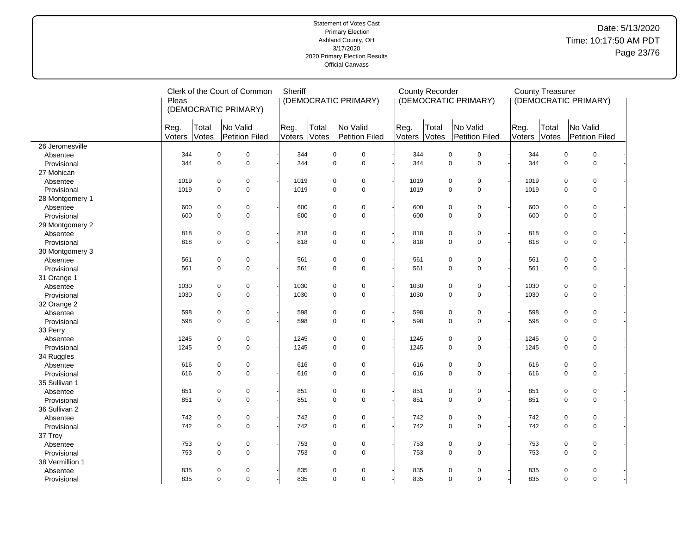# Date: 5/13/2020 Time: 10:17:50 AM PDT Page 23/76

|                 | Pleas          |                | Clerk of the Court of Common<br>(DEMOCRATIC PRIMARY) | Sheriff        |                | (DEMOCRATIC PRIMARY)          |                | <b>County Recorder</b> | (DEMOCRATIC PRIMARY)             |                | <b>County Treasurer</b> | (DEMOCRATIC PRIMARY)       |
|-----------------|----------------|----------------|------------------------------------------------------|----------------|----------------|-------------------------------|----------------|------------------------|----------------------------------|----------------|-------------------------|----------------------------|
|                 | Reg.<br>Voters | Total<br>Votes | No Valid<br>Petition Filed                           | Reg.<br>Voters | Total<br>Votes | No Valid<br>Petition Filed    | Reg.<br>Voters | Total<br>Votes         | No Valid<br>Petition Filed       | Reg.<br>Voters | Total<br>Votes          | No Valid<br>Petition Filed |
| 26 Jeromesville |                |                |                                                      |                |                |                               |                |                        |                                  |                |                         |                            |
| Absentee        | 344            | $\mathbf 0$    | $\mathbf 0$                                          | 344            | 0              | $\mathbf 0$                   | 344            |                        | $\mathsf 0$<br>$\pmb{0}$         | 344            |                         | $\pmb{0}$<br>$\pmb{0}$     |
| Provisional     | 344            | $\pmb{0}$      | $\mathbf 0$                                          | 344            | 0              | $\mathbf 0$                   | 344            |                        | $\mathsf 0$<br>$\pmb{0}$         | 344            |                         | $\pmb{0}$<br>0             |
| 27 Mohican      |                |                |                                                      |                |                |                               |                |                        |                                  |                |                         |                            |
| Absentee        | 1019           | 0              | $\mathbf 0$                                          | 1019           | 0              | $\pmb{0}$                     | 1019           |                        | $\mathbf 0$<br>0                 | 1019           |                         | $\mathbf 0$<br>0           |
| Provisional     | 1019           | $\Omega$       | $\mathbf 0$                                          | 1019           | 0              | $\mathbf 0$                   | 1019           |                        | $\mathbf 0$<br>$\mathbf 0$       | 1019           |                         | $\pmb{0}$<br>$\Omega$      |
| 28 Montgomery 1 |                |                |                                                      |                |                |                               |                |                        |                                  |                |                         |                            |
| Absentee        | 600            | $\mathsf 0$    | $\mathbf 0$                                          | 600            | 0              | $\pmb{0}$                     | 600            |                        | $\mathsf{O}\xspace$<br>$\pmb{0}$ | 600            |                         | $\mathbf 0$<br>0           |
| Provisional     | 600            | $\mathbf 0$    | $\mathsf 0$                                          | 600            |                | 0<br>$\mathbf 0$              | 600            |                        | $\mathbf 0$<br>$\mathbf 0$       | 600            |                         | 0<br>$\mathbf 0$           |
| 29 Montgomery 2 |                |                |                                                      |                |                |                               |                |                        |                                  |                |                         |                            |
| Absentee        | 818            | 0              | $\mathbf 0$                                          | 818            | 0              | $\mathbf 0$                   | 818            |                        | $\mathbf 0$<br>0                 | 818            |                         | $\mathbf 0$<br>0           |
| Provisional     | 818            | $\Omega$       | $\mathbf 0$                                          | 818            | 0              | $\mathbf 0$                   | 818            |                        | $\mathbf 0$<br>$\mathbf 0$       | 818            |                         | 0<br>$\Omega$              |
| 30 Montgomery 3 |                |                |                                                      |                |                |                               |                |                        |                                  |                |                         |                            |
| Absentee        | 561            | $\mathbf 0$    | $\mathbf 0$                                          | 561            | 0              | $\mathbf 0$                   | 561            |                        | $\mathsf 0$<br>$\pmb{0}$         | 561            |                         | $\pmb{0}$<br>$\mathbf 0$   |
| Provisional     | 561            | $\mathbf 0$    | $\mathsf 0$                                          | 561            | 0              | $\mathbf 0$                   | 561            |                        | $\mathsf 0$<br>$\mathbf 0$       | 561            |                         | 0<br>$\mathbf 0$           |
| 31 Orange 1     |                |                |                                                      |                |                |                               |                |                        |                                  |                |                         |                            |
| Absentee        | 1030           | $\mathbf 0$    | $\mathbf 0$                                          | 1030           | 0              | $\pmb{0}$                     | 1030           |                        | $\mathsf 0$<br>$\pmb{0}$         | 1030           |                         | $\pmb{0}$<br>$\mathbf 0$   |
| Provisional     | 1030           | $\Omega$       | $\mathbf 0$                                          | 1030           | 0              | $\mathbf 0$                   | 1030           |                        | $\mathsf 0$<br>$\mathbf 0$       | 1030           |                         | 0<br>$\Omega$              |
| 32 Orange 2     |                |                |                                                      |                |                |                               |                |                        |                                  |                |                         |                            |
| Absentee        | 598            | $\mathbf 0$    | $\pmb{0}$                                            | 598            | 0              | $\mathbf 0$                   | 598            |                        | $\mathbf 0$<br>$\mathbf 0$       | 598            |                         | $\pmb{0}$<br>$\mathbf 0$   |
| Provisional     | 598            | $\mathbf 0$    | $\mathbf 0$                                          | 598            | 0              | $\mathbf 0$                   | 598            |                        | $\mathbf 0$<br>$\mathbf 0$       | 598            |                         | $\mathbf 0$<br>0           |
| 33 Perry        |                |                |                                                      |                |                |                               |                |                        |                                  |                |                         |                            |
| Absentee        | 1245           | 0              | $\mathbf 0$                                          | 1245           | 0              | $\mathbf 0$                   | 1245           |                        | $\mathbf 0$<br>0                 | 1245           |                         | $\mathbf 0$<br>0           |
| Provisional     | 1245           | $\mathbf 0$    | $\mathsf 0$                                          | 1245           |                | $\mathbf 0$<br>$\overline{0}$ | 1245           |                        | $\pmb{0}$<br>$\mathsf 0$         | 1245           |                         | $\mathbf 0$<br>0           |
| 34 Ruggles      |                |                |                                                      |                |                |                               |                |                        |                                  |                |                         |                            |
| Absentee        | 616            | $\mathbf 0$    | $\pmb{0}$                                            | 616            | 0              | $\pmb{0}$                     | 616            |                        | $\mathbf 0$<br>$\mathsf 0$       | 616            |                         | $\mathbf 0$<br>0           |
| Provisional     | 616            | $\mathbf 0$    | $\mathbf 0$                                          | 616            | 0              | $\mathbf 0$                   | 616            |                        | $\mathsf 0$<br>$\mathbf 0$       | 616            |                         | 0<br>$\mathbf 0$           |
| 35 Sullivan 1   |                |                |                                                      |                |                |                               |                |                        |                                  |                |                         |                            |
| Absentee        | 851            | $\mathsf 0$    | $\pmb{0}$                                            | 851            | 0              | $\pmb{0}$                     | 851            |                        | $\mathsf 0$<br>$\pmb{0}$         | 851            |                         | $\mathbf 0$<br>0           |
| Provisional     | 851            | $\mathbf 0$    | $\mathsf 0$                                          | 851            |                | 0<br>$\mathbf 0$              | 851            |                        | $\mathsf 0$<br>$\mathbf 0$       | 851            |                         | 0<br>$\mathbf 0$           |
| 36 Sullivan 2   |                |                |                                                      |                |                |                               |                |                        |                                  |                |                         |                            |
| Absentee        | 742            | $\mathbf 0$    | $\mathbf 0$                                          | 742            | 0              | $\mathbf 0$                   | 742            |                        | $\mathsf 0$<br>0                 | 742            |                         | $\mathbf 0$<br>0           |
| Provisional     | 742            | $\mathbf 0$    | $\mathsf 0$                                          | 742            |                | 0<br>$\mathbf 0$              | 742            |                        | $\mathsf 0$<br>$\mathsf 0$       | 742            |                         | $\pmb{0}$<br>$\mathbf 0$   |
| 37 Troy         |                |                |                                                      |                |                |                               |                |                        |                                  |                |                         |                            |
| Absentee        | 753            | $\mathbf 0$    | $\mathbf 0$                                          | 753            | 0              | $\pmb{0}$                     | 753            |                        | $\mathsf 0$<br>0                 | 753            |                         | $\mathbf 0$<br>0           |
| Provisional     | 753            | $\mathbf 0$    | $\mathbf 0$                                          | 753            | 0              | $\mathbf 0$                   | 753            |                        | $\mathbf 0$<br>$\mathbf 0$       | 753            |                         | 0<br>$\Omega$              |
| 38 Vermillion 1 |                |                |                                                      |                |                |                               |                |                        |                                  |                |                         |                            |
| Absentee        | 835            | $\mathbf 0$    | $\pmb{0}$                                            | 835            | 0              | $\mathbf 0$                   | 835            |                        | $\mathbf 0$<br>$\mathsf 0$       | 835            |                         | 0<br>$\mathbf 0$           |
| Provisional     | 835            | $\mathbf 0$    | $\mathbf 0$                                          | 835            |                | $\mathbf 0$<br>0              | 835            |                        | $\mathbf 0$<br>$\mathbf 0$       | 835            |                         | 0<br>$\mathbf 0$           |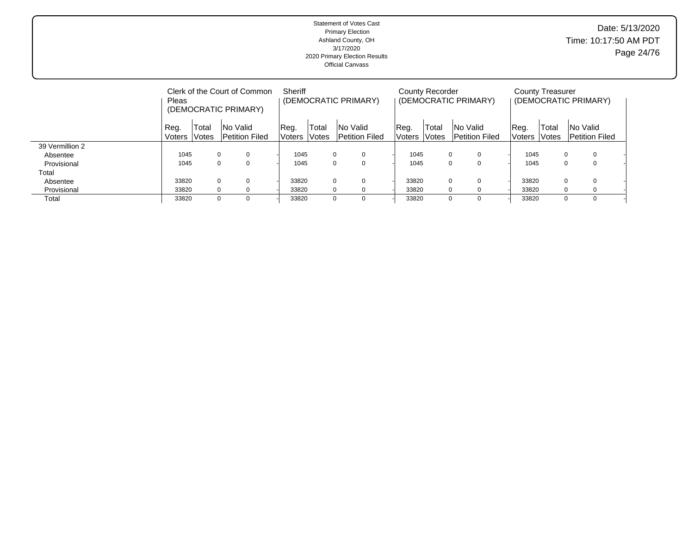|                 | Pleas          |                | Clerk of the Court of Common<br>(DEMOCRATIC PRIMARY) | Sheriff        |                              | (DEMOCRATIC PRIMARY)                     |                | County Recorder       | (DEMOCRATIC PRIMARY)                     |                | County Treasurer<br>(DEMOCRATIC PRIMARY) |                 |                |  |
|-----------------|----------------|----------------|------------------------------------------------------|----------------|------------------------------|------------------------------------------|----------------|-----------------------|------------------------------------------|----------------|------------------------------------------|-----------------|----------------|--|
|                 | Reg.<br>Voters | Total<br>Votes | <b>No Valid</b><br><b>Petition Filed</b>             | Reg.<br>Voters | Total<br><i><b>Notes</b></i> | <b>No Valid</b><br><b>Petition Filed</b> | Reg.<br>Voters | Total<br><b>Votes</b> | <b>No Valid</b><br><b>Petition Filed</b> | Reg.<br>Voters | Total<br><b>Votes</b>                    | <b>No Valid</b> | Petition Filed |  |
| 39 Vermillion 2 |                |                |                                                      |                |                              |                                          |                |                       |                                          |                |                                          |                 |                |  |
| Absentee        | 1045           | ∩              | $\Omega$                                             | 1045           |                              | $\Omega$<br>$\Omega$                     | 1045           | $\Omega$              | $\Omega$                                 | 1045           |                                          |                 | $\Omega$       |  |
| Provisional     | 1045           |                |                                                      | 1045           |                              | $\Omega$<br>$\Omega$                     | 1045           | 0                     | 0                                        | 1045           |                                          |                 | $\Omega$       |  |
| Total           |                |                |                                                      |                |                              |                                          |                |                       |                                          |                |                                          |                 |                |  |
| Absentee        | 33820          |                |                                                      | 33820          |                              | $\Omega$<br>$\Omega$                     | 33820          | $\Omega$              | $\Omega$                                 | 33820          |                                          |                 | $\Omega$       |  |
| Provisional     | 33820          |                | $\Omega$                                             | 33820          |                              | $\Omega$<br>$\Omega$                     | 33820          | $\mathbf 0$           | $\Omega$                                 | 33820          |                                          |                 | $\Omega$       |  |
| Total           | 33820          |                |                                                      | 33820          |                              | $\Omega$<br>$\Omega$                     | 33820          | $\Omega$              | $\Omega$                                 | 33820          |                                          |                 | 0              |  |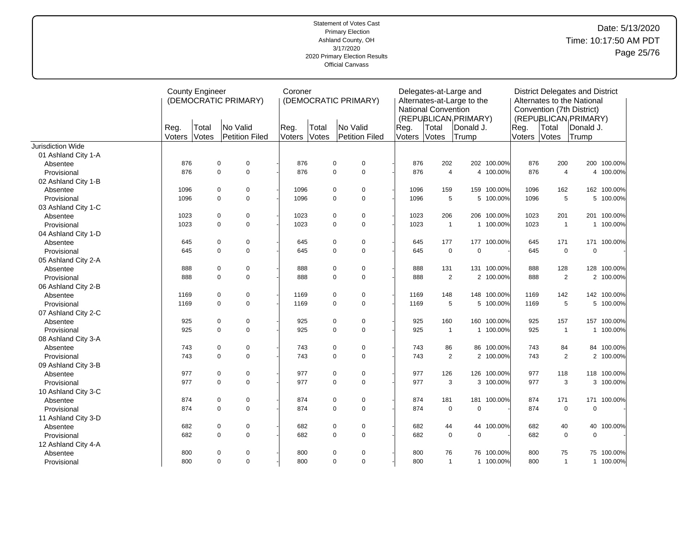|                     |                | <b>County Engineer</b> | (DEMOCRATIC PRIMARY)              | Coroner        |                | (DEMOCRATIC PRIMARY)       |                | <b>National Convention</b> | Delegates-at-Large and<br>Alternates-at-Large to the    |             |                |                | <b>District Delegates and District</b><br>Alternates to the National<br>Convention (7th District) |             |
|---------------------|----------------|------------------------|-----------------------------------|----------------|----------------|----------------------------|----------------|----------------------------|---------------------------------------------------------|-------------|----------------|----------------|---------------------------------------------------------------------------------------------------|-------------|
|                     | Reg.<br>Voters | Total<br>Votes         | No Valid<br><b>Petition Filed</b> | Reg.<br>Voters | Total<br>Votes | No Valid<br>Petition Filed | Reg.<br>Voters | Total<br>Votes             | (REPUBLICAN <sub>I</sub> PRIMARY)<br>Donald J.<br>Trump |             | Reg.<br>Voters | Total<br>Votes | (REPUBLICAN <sub>I</sub> PRIMARY)<br>Donald J.<br>Trump                                           |             |
| Jurisdiction Wide   |                |                        |                                   |                |                |                            |                |                            |                                                         |             |                |                |                                                                                                   |             |
| 01 Ashland City 1-A |                |                        |                                   |                |                |                            |                |                            |                                                         |             |                |                |                                                                                                   |             |
| Absentee            | 876            |                        | 0<br>$\mathbf 0$                  | 876            | 0              | 0                          | 876            | 202                        |                                                         | 202 100.00% | 876            | 200            |                                                                                                   | 200 100.00% |
| Provisional         | 876            |                        | $\mathbf 0$<br>$\pmb{0}$          | 876            | 0              | $\mathbf 0$                | 876            | 4                          |                                                         | 4 100.00%   | 876            | $\overline{4}$ |                                                                                                   | 4 100.00%   |
| 02 Ashland City 1-B |                |                        |                                   |                |                |                            |                |                            |                                                         |             |                |                |                                                                                                   |             |
| Absentee            | 1096           |                        | $\mathbf 0$<br>$\mathbf 0$        | 1096           | 0              | $\mathbf 0$                | 1096           | 159                        |                                                         | 159 100.00% | 1096           | 162            |                                                                                                   | 162 100.00% |
| Provisional         | 1096           |                        | $\mathbf 0$<br>$\mathbf 0$        | 1096           | 0              | $\mathbf 0$                | 1096           | 5                          |                                                         | 5 100.00%   | 1096           | 5              |                                                                                                   | 5 100.00%   |
| 03 Ashland City 1-C |                |                        |                                   |                |                |                            |                |                            |                                                         |             |                |                |                                                                                                   |             |
| Absentee            | 1023           |                        | 0<br>$\mathbf 0$                  | 1023           | 0              | $\mathbf 0$                | 1023           | 206                        | 206                                                     | 100.00%     | 1023           | 201            |                                                                                                   | 201 100.00% |
| Provisional         | 1023           |                        | $\mathbf 0$<br>$\mathbf 0$        | 1023           | 0              | $\mathbf 0$                | 1023           | $\mathbf{1}$               |                                                         | 1 100.00%   | 1023           | $\overline{1}$ |                                                                                                   | 1 100.00%   |
| 04 Ashland City 1-D |                |                        |                                   |                |                |                            |                |                            |                                                         |             |                |                |                                                                                                   |             |
| Absentee            | 645            |                        | $\mathbf 0$<br>$\mathbf 0$        | 645            | 0              | $\mathbf 0$                | 645            | 177                        |                                                         | 177 100.00% | 645            | 171            |                                                                                                   | 171 100.00% |
| Provisional         | 645            |                        | $\mathbf 0$<br>$\mathbf 0$        | 645            | 0              | $\mathbf 0$                | 645            | $\mathbf 0$                | $\Omega$                                                |             | 645            | $\mathbf 0$    | $\mathbf 0$                                                                                       |             |
| 05 Ashland City 2-A |                |                        |                                   |                |                |                            |                |                            |                                                         |             |                |                |                                                                                                   |             |
| Absentee            | 888            |                        | 0<br>0                            | 888            | 0              | 0                          | 888            | 131                        |                                                         | 131 100.00% | 888            | 128            |                                                                                                   | 128 100.00% |
| Provisional         | 888            |                        | $\mathbf 0$<br>$\pmb{0}$          | 888            | 0              | $\mathbf 0$                | 888            | $\overline{2}$             |                                                         | 2 100.00%   | 888            | $\overline{2}$ |                                                                                                   | 2 100.00%   |
| 06 Ashland City 2-B |                |                        |                                   |                |                |                            |                |                            |                                                         |             |                |                |                                                                                                   |             |
| Absentee            | 1169           |                        | $\mathbf 0$<br>$\mathbf 0$        | 1169           | 0              | $\mathbf 0$                | 1169           | 148                        |                                                         | 148 100.00% | 1169           | 142            |                                                                                                   | 142 100.00% |
| Provisional         | 1169           |                        | $\mathbf 0$<br>$\mathbf 0$        | 1169           | 0              | $\mathbf 0$                | 1169           | 5                          |                                                         | 5 100.00%   | 1169           | 5              |                                                                                                   | 5 100.00%   |
| 07 Ashland City 2-C |                |                        |                                   |                |                |                            |                |                            |                                                         |             |                |                |                                                                                                   |             |
| Absentee            | 925            |                        | $\mathbf 0$<br>$\mathbf 0$        | 925            | 0              | $\mathbf 0$                | 925            | 160                        |                                                         | 160 100.00% | 925            | 157            |                                                                                                   | 157 100.00% |
| Provisional         | 925            |                        | $\mathbf 0$<br>$\pmb{0}$          | 925            | 0              | $\mathbf 0$                | 925            | $\mathbf{1}$               |                                                         | 1 100.00%   | 925            | $\mathbf{1}$   |                                                                                                   | 1 100.00%   |
| 08 Ashland City 3-A |                |                        |                                   |                |                |                            |                |                            |                                                         |             |                |                |                                                                                                   |             |
| Absentee            | 743            |                        | $\mathbf 0$<br>$\mathbf 0$        | 743            | 0              | $\mathbf 0$                | 743            | 86                         |                                                         | 86 100.00%  | 743            | 84             |                                                                                                   | 84 100.00%  |
| Provisional         | 743            |                        | $\mathbf 0$<br>$\mathbf 0$        | 743            | 0              | $\mathbf 0$                | 743            | $\overline{2}$             |                                                         | 2 100.00%   | 743            | 2              |                                                                                                   | 2 100.00%   |
| 09 Ashland City 3-B |                |                        |                                   |                |                |                            |                |                            |                                                         |             |                |                |                                                                                                   |             |
| Absentee            | 977            |                        | $\mathbf 0$<br>$\mathbf 0$        | 977            | 0              | $\mathbf 0$                | 977            | 126                        | 126                                                     | 100.00%     | 977            | 118            |                                                                                                   | 118 100.00% |
| Provisional         | 977            |                        | $\mathbf 0$<br>$\mathbf 0$        | 977            | 0              | $\mathbf 0$                | 977            | 3                          |                                                         | 3 100.00%   | 977            | 3              |                                                                                                   | 3 100.00%   |
| 10 Ashland City 3-C |                |                        |                                   |                |                |                            |                |                            |                                                         |             |                |                |                                                                                                   |             |
| Absentee            | 874            |                        | $\mathbf 0$<br>$\mathbf 0$        | 874            | 0              | $\mathbf 0$                | 874            | 181                        | 181                                                     | 100.00%     | 874            | 171            | 171                                                                                               | 100.00%     |
| Provisional         | 874            |                        | $\mathbf 0$<br>$\mathbf 0$        | 874            | 0              | $\mathbf 0$                | 874            | $\mathsf 0$                | $\overline{0}$                                          |             | 874            | $\mathbf 0$    | $\pmb{0}$                                                                                         |             |
| 11 Ashland City 3-D |                |                        |                                   |                |                |                            |                |                            |                                                         |             |                |                |                                                                                                   |             |
| Absentee            | 682            |                        | $\mathbf 0$<br>$\mathbf 0$        | 682            | 0              | $\mathbf 0$                | 682            | 44                         |                                                         | 44 100.00%  | 682            | 40             | 40                                                                                                | 100.00%     |
| Provisional         | 682            |                        | $\mathbf 0$<br>$\mathbf 0$        | 682            | 0              | $\mathbf 0$                | 682            | $\mathbf 0$                | $\Omega$                                                |             | 682            | $\mathbf 0$    | $\mathbf 0$                                                                                       |             |
| 12 Ashland City 4-A |                |                        |                                   |                |                |                            |                |                            |                                                         |             |                |                |                                                                                                   |             |
| Absentee            | 800            |                        | $\mathbf 0$<br>$\mathbf 0$        | 800            | 0              | $\mathbf 0$                | 800            | 76                         |                                                         | 76 100.00%  | 800            | 75             |                                                                                                   | 75 100.00%  |
| Provisional         | 800            |                        | $\mathbf 0$<br>$\mathbf 0$        | 800            | 0              | $\mathbf 0$                | 800            | $\mathbf{1}$               |                                                         | 1 100.00%   | 800            | $\mathbf{1}$   |                                                                                                   | 1 100.00%   |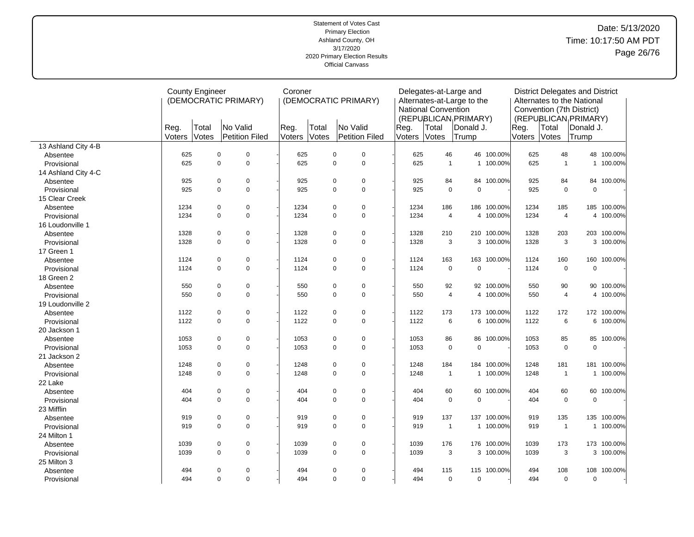# Date: 5/13/2020 Time: 10:17:50 AM PDT Page 26/76

|                     |                | <b>County Engineer</b> | (DEMOCRATIC PRIMARY)       | Coroner        |                |             | (DEMOCRATIC PRIMARY) |                | <b>National Convention</b> | Delegates-at-Large and<br>Alternates-at-Large to the           |             |                |                | <b>District Delegates and District</b><br>Alternates to the National<br>Convention (7th District) |             |
|---------------------|----------------|------------------------|----------------------------|----------------|----------------|-------------|----------------------|----------------|----------------------------|----------------------------------------------------------------|-------------|----------------|----------------|---------------------------------------------------------------------------------------------------|-------------|
|                     | Reg.<br>Voters | Total<br>Votes         | No Valid<br>Petition Filed | Reg.<br>Voters | Total<br>Votes | No Valid    | Petition Filed       | Reg.<br>Voters | Total<br>Votes             | (REPUBLICAN <sub>I</sub> PRIMARY)<br><b>Donald J.</b><br>Trump |             | Reg.<br>Voters | Total<br>Votes | (REPUBLICAN PRIMARY)<br>lDonald J.<br>Trump                                                       |             |
| 13 Ashland City 4-B |                |                        |                            |                |                |             |                      |                |                            |                                                                |             |                |                |                                                                                                   |             |
| Absentee            | 625            |                        | $\mathbf 0$<br>$\pmb{0}$   | 625            |                | $\pmb{0}$   | $\mathbf 0$          | 625            | 46                         |                                                                | 46 100.00%  | 625            | 48             |                                                                                                   | 48 100.00%  |
| Provisional         | 625            |                        | $\mathbf 0$<br>$\pmb{0}$   | 625            |                | $\mathbf 0$ | $\mathbf 0$          | 625            | $\mathbf{1}$               |                                                                | 1 100.00%   | 625            | $\overline{1}$ |                                                                                                   | 1 100.00%   |
| 14 Ashland City 4-C |                |                        |                            |                |                |             |                      |                |                            |                                                                |             |                |                |                                                                                                   |             |
| Absentee            | 925            |                        | $\mathbf 0$<br>0           | 925            |                | $\pmb{0}$   | $\mathbf 0$          | 925            | 84                         | 84                                                             | 100.00%     | 925            | 84             |                                                                                                   | 84 100.00%  |
| Provisional         | 925            |                        | $\mathbf 0$<br>$\mathbf 0$ | 925            |                | $\mathbf 0$ | $\mathbf 0$          | 925            | $\mathsf 0$                | 0                                                              |             | 925            | $\mathbf 0$    | $\mathbf 0$                                                                                       |             |
| 15 Clear Creek      |                |                        |                            |                |                |             |                      |                |                            |                                                                |             |                |                |                                                                                                   |             |
| Absentee            | 1234           |                        | $\mathbf 0$<br>0           | 1234           |                | 0           | $\pmb{0}$            | 1234           | 186                        |                                                                | 186 100.00% | 1234           | 185            |                                                                                                   | 185 100.00% |
| Provisional         | 1234           |                        | $\mathbf 0$<br>$\mathbf 0$ | 1234           |                | 0           | $\mathbf 0$          | 1234           | $\overline{4}$             |                                                                | 4 100.00%   | 1234           | $\overline{4}$ |                                                                                                   | 4 100.00%   |
| 16 Loudonville 1    |                |                        |                            |                |                |             |                      |                |                            |                                                                |             |                |                |                                                                                                   |             |
| Absentee            | 1328           |                        | $\mathbf 0$<br>$\pmb{0}$   | 1328           |                | $\pmb{0}$   | $\mathbf 0$          | 1328           | 210                        | 210                                                            | 100.00%     | 1328           | 203            |                                                                                                   | 203 100.00% |
| Provisional         | 1328           |                        | $\mathbf 0$<br>$\Omega$    | 1328           |                | $\mathbf 0$ | $\mathbf 0$          | 1328           | 3                          |                                                                | 3 100.00%   | 1328           | 3              |                                                                                                   | 3 100.00%   |
| 17 Green 1          |                |                        |                            |                |                |             |                      |                |                            |                                                                |             |                |                |                                                                                                   |             |
| Absentee            | 1124           |                        | $\mathbf 0$<br>$\pmb{0}$   | 1124           |                | $\pmb{0}$   | $\pmb{0}$            | 1124           | 163                        |                                                                | 163 100.00% | 1124           | 160            | 160                                                                                               | 100.00%     |
| Provisional         | 1124           |                        | $\mathbf 0$<br>$\mathbf 0$ | 1124           |                | $\mathbf 0$ | $\mathbf 0$          | 1124           | $\mathsf 0$                | 0                                                              |             | 1124           | $\mathbf 0$    | $\pmb{0}$                                                                                         |             |
| 18 Green 2          |                |                        |                            |                |                |             |                      |                |                            |                                                                |             |                |                |                                                                                                   |             |
| Absentee            | 550            |                        | $\mathbf 0$<br>0           | 550            |                | $\pmb{0}$   | $\mathbf 0$          | 550            | 92                         |                                                                | 92 100.00%  | 550            | 90             | 90                                                                                                | 100.00%     |
| Provisional         | 550            |                        | $\mathbf 0$<br>$\mathbf 0$ | 550            |                | $\mathbf 0$ | $\mathbf 0$          | 550            | $\overline{4}$             |                                                                | 4 100.00%   | 550            | $\overline{4}$ |                                                                                                   | 4 100.00%   |
| 19 Loudonville 2    |                |                        |                            |                |                |             |                      |                |                            |                                                                |             |                |                |                                                                                                   |             |
| Absentee            | 1122           |                        | $\mathbf 0$<br>0           | 1122           |                | 0           | $\mathbf 0$          | 1122           | 173                        |                                                                | 173 100.00% | 1122           | 172            |                                                                                                   | 172 100.00% |
| Provisional         | 1122           |                        | $\mathbf 0$<br>0           | 1122           |                | 0           | $\mathbf 0$          | 1122           | $\,6\,$                    |                                                                | 6 100.00%   | 1122           | 6              |                                                                                                   | 6 100.00%   |
| 20 Jackson 1        |                |                        |                            |                |                |             |                      |                |                            |                                                                |             |                |                |                                                                                                   |             |
| Absentee            | 1053           |                        | $\mathbf 0$<br>0           | 1053           |                | $\pmb{0}$   | $\mathbf 0$          | 1053           | 86                         |                                                                | 86 100.00%  | 1053           | 85             |                                                                                                   | 85 100.00%  |
| Provisional         | 1053           |                        | $\Omega$<br>$\Omega$       | 1053           |                | $\Omega$    | $\Omega$             | 1053           | $\mathbf 0$                | $\mathbf 0$                                                    |             | 1053           | $\Omega$       | $\mathbf 0$                                                                                       |             |
| 21 Jackson 2        |                |                        |                            |                |                |             |                      |                |                            |                                                                |             |                |                |                                                                                                   |             |
| Absentee            | 1248           |                        | $\mathbf 0$<br>$\pmb{0}$   | 1248           |                | $\pmb{0}$   | $\pmb{0}$            | 1248           | 184                        |                                                                | 184 100.00% | 1248           | 181            |                                                                                                   | 181 100.00% |
| Provisional         | 1248           |                        | $\mathbf 0$<br>$\mathbf 0$ | 1248           |                | $\mathbf 0$ | $\mathbf 0$          | 1248           | $\mathbf{1}$               | $\mathbf{1}$                                                   | 100.00%     | 1248           | $\overline{1}$ | $\mathbf{1}$                                                                                      | 100.00%     |
| 22 Lake             |                |                        |                            |                |                |             |                      |                |                            |                                                                |             |                |                |                                                                                                   |             |
| Absentee            | 404            |                        | $\mathbf 0$<br>0           | 404            |                | 0           | $\mathbf 0$          | 404            | 60                         | 60                                                             | 100.00%     | 404            | 60             |                                                                                                   | 60 100.00%  |
| Provisional         | 404            |                        | $\mathbf 0$<br>$\mathbf 0$ | 404            |                | $\Omega$    | $\mathbf 0$          | 404            | $\mathsf 0$                | $\mathbf 0$                                                    |             | 404            | $\mathbf 0$    | $\mathbf 0$                                                                                       |             |
| 23 Mifflin          |                |                        |                            |                |                |             |                      |                |                            |                                                                |             |                |                |                                                                                                   |             |
| Absentee            | 919            |                        | $\mathbf 0$<br>0           | 919            |                | $\pmb{0}$   | $\mathbf 0$          | 919            | 137                        | 137                                                            | 100.00%     | 919            | 135            | 135                                                                                               | 100.00%     |
| Provisional         | 919            |                        | $\mathbf 0$<br>$\pmb{0}$   | 919            |                | $\mathbf 0$ | $\mathbf 0$          | 919            | $\mathbf{1}$               |                                                                | 1 100.00%   | 919            | $\overline{1}$ | 1                                                                                                 | 100.00%     |
| 24 Milton 1         |                |                        |                            |                |                |             |                      |                |                            |                                                                |             |                |                |                                                                                                   |             |
| Absentee            | 1039           |                        | $\pmb{0}$<br>0             | 1039           |                | $\pmb{0}$   | 0                    | 1039           | 176                        |                                                                | 176 100.00% | 1039           | 173            |                                                                                                   | 173 100.00% |
| Provisional         | 1039           |                        | $\Omega$<br>$\Omega$       | 1039           |                | $\mathbf 0$ | $\mathbf 0$          | 1039           | 3                          |                                                                | 3 100.00%   | 1039           | 3              |                                                                                                   | 3 100.00%   |
| 25 Milton 3         |                |                        |                            |                |                |             |                      |                |                            |                                                                |             |                |                |                                                                                                   |             |
| Absentee            | 494            |                        | $\mathbf 0$<br>0           | 494            |                | $\pmb{0}$   | $\mathbf 0$          | 494            | 115                        | 115                                                            | 100.00%     | 494            | 108            | 108                                                                                               | 100.00%     |
| Provisional         | 494            |                        | $\mathbf 0$<br>$\mathbf 0$ | 494            |                | $\mathbf 0$ | $\mathbf 0$          | 494            | $\mathbf 0$                | 0                                                              |             | 494            | $\mathbf 0$    | $\mathbf 0$                                                                                       |             |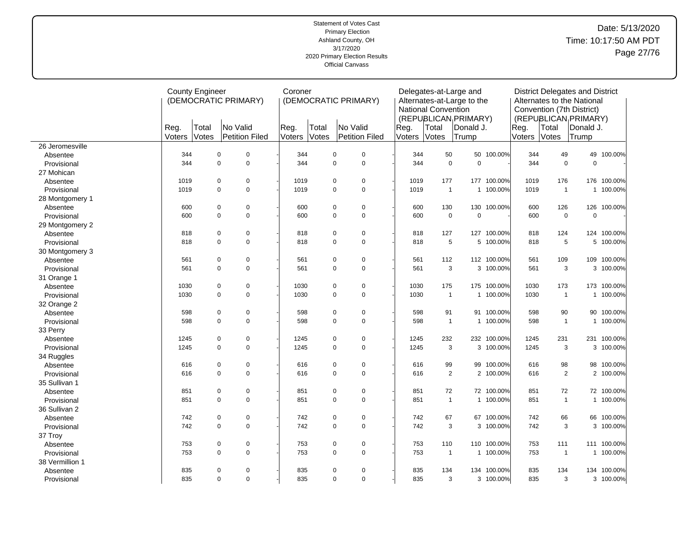# Date: 5/13/2020 Time: 10:17:50 AM PDT Page 27/76

|                 |                | <b>County Engineer</b><br>(DEMOCRATIC PRIMARY) |             | Coroner        |                |                | (DEMOCRATIC PRIMARY) |                            | <b>National Convention</b> | Delegates-at-Large and<br>Alternates-at-Large to the |                                            |             |                | <b>District Delegates and District</b><br>Alternates to the National<br>Convention (7th District) |                                                         |             |
|-----------------|----------------|------------------------------------------------|-------------|----------------|----------------|----------------|----------------------|----------------------------|----------------------------|------------------------------------------------------|--------------------------------------------|-------------|----------------|---------------------------------------------------------------------------------------------------|---------------------------------------------------------|-------------|
|                 | Reg.<br>Voters | Total<br>Votes                                 | No Valid    | Petition Filed | Reg.<br>Voters | Total<br>Votes |                      | No Valid<br>Petition Filed | Reg.<br>Voters             | Total<br>Votes                                       | (REPUBLICAN PRIMARY)<br>Donald J.<br>Trump |             | Reg.<br>Voters | Total<br>Votes                                                                                    | (REPUBLICAN <sub>I</sub> PRIMARY)<br>Donald J.<br>Trump |             |
| 26 Jeromesville |                |                                                |             |                |                |                |                      |                            |                            |                                                      |                                            |             |                |                                                                                                   |                                                         |             |
| Absentee        | 344            |                                                | $\pmb{0}$   | $\mathbf 0$    | 344            |                | $\pmb{0}$            | $\pmb{0}$                  |                            | 344                                                  | 50                                         | 50 100.00%  | 344            | 49                                                                                                |                                                         | 49 100.00%  |
| Provisional     | 344            |                                                | $\Omega$    | $\mathbf 0$    | 344            |                | $\Omega$             | $\mathbf 0$                |                            | 344                                                  | $\mathbf 0$<br>$\mathbf 0$                 |             | 344            | $\mathbf 0$                                                                                       | $\Omega$                                                |             |
| 27 Mohican      |                |                                                |             |                |                |                |                      |                            |                            |                                                      |                                            |             |                |                                                                                                   |                                                         |             |
| Absentee        | 1019           |                                                | 0           | $\pmb{0}$      | 1019           |                | $\mathbf 0$          | 0                          | 1019                       | 177                                                  | 177                                        | 100.00%     | 1019           | 176                                                                                               |                                                         | 176 100.00% |
| Provisional     | 1019           |                                                | $\Omega$    | $\mathbf 0$    | 1019           |                | $\mathbf 0$          | $\mathbf 0$                | 1019                       |                                                      | $\mathbf{1}$<br>$\mathbf{1}$               | 100.00%     | 1019           | $\overline{1}$                                                                                    |                                                         | 1 100.00%   |
| 28 Montgomery 1 |                |                                                |             |                |                |                |                      |                            |                            |                                                      |                                            |             |                |                                                                                                   |                                                         |             |
| Absentee        | 600            |                                                | $\pmb{0}$   | $\mathbf 0$    | 600            |                | $\mathbf 0$          | $\pmb{0}$                  |                            | 130<br>600                                           | 130                                        | 100.00%     | 600            | 126                                                                                               |                                                         | 126 100.00% |
| Provisional     | 600            |                                                | $\mathbf 0$ | $\mathbf 0$    | 600            |                | $\mathbf 0$          | $\mathbf 0$                |                            | 600                                                  | $\pmb{0}$<br>$\mathbf 0$                   |             | 600            | $\mathbf 0$                                                                                       | $\mathbf 0$                                             |             |
| 29 Montgomery 2 |                |                                                |             |                |                |                |                      |                            |                            |                                                      |                                            |             |                |                                                                                                   |                                                         |             |
| Absentee        | 818            |                                                | $\pmb{0}$   | $\pmb{0}$      | 818            |                | $\mathbf 0$          | $\pmb{0}$                  |                            | 818<br>127                                           | 127                                        | 100.00%     | 818            | 124                                                                                               |                                                         | 124 100.00% |
| Provisional     | 818            |                                                | $\Omega$    | $\mathbf 0$    | 818            |                | $\mathbf 0$          | $\mathbf 0$                |                            | 818                                                  | 5                                          | 5 100.00%   | 818            | 5                                                                                                 |                                                         | 5 100.00%   |
| 30 Montgomery 3 |                |                                                |             |                |                |                |                      |                            |                            |                                                      |                                            |             |                |                                                                                                   |                                                         |             |
| Absentee        | 561            |                                                | $\mathbf 0$ | $\mathbf 0$    | 561            |                | $\mathbf 0$          | $\mathbf 0$                | 561                        | 112                                                  |                                            | 112 100.00% | 561            | 109                                                                                               | 109                                                     | 100.00%     |
| Provisional     | 561            |                                                | $\mathbf 0$ | $\mathbf 0$    | 561            |                | $\mathbf 0$          | $\mathbf 0$                | 561                        |                                                      | 3                                          | 3 100.00%   | 561            | 3                                                                                                 |                                                         | 3 100.00%   |
| 31 Orange 1     |                |                                                |             |                |                |                |                      |                            |                            |                                                      |                                            |             |                |                                                                                                   |                                                         |             |
| Absentee        | 1030           |                                                | $\mathbf 0$ | $\mathbf 0$    | 1030           |                | $\mathbf 0$          | $\pmb{0}$                  | 1030                       | 175                                                  | 175                                        | 100.00%     | 1030           | 173                                                                                               |                                                         | 173 100.00% |
| Provisional     | 1030           |                                                | $\Omega$    | $\mathbf 0$    | 1030           |                | $\mathbf 0$          | $\mathbf 0$                | 1030                       |                                                      | $\mathbf{1}$                               | 1 100.00%   | 1030           | $\overline{1}$                                                                                    |                                                         | 1 100.00%   |
| 32 Orange 2     |                |                                                |             |                |                |                |                      |                            |                            |                                                      |                                            |             |                |                                                                                                   |                                                         |             |
| Absentee        | 598            |                                                | 0           | $\mathbf 0$    | 598            |                | $\mathbf 0$          | 0                          |                            | 598                                                  | 91<br>91                                   | 100.00%     | 598            | 90                                                                                                |                                                         | 90 100.00%  |
| Provisional     | 598            |                                                | $\mathbf 0$ | $\mathbf 0$    | 598            |                | $\mathsf 0$          | $\mathbf 0$                |                            | 598                                                  | $\mathbf{1}$                               | 1 100.00%   | 598            | $\overline{1}$                                                                                    |                                                         | 1 100.00%   |
| 33 Perry        |                |                                                |             |                |                |                |                      |                            |                            |                                                      |                                            |             |                |                                                                                                   |                                                         |             |
| Absentee        | 1245           |                                                | 0           | $\mathbf 0$    | 1245           |                | $\mathbf 0$          | 0                          | 1245                       | 232                                                  |                                            | 232 100.00% | 1245           | 231                                                                                               |                                                         | 231 100.00% |
| Provisional     | 1245           |                                                | $\mathbf 0$ | $\mathbf 0$    | 1245           |                | $\mathbf 0$          | $\pmb{0}$                  | 1245                       |                                                      | 3                                          | 3 100.00%   | 1245           | $\mathbf{3}$                                                                                      |                                                         | 3 100.00%   |
| 34 Ruggles      |                |                                                |             |                |                |                |                      |                            |                            |                                                      |                                            |             |                |                                                                                                   |                                                         |             |
| Absentee        | 616            |                                                | 0           | $\mathbf 0$    | 616            |                | $\mathbf 0$          | 0                          |                            | 616                                                  | 99<br>99                                   | 100.00%     | 616            | 98                                                                                                |                                                         | 98 100.00%  |
| Provisional     | 616            |                                                | $\pmb{0}$   | $\mathbf 0$    | 616            |                | $\mathbf 0$          | $\pmb{0}$                  |                            | 616                                                  | $\sqrt{2}$                                 | 2 100.00%   | 616            |                                                                                                   | $\overline{2}$                                          | 2 100.00%   |
| 35 Sullivan 1   |                |                                                |             |                |                |                |                      |                            |                            |                                                      |                                            |             |                |                                                                                                   |                                                         |             |
| Absentee        | 851            |                                                | 0           | $\mathbf 0$    | 851            |                | $\mathbf 0$          | 0                          | 851                        |                                                      | 72                                         | 72 100.00%  | 851            | 72                                                                                                |                                                         | 72 100.00%  |
| Provisional     | 851            |                                                | $\Omega$    | $\Omega$       | 851            |                | $\Omega$             | $\mathbf 0$                | 851                        |                                                      | $\mathbf{1}$                               | 1 100.00%   | 851            | $\overline{1}$                                                                                    |                                                         | 1 100.00%   |
| 36 Sullivan 2   |                |                                                |             |                |                |                |                      |                            |                            |                                                      |                                            |             |                |                                                                                                   |                                                         |             |
| Absentee        | 742            |                                                | $\pmb{0}$   | $\pmb{0}$      | 742            |                | $\mathbf 0$          | $\pmb{0}$                  |                            | 742                                                  | 67<br>67                                   | 100.00%     | 742            | 66                                                                                                |                                                         | 66 100.00%  |
| Provisional     | 742            |                                                | $\mathbf 0$ | $\mathbf 0$    | 742            |                | $\mathbf 0$          | $\mathbf 0$                |                            | 742                                                  | 3                                          | 3 100.00%   | 742            | 3                                                                                                 |                                                         | 3 100.00%   |
| 37 Troy         |                |                                                |             |                |                |                |                      |                            |                            |                                                      |                                            |             |                |                                                                                                   |                                                         |             |
| Absentee        | 753            |                                                | 0           | $\pmb{0}$      | 753            |                | $\mathbf 0$          | 0                          |                            | 753<br>110                                           | 110                                        | 100.00%     | 753            | 111                                                                                               |                                                         | 111 100.00% |
| Provisional     | 753            |                                                | $\Omega$    | $\mathbf 0$    | 753            |                | $\mathbf 0$          | $\mathbf 0$                |                            | 753                                                  | $\mathbf{1}$                               | 1 100.00%   | 753            | $\overline{1}$                                                                                    |                                                         | 1 100.00%   |
| 38 Vermillion 1 |                |                                                |             |                |                |                |                      |                            |                            |                                                      |                                            |             |                |                                                                                                   |                                                         |             |
| Absentee        | 835            |                                                | $\pmb{0}$   | $\Omega$       | 835            |                | $\mathbf 0$          | $\pmb{0}$                  |                            | 835<br>134                                           | 134                                        | 100.00%     | 835            | 134                                                                                               |                                                         | 134 100.00% |
| Provisional     | 835            |                                                | $\mathbf 0$ | $\mathbf 0$    | 835            |                | $\mathbf 0$          | $\mathbf 0$                |                            | 835                                                  | 3                                          | 3 100.00%   | 835            |                                                                                                   | 3                                                       | 3 100.00%   |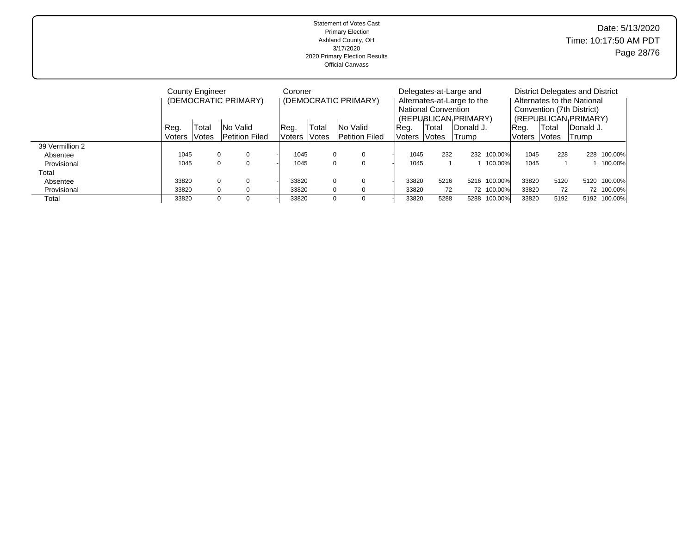| Statement of Votes Cast<br><b>Primary Election</b><br>Ashland County, OH<br>3/17/2020<br>2020 Primary Election Results<br><b>Official Canvass</b> |
|---------------------------------------------------------------------------------------------------------------------------------------------------|
|---------------------------------------------------------------------------------------------------------------------------------------------------|

|                 |        | <b>County Engineer</b> |                      | Coroner   |                     |                       |        |      |                            | Delegates-at-Large and     |             |               |                     | District Delegates and District |              |
|-----------------|--------|------------------------|----------------------|-----------|---------------------|-----------------------|--------|------|----------------------------|----------------------------|-------------|---------------|---------------------|---------------------------------|--------------|
|                 |        |                        | (DEMOCRATIC PRIMARY) |           |                     | (DEMOCRATIC PRIMARY)  |        |      |                            | Alternates-at-Large to the |             |               |                     | Alternates to the National      |              |
|                 |        |                        |                      |           |                     |                       |        |      | <b>National Convention</b> |                            |             |               |                     | Convention (7th District)       |              |
|                 |        |                        |                      |           |                     |                       |        |      |                            | (REPUBLICAN PRIMARY)       |             |               |                     | (REPUBLICAN PRIMARY)            |              |
|                 | Reg.   | Total                  | INo Valid            | Reg.      | 'Total              | INo Valid             | Reg.   |      | Total                      | <b>IDonald J.</b>          |             | Req.          | Total               | IDonald J.                      |              |
|                 | Voters | Votes                  | lPetition Filed      | Voters li | <i><b>Notes</b></i> | <b>Petition Filed</b> | Voters |      | <i><b>Notes</b></i>        | Trump                      |             | <b>Voters</b> | <i><b>Notes</b></i> | Trump                           |              |
| 39 Vermillion 2 |        |                        |                      |           |                     |                       |        |      |                            |                            |             |               |                     |                                 |              |
| Absentee        | 1045   | $\mathbf 0$            |                      | 1045      |                     | 0<br>$\Omega$         |        | 1045 | 232                        |                            | 232 100.00% | 1045          | 228                 |                                 | 228 100.00%  |
| Provisional     | 1045   | $\mathbf 0$            | $\Omega$             | 1045      |                     | 0<br>$\Omega$         |        | 1045 |                            |                            | 100.00%     | 1045          |                     |                                 | 100.00%      |
| Total           |        |                        |                      |           |                     |                       |        |      |                            |                            |             |               |                     |                                 |              |
| Absentee        | 33820  | $\Omega$               | $\Omega$             | 33820     |                     | 0<br>$\Omega$         | 33820  |      | 5216                       | 5216                       | 100.00%     | 33820         | 5120                |                                 | 5120 100.00% |
| Provisional     | 33820  | $\Omega$               | $\Omega$             | 33820     |                     | $\Omega$<br>$\Omega$  | 33820  |      | 72                         |                            | 72 100.00%  | 33820         | 72                  |                                 | 72 100.00%   |
| Total           | 33820  |                        | 0<br>0               | 33820     | 0                   | 0                     | 33820  |      | 5288                       | 5288                       | 100.00%     | 33820         | 5192                |                                 | 5192 100.00% |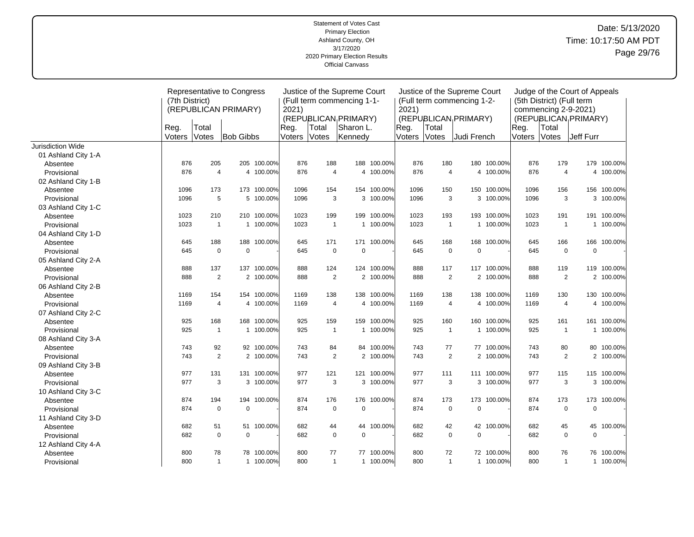|                     | (7th District) |                | Representative to Congress<br>(REPUBLICAN PRIMARY) |             | 2021)  |                | Justice of the Supreme Court<br>(Full term commencing 1-1- |             | 2021)          |                | Justice of the Supreme Court<br>(Full term commencing 1-2- |             |                | (5th District) (Full term<br>commencing 2-9-2021) | Judge of the Court of Appeals |             |
|---------------------|----------------|----------------|----------------------------------------------------|-------------|--------|----------------|------------------------------------------------------------|-------------|----------------|----------------|------------------------------------------------------------|-------------|----------------|---------------------------------------------------|-------------------------------|-------------|
|                     | Reg.           | Total          |                                                    |             | Reg.   | Total          | (REPUBLICAN <sub>I</sub> PRIMARY)<br>Sharon L.             |             |                | Total          | (REPUBLICAN PRIMARY)                                       |             |                | Total                                             | (REPUBLICAN PRIMARY)          |             |
|                     | Voters         | Votes          | <b>Bob Gibbs</b>                                   |             | Voters | Votes          | Kennedy                                                    |             | Reg.<br>Voters | <b>Votes</b>   | Judi French                                                |             | Reg.<br>Voters | <b>Votes</b>                                      | Jeff Furr                     |             |
| Jurisdiction Wide   |                |                |                                                    |             |        |                |                                                            |             |                |                |                                                            |             |                |                                                   |                               |             |
| 01 Ashland City 1-A |                |                |                                                    |             |        |                |                                                            |             |                |                |                                                            |             |                |                                                   |                               |             |
| Absentee            | 876            | 205            |                                                    | 205 100.00% | 876    | 188            |                                                            | 188 100.00% | 876            | 180            |                                                            | 180 100.00% | 876            | 179                                               |                               | 179 100.00% |
| Provisional         | 876            | $\overline{4}$ |                                                    | 4 100.00%   | 876    | $\overline{4}$ |                                                            | 4 100.00%   | 876            | 4              | $\overline{4}$                                             | 100.00%     | 876            | $\overline{4}$                                    |                               | 4 100.00%   |
| 02 Ashland City 1-B |                |                |                                                    |             |        |                |                                                            |             |                |                |                                                            |             |                |                                                   |                               |             |
| Absentee            | 1096           | 173            |                                                    | 173 100.00% | 1096   | 154            |                                                            | 154 100.00% | 1096           | 150            | 150                                                        | 100.00%     | 1096           | 156                                               | 156                           | 100.00%     |
| Provisional         | 1096           | 5              |                                                    | 5 100.00%   | 1096   | 3              |                                                            | 3 100.00%   | 1096           | 3              |                                                            | 3 100.00%   | 1096           | 3                                                 |                               | 3 100.00%   |
| 03 Ashland City 1-C |                |                |                                                    |             |        |                |                                                            |             |                |                |                                                            |             |                |                                                   |                               |             |
| Absentee            | 1023           | 210            |                                                    | 210 100.00% | 1023   | 199            | 199                                                        | 100.00%     | 1023           | 193            |                                                            | 193 100.00% | 1023           | 191                                               |                               | 191 100.00% |
| Provisional         | 1023           | $\overline{1}$ |                                                    | 1 100.00%   | 1023   | $\mathbf{1}$   | $\mathbf{1}$                                               | 100.00%     | 1023           | $\mathbf{1}$   | $\mathbf{1}$                                               | 100.00%     | 1023           | $\mathbf{1}$                                      |                               | 1 100.00%   |
| 04 Ashland City 1-D |                |                |                                                    |             |        |                |                                                            |             |                |                |                                                            |             |                |                                                   |                               |             |
| Absentee            | 645            | 188            |                                                    | 188 100.00% | 645    | 171            |                                                            | 171 100.00% | 645            | 168            | 168                                                        | 100.00%     | 645            | 166                                               | 166                           | 100.00%     |
| Provisional         | 645            | $\mathbf 0$    | $\mathbf 0$                                        |             | 645    | $\mathbf 0$    | $\mathbf 0$                                                |             | 645            | $\pmb{0}$      | $\overline{0}$                                             |             | 645            | $\mathbf 0$                                       | $\mathbf 0$                   |             |
| 05 Ashland City 2-A |                |                |                                                    |             |        |                |                                                            |             |                |                |                                                            |             |                |                                                   |                               |             |
| Absentee            | 888            | 137            | 137                                                | 100.00%     | 888    | 124            |                                                            | 124 100.00% | 888            | 117            |                                                            | 117 100.00% | 888            | 119                                               |                               | 119 100.00% |
| Provisional         | 888            | $\overline{2}$ |                                                    | 2 100.00%   | 888    | $\overline{2}$ |                                                            | 2 100.00%   | 888            | $\overline{2}$ |                                                            | 2 100.00%   | 888            | $\mathbf{2}$                                      |                               | 2 100.00%   |
| 06 Ashland City 2-B |                |                |                                                    |             |        |                |                                                            |             |                |                |                                                            |             |                |                                                   |                               |             |
| Absentee            | 1169           | 154            |                                                    | 154 100.00% | 1169   | 138            |                                                            | 138 100.00% | 1169           | 138            |                                                            | 138 100.00% | 1169           | 130                                               |                               | 130 100.00% |
| Provisional         | 1169           | $\overline{4}$ |                                                    | 4 100.00%   | 1169   | $\overline{4}$ |                                                            | 4 100.00%   | 1169           | 4              | 4                                                          | 100.00%     | 1169           | $\overline{4}$                                    |                               | 4 100.00%   |
| 07 Ashland City 2-C |                |                |                                                    |             |        |                |                                                            |             |                |                |                                                            |             |                |                                                   |                               |             |
| Absentee            | 925            | 168            |                                                    | 168 100.00% | 925    | 159            |                                                            | 159 100.00% | 925            | 160            |                                                            | 160 100.00% | 925            | 161                                               |                               | 161 100.00% |
| Provisional         | 925            | $\overline{1}$ |                                                    | 1 100.00%   | 925    | $\mathbf{1}$   |                                                            | 1 100.00%   | 925            | $\overline{1}$ |                                                            | 1 100.00%   | 925            | $\mathbf{1}$                                      |                               | 1 100.00%   |
| 08 Ashland City 3-A |                |                |                                                    |             |        |                |                                                            |             |                |                |                                                            |             |                |                                                   |                               |             |
| Absentee            | 743            | 92             |                                                    | 92 100.00%  | 743    | 84             | 84                                                         | 100.00%     | 743            | 77             |                                                            | 77 100.00%  | 743            | 80                                                | 80                            | 100.00%     |
| Provisional         | 743            | 2              |                                                    | 2 100.00%   | 743    | $\overline{2}$ |                                                            | 2 100.00%   | 743            | $\sqrt{2}$     |                                                            | 2 100.00%   | 743            | $\mathbf{2}$                                      |                               | 2 100.00%   |
| 09 Ashland City 3-B |                |                |                                                    |             |        |                |                                                            |             |                |                |                                                            |             |                |                                                   |                               |             |
| Absentee            | 977            | 131            |                                                    | 131 100.00% | 977    | 121            |                                                            | 121 100.00% | 977            | 111            |                                                            | 111 100.00% | 977            | 115                                               |                               | 115 100.00% |
| Provisional         | 977            | 3              |                                                    | 3 100.00%   | 977    | 3              |                                                            | 3 100.00%   | 977            | 3              |                                                            | 3 100.00%   | 977            | 3                                                 |                               | 3 100.00%   |
| 10 Ashland City 3-C |                |                |                                                    |             |        |                |                                                            |             |                |                |                                                            |             |                |                                                   |                               |             |
| Absentee            | 874            | 194            |                                                    | 194 100.00% | 874    | 176            | 176                                                        | 100.00%     | 874            | 173            | 173                                                        | 100.00%     | 874            | 173                                               | 173                           | 100.00%     |
| Provisional         | 874            | $\mathbf 0$    | $\pmb{0}$                                          |             | 874    | $\mathbf 0$    | $\mathbf 0$                                                |             | 874            | $\mathbf 0$    | $\overline{0}$                                             |             | 874            | 0                                                 | $\mathbf 0$                   |             |
| 11 Ashland City 3-D |                |                |                                                    |             |        |                |                                                            |             |                |                |                                                            |             |                |                                                   |                               |             |
| Absentee            | 682            | 51             |                                                    | 51 100.00%  | 682    | 44             | 44                                                         | 100.00%     | 682            | 42             |                                                            | 42 100.00%  | 682            | 45                                                | 45                            | 100.00%     |
| Provisional         | 682            | $\mathbf 0$    | $\mathbf 0$                                        |             | 682    | $\mathbf 0$    | $\mathbf 0$                                                |             | 682            | $\mathbf 0$    | $\mathbf 0$                                                |             | 682            | $\mathbf 0$                                       | $\mathbf 0$                   |             |
| 12 Ashland City 4-A |                |                |                                                    |             |        |                |                                                            |             |                |                |                                                            |             |                |                                                   |                               |             |
| Absentee            | 800            | 78             |                                                    | 78 100.00%  | 800    | 77             | 77                                                         | 100.00%     | 800            | 72             |                                                            | 72 100.00%  | 800            | 76                                                | 76                            | 100.00%     |
| Provisional         | 800            | $\mathbf{1}$   |                                                    | 1 100.00%   | 800    | $\mathbf{1}$   |                                                            | 1 100.00%   | 800            | $\mathbf{1}$   |                                                            | 1 100.00%   | 800            | $\mathbf{1}$                                      |                               | 1 100.00%   |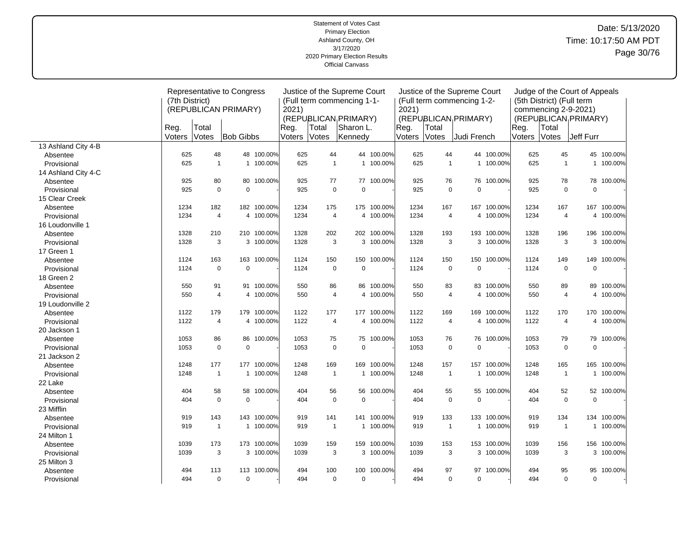|                     |                |                | Representative to Congress |             |        |                | Justice of the Supreme Court      |             |        |                | Justice of the Supreme Court      |             |        |                           | Judge of the Court of Appeals     |             |
|---------------------|----------------|----------------|----------------------------|-------------|--------|----------------|-----------------------------------|-------------|--------|----------------|-----------------------------------|-------------|--------|---------------------------|-----------------------------------|-------------|
|                     | (7th District) |                |                            |             |        |                | (Full term commencing 1-1-        |             |        |                | (Full term commencing 1-2-        |             |        | (5th District) (Full term |                                   |             |
|                     |                |                | (REPUBLICAN PRIMARY)       |             | 2021)  |                |                                   |             | 2021)  |                |                                   |             |        | commencing 2-9-2021)      |                                   |             |
|                     |                |                |                            |             |        |                | (REPUBLICAN <sub>I</sub> PRIMARY) |             |        |                | (REPUBLICAN <sub>I</sub> PRIMARY) |             |        |                           | (REPUBLICAN <sub>I</sub> PRIMARY) |             |
|                     | Reg            | Total          |                            |             | Reg.   | Total          | Sharon L.                         |             | Reg.   | Total          |                                   |             | Reg.   | Total                     |                                   |             |
|                     | Voters         | Votes          | <b>Bob Gibbs</b>           |             | Voters | Votes          | Kennedy                           |             | Voters | Votes          | Uudi French                       |             | Voters | Votes                     | Jeff Furr                         |             |
| 13 Ashland City 4-B |                |                |                            |             |        |                |                                   |             |        |                |                                   |             |        |                           |                                   |             |
| Absentee            | 625            | 48             |                            | 48 100.00%  | 625    | 44             | 44                                | 100.00%     | 625    | 44             |                                   | 44 100.00%  | 625    | 45                        |                                   | 45 100.00%  |
| Provisional         | 625            | $\mathbf{1}$   |                            | 1 100.00%   | 625    | $\mathbf{1}$   |                                   | 1 100.00%   | 625    | $\mathbf{1}$   |                                   | 1 100.00%   | 625    | $\overline{1}$            |                                   | 1 100.00%   |
| 14 Ashland City 4-C |                |                |                            |             |        |                |                                   |             |        |                |                                   |             |        |                           |                                   |             |
| Absentee            | 925            | 80             |                            | 80 100.00%  | 925    | 77             | 77                                | 100.00%     | 925    | 76             |                                   | 76 100.00%  | 925    | 78                        | 78                                | 100.00%     |
| Provisional         | 925            | $\mathbf 0$    | $\mathbf 0$                |             | 925    | $\pmb{0}$      | $\mathbf 0$                       |             | 925    | $\mathsf 0$    | $\mathbf 0$                       |             | 925    | $\mathbf 0$               | $\overline{0}$                    |             |
| 15 Clear Creek      |                |                |                            |             |        |                |                                   |             |        |                |                                   |             |        |                           |                                   |             |
| Absentee            | 1234           | 182            |                            | 182 100.00% | 1234   | 175            | 175                               | 100.00%     | 1234   | 167            | 167                               | 100.00%     | 1234   | 167                       |                                   | 167 100.00% |
| Provisional         | 1234           | $\overline{4}$ |                            | 4 100.00%   | 1234   | $\overline{4}$ |                                   | 4 100.00%   | 1234   | $\overline{4}$ |                                   | 4 100.00%   | 1234   | 4                         |                                   | 4 100.00%   |
| 16 Loudonville 1    |                |                |                            |             |        |                |                                   |             |        |                |                                   |             |        |                           |                                   |             |
| Absentee            | 1328           | 210            |                            | 210 100.00% | 1328   | 202            |                                   | 202 100.00% | 1328   | 193            | 193                               | 100.00%     | 1328   | 196                       |                                   | 196 100.00% |
| Provisional         | 1328           | 3              |                            | 3 100.00%   | 1328   | 3              |                                   | 3 100.00%   | 1328   | 3              |                                   | 3 100.00%   | 1328   | 3                         |                                   | 3 100.00%   |
| 17 Green 1          |                |                |                            |             |        |                |                                   |             |        |                |                                   |             |        |                           |                                   |             |
| Absentee            | 1124           | 163            |                            | 163 100.00% | 1124   | 150            | 150                               | 100.00%     | 1124   | 150            | 150                               | 100.00%     | 1124   | 149                       | 149                               | 100.00%     |
| Provisional         | 1124           | $\mathbf 0$    | $\mathbf 0$                |             | 1124   | $\mathbf 0$    | $\mathbf 0$                       |             | 1124   | $\mathsf 0$    | $\mathbf 0$                       |             | 1124   | $\mathbf 0$               | $\mathbf 0$                       |             |
| 18 Green 2          |                |                |                            |             |        |                |                                   |             |        |                |                                   |             |        |                           |                                   |             |
| Absentee            | 550            | 91             |                            | 91 100.00%  | 550    | 86             | 86                                | 100.00%     | 550    | 83             |                                   | 83 100.00%  | 550    | 89                        | 89                                | 100.00%     |
| Provisional         | 550            | $\overline{4}$ |                            | 4 100.00%   | 550    | $\overline{4}$ |                                   | 4 100.00%   | 550    | $\overline{4}$ |                                   | 4 100.00%   | 550    | $\overline{4}$            |                                   | 4 100.00%   |
| 19 Loudonville 2    |                |                |                            |             |        |                |                                   |             |        |                |                                   |             |        |                           |                                   |             |
| Absentee            | 1122           | 179            |                            | 179 100.00% | 1122   | 177            |                                   | 177 100.00% | 1122   | 169            | 169                               | 100.00%     | 1122   | 170                       |                                   | 170 100.00% |
| Provisional         | 1122           | $\overline{4}$ |                            | 4 100.00%   | 1122   | 4              |                                   | 4 100.00%   | 1122   | $\overline{4}$ |                                   | 4 100.00%   | 1122   | 4                         |                                   | 4 100.00%   |
| 20 Jackson 1        |                |                |                            |             |        |                |                                   |             |        |                |                                   |             |        |                           |                                   |             |
| Absentee            | 1053           | 86             |                            | 86 100.00%  | 1053   | 75             |                                   | 75 100.00%  | 1053   | 76             |                                   | 76 100.00%  | 1053   | 79                        |                                   | 79 100.00%  |
| Provisional         | 1053           | $\mathbf 0$    | $\mathbf 0$                |             | 1053   | $\mathbf 0$    | $\mathbf 0$                       |             | 1053   | $\mathsf 0$    | $\mathbf 0$                       |             | 1053   | $\mathbf 0$               | $\mathbf 0$                       |             |
| 21 Jackson 2        |                |                |                            |             |        |                |                                   |             |        |                |                                   |             |        |                           |                                   |             |
| Absentee            | 1248           | 177            |                            | 177 100.00% | 1248   | 169            |                                   | 169 100.00% | 1248   | 157            |                                   | 157 100.00% | 1248   | 165                       |                                   | 165 100.00% |
| Provisional         | 1248           | $\overline{1}$ | $\mathbf{1}$               | 100.00%     | 1248   | $\mathbf{1}$   | $\mathbf 1$                       | 100.00%     | 1248   | $\overline{1}$ | $\mathbf{1}$                      | 100.00%     | 1248   | $\overline{1}$            |                                   | 1 100.00%   |
| 22 Lake             |                |                |                            |             |        |                |                                   |             |        |                |                                   |             |        |                           |                                   |             |
| Absentee            | 404            | 58             |                            | 58 100.00%  | 404    | 56             | 56                                | 100.00%     | 404    | 55             |                                   | 55 100.00%  | 404    | 52                        |                                   | 52 100.00%  |
| Provisional         | 404            | $\mathbf 0$    | $\mathbf 0$                |             | 404    | $\mathbf 0$    | $\mathbf 0$                       |             | 404    | $\mathsf 0$    | $\mathbf 0$                       |             | 404    | $\mathbf 0$               | $\mathbf 0$                       |             |
| 23 Mifflin          |                |                |                            |             |        |                |                                   |             |        |                |                                   |             |        |                           |                                   |             |
| Absentee            | 919            | 143            |                            | 143 100.00% | 919    | 141            | 141                               | 100.00%     | 919    | 133            | 133                               | 100.00%     | 919    | 134                       |                                   | 134 100.00% |
| Provisional         | 919            | $\mathbf{1}$   |                            | 1 100.00%   | 919    | $\mathbf{1}$   | $\mathbf{1}$                      | 100.00%     | 919    | $\mathbf{1}$   | $\mathbf{1}$                      | 100.00%     | 919    | $\overline{1}$            |                                   | 1 100.00%   |
| 24 Milton 1         |                |                |                            |             |        |                |                                   |             |        |                |                                   |             |        |                           |                                   |             |
| Absentee            | 1039           | 173            |                            | 173 100.00% | 1039   | 159            | 159                               | 100.00%     | 1039   | 153            |                                   | 153 100.00% | 1039   | 156                       |                                   | 156 100.00% |
| Provisional         | 1039           | 3              |                            | 3 100.00%   | 1039   | 3              |                                   | 3 100.00%   | 1039   | 3              |                                   | 3 100.00%   | 1039   | 3                         |                                   | 3 100.00%   |
| 25 Milton 3         |                |                |                            |             |        |                |                                   |             |        |                |                                   |             |        |                           |                                   |             |
| Absentee            | 494            | 113            |                            | 113 100.00% | 494    | 100            | 100                               | 100.00%     | 494    | 97             | 97                                | 100.00%     | 494    | 95                        | 95                                | 100.00%     |
| Provisional         | 494            | $\mathbf 0$    | $\mathbf 0$                |             | 494    | $\mathbf 0$    | $\mathbf 0$                       |             | 494    | 0              | $\mathbf 0$                       |             | 494    | 0                         | $\mathbf 0$                       |             |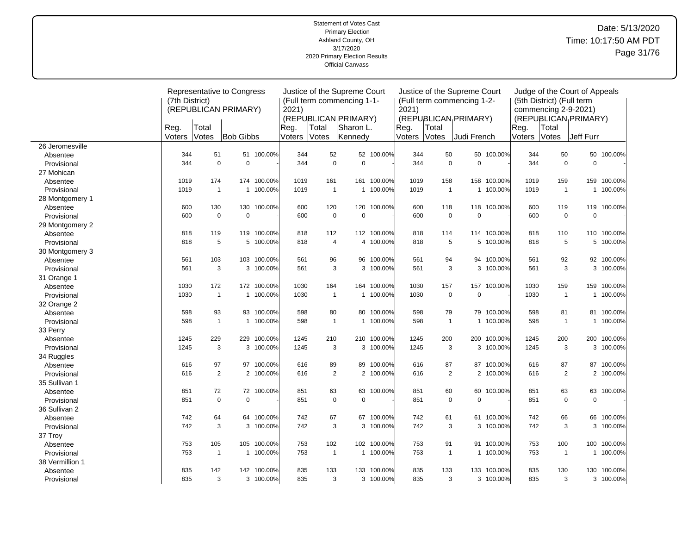| Representative to Congress<br>Justice of the Supreme Court<br>Judge of the Court of Appeals<br>(7th District)<br>(Full term commencing 1-1-<br>(Full term commencing 1-2-<br>(5th District) (Full term<br>2021)<br>(REPUBLICAN PRIMARY)<br>2021)<br>commencing 2-9-2021)<br>(REPUBLICAN PRIMARY)<br>(REPUBLICAN <sub>I</sub> PRIMARY)<br>(REPUBLICAN <sub>I</sub> PRIMARY)<br>Sharon L.<br>Reg.<br>Total<br>Reg.<br>Total<br>Reg.<br>Total<br>Reg.<br>Total<br>Votes<br><b>Bob Gibbs</b><br>Voters<br>Kennedy<br>Votes<br>Judi French<br>Voters<br><b>Votes</b><br>Jeff Furr<br>Voters<br><b>Votes</b><br>Voters<br>26 Jeromesville<br>344<br>51<br>51 100.00%<br>344<br>52<br>52<br>100.00%<br>344<br>50<br>50 100.00%<br>344<br>50<br>50<br>100.00%<br>Absentee<br>$\mathbf 0$<br>344<br>$\Omega$<br>$\Omega$<br>344<br>$\mathbf 0$<br>$\mathbf 0$<br>344<br>$\mathbf 0$<br>$\mathbf 0$<br>344<br>$\mathbf 0$<br>Provisional<br>27 Mohican<br>1019<br>174<br>174 100.00%<br>1019<br>161<br>1019<br>158<br>158<br>1019<br>159<br>100.00%<br>161<br>100.00%<br>100.00%<br>159<br>Absentee<br>$\mathbf{1}$<br>$\overline{1}$<br>1019<br>1 100.00%<br>1019<br>$\mathbf{1}$<br>100.00%<br>1019<br>$\mathbf{1}$<br>100.00%<br>1019<br>$\mathbf{1}$<br>1 100.00%<br>Provisional<br>$\mathbf{1}$<br>28 Montgomery 1<br>130<br>130 100.00%<br>600<br>120<br>120<br>100.00%<br>600<br>118<br>118<br>119<br>119<br>100.00%<br>600<br>100.00%<br>600<br>Absentee<br>$\mathbf 0$<br>$\mathbf 0$<br>600<br>$\mathbf 0$<br>$\mathbf 0$<br>$\mathbf 0$<br>$\mathbf 0$<br>$\pmb{0}$<br>$\mathbf 0$<br>600<br>600<br>600<br>Provisional<br>29 Montgomery 2<br>818<br>100.00%<br>818<br>119<br>119 100.00%<br>112<br>112 100.00%<br>818<br>114<br>100.00%<br>818<br>110<br>110<br>114<br>Absentee<br>818<br>5<br>5 100.00%<br>818<br>$\overline{\mathbf{4}}$<br>4 100.00%<br>818<br>5<br>5<br>100.00%<br>818<br>5<br>5 100.00%<br>Provisional<br>30 Montgomery 3<br>103 100.00%<br>96<br>94<br>92<br>92 100.00%<br>561<br>103<br>561<br>96<br>100.00%<br>561<br>94<br>100.00%<br>561<br>Absentee<br>3<br>3<br>3<br>561<br>3 100.00%<br>561<br>3 100.00%<br>561<br>3 100.00%<br>3<br>3 100.00%<br>Provisional<br>561<br>31 Orange 1<br>100.00%<br>1030<br>172<br>172 100.00%<br>1030<br>164<br>164<br>100.00%<br>1030<br>157<br>157<br>100.00%<br>1030<br>159<br>159<br>Absentee<br>$\mathbf{1}$<br>$\mathbf 0$<br>$\mathbf 0$<br>1 100.00%<br>1030<br>1 100.00%<br>1030<br>$\mathbf{1}$<br>1 100.00%<br>1030<br>1030<br>$\mathbf{1}$<br>Provisional<br>32 Orange 2<br>80<br>79<br>81 100.00%<br>598<br>93<br>93 100.00%<br>598<br>100.00%<br>598<br>79 100.00%<br>81<br>80<br>598<br>Absentee<br>$\mathbf{1}$<br>598<br>1 100.00%<br>598<br>1 100.00%<br>$\mathbf{1}$<br>1 100.00%<br>598<br>$\mathbf{1}$<br>1 100.00%<br>598<br>$\mathbf{1}$<br>Provisional<br>33 Perry<br>1245<br>229<br>229 100.00%<br>1245<br>210<br>210 100.00%<br>1245<br>200<br>200<br>100.00%<br>1245<br>200<br>200<br>100.00%<br>Absentee |
|---------------------------------------------------------------------------------------------------------------------------------------------------------------------------------------------------------------------------------------------------------------------------------------------------------------------------------------------------------------------------------------------------------------------------------------------------------------------------------------------------------------------------------------------------------------------------------------------------------------------------------------------------------------------------------------------------------------------------------------------------------------------------------------------------------------------------------------------------------------------------------------------------------------------------------------------------------------------------------------------------------------------------------------------------------------------------------------------------------------------------------------------------------------------------------------------------------------------------------------------------------------------------------------------------------------------------------------------------------------------------------------------------------------------------------------------------------------------------------------------------------------------------------------------------------------------------------------------------------------------------------------------------------------------------------------------------------------------------------------------------------------------------------------------------------------------------------------------------------------------------------------------------------------------------------------------------------------------------------------------------------------------------------------------------------------------------------------------------------------------------------------------------------------------------------------------------------------------------------------------------------------------------------------------------------------------------------------------------------------------------------------------------------------------------------------------------------------------------------------------------------------------------------------------------------------------------------------------------------------------------------------------------------------------------------------------------------------------------------------------------------------------------------------------------------------------------------------------------------------------------------------------------------------------------------------------------------------------------------------------------|
|                                                                                                                                                                                                                                                                                                                                                                                                                                                                                                                                                                                                                                                                                                                                                                                                                                                                                                                                                                                                                                                                                                                                                                                                                                                                                                                                                                                                                                                                                                                                                                                                                                                                                                                                                                                                                                                                                                                                                                                                                                                                                                                                                                                                                                                                                                                                                                                                                                                                                                                                                                                                                                                                                                                                                                                                                                                                                                                                                                                                   |
|                                                                                                                                                                                                                                                                                                                                                                                                                                                                                                                                                                                                                                                                                                                                                                                                                                                                                                                                                                                                                                                                                                                                                                                                                                                                                                                                                                                                                                                                                                                                                                                                                                                                                                                                                                                                                                                                                                                                                                                                                                                                                                                                                                                                                                                                                                                                                                                                                                                                                                                                                                                                                                                                                                                                                                                                                                                                                                                                                                                                   |
|                                                                                                                                                                                                                                                                                                                                                                                                                                                                                                                                                                                                                                                                                                                                                                                                                                                                                                                                                                                                                                                                                                                                                                                                                                                                                                                                                                                                                                                                                                                                                                                                                                                                                                                                                                                                                                                                                                                                                                                                                                                                                                                                                                                                                                                                                                                                                                                                                                                                                                                                                                                                                                                                                                                                                                                                                                                                                                                                                                                                   |
|                                                                                                                                                                                                                                                                                                                                                                                                                                                                                                                                                                                                                                                                                                                                                                                                                                                                                                                                                                                                                                                                                                                                                                                                                                                                                                                                                                                                                                                                                                                                                                                                                                                                                                                                                                                                                                                                                                                                                                                                                                                                                                                                                                                                                                                                                                                                                                                                                                                                                                                                                                                                                                                                                                                                                                                                                                                                                                                                                                                                   |
|                                                                                                                                                                                                                                                                                                                                                                                                                                                                                                                                                                                                                                                                                                                                                                                                                                                                                                                                                                                                                                                                                                                                                                                                                                                                                                                                                                                                                                                                                                                                                                                                                                                                                                                                                                                                                                                                                                                                                                                                                                                                                                                                                                                                                                                                                                                                                                                                                                                                                                                                                                                                                                                                                                                                                                                                                                                                                                                                                                                                   |
|                                                                                                                                                                                                                                                                                                                                                                                                                                                                                                                                                                                                                                                                                                                                                                                                                                                                                                                                                                                                                                                                                                                                                                                                                                                                                                                                                                                                                                                                                                                                                                                                                                                                                                                                                                                                                                                                                                                                                                                                                                                                                                                                                                                                                                                                                                                                                                                                                                                                                                                                                                                                                                                                                                                                                                                                                                                                                                                                                                                                   |
|                                                                                                                                                                                                                                                                                                                                                                                                                                                                                                                                                                                                                                                                                                                                                                                                                                                                                                                                                                                                                                                                                                                                                                                                                                                                                                                                                                                                                                                                                                                                                                                                                                                                                                                                                                                                                                                                                                                                                                                                                                                                                                                                                                                                                                                                                                                                                                                                                                                                                                                                                                                                                                                                                                                                                                                                                                                                                                                                                                                                   |
|                                                                                                                                                                                                                                                                                                                                                                                                                                                                                                                                                                                                                                                                                                                                                                                                                                                                                                                                                                                                                                                                                                                                                                                                                                                                                                                                                                                                                                                                                                                                                                                                                                                                                                                                                                                                                                                                                                                                                                                                                                                                                                                                                                                                                                                                                                                                                                                                                                                                                                                                                                                                                                                                                                                                                                                                                                                                                                                                                                                                   |
|                                                                                                                                                                                                                                                                                                                                                                                                                                                                                                                                                                                                                                                                                                                                                                                                                                                                                                                                                                                                                                                                                                                                                                                                                                                                                                                                                                                                                                                                                                                                                                                                                                                                                                                                                                                                                                                                                                                                                                                                                                                                                                                                                                                                                                                                                                                                                                                                                                                                                                                                                                                                                                                                                                                                                                                                                                                                                                                                                                                                   |
|                                                                                                                                                                                                                                                                                                                                                                                                                                                                                                                                                                                                                                                                                                                                                                                                                                                                                                                                                                                                                                                                                                                                                                                                                                                                                                                                                                                                                                                                                                                                                                                                                                                                                                                                                                                                                                                                                                                                                                                                                                                                                                                                                                                                                                                                                                                                                                                                                                                                                                                                                                                                                                                                                                                                                                                                                                                                                                                                                                                                   |
|                                                                                                                                                                                                                                                                                                                                                                                                                                                                                                                                                                                                                                                                                                                                                                                                                                                                                                                                                                                                                                                                                                                                                                                                                                                                                                                                                                                                                                                                                                                                                                                                                                                                                                                                                                                                                                                                                                                                                                                                                                                                                                                                                                                                                                                                                                                                                                                                                                                                                                                                                                                                                                                                                                                                                                                                                                                                                                                                                                                                   |
|                                                                                                                                                                                                                                                                                                                                                                                                                                                                                                                                                                                                                                                                                                                                                                                                                                                                                                                                                                                                                                                                                                                                                                                                                                                                                                                                                                                                                                                                                                                                                                                                                                                                                                                                                                                                                                                                                                                                                                                                                                                                                                                                                                                                                                                                                                                                                                                                                                                                                                                                                                                                                                                                                                                                                                                                                                                                                                                                                                                                   |
|                                                                                                                                                                                                                                                                                                                                                                                                                                                                                                                                                                                                                                                                                                                                                                                                                                                                                                                                                                                                                                                                                                                                                                                                                                                                                                                                                                                                                                                                                                                                                                                                                                                                                                                                                                                                                                                                                                                                                                                                                                                                                                                                                                                                                                                                                                                                                                                                                                                                                                                                                                                                                                                                                                                                                                                                                                                                                                                                                                                                   |
|                                                                                                                                                                                                                                                                                                                                                                                                                                                                                                                                                                                                                                                                                                                                                                                                                                                                                                                                                                                                                                                                                                                                                                                                                                                                                                                                                                                                                                                                                                                                                                                                                                                                                                                                                                                                                                                                                                                                                                                                                                                                                                                                                                                                                                                                                                                                                                                                                                                                                                                                                                                                                                                                                                                                                                                                                                                                                                                                                                                                   |
|                                                                                                                                                                                                                                                                                                                                                                                                                                                                                                                                                                                                                                                                                                                                                                                                                                                                                                                                                                                                                                                                                                                                                                                                                                                                                                                                                                                                                                                                                                                                                                                                                                                                                                                                                                                                                                                                                                                                                                                                                                                                                                                                                                                                                                                                                                                                                                                                                                                                                                                                                                                                                                                                                                                                                                                                                                                                                                                                                                                                   |
|                                                                                                                                                                                                                                                                                                                                                                                                                                                                                                                                                                                                                                                                                                                                                                                                                                                                                                                                                                                                                                                                                                                                                                                                                                                                                                                                                                                                                                                                                                                                                                                                                                                                                                                                                                                                                                                                                                                                                                                                                                                                                                                                                                                                                                                                                                                                                                                                                                                                                                                                                                                                                                                                                                                                                                                                                                                                                                                                                                                                   |
|                                                                                                                                                                                                                                                                                                                                                                                                                                                                                                                                                                                                                                                                                                                                                                                                                                                                                                                                                                                                                                                                                                                                                                                                                                                                                                                                                                                                                                                                                                                                                                                                                                                                                                                                                                                                                                                                                                                                                                                                                                                                                                                                                                                                                                                                                                                                                                                                                                                                                                                                                                                                                                                                                                                                                                                                                                                                                                                                                                                                   |
|                                                                                                                                                                                                                                                                                                                                                                                                                                                                                                                                                                                                                                                                                                                                                                                                                                                                                                                                                                                                                                                                                                                                                                                                                                                                                                                                                                                                                                                                                                                                                                                                                                                                                                                                                                                                                                                                                                                                                                                                                                                                                                                                                                                                                                                                                                                                                                                                                                                                                                                                                                                                                                                                                                                                                                                                                                                                                                                                                                                                   |
|                                                                                                                                                                                                                                                                                                                                                                                                                                                                                                                                                                                                                                                                                                                                                                                                                                                                                                                                                                                                                                                                                                                                                                                                                                                                                                                                                                                                                                                                                                                                                                                                                                                                                                                                                                                                                                                                                                                                                                                                                                                                                                                                                                                                                                                                                                                                                                                                                                                                                                                                                                                                                                                                                                                                                                                                                                                                                                                                                                                                   |
|                                                                                                                                                                                                                                                                                                                                                                                                                                                                                                                                                                                                                                                                                                                                                                                                                                                                                                                                                                                                                                                                                                                                                                                                                                                                                                                                                                                                                                                                                                                                                                                                                                                                                                                                                                                                                                                                                                                                                                                                                                                                                                                                                                                                                                                                                                                                                                                                                                                                                                                                                                                                                                                                                                                                                                                                                                                                                                                                                                                                   |
|                                                                                                                                                                                                                                                                                                                                                                                                                                                                                                                                                                                                                                                                                                                                                                                                                                                                                                                                                                                                                                                                                                                                                                                                                                                                                                                                                                                                                                                                                                                                                                                                                                                                                                                                                                                                                                                                                                                                                                                                                                                                                                                                                                                                                                                                                                                                                                                                                                                                                                                                                                                                                                                                                                                                                                                                                                                                                                                                                                                                   |
|                                                                                                                                                                                                                                                                                                                                                                                                                                                                                                                                                                                                                                                                                                                                                                                                                                                                                                                                                                                                                                                                                                                                                                                                                                                                                                                                                                                                                                                                                                                                                                                                                                                                                                                                                                                                                                                                                                                                                                                                                                                                                                                                                                                                                                                                                                                                                                                                                                                                                                                                                                                                                                                                                                                                                                                                                                                                                                                                                                                                   |
|                                                                                                                                                                                                                                                                                                                                                                                                                                                                                                                                                                                                                                                                                                                                                                                                                                                                                                                                                                                                                                                                                                                                                                                                                                                                                                                                                                                                                                                                                                                                                                                                                                                                                                                                                                                                                                                                                                                                                                                                                                                                                                                                                                                                                                                                                                                                                                                                                                                                                                                                                                                                                                                                                                                                                                                                                                                                                                                                                                                                   |
|                                                                                                                                                                                                                                                                                                                                                                                                                                                                                                                                                                                                                                                                                                                                                                                                                                                                                                                                                                                                                                                                                                                                                                                                                                                                                                                                                                                                                                                                                                                                                                                                                                                                                                                                                                                                                                                                                                                                                                                                                                                                                                                                                                                                                                                                                                                                                                                                                                                                                                                                                                                                                                                                                                                                                                                                                                                                                                                                                                                                   |
|                                                                                                                                                                                                                                                                                                                                                                                                                                                                                                                                                                                                                                                                                                                                                                                                                                                                                                                                                                                                                                                                                                                                                                                                                                                                                                                                                                                                                                                                                                                                                                                                                                                                                                                                                                                                                                                                                                                                                                                                                                                                                                                                                                                                                                                                                                                                                                                                                                                                                                                                                                                                                                                                                                                                                                                                                                                                                                                                                                                                   |
|                                                                                                                                                                                                                                                                                                                                                                                                                                                                                                                                                                                                                                                                                                                                                                                                                                                                                                                                                                                                                                                                                                                                                                                                                                                                                                                                                                                                                                                                                                                                                                                                                                                                                                                                                                                                                                                                                                                                                                                                                                                                                                                                                                                                                                                                                                                                                                                                                                                                                                                                                                                                                                                                                                                                                                                                                                                                                                                                                                                                   |
|                                                                                                                                                                                                                                                                                                                                                                                                                                                                                                                                                                                                                                                                                                                                                                                                                                                                                                                                                                                                                                                                                                                                                                                                                                                                                                                                                                                                                                                                                                                                                                                                                                                                                                                                                                                                                                                                                                                                                                                                                                                                                                                                                                                                                                                                                                                                                                                                                                                                                                                                                                                                                                                                                                                                                                                                                                                                                                                                                                                                   |
|                                                                                                                                                                                                                                                                                                                                                                                                                                                                                                                                                                                                                                                                                                                                                                                                                                                                                                                                                                                                                                                                                                                                                                                                                                                                                                                                                                                                                                                                                                                                                                                                                                                                                                                                                                                                                                                                                                                                                                                                                                                                                                                                                                                                                                                                                                                                                                                                                                                                                                                                                                                                                                                                                                                                                                                                                                                                                                                                                                                                   |
| 3<br>3<br>3<br>3 100.00%<br>3<br>1245<br>3 100.00%<br>1245<br>3 100.00%<br>1245<br>1245<br>3 100.00%<br>Provisional                                                                                                                                                                                                                                                                                                                                                                                                                                                                                                                                                                                                                                                                                                                                                                                                                                                                                                                                                                                                                                                                                                                                                                                                                                                                                                                                                                                                                                                                                                                                                                                                                                                                                                                                                                                                                                                                                                                                                                                                                                                                                                                                                                                                                                                                                                                                                                                                                                                                                                                                                                                                                                                                                                                                                                                                                                                                               |
| 34 Ruggles                                                                                                                                                                                                                                                                                                                                                                                                                                                                                                                                                                                                                                                                                                                                                                                                                                                                                                                                                                                                                                                                                                                                                                                                                                                                                                                                                                                                                                                                                                                                                                                                                                                                                                                                                                                                                                                                                                                                                                                                                                                                                                                                                                                                                                                                                                                                                                                                                                                                                                                                                                                                                                                                                                                                                                                                                                                                                                                                                                                        |
| 97<br>89<br>87<br>87 100.00%<br>616<br>97 100.00%<br>616<br>89<br>100.00%<br>616<br>87 100.00%<br>616<br>87<br>Absentee                                                                                                                                                                                                                                                                                                                                                                                                                                                                                                                                                                                                                                                                                                                                                                                                                                                                                                                                                                                                                                                                                                                                                                                                                                                                                                                                                                                                                                                                                                                                                                                                                                                                                                                                                                                                                                                                                                                                                                                                                                                                                                                                                                                                                                                                                                                                                                                                                                                                                                                                                                                                                                                                                                                                                                                                                                                                           |
| $\overline{2}$<br>$\overline{2}$<br>$\overline{2}$<br>$\overline{2}$<br>616<br>616<br>$\overline{2}$<br>2 100.00%<br>616<br>2 100.00%<br>2 100.00%<br>100.00%<br>616<br>Provisional                                                                                                                                                                                                                                                                                                                                                                                                                                                                                                                                                                                                                                                                                                                                                                                                                                                                                                                                                                                                                                                                                                                                                                                                                                                                                                                                                                                                                                                                                                                                                                                                                                                                                                                                                                                                                                                                                                                                                                                                                                                                                                                                                                                                                                                                                                                                                                                                                                                                                                                                                                                                                                                                                                                                                                                                               |
| 35 Sullivan 1                                                                                                                                                                                                                                                                                                                                                                                                                                                                                                                                                                                                                                                                                                                                                                                                                                                                                                                                                                                                                                                                                                                                                                                                                                                                                                                                                                                                                                                                                                                                                                                                                                                                                                                                                                                                                                                                                                                                                                                                                                                                                                                                                                                                                                                                                                                                                                                                                                                                                                                                                                                                                                                                                                                                                                                                                                                                                                                                                                                     |
| 72<br>63<br>60<br>63 100.00%<br>851<br>72 100.00%<br>851<br>63 100.00%<br>851<br>60 100.00%<br>851<br>63<br>Absentee                                                                                                                                                                                                                                                                                                                                                                                                                                                                                                                                                                                                                                                                                                                                                                                                                                                                                                                                                                                                                                                                                                                                                                                                                                                                                                                                                                                                                                                                                                                                                                                                                                                                                                                                                                                                                                                                                                                                                                                                                                                                                                                                                                                                                                                                                                                                                                                                                                                                                                                                                                                                                                                                                                                                                                                                                                                                              |
| $\mathbf 0$<br>$\mathbf 0$<br>851<br>$\mathbf 0$<br>$\mathbf 0$<br>851<br>$\mathbf 0$<br>851<br>0<br>851<br>$\mathbf 0$<br>$\mathbf 0$<br>Provisional                                                                                                                                                                                                                                                                                                                                                                                                                                                                                                                                                                                                                                                                                                                                                                                                                                                                                                                                                                                                                                                                                                                                                                                                                                                                                                                                                                                                                                                                                                                                                                                                                                                                                                                                                                                                                                                                                                                                                                                                                                                                                                                                                                                                                                                                                                                                                                                                                                                                                                                                                                                                                                                                                                                                                                                                                                             |
| 36 Sullivan 2                                                                                                                                                                                                                                                                                                                                                                                                                                                                                                                                                                                                                                                                                                                                                                                                                                                                                                                                                                                                                                                                                                                                                                                                                                                                                                                                                                                                                                                                                                                                                                                                                                                                                                                                                                                                                                                                                                                                                                                                                                                                                                                                                                                                                                                                                                                                                                                                                                                                                                                                                                                                                                                                                                                                                                                                                                                                                                                                                                                     |
| 742<br>64<br>64 100.00%<br>742<br>67<br>67<br>742<br>61<br>61 100.00%<br>742<br>66<br>66<br>100.00%<br>100.00%<br>Absentee                                                                                                                                                                                                                                                                                                                                                                                                                                                                                                                                                                                                                                                                                                                                                                                                                                                                                                                                                                                                                                                                                                                                                                                                                                                                                                                                                                                                                                                                                                                                                                                                                                                                                                                                                                                                                                                                                                                                                                                                                                                                                                                                                                                                                                                                                                                                                                                                                                                                                                                                                                                                                                                                                                                                                                                                                                                                        |
| 3<br>742<br>3<br>742<br>742<br>3 100.00%<br>3<br>100.00%<br>742<br>3<br>3<br>100.00%<br>3<br>3<br>100.00%<br>Provisional                                                                                                                                                                                                                                                                                                                                                                                                                                                                                                                                                                                                                                                                                                                                                                                                                                                                                                                                                                                                                                                                                                                                                                                                                                                                                                                                                                                                                                                                                                                                                                                                                                                                                                                                                                                                                                                                                                                                                                                                                                                                                                                                                                                                                                                                                                                                                                                                                                                                                                                                                                                                                                                                                                                                                                                                                                                                          |
| 37 Troy                                                                                                                                                                                                                                                                                                                                                                                                                                                                                                                                                                                                                                                                                                                                                                                                                                                                                                                                                                                                                                                                                                                                                                                                                                                                                                                                                                                                                                                                                                                                                                                                                                                                                                                                                                                                                                                                                                                                                                                                                                                                                                                                                                                                                                                                                                                                                                                                                                                                                                                                                                                                                                                                                                                                                                                                                                                                                                                                                                                           |
| 753<br>105<br>105 100.00%<br>753<br>102<br>102 100.00%<br>753<br>91<br>753<br>100<br>100 100.00%<br>91 100.00%<br>Absentee                                                                                                                                                                                                                                                                                                                                                                                                                                                                                                                                                                                                                                                                                                                                                                                                                                                                                                                                                                                                                                                                                                                                                                                                                                                                                                                                                                                                                                                                                                                                                                                                                                                                                                                                                                                                                                                                                                                                                                                                                                                                                                                                                                                                                                                                                                                                                                                                                                                                                                                                                                                                                                                                                                                                                                                                                                                                        |
| 100.00%<br>753<br>$\overline{1}$<br>1 100.00%<br>753<br>$\mathbf{1}$<br>100.00%<br>753<br>$\mathbf{1}$<br>100.00%<br>753<br>Provisional<br>$\mathbf{1}$<br>$\mathbf{1}$<br>$\mathbf{1}$<br>$\mathbf{1}$                                                                                                                                                                                                                                                                                                                                                                                                                                                                                                                                                                                                                                                                                                                                                                                                                                                                                                                                                                                                                                                                                                                                                                                                                                                                                                                                                                                                                                                                                                                                                                                                                                                                                                                                                                                                                                                                                                                                                                                                                                                                                                                                                                                                                                                                                                                                                                                                                                                                                                                                                                                                                                                                                                                                                                                           |
| 38 Vermillion 1                                                                                                                                                                                                                                                                                                                                                                                                                                                                                                                                                                                                                                                                                                                                                                                                                                                                                                                                                                                                                                                                                                                                                                                                                                                                                                                                                                                                                                                                                                                                                                                                                                                                                                                                                                                                                                                                                                                                                                                                                                                                                                                                                                                                                                                                                                                                                                                                                                                                                                                                                                                                                                                                                                                                                                                                                                                                                                                                                                                   |
| 142<br>133<br>133<br>130<br>130 100.00%<br>835<br>142 100.00%<br>835<br>133 100.00%<br>835<br>133<br>100.00%<br>835<br>Absentee                                                                                                                                                                                                                                                                                                                                                                                                                                                                                                                                                                                                                                                                                                                                                                                                                                                                                                                                                                                                                                                                                                                                                                                                                                                                                                                                                                                                                                                                                                                                                                                                                                                                                                                                                                                                                                                                                                                                                                                                                                                                                                                                                                                                                                                                                                                                                                                                                                                                                                                                                                                                                                                                                                                                                                                                                                                                   |
| 835<br>3<br>3 100.00%<br>835<br>3 100.00%<br>835<br>3<br>3 100.00%<br>3 100.00%<br>3<br>835<br>3<br>Provisional                                                                                                                                                                                                                                                                                                                                                                                                                                                                                                                                                                                                                                                                                                                                                                                                                                                                                                                                                                                                                                                                                                                                                                                                                                                                                                                                                                                                                                                                                                                                                                                                                                                                                                                                                                                                                                                                                                                                                                                                                                                                                                                                                                                                                                                                                                                                                                                                                                                                                                                                                                                                                                                                                                                                                                                                                                                                                   |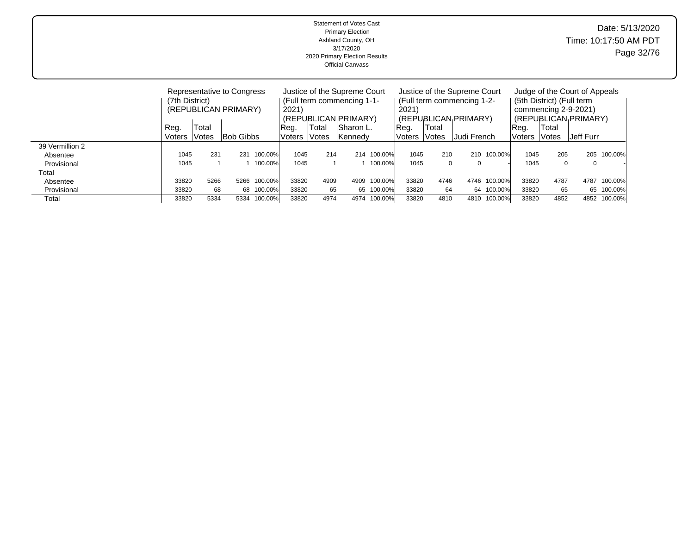| <b>Statement of Votes Cast</b><br><b>Primary Election</b><br>Ashland County, OH<br>3/17/2020<br>2020 Primary Election Results<br><b>Official Canvass</b> |        |                                                                      |           |         |                                                                                             |                     |           |         |                                                                                             |                     |             |             |                                                                                                            | Date: 5/13/2020<br>Time: 10:17:50 AM PDT<br>Page 32/76 |             |         |  |
|----------------------------------------------------------------------------------------------------------------------------------------------------------|--------|----------------------------------------------------------------------|-----------|---------|---------------------------------------------------------------------------------------------|---------------------|-----------|---------|---------------------------------------------------------------------------------------------|---------------------|-------------|-------------|------------------------------------------------------------------------------------------------------------|--------------------------------------------------------|-------------|---------|--|
|                                                                                                                                                          |        | Representative to Congress<br>(7th District)<br>(REPUBLICAN PRIMARY) |           |         | Justice of the Supreme Court<br>(Full term commencing 1-1-<br>2021)<br>(REPUBLICAN PRIMARY) |                     |           |         | Justice of the Supreme Court<br>(Full term commencing 1-2-<br>2021)<br>(REPUBLICAN PRIMARY) |                     |             |             | Judge of the Court of Appeals<br>(5th District) (Full term<br>commencing 2-9-2021)<br>(REPUBLICAN PRIMARY) |                                                        |             |         |  |
|                                                                                                                                                          | Reg.   | Total                                                                |           |         | ∣Reg.                                                                                       | Total               | Sharon L. |         | Reg.                                                                                        | Total               |             |             | Reg.                                                                                                       | Total                                                  |             |         |  |
|                                                                                                                                                          | Voters | <b>Votes</b>                                                         | Bob Gibbs |         | Voters                                                                                      | <i><b>Votes</b></i> | Kennedy   |         | Voters                                                                                      | <i><b>Votes</b></i> | Judi French |             | Voters                                                                                                     | Votes                                                  | Jeff Furr   |         |  |
| 39 Vermillion 2<br>Absentee                                                                                                                              | 1045   | 231                                                                  | 231       | 100.00% | 1045                                                                                        | 214                 | 214       | 100.00% | 1045                                                                                        | 210                 |             | 210 100.00% | 1045                                                                                                       | 205                                                    | 205         | 100.00% |  |
| Provisional<br>Total                                                                                                                                     | 1045   |                                                                      |           | 100.00% | 1045                                                                                        |                     |           | 100.00% | 1045                                                                                        | $\mathbf 0$         | $\Omega$    |             | 1045                                                                                                       | $\mathbf 0$                                            | $\mathbf 0$ |         |  |
| Absentee                                                                                                                                                 | 33820  | 5266                                                                 | 5266      | 100.00% | 33820                                                                                       | 4909                | 4909      | 100.00% | 33820                                                                                       | 4746                | 4746        | 100.00%     | 33820                                                                                                      | 4787                                                   | 4787        | 100.00% |  |

 Provisional 33820 68 68 100.00% 33820 65 65 100.00% 33820 64 64 100.00% 33820 65 65 100.00% Total 33820 5334 5334 100.00% 33820 4974 4974 100.00% 33820 4810 4810 100.00% 33820 4852 4852 100.00%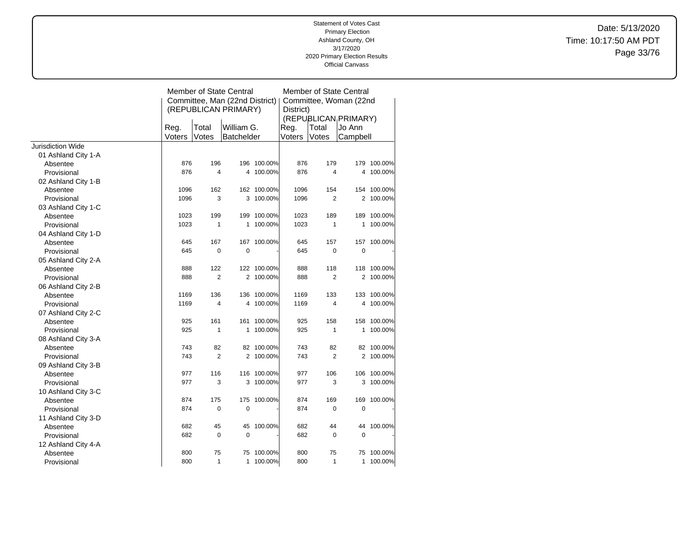Date: 5/13/2020 Time: 10:17:50 AM PDT Page 33/76

|                          |        |                | Member of State Central        | Member of State Central |                        |                |                                   |             |  |  |
|--------------------------|--------|----------------|--------------------------------|-------------------------|------------------------|----------------|-----------------------------------|-------------|--|--|
|                          |        |                | Committee, Man (22nd District) |                         | Committee, Woman (22nd |                |                                   |             |  |  |
|                          |        |                | (REPUBLICAN PRIMARY)           |                         | District)              |                |                                   |             |  |  |
|                          |        |                |                                |                         |                        |                | (REPUBLICAN <sub>I</sub> PRIMARY) |             |  |  |
|                          | Reg.   | Total          | William G.                     |                         | Reg.                   | Total          | Jo Ann                            |             |  |  |
|                          | Voters | Votes          | <b>Batchelder</b>              |                         | Voters                 | Votes          | Campbell                          |             |  |  |
| <b>Jurisdiction Wide</b> |        |                |                                |                         |                        |                |                                   |             |  |  |
| 01 Ashland City 1-A      |        |                |                                |                         |                        |                |                                   |             |  |  |
| Absentee                 | 876    | 196            |                                | 196 100.00%             | 876                    | 179            |                                   | 179 100.00% |  |  |
| Provisional              | 876    | 4              | 4                              | 100.00%                 | 876                    | 4              | 4                                 | 100.00%     |  |  |
| 02 Ashland City 1-B      |        |                |                                |                         |                        |                |                                   |             |  |  |
| Absentee                 | 1096   | 162            |                                | 162 100.00%             | 1096                   | 154            | 154                               | 100.00%     |  |  |
| Provisional              | 1096   | 3              | 3                              | 100.00%                 | 1096                   | $\overline{2}$ |                                   | 2 100.00%   |  |  |
| 03 Ashland City 1-C      |        |                |                                |                         |                        |                |                                   |             |  |  |
| Absentee                 | 1023   | 199            |                                | 199 100.00%             | 1023                   | 189            | 189                               | 100.00%     |  |  |
| Provisional              | 1023   | $\mathbf{1}$   | 1                              | 100.00%                 | 1023                   | 1              | 1                                 | 100.00%     |  |  |
| 04 Ashland City 1-D      |        |                |                                |                         |                        |                |                                   |             |  |  |
| Absentee                 | 645    | 167            |                                | 167 100.00%             | 645                    | 157            | 157                               | 100.00%     |  |  |
| Provisional              | 645    | $\mathbf 0$    | 0                              |                         | 645                    | 0              | 0                                 |             |  |  |
| 05 Ashland City 2-A      |        |                |                                |                         |                        |                |                                   |             |  |  |
| Absentee                 | 888    | 122            |                                | 122 100.00%             | 888                    | 118            | 118                               | 100.00%     |  |  |
| Provisional              | 888    | $\overline{2}$ |                                | 2 100.00%               | 888                    | 2              |                                   | 2 100.00%   |  |  |
| 06 Ashland City 2-B      |        |                |                                |                         |                        |                |                                   |             |  |  |
| Absentee                 | 1169   | 136            |                                | 136 100.00%             | 1169                   | 133            |                                   | 133 100.00% |  |  |
| Provisional              | 1169   | 4              | 4                              | 100.00%                 | 1169                   | 4              | 4                                 | 100.00%     |  |  |
| 07 Ashland City 2-C      |        |                |                                |                         |                        |                |                                   |             |  |  |
| Absentee                 | 925    | 161            | 161                            | 100.00%                 | 925                    | 158            | 158                               | 100.00%     |  |  |
| Provisional              | 925    | 1              | 1                              | 100.00%                 | 925                    | 1              | 1                                 | 100.00%     |  |  |
| 08 Ashland City 3-A      |        |                |                                |                         |                        |                |                                   |             |  |  |
| Absentee                 | 743    | 82             |                                | 82 100.00%              | 743                    | 82             |                                   | 82 100.00%  |  |  |
| Provisional              | 743    | $\overline{2}$ | $\overline{2}$                 | 100.00%                 | 743                    | $\overline{2}$ | 2                                 | 100.00%     |  |  |
| 09 Ashland City 3-B      |        |                |                                |                         |                        |                |                                   |             |  |  |
| Absentee                 | 977    | 116            |                                | 116 100.00%             | 977                    | 106            |                                   | 106 100.00% |  |  |
| Provisional              | 977    | 3              | 3                              | 100.00%                 | 977                    | 3              | 3                                 | 100.00%     |  |  |
| 10 Ashland City 3-C      |        |                |                                |                         |                        |                |                                   |             |  |  |
| Absentee                 | 874    | 175            | 175                            | 100.00%                 | 874                    | 169            | 169                               | 100.00%     |  |  |
| Provisional              | 874    | 0              | 0                              |                         | 874                    | 0              | $\mathbf 0$                       |             |  |  |
| 11 Ashland City 3-D      |        |                |                                |                         |                        |                |                                   |             |  |  |
| Absentee                 | 682    | 45             | 45                             | 100.00%                 | 682                    | 44             | 44                                | 100.00%     |  |  |
| Provisional              | 682    | 0              | 0                              |                         | 682                    | 0              | $\mathbf 0$                       |             |  |  |
| 12 Ashland City 4-A      |        |                |                                |                         |                        |                |                                   |             |  |  |
| Absentee                 | 800    | 75             | 75                             | 100.00%                 | 800                    | 75             | 75                                | 100.00%     |  |  |
| Provisional              | 800    | $\mathbf{1}$   | 1                              | 100.00%                 | 800                    | 1              | 1                                 | 100.00%     |  |  |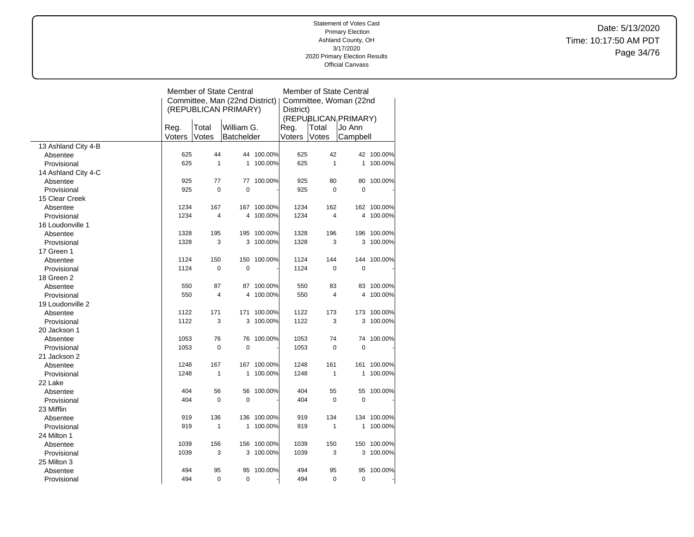Date: 5/13/2020 Time: 10:17:50 AM PDT Page 34/76

|                     |        |                     | <b>Member of State Central</b> | Member of State Central |           |        |                      |             |  |
|---------------------|--------|---------------------|--------------------------------|-------------------------|-----------|--------|----------------------|-------------|--|
|                     |        |                     | Committee, Man (22nd District) | Committee, Woman (22nd  |           |        |                      |             |  |
|                     |        |                     | (REPUBLICAN PRIMARY)           |                         | District) |        |                      |             |  |
|                     |        |                     |                                |                         |           |        | (REPUBLICAN PRIMARY) |             |  |
|                     | Reg.   | Total<br>William G. |                                | Reg.                    | Total     | Jo Ann |                      |             |  |
|                     | Voters | Votes               | <b>Batchelder</b>              |                         | Voters    | Votes  | Campbell             |             |  |
| 13 Ashland City 4-B |        |                     |                                |                         |           |        |                      |             |  |
| Absentee            | 625    | 44                  |                                | 44 100.00%              | 625       | 42     |                      | 42 100.00%  |  |
| Provisional         | 625    | $\mathbf{1}$        | 1                              | 100.00%                 | 625       | 1      | 1                    | 100.00%     |  |
| 14 Ashland City 4-C |        |                     |                                |                         |           |        |                      |             |  |
| Absentee            | 925    | 77                  | 77                             | 100.00%                 | 925       | 80     | 80                   | 100.00%     |  |
| Provisional         | 925    | $\mathbf 0$         | 0                              |                         | 925       | 0      | $\overline{0}$       |             |  |
| 15 Clear Creek      |        |                     |                                |                         |           |        |                      |             |  |
| Absentee            | 1234   | 167                 |                                | 167 100.00%             | 1234      | 162    |                      | 162 100.00% |  |
| Provisional         | 1234   | 4                   | 4                              | 100.00%                 | 1234      | 4      | 4                    | 100.00%     |  |
| 16 Loudonville 1    |        |                     |                                |                         |           |        |                      |             |  |
| Absentee            | 1328   | 195                 |                                | 195 100.00%             | 1328      | 196    |                      | 196 100.00% |  |
| Provisional         | 1328   | 3                   |                                | 3 100.00%               | 1328      | 3      | 3                    | 100.00%     |  |
| 17 Green 1          |        |                     |                                |                         |           |        |                      |             |  |
| Absentee            | 1124   | 150                 | 150                            | 100.00%                 | 1124      | 144    | 144                  | 100.00%     |  |
| Provisional         | 1124   | $\pmb{0}$           | 0                              |                         | 1124      | 0      | $\mathbf 0$          |             |  |
| 18 Green 2          |        |                     |                                |                         |           |        |                      |             |  |
| Absentee            | 550    | 87                  |                                | 87 100.00%              | 550       | 83     | 83                   | 100.00%     |  |
| Provisional         | 550    | $\overline{4}$      | 4                              | 100.00%                 | 550       | 4      | 4                    | 100.00%     |  |
| 19 Loudonville 2    |        |                     |                                |                         |           |        |                      |             |  |
| Absentee            | 1122   | 171                 |                                | 171 100.00%             | 1122      | 173    | 173                  | 100.00%     |  |
| Provisional         | 1122   | 3                   | 3                              | 100.00%                 | 1122      | 3      | 3                    | 100.00%     |  |
| 20 Jackson 1        |        |                     |                                |                         |           |        |                      |             |  |
| Absentee            | 1053   | 76                  | 76                             | 100.00%                 | 1053      | 74     | 74                   | 100.00%     |  |
| Provisional         | 1053   | $\mathbf 0$         | $\overline{0}$                 |                         | 1053      | 0      | $\mathbf 0$          |             |  |
| 21 Jackson 2        |        |                     |                                |                         |           |        |                      |             |  |
| Absentee            | 1248   | 167                 |                                | 167 100.00%             | 1248      | 161    | 161                  | 100.00%     |  |
| Provisional         | 1248   | 1                   | 1                              | 100.00%                 | 1248      | 1      | 1                    | 100.00%     |  |
| 22 Lake             |        |                     |                                |                         |           |        |                      |             |  |
| Absentee            | 404    | 56                  | 56                             | 100.00%                 | 404       | 55     | 55                   | 100.00%     |  |
| Provisional         | 404    | $\mathbf 0$         | 0                              |                         | 404       | 0      | $\mathbf 0$          |             |  |
| 23 Mifflin          |        |                     |                                |                         |           |        |                      |             |  |
| Absentee            | 919    | 136                 |                                | 136 100.00%             | 919       | 134    | 134                  | 100.00%     |  |
| Provisional         | 919    | $\mathbf{1}$        | 1                              | 100.00%                 | 919       | 1      | 1                    | 100.00%     |  |
| 24 Milton 1         |        |                     |                                |                         |           |        |                      |             |  |
| Absentee            | 1039   | 156                 |                                | 156 100.00%             | 1039      | 150    | 150                  | 100.00%     |  |
| Provisional         | 1039   | 3                   |                                | 3 100.00%               | 1039      | 3      | 3                    | 100.00%     |  |
| 25 Milton 3         |        |                     |                                |                         |           |        |                      |             |  |
| Absentee            | 494    | 95                  | 95                             | 100.00%                 | 494       | 95     | 95                   | 100.00%     |  |
| Provisional         | 494    | $\mathbf 0$         | 0                              |                         | 494       | 0      | $\mathbf 0$          |             |  |
|                     |        |                     |                                |                         |           |        |                      |             |  |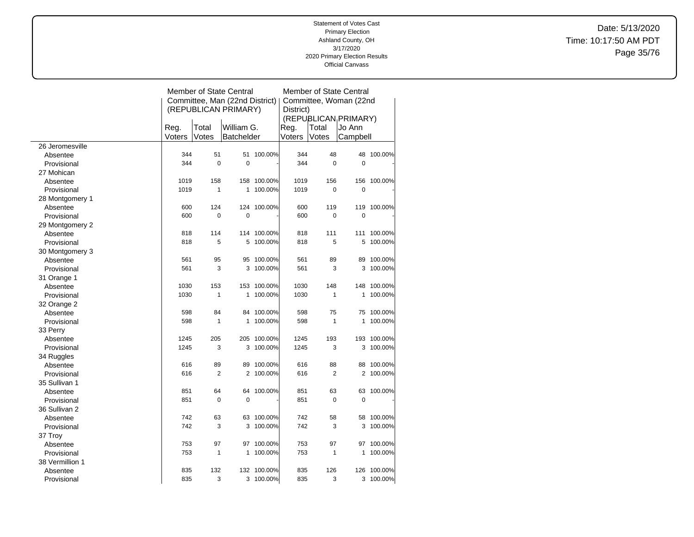Date: 5/13/2020 Time: 10:17:50 AM PDT Page 35/76

|                 |        |                                     | <b>Member of State Central</b> | Member of State Central |        |                |                                   |             |  |
|-----------------|--------|-------------------------------------|--------------------------------|-------------------------|--------|----------------|-----------------------------------|-------------|--|
|                 |        |                                     | Committee, Man (22nd District) | Committee, Woman (22nd  |        |                |                                   |             |  |
|                 |        |                                     | (REPUBLICAN PRIMARY)           | District)               |        |                |                                   |             |  |
|                 |        |                                     |                                |                         |        |                | (REPUBLICAN <sub>I</sub> PRIMARY) |             |  |
|                 |        | Reg.<br>Total<br>William G.<br>Reg. |                                |                         |        | Total          | Jo Ann                            |             |  |
|                 | Voters | Votes                               | Batchelder                     |                         | Voters | Votes          | Campbell                          |             |  |
| 26 Jeromesville |        |                                     |                                |                         |        |                |                                   |             |  |
| Absentee        | 344    | 51                                  | 51                             | 100.00%                 | 344    | 48             | 48                                | 100.00%     |  |
| Provisional     | 344    | $\mathbf 0$                         | $\mathbf 0$                    |                         | 344    | $\mathbf 0$    | $\mathbf 0$                       |             |  |
| 27 Mohican      |        |                                     |                                |                         |        |                |                                   |             |  |
| Absentee        | 1019   | 158                                 | 158                            | 100.00%                 | 1019   | 156            | 156                               | 100.00%     |  |
| Provisional     | 1019   | $\mathbf{1}$                        | 1                              | 100.00%                 | 1019   | $\pmb{0}$      | $\mathbf 0$                       |             |  |
| 28 Montgomery 1 |        |                                     |                                |                         |        |                |                                   |             |  |
| Absentee        | 600    | 124                                 |                                | 124 100.00%             | 600    | 119            |                                   | 119 100.00% |  |
| Provisional     | 600    | 0                                   | 0                              |                         | 600    | 0              | 0                                 |             |  |
| 29 Montgomery 2 |        |                                     |                                |                         |        |                |                                   |             |  |
| Absentee        | 818    | 114                                 |                                | 114 100.00%             | 818    | 111            | 111                               | 100.00%     |  |
| Provisional     | 818    | 5                                   | 5                              | 100.00%                 | 818    | 5              | 5                                 | 100.00%     |  |
| 30 Montgomery 3 |        |                                     |                                |                         |        |                |                                   |             |  |
| Absentee        | 561    | 95                                  | 95                             | 100.00%                 | 561    | 89             | 89                                | 100.00%     |  |
| Provisional     | 561    | 3                                   | 3                              | 100.00%                 | 561    | 3              | 3                                 | 100.00%     |  |
| 31 Orange 1     |        |                                     |                                |                         |        |                |                                   |             |  |
| Absentee        | 1030   | 153                                 |                                | 153 100.00%             | 1030   | 148            |                                   | 148 100.00% |  |
| Provisional     | 1030   | $\mathbf{1}$                        | 1                              | 100.00%                 | 1030   | $\mathbf{1}$   | 1                                 | 100.00%     |  |
| 32 Orange 2     |        |                                     |                                |                         |        |                |                                   |             |  |
| Absentee        | 598    | 84                                  | 84                             | 100.00%                 | 598    | 75             | 75                                | 100.00%     |  |
| Provisional     | 598    | 1                                   | 1                              | 100.00%                 | 598    | $\mathbf{1}$   | 1                                 | 100.00%     |  |
| 33 Perry        |        |                                     |                                |                         |        |                |                                   |             |  |
| Absentee        | 1245   | 205                                 |                                | 205 100.00%             | 1245   | 193            |                                   | 193 100.00% |  |
| Provisional     | 1245   | 3                                   | 3                              | 100.00%                 | 1245   | 3              | 3                                 | 100.00%     |  |
| 34 Ruggles      |        |                                     |                                |                         |        |                |                                   |             |  |
| Absentee        | 616    | 89                                  | 89                             | 100.00%                 | 616    | 88             | 88                                | 100.00%     |  |
| Provisional     | 616    | $\overline{2}$                      | $\overline{2}$                 | 100.00%                 | 616    | $\overline{2}$ | 2                                 | 100.00%     |  |
| 35 Sullivan 1   |        |                                     |                                |                         |        |                |                                   |             |  |
| Absentee        | 851    | 64                                  | 64                             | 100.00%                 | 851    | 63             | 63                                | 100.00%     |  |
| Provisional     | 851    | 0                                   | $\mathbf 0$                    |                         | 851    | $\pmb{0}$      | 0                                 |             |  |
| 36 Sullivan 2   |        |                                     |                                |                         |        |                |                                   |             |  |
| Absentee        | 742    | 63                                  | 63                             | 100.00%                 | 742    | 58             | 58                                | 100.00%     |  |
| Provisional     | 742    | 3                                   | 3                              | 100.00%                 | 742    | 3              | 3                                 | 100.00%     |  |
| 37 Troy         |        |                                     |                                |                         |        |                |                                   |             |  |
| Absentee        | 753    | 97                                  | 97                             | 100.00%                 | 753    | 97             | 97                                | 100.00%     |  |
| Provisional     | 753    | $\mathbf{1}$                        | 1                              | 100.00%                 | 753    | $\mathbf{1}$   | 1                                 | 100.00%     |  |
| 38 Vermillion 1 |        |                                     |                                |                         |        |                |                                   |             |  |
| Absentee        | 835    | 132                                 |                                | 132 100.00%             | 835    | 126            | 126                               | 100.00%     |  |
|                 | 835    | 3                                   |                                | 3 100.00%               | 835    | 3              |                                   | 3 100.00%   |  |
| Provisional     |        |                                     |                                |                         |        |                |                                   |             |  |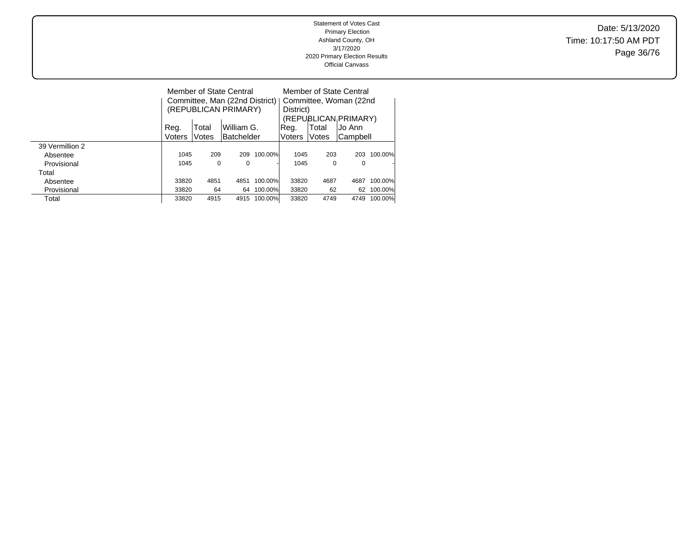Date: 5/13/2020 Time: 10:17:50 AM PDT Page 36/76

|                 |        |       | Member of State Central<br>(REPUBLICAN PRIMARY) |         | Member of State Central<br>Committee, Man (22nd District)   Committee, Woman (22nd<br>District)<br>(REPUBLICAN PRIMARY) |       |          |         |  |
|-----------------|--------|-------|-------------------------------------------------|---------|-------------------------------------------------------------------------------------------------------------------------|-------|----------|---------|--|
|                 | Reg.   | Total | William G.                                      |         | ∣Reg.                                                                                                                   | Total | Jo Ann   |         |  |
|                 | Voters | Votes | <b>Batchelder</b>                               |         | Voters                                                                                                                  | Votes | Campbell |         |  |
| 39 Vermillion 2 |        |       |                                                 |         |                                                                                                                         |       |          |         |  |
| Absentee        | 1045   | 209   | 209                                             | 100.00% | 1045                                                                                                                    | 203   | 203      | 100.00% |  |
| Provisional     | 1045   | 0     | 0                                               |         | 1045                                                                                                                    | 0     | 0        |         |  |
| Total           |        |       |                                                 |         |                                                                                                                         |       |          |         |  |
| Absentee        | 33820  | 4851  | 4851                                            | 100.00% | 33820                                                                                                                   | 4687  | 4687     | 100.00% |  |
| Provisional     | 33820  | 64    | 64                                              | 100.00% | 33820                                                                                                                   | 62    | 62       | 100.00% |  |
| Total           | 33820  | 4915  | 4915                                            | 100.00% | 33820                                                                                                                   | 4749  | 4749     | 100.00% |  |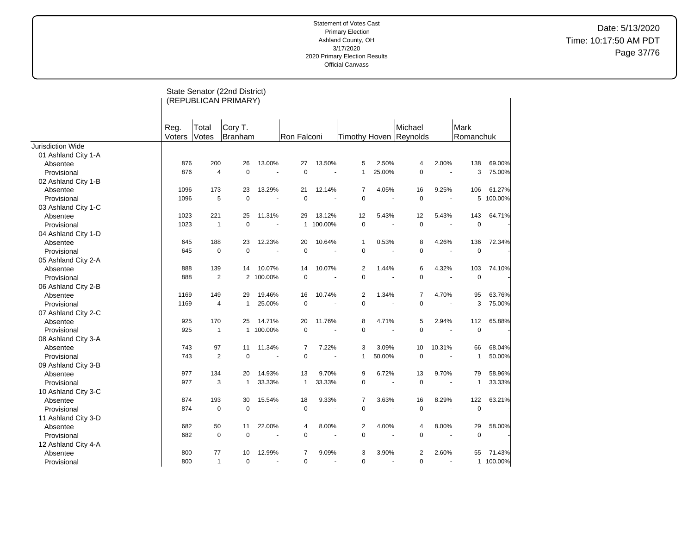Date: 5/13/2020 Time: 10:17:50 AM PDT Page 37/76

|                          |                |                | State Senator (22nd District)<br>(REPUBLICAN PRIMARY) |           |                |         |                |        |                                   |        |                   |         |
|--------------------------|----------------|----------------|-------------------------------------------------------|-----------|----------------|---------|----------------|--------|-----------------------------------|--------|-------------------|---------|
|                          | Reg.<br>Voters | Total<br>Votes | Cory T.<br>Branham                                    |           | Ron Falconi    |         |                |        | Michael<br>Timothy Hoven Reynolds |        | Mark<br>Romanchuk |         |
| <b>Jurisdiction Wide</b> |                |                |                                                       |           |                |         |                |        |                                   |        |                   |         |
| 01 Ashland City 1-A      |                |                |                                                       |           |                |         |                |        |                                   |        |                   |         |
| Absentee                 | 876            | 200            | 26                                                    | 13.00%    | 27             | 13.50%  | 5              | 2.50%  | 4                                 | 2.00%  | 138               | 69.00%  |
| Provisional              | 876            | $\overline{4}$ | $\Omega$                                              | $\sim$    | $\mathbf 0$    |         | $\mathbf{1}$   | 25.00% | $\mathbf 0$                       |        | 3                 | 75.00%  |
| 02 Ashland City 1-B      |                |                |                                                       |           |                |         |                |        |                                   |        |                   |         |
| Absentee                 | 1096           | 173            | 23                                                    | 13.29%    | 21             | 12.14%  | $\overline{7}$ | 4.05%  | 16                                | 9.25%  | 106               | 61.27%  |
| Provisional              | 1096           | 5              | $\mathbf 0$                                           |           | $\mathbf 0$    |         | $\Omega$       |        | $\mathbf 0$                       |        | 5                 | 100.00% |
| 03 Ashland City 1-C      |                |                |                                                       |           |                |         |                |        |                                   |        |                   |         |
| Absentee                 | 1023           | 221            | 25                                                    | 11.31%    | 29             | 13.12%  | 12             | 5.43%  | 12                                | 5.43%  | 143               | 64.71%  |
| Provisional              | 1023           | $\mathbf{1}$   | $\mathbf 0$                                           |           | $\mathbf{1}$   | 100.00% | $\mathbf 0$    |        | $\mathbf 0$                       | $\sim$ | $\mathbf 0$       |         |
| 04 Ashland City 1-D      |                |                |                                                       |           |                |         |                |        |                                   |        |                   |         |
| Absentee                 | 645            | 188            | 23                                                    | 12.23%    | 20             | 10.64%  | $\mathbf{1}$   | 0.53%  | 8                                 | 4.26%  | 136               | 72.34%  |
| Provisional              | 645            | $\pmb{0}$      | $\mathbf 0$                                           |           | $\mathbf 0$    |         | $\mathbf 0$    |        | $\pmb{0}$                         |        | $\mathbf 0$       |         |
| 05 Ashland City 2-A      |                |                |                                                       |           |                |         |                |        |                                   |        |                   |         |
| Absentee                 | 888            | 139            | 14                                                    | 10.07%    | 14             | 10.07%  | $\overline{2}$ | 1.44%  | 6                                 | 4.32%  | 103               | 74.10%  |
| Provisional              | 888            | $\overline{2}$ |                                                       | 2 100.00% | $\mathbf 0$    |         | $\mathbf 0$    |        | $\pmb{0}$                         |        | $\mathbf 0$       |         |
| 06 Ashland City 2-B      |                |                |                                                       |           |                |         |                |        |                                   |        |                   |         |
| Absentee                 | 1169           | 149            | 29                                                    | 19.46%    | 16             | 10.74%  | $\overline{c}$ | 1.34%  | $\overline{7}$                    | 4.70%  | 95                | 63.76%  |
| Provisional              | 1169           | 4              | $\mathbf{1}$                                          | 25.00%    | $\mathbf 0$    |         | $\Omega$       |        | $\mathbf 0$                       |        | 3                 | 75.00%  |
| 07 Ashland City 2-C      |                |                |                                                       |           |                |         |                |        |                                   |        |                   |         |
| Absentee                 | 925            | 170            | 25                                                    | 14.71%    | 20             | 11.76%  | 8              | 4.71%  | 5                                 | 2.94%  | 112               | 65.88%  |
| Provisional              | 925            | $\mathbf{1}$   | $\mathbf{1}$                                          | 100.00%   | $\mathbf 0$    |         | $\mathbf 0$    |        | $\mathbf 0$                       |        | $\mathbf 0$       |         |
| 08 Ashland City 3-A      |                |                |                                                       |           |                |         |                |        |                                   |        |                   |         |
| Absentee                 | 743            | 97             | 11                                                    | 11.34%    | $\overline{7}$ | 7.22%   | 3              | 3.09%  | 10                                | 10.31% | 66                | 68.04%  |
| Provisional              | 743            | $\overline{2}$ | $\mathbf 0$                                           |           | $\mathbf 0$    |         | 1              | 50.00% | $\mathbf 0$                       |        | $\mathbf{1}$      | 50.00%  |
| 09 Ashland City 3-B      |                |                |                                                       |           |                |         |                |        |                                   |        |                   |         |
| Absentee                 | 977            | 134            | 20                                                    | 14.93%    | 13             | 9.70%   | 9              | 6.72%  | 13                                | 9.70%  | 79                | 58.96%  |
| Provisional              | 977            | 3              | $\mathbf{1}$                                          | 33.33%    | $\mathbf{1}$   | 33.33%  | $\mathbf 0$    |        | $\pmb{0}$                         |        | $\mathbf{1}$      | 33.33%  |
| 10 Ashland City 3-C      |                |                |                                                       |           |                |         |                |        |                                   |        |                   |         |
| Absentee                 | 874            | 193            | 30                                                    | 15.54%    | 18             | 9.33%   | $\overline{7}$ | 3.63%  | 16                                | 8.29%  | 122               | 63.21%  |
| Provisional              | 874            | $\mathbf 0$    | $\mathbf 0$                                           |           | $\mathsf 0$    |         | $\mathbf 0$    |        | $\pmb{0}$                         |        | $\mathbf 0$       |         |
| 11 Ashland City 3-D      |                |                |                                                       |           |                |         |                |        |                                   |        |                   |         |
| Absentee                 | 682            | 50             | 11                                                    | 22.00%    | 4              | 8.00%   | $\overline{2}$ | 4.00%  | 4                                 | 8.00%  | 29                | 58.00%  |
| Provisional              | 682            | $\mathbf 0$    | $\mathbf 0$                                           | $\sim$    | $\mathbf 0$    |         | $\mathbf 0$    |        | $\mathbf 0$                       |        | $\mathbf 0$       |         |
| 12 Ashland City 4-A      |                |                |                                                       |           |                |         |                |        |                                   |        |                   |         |
| Absentee                 | 800            | 77             | 10                                                    | 12.99%    | $\overline{7}$ | 9.09%   | 3              | 3.90%  | $\overline{2}$                    | 2.60%  | 55                | 71.43%  |
| Provisional              | 800            | $\mathbf{1}$   | $\mathbf 0$                                           |           | 0              |         | 0              |        | $\mathbf 0$                       |        | $\mathbf{1}$      | 100.00% |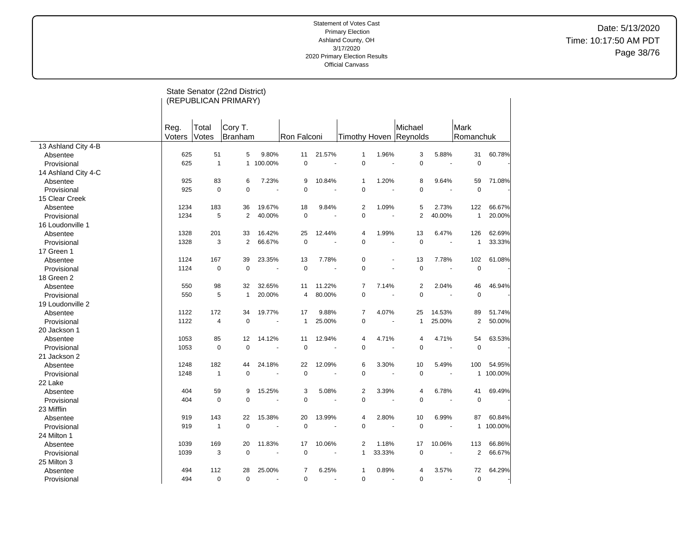Date: 5/13/2020 Time: 10:17:50 AM PDT Page 38/76

|                     |        |                | State Senator (22nd District) |         |                |        |                |                      |                        |                      |                |         |
|---------------------|--------|----------------|-------------------------------|---------|----------------|--------|----------------|----------------------|------------------------|----------------------|----------------|---------|
|                     |        |                | (REPUBLICAN PRIMARY)          |         |                |        |                |                      |                        |                      |                |         |
|                     |        |                |                               |         |                |        |                |                      |                        |                      |                |         |
|                     |        |                |                               |         |                |        |                |                      |                        |                      |                |         |
|                     | Reg.   | Total          | Cory T.                       |         |                |        |                |                      | Michael                |                      | Mark           |         |
|                     | Voters | Votes          | <b>Branham</b>                |         | Ron Falconi    |        |                |                      | Timothy Hoven Reynolds |                      | Romanchuk      |         |
| 13 Ashland City 4-B |        |                |                               |         |                |        |                |                      |                        |                      |                |         |
| Absentee            | 625    | 51             | 5                             | 9.80%   | 11             | 21.57% | $\mathbf{1}$   | 1.96%                | 3                      | 5.88%                | 31             | 60.78%  |
| Provisional         | 625    | $\mathbf{1}$   | $\mathbf{1}$                  | 100.00% | $\mathbf 0$    |        | $\mathbf 0$    | ÷,                   | 0                      | ä,                   | $\mathbf 0$    |         |
| 14 Ashland City 4-C |        |                |                               |         |                |        |                |                      |                        |                      |                |         |
| Absentee            | 925    | 83             | 6                             | 7.23%   | 9              | 10.84% | $\mathbf{1}$   | 1.20%                | 8                      | 9.64%                | 59             | 71.08%  |
| Provisional         | 925    | $\Omega$       | $\Omega$                      |         | $\Omega$       | L.     | $\Omega$       |                      | 0                      | ÷,                   | $\mathbf 0$    |         |
| 15 Clear Creek      |        |                |                               |         |                |        |                |                      |                        |                      |                |         |
| Absentee            | 1234   | 183            | 36                            | 19.67%  | 18             | 9.84%  | $\overline{2}$ | 1.09%                | 5                      | 2.73%                | 122            | 66.67%  |
| Provisional         | 1234   | 5              | $\overline{2}$                | 40.00%  | $\mathbf 0$    |        | $\mathbf 0$    |                      | $\overline{2}$         | 40.00%               | 1              | 20.00%  |
| 16 Loudonville 1    |        |                |                               |         |                |        |                |                      |                        |                      |                |         |
| Absentee            | 1328   | 201            | 33                            | 16.42%  | 25             | 12.44% | 4              | 1.99%                | 13                     | 6.47%                | 126            | 62.69%  |
| Provisional         | 1328   | 3              | $\overline{2}$                | 66.67%  | $\mathbf 0$    |        | $\mathbf 0$    |                      | $\mathbf 0$            |                      | 1              | 33.33%  |
| 17 Green 1          |        |                |                               |         |                |        |                |                      |                        |                      |                |         |
| Absentee            | 1124   | 167            | 39                            | 23.35%  | 13             | 7.78%  | $\pmb{0}$      | ä,                   | 13                     | 7.78%                | 102            | 61.08%  |
| Provisional         | 1124   | $\mathbf 0$    | $\mathbf 0$                   |         | $\mathbf 0$    |        | $\mathbf 0$    |                      | $\mathbf 0$            |                      | $\mathsf 0$    |         |
| 18 Green 2          |        |                |                               |         |                |        |                |                      |                        |                      |                |         |
| Absentee            | 550    | 98             | 32                            | 32.65%  | 11             | 11.22% | $\overline{7}$ | 7.14%                | 2                      | 2.04%                | 46             | 46.94%  |
| Provisional         | 550    | 5              | $\mathbf{1}$                  | 20.00%  | $\overline{4}$ | 80.00% | $\mathbf 0$    |                      | 0                      |                      | $\mathbf 0$    |         |
| 19 Loudonville 2    |        |                |                               |         |                |        |                |                      |                        |                      |                |         |
| Absentee            | 1122   | 172            | 34                            | 19.77%  | 17             | 9.88%  | $\overline{7}$ | 4.07%                | 25                     | 14.53%               | 89             | 51.74%  |
| Provisional         | 1122   | 4              | $\mathbf 0$                   |         | $\mathbf{1}$   | 25.00% | $\mathbf 0$    |                      | $\mathbf{1}$           | 25.00%               | $\overline{2}$ | 50.00%  |
| 20 Jackson 1        |        |                |                               |         |                |        |                |                      |                        |                      |                |         |
| Absentee            | 1053   | 85             | 12                            | 14.12%  | 11             | 12.94% | 4              | 4.71%                | 4                      | 4.71%                | 54             | 63.53%  |
| Provisional         | 1053   | $\mathbf 0$    | $\mathbf 0$                   |         | $\mathbf 0$    |        | $\mathbf 0$    | ÷.                   | 0                      | $\ddot{\phantom{1}}$ | $\mathbf 0$    |         |
| 21 Jackson 2        |        |                |                               |         |                |        |                |                      |                        |                      |                |         |
| Absentee            | 1248   | 182            | 44                            | 24.18%  | 22             | 12.09% | 6              | 3.30%                | 10                     | 5.49%                | 100            | 54.95%  |
| Provisional         | 1248   | $\overline{1}$ | $\mathbf 0$                   |         | $\mathbf 0$    |        | $\mathbf 0$    | $\overline{a}$       | $\pmb{0}$              |                      | $\mathbf{1}$   | 100.00% |
| 22 Lake             |        |                |                               |         |                |        |                |                      |                        |                      |                |         |
| Absentee            | 404    | 59             | 9                             | 15.25%  | 3              | 5.08%  | $\overline{2}$ | 3.39%                | 4                      | 6.78%                | 41             | 69.49%  |
| Provisional         | 404    | $\mathbf 0$    | $\mathbf 0$                   |         | $\mathbf 0$    |        | $\mathbf 0$    | $\ddot{\phantom{1}}$ | 0                      |                      | $\mathbf 0$    |         |
| 23 Mifflin          |        |                |                               |         |                |        |                |                      |                        |                      |                |         |
| Absentee            | 919    | 143            | 22                            | 15.38%  | 20             | 13.99% | 4              | 2.80%                | 10                     | 6.99%                | 87             | 60.84%  |
| Provisional         | 919    | $\mathbf{1}$   | $\mathbf 0$                   |         | $\mathbf 0$    |        | $\mathbf 0$    | ÷,                   | $\mathbf 0$            |                      | $\mathbf{1}$   | 100.00% |
| 24 Milton 1         |        |                |                               |         |                |        |                |                      |                        |                      |                |         |
| Absentee            | 1039   | 169            | 20                            | 11.83%  | 17             | 10.06% | $\overline{2}$ | 1.18%                | 17                     | 10.06%               | 113            | 66.86%  |
| Provisional         | 1039   | 3              | $\mathbf 0$                   |         | $\pmb{0}$      |        | $\mathbf{1}$   | 33.33%               | $\pmb{0}$              |                      | 2              | 66.67%  |
| 25 Milton 3         |        |                |                               |         |                |        |                |                      |                        |                      |                |         |
| Absentee            | 494    | 112            | 28                            | 25.00%  | 7              | 6.25%  | $\mathbf{1}$   | 0.89%                | 4                      | 3.57%                | 72             | 64.29%  |
| Provisional         | 494    | $\Omega$       | $\Omega$                      |         | $\Omega$       |        | $\Omega$       |                      | $\Omega$               |                      | $\Omega$       |         |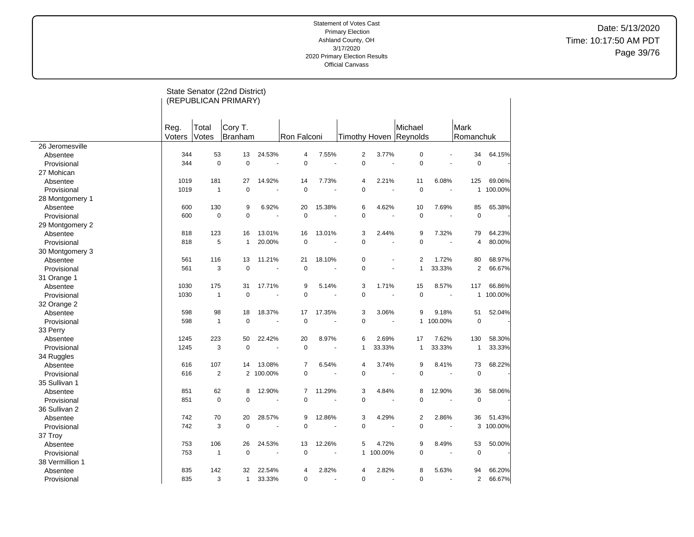# Date: 5/13/2020 Time: 10:17:50 AM PDT Page 39/76

|                 |        |                | State Senator (22nd District) |                      |                |        |                |                |                        |           |                |         |
|-----------------|--------|----------------|-------------------------------|----------------------|----------------|--------|----------------|----------------|------------------------|-----------|----------------|---------|
|                 |        |                | (REPUBLICAN PRIMARY)          |                      |                |        |                |                |                        |           |                |         |
|                 |        |                |                               |                      |                |        |                |                |                        |           |                |         |
|                 |        |                |                               |                      |                |        |                |                |                        |           |                |         |
|                 | Reg.   | Total          | Cory T.                       |                      |                |        |                |                | Michael                |           | Mark           |         |
|                 | Voters | Votes          | <b>Branham</b>                |                      | Ron Falconi    |        |                |                | Timothy Hoven Reynolds |           | Romanchuk      |         |
| 26 Jeromesville |        |                |                               |                      |                |        |                |                |                        |           |                |         |
| Absentee        | 344    | 53             | 13                            | 24.53%               | $\overline{4}$ | 7.55%  | $\overline{2}$ | 3.77%          | $\mathbf 0$            |           | 34             | 64.15%  |
| Provisional     | 344    | $\mathbf 0$    | $\mathbf 0$                   |                      | $\pmb{0}$      |        | $\pmb{0}$      |                | $\mathbf 0$            |           | $\mathbf 0$    |         |
| 27 Mohican      |        |                |                               |                      |                |        |                |                |                        |           |                |         |
| Absentee        | 1019   | 181            | 27                            | 14.92%               | 14             | 7.73%  | 4              | 2.21%          | 11                     | 6.08%     | 125            | 69.06%  |
| Provisional     | 1019   | $\mathbf{1}$   | $\mathbf 0$                   |                      | $\mathbf 0$    |        | $\mathbf 0$    |                | $\mathbf 0$            |           | 1              | 100.00% |
| 28 Montgomery 1 |        |                |                               |                      |                |        |                |                |                        |           |                |         |
| Absentee        | 600    | 130            | 9                             | 6.92%                | 20             | 15.38% | 6              | 4.62%          | 10                     | 7.69%     | 85             | 65.38%  |
| Provisional     | 600    | $\mathbf 0$    | $\mathbf 0$                   |                      | $\overline{0}$ |        | $\mathbf 0$    |                | $\mathbf 0$            |           | $\mathbf 0$    |         |
| 29 Montgomery 2 |        |                |                               |                      |                |        |                |                |                        |           |                |         |
| Absentee        | 818    | 123            | 16                            | 13.01%               | 16             | 13.01% | 3              | 2.44%          | 9                      | 7.32%     | 79             | 64.23%  |
| Provisional     | 818    | 5              | $\mathbf{1}$                  | 20.00%               | $\pmb{0}$      |        | $\mathbf 0$    |                | $\mathbf 0$            |           | 4              | 80.00%  |
| 30 Montgomery 3 |        |                |                               |                      |                |        |                |                |                        |           |                |         |
| Absentee        | 561    | 116            | 13                            | 11.21%               | 21             | 18.10% | $\mathbf 0$    | $\blacksquare$ | $\overline{2}$         | 1.72%     | 80             | 68.97%  |
| Provisional     | 561    | 3              | $\mathbf 0$                   |                      | $\pmb{0}$      |        | $\mathbf 0$    |                | $\mathbf{1}$           | 33.33%    | $\overline{2}$ | 66.67%  |
| 31 Orange 1     |        |                |                               |                      |                |        |                |                |                        |           |                |         |
| Absentee        | 1030   | 175            | 31                            | 17.71%               | 9              | 5.14%  | 3              | 1.71%          | 15                     | 8.57%     | 117            | 66.86%  |
| Provisional     | 1030   | $\mathbf{1}$   | $\mathbf 0$                   |                      | $\pmb{0}$      |        | $\mathbf 0$    |                | $\mathbf 0$            |           | 1              | 100.00% |
| 32 Orange 2     |        |                |                               |                      |                |        |                |                |                        |           |                |         |
| Absentee        | 598    | 98             | 18                            | 18.37%               | 17             | 17.35% | 3              | 3.06%          | 9                      | 9.18%     | 51             | 52.04%  |
| Provisional     | 598    | $\mathbf{1}$   | $\mathbf 0$                   |                      | $\pmb{0}$      |        | $\mathbf 0$    |                |                        | 1 100.00% | $\mathbf 0$    |         |
| 33 Perry        |        |                |                               |                      |                |        |                |                |                        |           |                |         |
| Absentee        | 1245   | 223            | 50                            | 22.42%               | 20             | 8.97%  | 6              | 2.69%          | 17                     | 7.62%     | 130            | 58.30%  |
| Provisional     | 1245   | 3              | $\mathbf 0$                   |                      | $\mathbf 0$    |        | $\mathbf{1}$   | 33.33%         | $\mathbf{1}$           | 33.33%    | 1              | 33.33%  |
| 34 Ruggles      |        |                |                               |                      |                |        |                |                |                        |           |                |         |
| Absentee        | 616    | 107            | 14                            | 13.08%               | 7              | 6.54%  | 4              | 3.74%          | 9                      | 8.41%     | 73             | 68.22%  |
| Provisional     | 616    | $\overline{2}$ | 2                             | 100.00%              | $\pmb{0}$      |        | $\mathbf 0$    |                | $\pmb{0}$              |           | $\mathbf 0$    |         |
| 35 Sullivan 1   |        |                |                               |                      |                |        |                |                |                        |           |                |         |
| Absentee        | 851    | 62             | 8                             | 12.90%               | 7              | 11.29% | 3              | 4.84%          | 8                      | 12.90%    | 36             | 58.06%  |
| Provisional     | 851    | $\mathbf 0$    | $\Omega$                      |                      | $\mathbf 0$    |        | $\mathbf 0$    |                | $\mathbf 0$            | ÷.        | $\mathbf 0$    |         |
| 36 Sullivan 2   |        |                |                               |                      |                |        |                |                |                        |           |                |         |
|                 | 742    | 70             | 20                            | 28.57%               | 9              | 12.86% | 3              | 4.29%          | $\boldsymbol{2}$       | 2.86%     | 36             | 51.43%  |
| Absentee        | 742    | 3              | $\mathbf 0$                   |                      | $\pmb{0}$      |        | $\mathbf 0$    |                | $\mathbf 0$            |           | 3              | 100.00% |
| Provisional     |        |                |                               |                      |                |        |                |                |                        |           |                |         |
| 37 Troy         |        |                |                               |                      |                |        |                |                |                        |           |                |         |
| Absentee        | 753    | 106            | 26                            | 24.53%               | 13             | 12.26% | 5              | 4.72%          | 9                      | 8.49%     | 53             | 50.00%  |
| Provisional     | 753    | $\mathbf{1}$   | $\mathbf 0$                   | $\ddot{\phantom{1}}$ | $\pmb{0}$      |        | $\mathbf{1}$   | 100.00%        | $\pmb{0}$              | ÷         | $\pmb{0}$      |         |
| 38 Vermillion 1 |        |                |                               |                      |                |        |                |                |                        |           |                |         |
| Absentee        | 835    | 142            | 32                            | 22.54%               | 4              | 2.82%  | $\overline{4}$ | 2.82%          | 8                      | 5.63%     | 94             | 66.20%  |
| Provisional     | 835    | 3              | $\mathbf{1}$                  | 33.33%               | $\mathbf 0$    |        | $\Omega$       | L.             | $\mathbf 0$            |           | $\overline{2}$ | 66.67%  |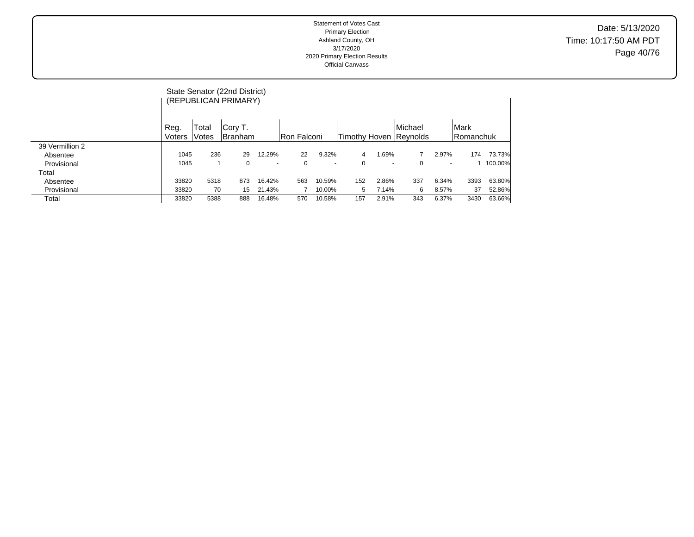|                 |        |       | State Senator (22nd District)<br>(REPUBLICAN PRIMARY) |                          |              |        |     |                          |                        |                          |             |         |
|-----------------|--------|-------|-------------------------------------------------------|--------------------------|--------------|--------|-----|--------------------------|------------------------|--------------------------|-------------|---------|
|                 | Reg.   | Total | Cory T.                                               |                          |              |        |     |                          | Michael                |                          | <b>Mark</b> |         |
|                 | Voters | Votes | <b>Branham</b>                                        |                          | lRon Falconi |        |     |                          | Timothy Hoven Reynolds |                          | Romanchuk   |         |
| 39 Vermillion 2 |        |       |                                                       |                          |              |        |     |                          |                        |                          |             |         |
| Absentee        | 1045   | 236   | 29                                                    | 12.29%                   | 22           | 9.32%  | 4   | 1.69%                    |                        | 2.97%                    | 174         | 73.73%  |
| Provisional     | 1045   |       | $\Omega$                                              | $\overline{\phantom{a}}$ | 0            | ۰      | 0   | $\overline{\phantom{a}}$ | 0                      | $\overline{\phantom{0}}$ |             | 100.00% |
| Total           |        |       |                                                       |                          |              |        |     |                          |                        |                          |             |         |
| Absentee        | 33820  | 5318  | 873                                                   | 16.42%                   | 563          | 10.59% | 152 | 2.86%                    | 337                    | 6.34%                    | 3393        | 63.80%  |
| Provisional     | 33820  | 70    | 15                                                    | 21.43%                   |              | 10.00% | 5   | 7.14%                    | 6                      | 8.57%                    | 37          | 52.86%  |
| Total           | 33820  | 5388  | 888                                                   | 16.48%                   | 570          | 10.58% | 157 | 2.91%                    | 343                    | 6.37%                    | 3430        | 63.66%  |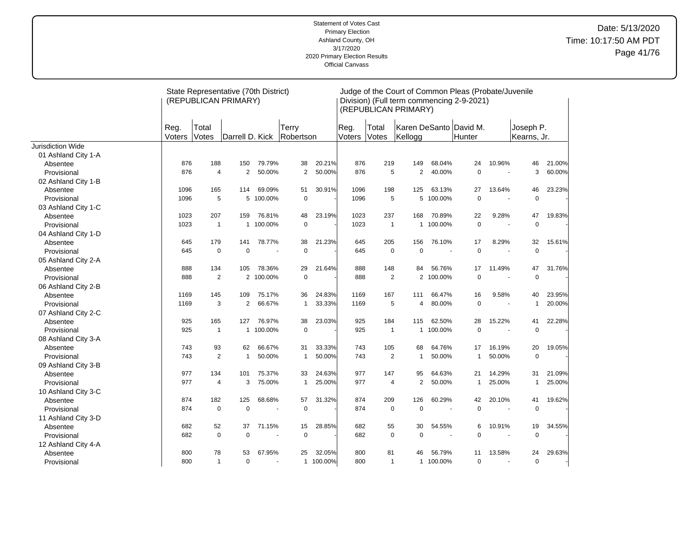## Date: 5/13/2020 Time: 10:17:50 AM PDT Page 41/76

|                     |                |                | State Representative (70th District)<br>(REPUBLICAN PRIMARY) |                |                           |           |                |                | (REPUBLICAN PRIMARY) |           | Judge of the Court of Common Pleas (Probate/Juvenile<br>Division) (Full term commencing 2-9-2021) |                          |                          |        |
|---------------------|----------------|----------------|--------------------------------------------------------------|----------------|---------------------------|-----------|----------------|----------------|----------------------|-----------|---------------------------------------------------------------------------------------------------|--------------------------|--------------------------|--------|
|                     | Reg.<br>Voters | Total<br>Votes | Darrell D. Kick                                              |                | <b>Terry</b><br>Robertson |           | Reg.<br>Voters | Total<br>Votes | Kellogg              |           | Karen DeSanto David M.<br>Hunter                                                                  |                          | Joseph P.<br>Kearns, Jr. |        |
| Jurisdiction Wide   |                |                |                                                              |                |                           |           |                |                |                      |           |                                                                                                   |                          |                          |        |
| 01 Ashland City 1-A |                |                |                                                              |                |                           |           |                |                |                      |           |                                                                                                   |                          |                          |        |
| Absentee            | 876            | 188            | 150                                                          | 79.79%         | 38                        | 20.21%    | 876            | 219            | 149                  | 68.04%    | 24                                                                                                | 10.96%                   | 46                       | 21.00% |
| Provisional         | 876            | $\overline{4}$ | 2                                                            | 50.00%         | $\overline{2}$            | 50.00%    | 876            | 5              | 2                    | 40.00%    | $\Omega$                                                                                          |                          | 3                        | 60.00% |
| 02 Ashland City 1-B |                |                |                                                              |                |                           |           |                |                |                      |           |                                                                                                   |                          |                          |        |
| Absentee            | 1096           | 165            | 114                                                          | 69.09%         | 51                        | 30.91%    | 1096           | 198            | 125                  | 63.13%    | 27                                                                                                | 13.64%                   | 46                       | 23.23% |
| Provisional         | 1096           | 5              | 5                                                            | 100.00%        | $\mathbf 0$               |           | 1096           | 5              | 5                    | 100.00%   | 0                                                                                                 |                          | 0                        |        |
| 03 Ashland City 1-C |                |                |                                                              |                |                           |           |                |                |                      |           |                                                                                                   |                          |                          |        |
| Absentee            | 1023           | 207            | 159                                                          | 76.81%         | 48                        | 23.19%    | 1023           | 237            | 168                  | 70.89%    | 22                                                                                                | 9.28%                    | 47                       | 19.83% |
| Provisional         | 1023           | $\mathbf{1}$   |                                                              | 1 100.00%      | $\mathbf 0$               |           | 1023           | $\overline{1}$ | $\mathbf{1}$         | 100.00%   | 0                                                                                                 |                          | $\mathbf 0$              |        |
| 04 Ashland City 1-D |                |                |                                                              |                |                           |           |                |                |                      |           |                                                                                                   |                          |                          |        |
| Absentee            | 645            | 179            | 141                                                          | 78.77%         | 38                        | 21.23%    | 645            | 205            | 156                  | 76.10%    | 17                                                                                                | 8.29%                    | 32                       | 15.61% |
| Provisional         | 645            | $\mathbf 0$    | 0                                                            | ÷,             | 0                         |           | 645            | $\mathbf 0$    | $\mathbf 0$          |           | 0                                                                                                 |                          | 0                        |        |
| 05 Ashland City 2-A |                |                |                                                              |                |                           |           |                |                |                      |           |                                                                                                   |                          |                          |        |
| Absentee            | 888            | 134            | 105                                                          | 78.36%         | 29                        | 21.64%    | 888            | 148            | 84                   | 56.76%    | 17                                                                                                | 11.49%                   | 47                       | 31.76% |
| Provisional         | 888            | $\overline{2}$ | $\overline{2}$                                               | 100.00%        | $\mathbf 0$               |           | 888            | $\overline{2}$ | $\overline{2}$       | 100.00%   | $\Omega$                                                                                          |                          | $\mathbf 0$              |        |
| 06 Ashland City 2-B |                |                |                                                              |                |                           |           |                |                |                      |           |                                                                                                   |                          |                          |        |
| Absentee            | 1169           | 145            | 109                                                          | 75.17%         | 36                        | 24.83%    | 1169           | 167            | 111                  | 66.47%    | 16                                                                                                | 9.58%                    | 40                       | 23.95% |
| Provisional         | 1169           | 3              | $\overline{2}$                                               | 66.67%         | $\mathbf{1}$              | 33.33%    | 1169           | 5              | 4                    | 80.00%    | 0                                                                                                 |                          | $\mathbf{1}$             | 20.00% |
| 07 Ashland City 2-C |                |                |                                                              |                |                           |           |                |                |                      |           |                                                                                                   |                          |                          |        |
| Absentee            | 925            | 165            | 127                                                          | 76.97%         | 38                        | 23.03%    | 925            | 184            | 115                  | 62.50%    | 28                                                                                                | 15.22%                   | 41                       | 22.28% |
| Provisional         | 925            | $\mathbf{1}$   | $\mathbf{1}$                                                 | 100.00%        | $\mathbf 0$               |           | 925            | $\overline{1}$ | $\mathbf{1}$         | 100.00%   | 0                                                                                                 |                          | $\mathbf 0$              |        |
| 08 Ashland City 3-A |                |                |                                                              |                |                           |           |                |                |                      |           |                                                                                                   |                          |                          |        |
| Absentee            | 743            | 93             | 62                                                           | 66.67%         | 31                        | 33.33%    | 743            | 105            | 68                   | 64.76%    | 17                                                                                                | 16.19%                   | 20                       | 19.05% |
| Provisional         | 743            | 2              | $\mathbf{1}$                                                 | 50.00%         | $\overline{1}$            | 50.00%    | 743            | $\overline{2}$ | $\mathbf 1$          | 50.00%    | $\mathbf{1}$                                                                                      | 50.00%                   | $\mathbf 0$              |        |
| 09 Ashland City 3-B |                |                |                                                              |                |                           |           |                |                |                      |           |                                                                                                   |                          |                          |        |
| Absentee            | 977            | 134            | 101                                                          | 75.37%         | 33                        | 24.63%    | 977            | 147            | 95                   | 64.63%    | 21                                                                                                | 14.29%                   | 31                       | 21.09% |
| Provisional         | 977            | $\overline{4}$ | 3                                                            | 75.00%         | -1                        | 25.00%    | 977            | 4              | $\overline{2}$       | 50.00%    | 1                                                                                                 | 25.00%                   | 1                        | 25.00% |
| 10 Ashland City 3-C |                |                |                                                              |                |                           |           |                |                |                      |           |                                                                                                   |                          |                          |        |
| Absentee            | 874            | 182            | 125                                                          | 68.68%         | 57                        | 31.32%    | 874            | 209            | 126                  | 60.29%    | 42                                                                                                | 20.10%                   | 41                       | 19.62% |
| Provisional         | 874            | $\mathbf 0$    | $\mathbf 0$                                                  | $\sim$         | $\mathbf 0$               |           | 874            | $\mathbf 0$    | $\mathbf 0$          |           | 0                                                                                                 | $\overline{\phantom{a}}$ | 0                        |        |
| 11 Ashland City 3-D |                |                |                                                              |                |                           |           |                |                |                      |           |                                                                                                   |                          |                          |        |
| Absentee            | 682            | 52             | 37                                                           | 71.15%         | 15                        | 28.85%    | 682            | 55             | 30                   | 54.55%    | 6                                                                                                 | 10.91%                   | 19                       | 34.55% |
| Provisional         | 682            | $\mathbf 0$    | $\mathbf 0$                                                  | $\overline{a}$ | $\mathbf 0$               |           | 682            | $\mathbf 0$    | $\mathbf 0$          |           | 0                                                                                                 |                          | 0                        |        |
| 12 Ashland City 4-A |                |                |                                                              |                |                           |           |                |                |                      |           |                                                                                                   |                          |                          |        |
| Absentee            | 800            | 78             | 53                                                           | 67.95%         | 25                        | 32.05%    | 800            | 81             | 46                   | 56.79%    | 11                                                                                                | 13.58%                   | 24                       | 29.63% |
| Provisional         | 800            | $\mathbf{1}$   | $\mathbf 0$                                                  |                |                           | 1 100.00% | 800            | $\overline{1}$ |                      | 1 100.00% | 0                                                                                                 |                          | $\pmb{0}$                |        |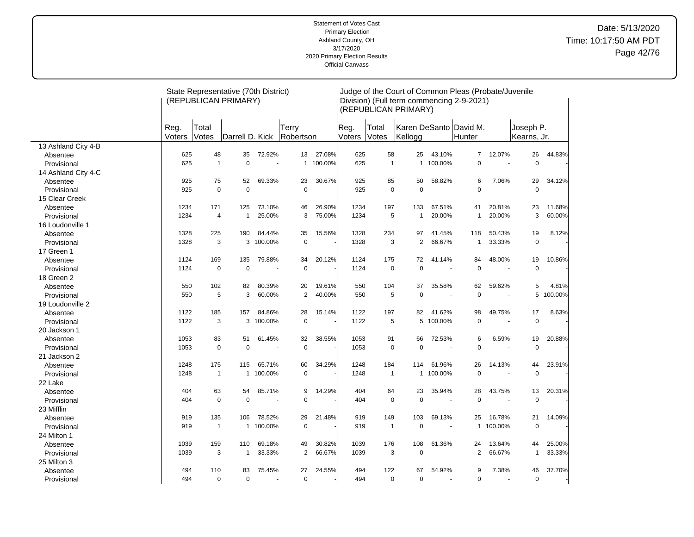## Date: 5/13/2020 Time: 10:17:50 AM PDT Page 42/76

|                     |                |                | State Representative (70th District)<br>(REPUBLICAN PRIMARY) |                |                    |         |                |                | (REPUBLICAN PRIMARY) |                | Judge of the Court of Common Pleas (Probate/Juvenile<br>Division) (Full term commencing 2-9-2021) |                          |                          |         |
|---------------------|----------------|----------------|--------------------------------------------------------------|----------------|--------------------|---------|----------------|----------------|----------------------|----------------|---------------------------------------------------------------------------------------------------|--------------------------|--------------------------|---------|
|                     | Reg.<br>Voters | Total<br>Votes | Darrell D. Kick                                              |                | Terry<br>Robertson |         | Reg.<br>Voters | Total<br>Votes | Kellogg              |                | Karen DeSanto David M.<br>Hunter                                                                  |                          | Joseph P.<br>Kearns, Jr. |         |
| 13 Ashland City 4-B |                |                |                                                              |                |                    |         |                |                |                      |                |                                                                                                   |                          |                          |         |
| Absentee            | 625            | 48             | 35                                                           | 72.92%         | 13                 | 27.08%  | 625            | 58             | 25                   | 43.10%         | $\overline{7}$                                                                                    | 12.07%                   | 26                       | 44.83%  |
| Provisional         | 625            | $\mathbf{1}$   | 0                                                            | $\overline{a}$ | $\mathbf{1}$       | 100.00% | 625            | $\overline{1}$ | $\mathbf{1}$         | 100.00%        | $\mathbf 0$                                                                                       | $\overline{\phantom{a}}$ | $\mathbf 0$              |         |
| 14 Ashland City 4-C |                |                |                                                              |                |                    |         |                |                |                      |                |                                                                                                   |                          |                          |         |
| Absentee            | 925            | 75             | 52                                                           | 69.33%         | 23                 | 30.67%  | 925            | 85             | 50                   | 58.82%         | 6                                                                                                 | 7.06%                    | 29                       | 34.12%  |
| Provisional         | 925            | $\mathbf 0$    | $\overline{0}$                                               |                | $\mathbf 0$        |         | 925            | $\pmb{0}$      | $\mathbf 0$          | $\sim$         | $\mathbf 0$                                                                                       | $\sim$                   | $\mathbf 0$              |         |
| 15 Clear Creek      |                |                |                                                              |                |                    |         |                |                |                      |                |                                                                                                   |                          |                          |         |
| Absentee            | 1234           | 171            | 125                                                          | 73.10%         | 46                 | 26.90%  | 1234           | 197            | 133                  | 67.51%         | 41                                                                                                | 20.81%                   | 23                       | 11.68%  |
| Provisional         | 1234           | 4              | $\mathbf{1}$                                                 | 25.00%         | 3                  | 75.00%  | 1234           | 5              | $\mathbf{1}$         | 20.00%         | $\mathbf{1}$                                                                                      | 20.00%                   | 3                        | 60.00%  |
| 16 Loudonville 1    |                |                |                                                              |                |                    |         |                |                |                      |                |                                                                                                   |                          |                          |         |
| Absentee            | 1328           | 225            | 190                                                          | 84.44%         | 35                 | 15.56%  | 1328           | 234            | 97                   | 41.45%         | 118                                                                                               | 50.43%                   | 19                       | 8.12%   |
| Provisional         | 1328           | 3              | 3                                                            | 100.00%        | $\mathbf 0$        |         | 1328           | 3              | $\overline{2}$       | 66.67%         | $\mathbf{1}$                                                                                      | 33.33%                   | $\mathbf 0$              |         |
| 17 Green 1          |                |                |                                                              |                |                    |         |                |                |                      |                |                                                                                                   |                          |                          |         |
| Absentee            | 1124           | 169            | 135                                                          | 79.88%         | 34                 | 20.12%  | 1124           | 175            | 72                   | 41.14%         | 84                                                                                                | 48.00%                   | 19                       | 10.86%  |
| Provisional         | 1124           | $\mathbf 0$    | 0                                                            |                | $\mathbf 0$        |         | 1124           | $\mathbf 0$    | $\mathbf 0$          |                | $\mathbf 0$                                                                                       |                          | $\mathbf 0$              |         |
| 18 Green 2          |                |                |                                                              |                |                    |         |                |                |                      |                |                                                                                                   |                          |                          |         |
| Absentee            | 550            | 102            | 82                                                           | 80.39%         | 20                 | 19.61%  | 550            | 104            | 37                   | 35.58%         | 62                                                                                                | 59.62%                   | 5                        | 4.81%   |
| Provisional         | 550            | 5              | 3                                                            | 60.00%         | $\overline{2}$     | 40.00%  | 550            | 5              | $\mathbf 0$          | $\sim$         | $\mathbf 0$                                                                                       |                          | 5                        | 100.00% |
| 19 Loudonville 2    |                |                |                                                              |                |                    |         |                |                |                      |                |                                                                                                   |                          |                          |         |
| Absentee            | 1122           | 185            | 157                                                          | 84.86%         | 28                 | 15.14%  | 1122           | 197            | 82                   | 41.62%         | 98                                                                                                | 49.75%                   | 17                       | 8.63%   |
| Provisional         | 1122           | 3              | 3                                                            | 100.00%        | $\mathbf 0$        |         | 1122           | 5              | 5                    | 100.00%        | $\pmb{0}$                                                                                         |                          | $\pmb{0}$                |         |
| 20 Jackson 1        |                |                |                                                              |                |                    |         |                |                |                      |                |                                                                                                   |                          |                          |         |
| Absentee            | 1053           | 83             | 51                                                           | 61.45%         | 32                 | 38.55%  | 1053           | 91             | 66                   | 72.53%         | 6                                                                                                 | 6.59%                    | 19                       | 20.88%  |
| Provisional         | 1053           | $\mathbf 0$    | 0                                                            |                | $\mathbf 0$        |         | 1053           | $\mathbf 0$    | $\mathbf 0$          |                | $\mathbf 0$                                                                                       | $\overline{a}$           | $\mathbf 0$              |         |
| 21 Jackson 2        |                |                |                                                              |                |                    |         |                |                |                      |                |                                                                                                   |                          |                          |         |
| Absentee            | 1248           | 175            | 115                                                          | 65.71%         | 60                 | 34.29%  | 1248           | 184            | 114                  | 61.96%         | 26                                                                                                | 14.13%                   | 44                       | 23.91%  |
| Provisional         | 1248           | $\mathbf{1}$   | 1                                                            | 100.00%        | $\mathbf 0$        |         | 1248           | $\mathbf{1}$   | 1                    | 100.00%        | $\mathbf 0$                                                                                       |                          | $\mathbf 0$              |         |
| 22 Lake             |                |                |                                                              |                |                    |         |                |                |                      |                |                                                                                                   |                          |                          |         |
| Absentee            | 404            | 63             | 54                                                           | 85.71%         | 9                  | 14.29%  | 404            | 64             | 23                   | 35.94%         | 28                                                                                                | 43.75%                   | 13                       | 20.31%  |
| Provisional         | 404            | $\mathbf 0$    | 0                                                            |                | 0                  |         | 404            | $\mathbf 0$    | $\mathbf 0$          | $\sim$         | $\mathbf 0$                                                                                       | $\sim$                   | $\mathbf 0$              |         |
| 23 Mifflin          |                |                |                                                              |                |                    |         |                |                |                      |                |                                                                                                   |                          |                          |         |
| Absentee            | 919            | 135            | 106                                                          | 78.52%         | 29                 | 21.48%  | 919            | 149            | 103                  | 69.13%         | 25                                                                                                | 16.78%                   | 21                       | 14.09%  |
| Provisional         | 919            | $\mathbf{1}$   | $\mathbf{1}$                                                 | 100.00%        | $\mathbf 0$        |         | 919            | $\mathbf{1}$   | 0                    |                |                                                                                                   | 1 100.00%                | $\mathbf 0$              |         |
| 24 Milton 1         |                |                |                                                              |                |                    |         |                |                |                      |                |                                                                                                   |                          |                          |         |
| Absentee            | 1039           | 159            | 110                                                          | 69.18%         | 49                 | 30.82%  | 1039           | 176            | 108                  | 61.36%         | 24                                                                                                | 13.64%                   | 44                       | 25.00%  |
| Provisional         | 1039           | 3              | $\mathbf{1}$                                                 | 33.33%         | $\overline{2}$     | 66.67%  | 1039           | 3              | $\mathbf 0$          |                | 2                                                                                                 | 66.67%                   | $\mathbf{1}$             | 33.33%  |
| 25 Milton 3         |                |                |                                                              |                |                    |         |                |                |                      |                |                                                                                                   |                          |                          |         |
| Absentee            | 494            | 110            | 83                                                           | 75.45%         | 27                 | 24.55%  | 494            | 122            | 67                   | 54.92%         | 9                                                                                                 | 7.38%                    | 46                       | 37.70%  |
| Provisional         | 494            | $\mathbf 0$    | 0                                                            | $\overline{a}$ | 0                  |         | 494            | 0              | $\mathbf 0$          | $\blacksquare$ | $\mathbf 0$                                                                                       | $\sim$                   | $\mathbf 0$              |         |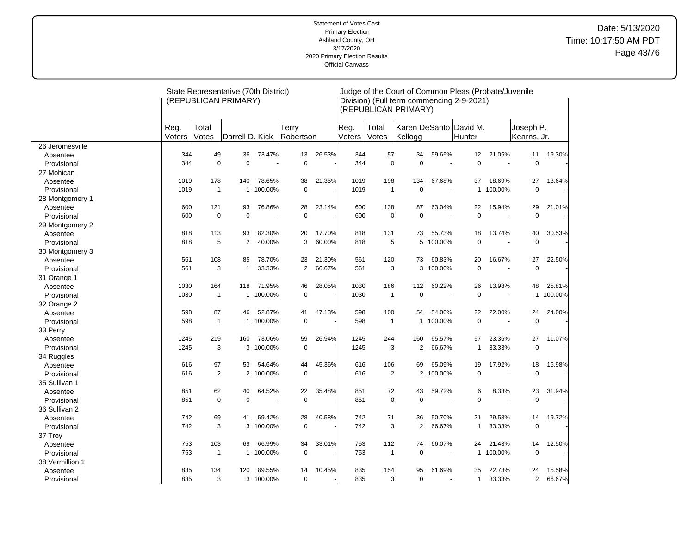## Date: 5/13/2020 Time: 10:17:50 AM PDT Page 43/76

|                 |                |                | State Representative (70th District)<br>(REPUBLICAN PRIMARY) |           |                    |        |                |                | (REPUBLICAN PRIMARY) |                          | Judge of the Court of Common Pleas (Probate/Juvenile<br>Division) (Full term commencing 2-9-2021) |           |                          |         |
|-----------------|----------------|----------------|--------------------------------------------------------------|-----------|--------------------|--------|----------------|----------------|----------------------|--------------------------|---------------------------------------------------------------------------------------------------|-----------|--------------------------|---------|
|                 | Reg.<br>Voters | Total<br>Votes | Darrell D. Kick                                              |           | Terry<br>Robertson |        | Reg.<br>Voters | Total<br>Votes | Kellogg              |                          | Karen DeSanto David M.<br>Hunter                                                                  |           | Joseph P.<br>Kearns, Jr. |         |
| 26 Jeromesville |                |                |                                                              |           |                    |        |                |                |                      |                          |                                                                                                   |           |                          |         |
| Absentee        | 344            | 49             | 36                                                           | 73.47%    | 13                 | 26.53% | 344            | 57             | 34                   | 59.65%                   | 12                                                                                                | 21.05%    | 11                       | 19.30%  |
| Provisional     | 344            | $\mathbf 0$    | 0                                                            |           | $\mathbf 0$        |        | 344            | $\mathbf 0$    | $\mathbf 0$          | $\overline{\phantom{a}}$ | $\mathbf 0$                                                                                       | $\sim$    | $\mathbf 0$              |         |
| 27 Mohican      |                |                |                                                              |           |                    |        |                |                |                      |                          |                                                                                                   |           |                          |         |
| Absentee        | 1019           | 178            | 140                                                          | 78.65%    | 38                 | 21.35% | 1019           | 198            | 134                  | 67.68%                   | 37                                                                                                | 18.69%    | 27                       | 13.64%  |
| Provisional     | 1019           | $\mathbf{1}$   | $\mathbf{1}$                                                 | 100.00%   | $\mathbf 0$        |        | 1019           | $\overline{1}$ | $\mathbf 0$          | $\overline{\phantom{a}}$ | $\mathbf{1}$                                                                                      | 100.00%   | $\mathbf 0$              |         |
| 28 Montgomery 1 |                |                |                                                              |           |                    |        |                |                |                      |                          |                                                                                                   |           |                          |         |
| Absentee        | 600            | 121            | 93                                                           | 76.86%    | 28                 | 23.14% | 600            | 138            | 87                   | 63.04%                   | 22                                                                                                | 15.94%    | 29                       | 21.01%  |
| Provisional     | 600            | $\pmb{0}$      | 0                                                            |           | $\mathbf 0$        |        | 600            | $\pmb{0}$      | $\pmb{0}$            | ÷,                       | $\mathbf 0$                                                                                       | ÷,        | $\mathbf 0$              |         |
| 29 Montgomery 2 |                |                |                                                              |           |                    |        |                |                |                      |                          |                                                                                                   |           |                          |         |
| Absentee        | 818            | 113            | 93                                                           | 82.30%    | 20                 | 17.70% | 818            | 131            | 73                   | 55.73%                   | 18                                                                                                | 13.74%    | 40                       | 30.53%  |
| Provisional     | 818            | 5              | $\overline{2}$                                               | 40.00%    | 3                  | 60.00% | 818            | 5              | 5                    | 100.00%                  | $\mathbf 0$                                                                                       | $\sim$    | $\mathbf 0$              |         |
| 30 Montgomery 3 |                |                |                                                              |           |                    |        |                |                |                      |                          |                                                                                                   |           |                          |         |
| Absentee        | 561            | 108            | 85                                                           | 78.70%    | 23                 | 21.30% | 561            | 120            | 73                   | 60.83%                   | 20                                                                                                | 16.67%    | 27                       | 22.50%  |
| Provisional     | 561            | 3              | 1                                                            | 33.33%    | $\overline{2}$     | 66.67% | 561            | 3              | 3                    | 100.00%                  | $\mathbf 0$                                                                                       |           | $\overline{0}$           |         |
| 31 Orange 1     |                |                |                                                              |           |                    |        |                |                |                      |                          |                                                                                                   |           |                          |         |
| Absentee        | 1030           | 164            | 118                                                          | 71.95%    | 46                 | 28.05% | 1030           | 186            | 112                  | 60.22%                   | 26                                                                                                | 13.98%    | 48                       | 25.81%  |
| Provisional     | 1030           | $\mathbf{1}$   | $\mathbf{1}$                                                 | 100.00%   | $\mathbf 0$        |        | 1030           | $\mathbf{1}$   | $\mathbf 0$          | $\sim$                   | $\mathbf 0$                                                                                       | $\sim$    | $\mathbf{1}$             | 100.00% |
| 32 Orange 2     |                |                |                                                              |           |                    |        |                |                |                      |                          |                                                                                                   |           |                          |         |
| Absentee        | 598            | 87             | 46                                                           | 52.87%    | 41                 | 47.13% | 598            | 100            | 54                   | 54.00%                   | 22                                                                                                | 22.00%    | 24                       | 24.00%  |
| Provisional     | 598            | $\mathbf{1}$   | $\mathbf{1}$                                                 | 100.00%   | 0                  |        | 598            | $\overline{1}$ | $\mathbf{1}$         | 100.00%                  | $\mathbf 0$                                                                                       |           | 0                        |         |
| 33 Perry        |                |                |                                                              |           |                    |        |                |                |                      |                          |                                                                                                   |           |                          |         |
| Absentee        | 1245           | 219            | 160                                                          | 73.06%    | 59                 | 26.94% | 1245           | 244            | 160                  | 65.57%                   | 57                                                                                                | 23.36%    | 27                       | 11.07%  |
| Provisional     | 1245           | 3              | 3                                                            | 100.00%   | $\mathbf 0$        |        | 1245           | 3              | $\mathbf{2}$         | 66.67%                   | $\overline{1}$                                                                                    | 33.33%    | $\Omega$                 |         |
| 34 Ruggles      |                |                |                                                              |           |                    |        |                |                |                      |                          |                                                                                                   |           |                          |         |
| Absentee        | 616            | 97             | 53                                                           | 54.64%    | 44                 | 45.36% | 616            | 106            | 69                   | 65.09%                   | 19                                                                                                | 17.92%    | 18                       | 16.98%  |
| Provisional     | 616            | $\overline{2}$ | $\overline{2}$                                               | 100.00%   | $\mathbf 0$        |        | 616            | 2              | $\overline{2}$       | 100.00%                  | $\mathbf 0$                                                                                       |           | $\mathbf 0$              |         |
| 35 Sullivan 1   |                |                |                                                              |           |                    |        |                |                |                      |                          |                                                                                                   |           |                          |         |
| Absentee        | 851            | 62             | 40                                                           | 64.52%    | 22                 | 35.48% | 851            | 72             | 43                   | 59.72%                   | 6                                                                                                 | 8.33%     | 23                       | 31.94%  |
| Provisional     | 851            | $\mathbf 0$    | 0                                                            |           | $\mathbf 0$        |        | 851            | $\mathbf 0$    | $\mathbf 0$          |                          | $\mathbf 0$                                                                                       |           | $\mathbf 0$              |         |
| 36 Sullivan 2   |                |                |                                                              |           |                    |        |                |                |                      |                          |                                                                                                   |           |                          |         |
| Absentee        | 742            | 69             | 41                                                           | 59.42%    | 28                 | 40.58% | 742            | 71             | 36                   | 50.70%                   | 21                                                                                                | 29.58%    | 14                       | 19.72%  |
| Provisional     | 742            | 3              | 3                                                            | 100.00%   | $\mathbf 0$        |        | 742            | 3              | $\mathbf{2}$         | 66.67%                   | 1                                                                                                 | 33.33%    | $\mathbf 0$              |         |
| 37 Troy         |                |                |                                                              |           |                    |        |                |                |                      |                          |                                                                                                   |           |                          |         |
| Absentee        | 753            | 103            | 69                                                           | 66.99%    | 34                 | 33.01% | 753            | 112            | 74                   | 66.07%                   | 24                                                                                                | 21.43%    | 14                       | 12.50%  |
| Provisional     | 753            | $\mathbf{1}$   | $\mathbf{1}$                                                 | 100.00%   | $\pmb{0}$          |        | 753            | $\mathbf{1}$   | $\mathbf 0$          | $\tilde{\phantom{a}}$    |                                                                                                   | 1 100.00% | $\mathbf 0$              |         |
| 38 Vermillion 1 |                |                |                                                              |           |                    |        |                |                |                      |                          |                                                                                                   |           |                          |         |
| Absentee        | 835            | 134            | 120                                                          | 89.55%    | 14                 | 10.45% | 835            | 154            | 95                   | 61.69%                   | 35                                                                                                | 22.73%    | 24                       | 15.58%  |
| Provisional     | 835            | 3              |                                                              | 3 100.00% | $\mathbf 0$        |        | 835            | 3              | $\mathbf 0$          |                          | $\mathbf{1}$                                                                                      | 33.33%    | $\overline{2}$           | 66.67%  |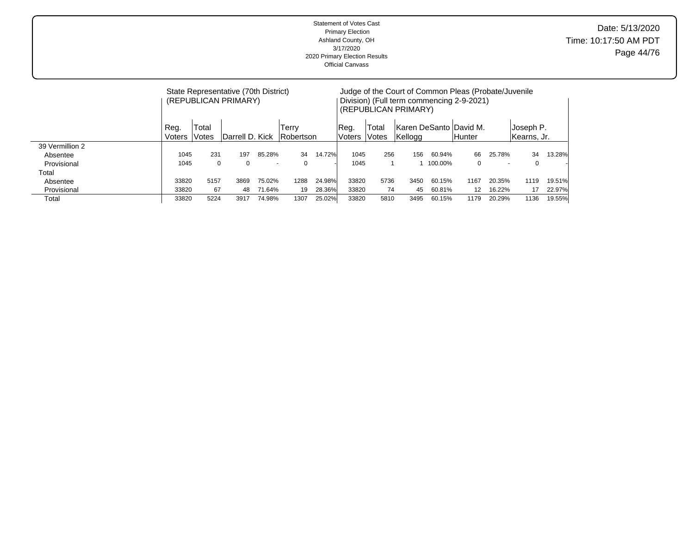|                 | State Representative (70th District)<br>(REPUBLICAN PRIMARY)<br>Total<br>Reg.<br>Terry<br>Robertson<br>Darrell D. Kick<br>Voters<br>Votes<br>231<br>85.28%<br>1045<br>197<br>1045<br>0<br>$\Omega$<br>$\Omega$<br>$\overline{\phantom{0}}$<br>5157<br>75.02%<br>33820<br>3869<br>71.64%<br>33820<br>67<br>48<br>5224<br>74.98%<br>33820<br>1307<br>3917 |  |  |      |        |                  |                | (REPUBLICAN PRIMARY) |         | Judge of the Court of Common Pleas (Probate/Juvenile<br>Division) (Full term commencing 2-9-2021) |                          |                          |        |
|-----------------|---------------------------------------------------------------------------------------------------------------------------------------------------------------------------------------------------------------------------------------------------------------------------------------------------------------------------------------------------------|--|--|------|--------|------------------|----------------|----------------------|---------|---------------------------------------------------------------------------------------------------|--------------------------|--------------------------|--------|
|                 |                                                                                                                                                                                                                                                                                                                                                         |  |  |      |        | IReq.<br>lVoters | Total<br>Votes | Kellogg              |         | Karen DeSanto  David M.<br><b>Hunter</b>                                                          |                          | Joseph P.<br>Kearns, Jr. |        |
| 39 Vermillion 2 |                                                                                                                                                                                                                                                                                                                                                         |  |  |      |        |                  |                |                      |         |                                                                                                   |                          |                          |        |
| Absentee        |                                                                                                                                                                                                                                                                                                                                                         |  |  | 34   | 14.72% | 1045             | 256            | 156                  | 60.94%  | 66                                                                                                | 25.78%                   | 34                       | 13.28% |
| Provisional     |                                                                                                                                                                                                                                                                                                                                                         |  |  |      |        | 1045             |                |                      | 100.00% | 0                                                                                                 | $\overline{\phantom{a}}$ | $\Omega$                 |        |
| Total           |                                                                                                                                                                                                                                                                                                                                                         |  |  |      |        |                  |                |                      |         |                                                                                                   |                          |                          |        |
| Absentee        |                                                                                                                                                                                                                                                                                                                                                         |  |  | 1288 | 24.98% | 33820            | 5736           | 3450                 | 60.15%  | 1167                                                                                              | 20.35%                   | 1119                     | 19.51% |
| Provisional     |                                                                                                                                                                                                                                                                                                                                                         |  |  | 19   | 28.36% | 33820            | 74             | 45                   | 60.81%  | 12                                                                                                | 16.22%                   | 17                       | 22.97% |
| Total           |                                                                                                                                                                                                                                                                                                                                                         |  |  |      | 25.02% | 33820            | 5810           | 3495                 | 60.15%  | 1179                                                                                              | 20.29%                   | 1136                     | 19.55% |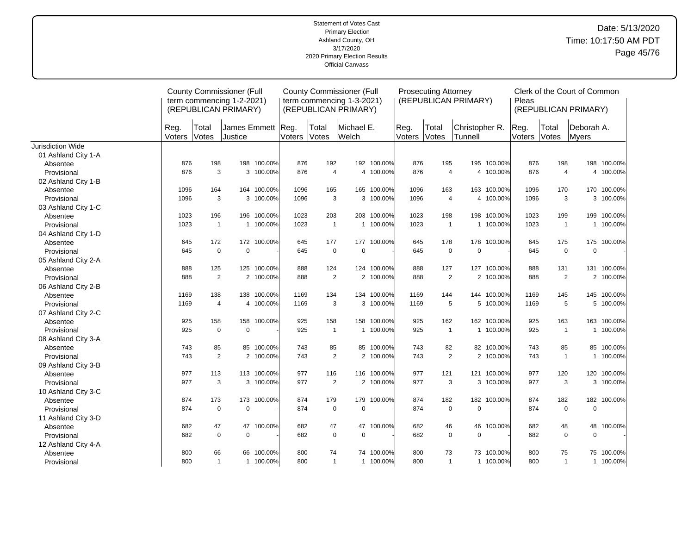|                     |                |                | <b>County Commissioner (Full</b><br>term commencing 1-2-2021)<br>(REPUBLICAN PRIMARY) |             |        |                | <b>County Commissioner (Full</b><br>term commencing 1-3-2021)<br>(REPUBLICAN PRIMARY) |             |                | <b>Prosecuting Attorney</b> | (REPUBLICAN PRIMARY)      |             | Pleas          |                | Clerk of the Court of Common<br>(REPUBLICAN PRIMARY) |             |
|---------------------|----------------|----------------|---------------------------------------------------------------------------------------|-------------|--------|----------------|---------------------------------------------------------------------------------------|-------------|----------------|-----------------------------|---------------------------|-------------|----------------|----------------|------------------------------------------------------|-------------|
|                     | Reg.<br>Voters | Total<br>Votes | James Emmett Reg.<br>Justice                                                          |             | Voters | Total<br>Votes | Michael E.<br>Welch                                                                   |             | Reg.<br>Voters | Total<br>Votes              | Christopher R.<br>Tunnell |             | Reg.<br>Voters | Total<br>Votes | Deborah A.<br>Myers                                  |             |
| Jurisdiction Wide   |                |                |                                                                                       |             |        |                |                                                                                       |             |                |                             |                           |             |                |                |                                                      |             |
| 01 Ashland City 1-A |                |                |                                                                                       |             |        |                |                                                                                       |             |                |                             |                           |             |                |                |                                                      |             |
| Absentee            | 876            | 198            |                                                                                       | 198 100.00% | 876    | 192            |                                                                                       | 192 100.00% | 876            | 195                         |                           | 195 100.00% | 876            | 198            |                                                      | 198 100.00% |
| Provisional         | 876            | 3              |                                                                                       | 3 100.00%   | 876    | $\overline{4}$ |                                                                                       | 4 100.00%   | 876            | $\overline{4}$              |                           | 4 100.00%   | 876            | $\overline{4}$ |                                                      | 4 100.00%   |
| 02 Ashland City 1-B |                |                |                                                                                       |             |        |                |                                                                                       |             |                |                             |                           |             |                |                |                                                      |             |
| Absentee            | 1096           | 164            |                                                                                       | 164 100.00% | 1096   | 165            |                                                                                       | 165 100.00% | 1096           | 163                         |                           | 163 100.00% | 1096           | 170            |                                                      | 170 100.00% |
| Provisional         | 1096           | 3              |                                                                                       | 3 100.00%   | 1096   | 3              |                                                                                       | 3 100.00%   | 1096           | $\overline{4}$              |                           | 4 100.00%   | 1096           | 3              |                                                      | 3 100.00%   |
| 03 Ashland City 1-C |                |                |                                                                                       |             |        |                |                                                                                       |             |                |                             |                           |             |                |                |                                                      |             |
| Absentee            | 1023           | 196            |                                                                                       | 196 100.00% | 1023   | 203            |                                                                                       | 203 100.00% | 1023           | 198                         |                           | 198 100.00% | 1023           | 199            |                                                      | 199 100.00% |
| Provisional         | 1023           | $\overline{1}$ |                                                                                       | 1 100.00%   | 1023   | $\overline{1}$ |                                                                                       | 1 100.00%   | 1023           | $\mathbf{1}$                |                           | 1 100.00%   | 1023           | $\overline{1}$ |                                                      | 1 100.00%   |
| 04 Ashland City 1-D |                |                |                                                                                       |             |        |                |                                                                                       |             |                |                             |                           |             |                |                |                                                      |             |
| Absentee            | 645            | 172            |                                                                                       | 172 100.00% | 645    | 177            |                                                                                       | 177 100.00% | 645            | 178                         | 178                       | 100.00%     | 645            | 175            | 175                                                  | 100.00%     |
| Provisional         | 645            | $\mathbf 0$    | $\mathbf 0$                                                                           |             | 645    | $\pmb{0}$      | $\mathbf 0$                                                                           |             | 645            | $\mathbf 0$                 | $\mathbf 0$               |             | 645            | $\mathbf 0$    | $\mathbf 0$                                          |             |
| 05 Ashland City 2-A |                |                |                                                                                       |             |        |                |                                                                                       |             |                |                             |                           |             |                |                |                                                      |             |
| Absentee            | 888            | 125            |                                                                                       | 125 100.00% | 888    | 124            |                                                                                       | 124 100.00% | 888            | 127                         |                           | 127 100.00% | 888            | 131            |                                                      | 131 100.00% |
| Provisional         | 888            | $\overline{2}$ |                                                                                       | 2 100.00%   | 888    | 2              |                                                                                       | 2 100.00%   | 888            | $\overline{2}$              |                           | 2 100.00%   | 888            | $\overline{2}$ |                                                      | 2 100.00%   |
| 06 Ashland City 2-B |                |                |                                                                                       |             |        |                |                                                                                       |             |                |                             |                           |             |                |                |                                                      |             |
| Absentee            | 1169           | 138            |                                                                                       | 138 100.00% | 1169   | 134            |                                                                                       | 134 100.00% | 1169           | 144                         |                           | 144 100.00% | 1169           | 145            |                                                      | 145 100.00% |
| Provisional         | 1169           | $\overline{4}$ |                                                                                       | 4 100.00%   | 1169   | 3              |                                                                                       | 3 100.00%   | 1169           | 5                           |                           | 5 100.00%   | 1169           | 5              |                                                      | 5 100.00%   |
| 07 Ashland City 2-C |                |                |                                                                                       |             |        |                |                                                                                       |             |                |                             |                           |             |                |                |                                                      |             |
| Absentee            | 925            | 158            |                                                                                       | 158 100.00% | 925    | 158            |                                                                                       | 158 100.00% | 925            | 162                         |                           | 162 100.00% | 925            | 163            |                                                      | 163 100.00% |
| Provisional         | 925            | $\mathbf 0$    | $\mathbf 0$                                                                           |             | 925    | $\overline{1}$ |                                                                                       | 1 100.00%   | 925            | $\mathbf{1}$                |                           | 1 100.00%   | 925            | $\mathbf{1}$   |                                                      | 1 100.00%   |
| 08 Ashland City 3-A |                |                |                                                                                       |             |        |                |                                                                                       |             |                |                             |                           |             |                |                |                                                      |             |
| Absentee            | 743            | 85             |                                                                                       | 85 100.00%  | 743    | 85             |                                                                                       | 85 100.00%  | 743            | 82                          |                           | 82 100.00%  | 743            | 85             |                                                      | 85 100.00%  |
| Provisional         | 743            | $\overline{2}$ |                                                                                       | 2 100.00%   | 743    | 2              |                                                                                       | 2 100.00%   | 743            | $\overline{2}$              |                           | 2 100.00%   | 743            | $\mathbf{1}$   |                                                      | 1 100.00%   |
| 09 Ashland City 3-B |                |                |                                                                                       |             |        |                |                                                                                       |             |                |                             |                           |             |                |                |                                                      |             |
| Absentee            | 977            | 113            |                                                                                       | 113 100.00% | 977    | 116            |                                                                                       | 116 100.00% | 977            | 121                         |                           | 121 100.00% | 977            | 120            |                                                      | 120 100.00% |
| Provisional         | 977            | 3              |                                                                                       | 3 100.00%   | 977    | 2              |                                                                                       | 2 100.00%   | 977            | 3                           |                           | 3 100.00%   | 977            | 3              |                                                      | 3 100.00%   |
| 10 Ashland City 3-C |                |                |                                                                                       |             |        |                |                                                                                       |             |                |                             |                           |             |                |                |                                                      |             |
| Absentee            | 874            | 173            |                                                                                       | 173 100.00% | 874    | 179            | 179                                                                                   | 100.00%     | 874            | 182                         |                           | 182 100.00% | 874            | 182            |                                                      | 182 100.00% |
| Provisional         | 874            | $\mathbf 0$    | $\mathbf 0$                                                                           |             | 874    | $\mathbf 0$    | $\mathbf 0$                                                                           |             | 874            | $\mathbf 0$                 | $\mathbf 0$               |             | 874            | $\mathbf 0$    | $\mathbf 0$                                          |             |
| 11 Ashland City 3-D |                |                |                                                                                       |             |        |                |                                                                                       |             |                |                             |                           |             |                |                |                                                      |             |
| Absentee            | 682            | 47             | 47                                                                                    | 100.00%     | 682    | 47             | 47                                                                                    | 100.00%     | 682            | 46                          | 46                        | 100.00%     | 682            | 48             | 48                                                   | 100.00%     |
| Provisional         | 682            | $\mathbf 0$    | $\mathbf 0$                                                                           |             | 682    | $\mathbf 0$    | $\mathbf 0$                                                                           |             | 682            | $\mathbf 0$                 | $\mathbf 0$               |             | 682            | $\mathbf 0$    | $\mathbf 0$                                          |             |
| 12 Ashland City 4-A |                |                |                                                                                       |             |        |                |                                                                                       |             |                |                             |                           |             |                |                |                                                      |             |
| Absentee            | 800            | 66             |                                                                                       | 66 100.00%  | 800    | 74             | 74                                                                                    | 100.00%     | 800            | 73                          |                           | 73 100.00%  | 800            | 75             |                                                      | 75 100.00%  |
| Provisional         | 800            | $\mathbf{1}$   |                                                                                       | 1 100.00%   | 800    | $\mathbf{1}$   |                                                                                       | 1 100.00%   | 800            | $\mathbf{1}$                |                           | 1 100.00%   | 800            | $\mathbf{1}$   |                                                      | 1 100.00%   |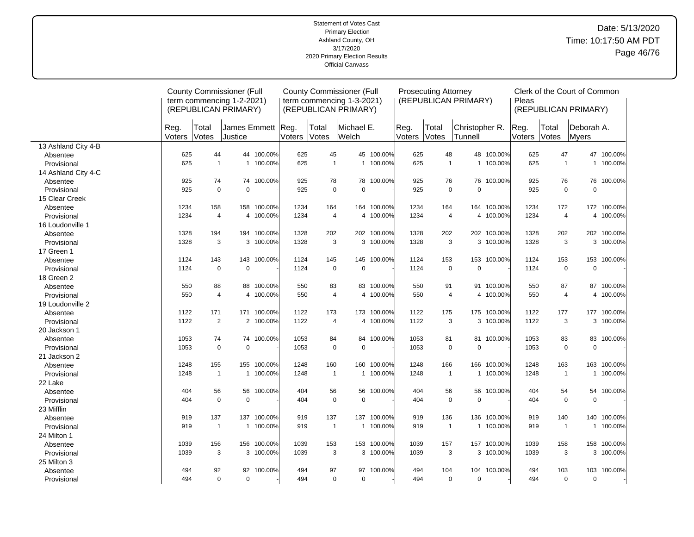## Date: 5/13/2020 Time: 10:17:50 AM PDT Page 46/76

|                     |                |                | <b>County Commissioner (Full</b><br>term commencing 1-2-2021)<br>(REPUBLICAN PRIMARY) |             |                |                       | <b>County Commissioner (Full</b><br>term commencing 1-3-2021)<br>(REPUBLICAN PRIMARY) |             |                | <b>Prosecuting Attorney</b> | (REPUBLICAN PRIMARY)      |             | Pleas          |                | Clerk of the Court of Common<br>(REPUBLICAN PRIMARY) |             |
|---------------------|----------------|----------------|---------------------------------------------------------------------------------------|-------------|----------------|-----------------------|---------------------------------------------------------------------------------------|-------------|----------------|-----------------------------|---------------------------|-------------|----------------|----------------|------------------------------------------------------|-------------|
|                     | Reg.<br>Voters | Total<br>Votes | James Emmett<br><b>Justice</b>                                                        |             | Reg.<br>Voters | Total<br><b>Votes</b> | Michael E.<br><b>Welch</b>                                                            |             | Reg.<br>Voters | Total<br>Votes              | Christopher R.<br>Tunnell |             | Reg.<br>Voters | Total<br>Votes | Deborah A.<br>Myers                                  |             |
| 13 Ashland City 4-B |                |                |                                                                                       |             |                |                       |                                                                                       |             |                |                             |                           |             |                |                |                                                      |             |
| Absentee            | 625            | 44             |                                                                                       | 44 100.00%  | 625            | 45                    |                                                                                       | 45 100.00%  | 625            | 48                          |                           | 48 100.00%  | 625            | 47             |                                                      | 47 100.00%  |
| Provisional         | 625            | $\mathbf{1}$   |                                                                                       | 1 100.00%   | 625            | $\mathbf{1}$          |                                                                                       | 1 100.00%   | 625            | $\mathbf{1}$                |                           | 1 100.00%   | 625            | $\mathbf{1}$   | $\mathbf{1}$                                         | 100.00%     |
| 14 Ashland City 4-C |                |                |                                                                                       |             |                |                       |                                                                                       |             |                |                             |                           |             |                |                |                                                      |             |
| Absentee            | 925            | 74             |                                                                                       | 74 100.00%  | 925            | 78                    | 78                                                                                    | 100.00%     | 925            | 76                          | 76                        | 100.00%     | 925            | 76             | 76                                                   | 100.00%     |
| Provisional         | 925            | $\Omega$       | $\Omega$                                                                              |             | 925            | $\mathbf 0$           | $\Omega$                                                                              |             | 925            | $\mathbf 0$                 | 0                         |             | 925            | $\mathbf 0$    | $\mathbf 0$                                          |             |
| 15 Clear Creek      |                |                |                                                                                       |             |                |                       |                                                                                       |             |                |                             |                           |             |                |                |                                                      |             |
| Absentee            | 1234           | 158            | 158                                                                                   | 100.00%     | 1234           | 164                   | 164                                                                                   | 100.00%     | 1234           | 164                         |                           | 164 100.00% | 1234           | 172            |                                                      | 172 100.00% |
| Provisional         | 1234           | $\overline{4}$ |                                                                                       | 4 100.00%   | 1234           | $\overline{4}$        |                                                                                       | 4 100.00%   | 1234           | $\overline{4}$              |                           | 4 100.00%   | 1234           | $\overline{4}$ |                                                      | 4 100.00%   |
| 16 Loudonville 1    |                |                |                                                                                       |             |                |                       |                                                                                       |             |                |                             |                           |             |                |                |                                                      |             |
| Absentee            | 1328           | 194            | 194                                                                                   | 100.00%     | 1328           | 202                   |                                                                                       | 202 100.00% | 1328           | 202                         |                           | 202 100.00% | 1328           | 202            | 202                                                  | 100.00%     |
| Provisional         | 1328           | 3              | 3                                                                                     | 100.00%     | 1328           | 3                     |                                                                                       | 3 100.00%   | 1328           | 3                           |                           | 3 100.00%   | 1328           | 3              |                                                      | 3 100.00%   |
| 17 Green 1          |                |                |                                                                                       |             |                |                       |                                                                                       |             |                |                             |                           |             |                |                |                                                      |             |
| Absentee            | 1124           | 143            |                                                                                       | 143 100.00% | 1124           | 145                   | 145                                                                                   | 100.00%     | 1124           | 153                         |                           | 153 100.00% | 1124           | 153            | 153                                                  | 100.00%     |
| Provisional         | 1124           | $\mathbf 0$    | $\mathbf 0$                                                                           |             | 1124           | $\pmb{0}$             | $\mathbf 0$                                                                           |             | 1124           | $\pmb{0}$                   | 0                         |             | 1124           | $\mathsf 0$    | $\mathbf 0$                                          |             |
| 18 Green 2          |                |                |                                                                                       |             |                |                       |                                                                                       |             |                |                             |                           |             |                |                |                                                      |             |
| Absentee            | 550            | 88             |                                                                                       | 88 100.00%  | 550            | 83                    |                                                                                       | 83 100.00%  | 550            | 91                          | 91                        | 100.00%     | 550            | 87             |                                                      | 87 100.00%  |
| Provisional         | 550            | $\overline{4}$ |                                                                                       | 4 100.00%   | 550            | $\overline{4}$        |                                                                                       | 4 100.00%   | 550            | $\overline{4}$              |                           | 4 100.00%   | 550            | $\overline{4}$ |                                                      | 4 100.00%   |
| 19 Loudonville 2    |                |                |                                                                                       |             |                |                       |                                                                                       |             |                |                             |                           |             |                |                |                                                      |             |
| Absentee            | 1122           | 171            |                                                                                       | 171 100.00% | 1122           | 173                   |                                                                                       | 173 100.00% | 1122           | 175                         |                           | 175 100.00% | 1122           | 177            |                                                      | 177 100.00% |
| Provisional         | 1122           | $\overline{2}$ |                                                                                       | 2 100.00%   | 1122           | 4                     |                                                                                       | 4 100.00%   | 1122           | 3                           |                           | 3 100.00%   | 1122           | 3              |                                                      | 3 100.00%   |
| 20 Jackson 1        |                |                |                                                                                       |             |                |                       |                                                                                       |             |                |                             |                           |             |                |                |                                                      |             |
| Absentee            | 1053           | 74             |                                                                                       | 74 100.00%  | 1053           | 84                    | 84                                                                                    | 100.00%     | 1053           | 81                          |                           | 81 100.00%  | 1053           | 83             | 83                                                   | 100.00%     |
| Provisional         | 1053           | $\mathbf 0$    | $\mathbf 0$                                                                           |             | 1053           | $\mathbf 0$           | $\mathbf 0$                                                                           |             | 1053           | $\pmb{0}$                   | 0                         |             | 1053           | $\mathbf 0$    | $\mathbf 0$                                          |             |
| 21 Jackson 2        |                |                |                                                                                       |             |                |                       |                                                                                       |             |                |                             |                           |             |                |                |                                                      |             |
| Absentee            | 1248           | 155            |                                                                                       | 155 100.00% | 1248           | 160                   | 160                                                                                   | 100.00%     | 1248           | 166                         | 166                       | 100.00%     | 1248           | 163            | 163                                                  | 100.00%     |
| Provisional         | 1248           | $\mathbf{1}$   | 1                                                                                     | 100.00%     | 1248           | $\overline{1}$        | 1                                                                                     | 100.00%     | 1248           | $\overline{1}$              | 1                         | 100.00%     | 1248           | $\overline{1}$ | $\mathbf{1}$                                         | 100.00%     |
| 22 Lake             |                |                |                                                                                       |             |                |                       |                                                                                       |             |                |                             |                           |             |                |                |                                                      |             |
| Absentee            | 404            | 56             | 56                                                                                    | 100.00%     | 404            | 56                    | 56                                                                                    | 100.00%     | 404            | 56                          | 56                        | 100.00%     | 404            | 54             | 54                                                   | 100.00%     |
| Provisional         | 404            | $\mathbf 0$    | $\mathbf 0$                                                                           |             | 404            | $\mathbf 0$           | $\mathbf 0$                                                                           |             | 404            | $\mathbf 0$                 | 0                         |             | 404            | $\mathbf 0$    | $\mathbf 0$                                          |             |
| 23 Mifflin          |                |                |                                                                                       |             |                |                       |                                                                                       |             |                |                             |                           |             |                |                |                                                      |             |
| Absentee            | 919            | 137            | 137                                                                                   | 100.00%     | 919            | 137                   | 137                                                                                   | 100.00%     | 919            | 136                         | 136                       | 100.00%     | 919            | 140            | 140                                                  | 100.00%     |
| Provisional         | 919            | $\mathbf{1}$   |                                                                                       | 1 100.00%   | 919            | $\mathbf{1}$          |                                                                                       | 1 100.00%   | 919            | $\overline{1}$              | $\mathbf{1}$              | 100.00%     | 919            | $\overline{1}$ | $\mathbf{1}$                                         | 100.00%     |
| 24 Milton 1         |                |                |                                                                                       |             |                |                       |                                                                                       |             |                |                             |                           |             |                |                |                                                      |             |
| Absentee            | 1039           | 156            | 156                                                                                   | 100.00%     | 1039           | 153                   | 153                                                                                   | 100.00%     | 1039           | 157                         |                           | 157 100.00% | 1039           | 158            | 158                                                  | 100.00%     |
| Provisional         | 1039           | 3              |                                                                                       | 3 100.00%   | 1039           | 3                     |                                                                                       | 3 100.00%   | 1039           | 3                           |                           | 3 100.00%   | 1039           | 3              |                                                      | 3 100.00%   |
| 25 Milton 3         |                |                |                                                                                       |             |                |                       |                                                                                       |             |                |                             |                           |             |                |                |                                                      |             |
| Absentee            | 494            | 92             |                                                                                       | 92 100.00%  | 494            | 97                    | 97                                                                                    | 100.00%     | 494            | 104                         | 104                       | 100.00%     | 494            | 103            | 103                                                  | 100.00%     |
| Provisional         | 494            | $\mathbf 0$    | $\mathbf 0$                                                                           |             | 494            | $\mathbf 0$           | $\mathbf 0$                                                                           |             | 494            | $\mathbf 0$                 | 0                         |             | 494            | $\mathbf 0$    | $\mathbf 0$                                          |             |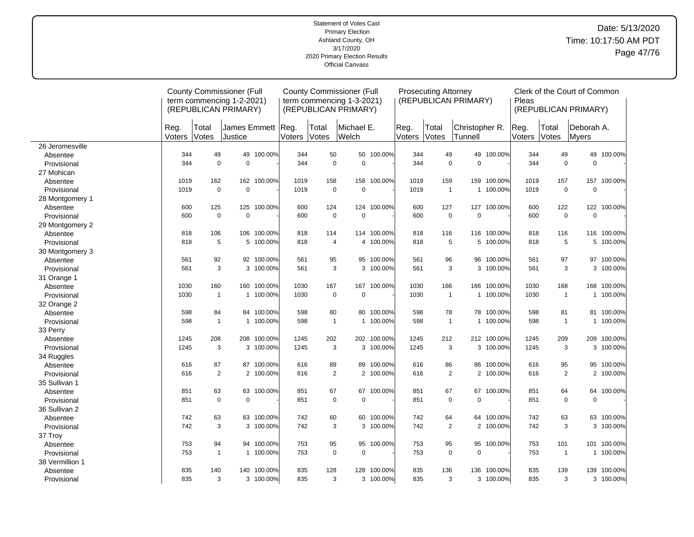## Date: 5/13/2020 Time: 10:17:50 AM PDT Page 47/76

|                 |                |                | <b>County Commissioner (Full</b><br>term commencing 1-2-2021)<br>(REPUBLICAN PRIMARY) |             |                |                | <b>County Commissioner (Full</b><br>term commencing 1-3-2021)<br>(REPUBLICAN PRIMARY) |             |                | <b>Prosecuting Attorney</b> | (REPUBLICAN PRIMARY)      |             | Pleas          |                | Clerk of the Court of Common<br>(REPUBLICAN PRIMARY) |             |
|-----------------|----------------|----------------|---------------------------------------------------------------------------------------|-------------|----------------|----------------|---------------------------------------------------------------------------------------|-------------|----------------|-----------------------------|---------------------------|-------------|----------------|----------------|------------------------------------------------------|-------------|
|                 | Reg.<br>Voters | Total<br>Votes | Uames Emmett<br>Justice                                                               |             | Reg.<br>Voters | Total<br>Votes | Michael E.<br>Welch                                                                   |             | Reg.<br>Voters | Total<br>Votes              | Christopher R.<br>Tunnell |             | Reg.<br>Voters | Total<br>Votes | Deborah A.<br><b>Myers</b>                           |             |
| 26 Jeromesville |                |                |                                                                                       |             |                |                |                                                                                       |             |                |                             |                           |             |                |                |                                                      |             |
| Absentee        | 344            | 49             |                                                                                       | 49 100.00%  | 344            | 50             | 50                                                                                    | 100.00%     | 344            | 49                          | 49                        | 100.00%     | 344            | 49             | 49                                                   | 100.00%     |
| Provisional     | 344            | $\mathbf 0$    | $\mathbf 0$                                                                           |             | 344            | $\mathbf 0$    | $\Omega$                                                                              |             | 344            | $\mathbf 0$                 | 0                         |             | 344            | $\mathbf 0$    | $\mathbf 0$                                          |             |
| 27 Mohican      |                |                |                                                                                       |             |                |                |                                                                                       |             |                |                             |                           |             |                |                |                                                      |             |
| Absentee        | 1019           | 162            |                                                                                       | 162 100.00% | 1019           | 158            | 158                                                                                   | 100.00%     | 1019           | 159                         | 159                       | 100.00%     | 1019           | 157            | 157                                                  | 100.00%     |
| Provisional     | 1019           | $\mathbf 0$    | $\mathbf 0$                                                                           |             | 1019           | $\mathbf 0$    | $\mathbf 0$                                                                           |             | 1019           | $\mathbf{1}$                |                           | 1 100.00%   | 1019           | $\mathbf 0$    | $\mathbf 0$                                          |             |
| 28 Montgomery 1 |                |                |                                                                                       |             |                |                |                                                                                       |             |                |                             |                           |             |                |                |                                                      |             |
| Absentee        | 600            | 125            | 125                                                                                   | 100.00%     | 600            | 124            | 124                                                                                   | 100.00%     | 600            | 127                         | 127                       | 100.00%     | 600            | 122            | 122                                                  | 100.00%     |
| Provisional     | 600            | $\pmb{0}$      | $\mathbf 0$                                                                           |             | 600            | $\mathbf 0$    | $\mathbf 0$                                                                           |             | 600            | $\mathbf 0$                 | 0                         |             | 600            | $\pmb{0}$      | $\mathbf 0$                                          |             |
| 29 Montgomery 2 |                |                |                                                                                       |             |                |                |                                                                                       |             |                |                             |                           |             |                |                |                                                      |             |
| Absentee        | 818            | 106            | 106                                                                                   | 100.00%     | 818            | 114            | 114                                                                                   | 100.00%     | 818            | 116                         | 116                       | 100.00%     | 818            | 116            | 116                                                  | 100.00%     |
| Provisional     | 818            | 5              |                                                                                       | 5 100.00%   | 818            | $\overline{4}$ |                                                                                       | 4 100.00%   | 818            | 5                           |                           | 5 100.00%   | 818            | 5              |                                                      | 5 100.00%   |
| 30 Montgomery 3 |                |                |                                                                                       |             |                |                |                                                                                       |             |                |                             |                           |             |                |                |                                                      |             |
| Absentee        | 561            | 92             |                                                                                       | 92 100.00%  | 561            | 95             | 95                                                                                    | 100.00%     | 561            | 96                          | 96                        | 100.00%     | 561            | 97             | 97                                                   | 100.00%     |
| Provisional     | 561            | 3              |                                                                                       | 3 100.00%   | 561            | 3              |                                                                                       | 3 100.00%   | 561            | 3                           |                           | 3 100.00%   | 561            | 3              | 3                                                    | 100.00%     |
| 31 Orange 1     |                |                |                                                                                       |             |                |                |                                                                                       |             |                |                             |                           |             |                |                |                                                      |             |
| Absentee        | 1030           | 160            | 160                                                                                   | 100.00%     | 1030           | 167            | 167                                                                                   | 100.00%     | 1030           | 166                         | 166                       | 100.00%     | 1030           | 168            | 168                                                  | 100.00%     |
| Provisional     | 1030           | $\mathbf{1}$   |                                                                                       | 1 100.00%   | 1030           | $\mathbf 0$    | $\mathbf 0$                                                                           |             | 1030           | $\mathbf{1}$                |                           | 1 100.00%   | 1030           | $\overline{1}$ | $\mathbf{1}$                                         | 100.00%     |
| 32 Orange 2     |                |                |                                                                                       |             |                |                |                                                                                       |             |                |                             |                           |             |                |                |                                                      |             |
| Absentee        | 598            | 84             |                                                                                       | 84 100.00%  | 598            | 80             | 80                                                                                    | 100.00%     | 598            | 78                          |                           | 78 100.00%  | 598            | 81             |                                                      | 81 100.00%  |
| Provisional     | 598            | $\mathbf{1}$   |                                                                                       | 1 100.00%   | 598            | $\overline{1}$ |                                                                                       | 1 100.00%   | 598            | $\mathbf{1}$                |                           | 1 100.00%   | 598            | $\mathbf{1}$   |                                                      | 1 100.00%   |
| 33 Perry        |                |                |                                                                                       |             |                |                |                                                                                       |             |                |                             |                           |             |                |                |                                                      |             |
| Absentee        | 1245           | 208            | 208                                                                                   | 100.00%     | 1245           | 202            |                                                                                       | 202 100.00% | 1245           | 212                         |                           | 212 100.00% | 1245           | 209            |                                                      | 209 100.00% |
| Provisional     | 1245           | 3              | 3                                                                                     | 100.00%     | 1245           | 3              |                                                                                       | 3 100.00%   | 1245           | 3                           |                           | 3 100.00%   | 1245           | 3              |                                                      | 3 100.00%   |
| 34 Ruggles      |                |                |                                                                                       |             |                |                |                                                                                       |             |                |                             |                           |             |                |                |                                                      |             |
| Absentee        | 616            | 87             |                                                                                       | 87 100.00%  | 616            | 89             | 89                                                                                    | 100.00%     | 616            | 86                          |                           | 86 100.00%  | 616            | 95             | 95                                                   | 100.00%     |
| Provisional     | 616            | 2              |                                                                                       | 2 100.00%   | 616            | 2              | 2                                                                                     | 100.00%     | 616            | $\overline{2}$              |                           | 2 100.00%   | 616            | 2              | 2                                                    | 100.00%     |
| 35 Sullivan 1   |                |                |                                                                                       |             |                |                |                                                                                       |             |                |                             |                           |             |                |                |                                                      |             |
| Absentee        | 851            | 63             |                                                                                       | 63 100.00%  | 851            | 67             | 67                                                                                    | 100.00%     | 851            | 67                          |                           | 67 100.00%  | 851            | 64             | 64                                                   | 100.00%     |
| Provisional     | 851            | $\Omega$       | $\Omega$                                                                              |             | 851            | $\mathbf 0$    | $\Omega$                                                                              |             | 851            | $\mathbf 0$                 | 0                         |             | 851            | $\Omega$       | $\mathbf 0$                                          |             |
| 36 Sullivan 2   |                |                |                                                                                       |             |                |                |                                                                                       |             |                |                             |                           |             |                |                |                                                      |             |
| Absentee        | 742            | 63             |                                                                                       | 63 100.00%  | 742            | 60             | 60                                                                                    | 100.00%     | 742            | 64                          | 64                        | 100.00%     | 742            | 63             | 63                                                   | 100.00%     |
| Provisional     | 742            | 3              |                                                                                       | 3 100.00%   | 742            | 3              | 3                                                                                     | 100.00%     | 742            | $\overline{2}$              |                           | 2 100.00%   | 742            | 3              | 3                                                    | 100.00%     |
| 37 Troy         |                |                |                                                                                       |             |                |                |                                                                                       |             |                |                             |                           |             |                |                |                                                      |             |
| Absentee        | 753            | 94             |                                                                                       | 94 100.00%  | 753            | 95             | 95                                                                                    | 100.00%     | 753            | 95                          | 95                        | 100.00%     | 753            | 101            | 101                                                  | 100.00%     |
| Provisional     | 753            | $\mathbf{1}$   |                                                                                       | 1 100.00%   | 753            | 0              | $\Omega$                                                                              |             | 753            | $\mathbf 0$                 | 0                         |             | 753            | $\overline{1}$ | 1                                                    | 100.00%     |
| 38 Vermillion 1 |                |                |                                                                                       |             |                |                |                                                                                       |             |                |                             |                           |             |                |                |                                                      |             |
| Absentee        | 835            | 140            | 140                                                                                   | 100.00%     | 835            | 128            | 128                                                                                   | 100.00%     | 835            | 136                         | 136                       | 100.00%     | 835            | 139            | 139                                                  | 100.00%     |
| Provisional     | 835            | 3              |                                                                                       | 3 100.00%   | 835            | 3              |                                                                                       | 3 100.00%   | 835            | 3                           |                           | 3 100.00%   | 835            | 3              |                                                      | 3 100.00%   |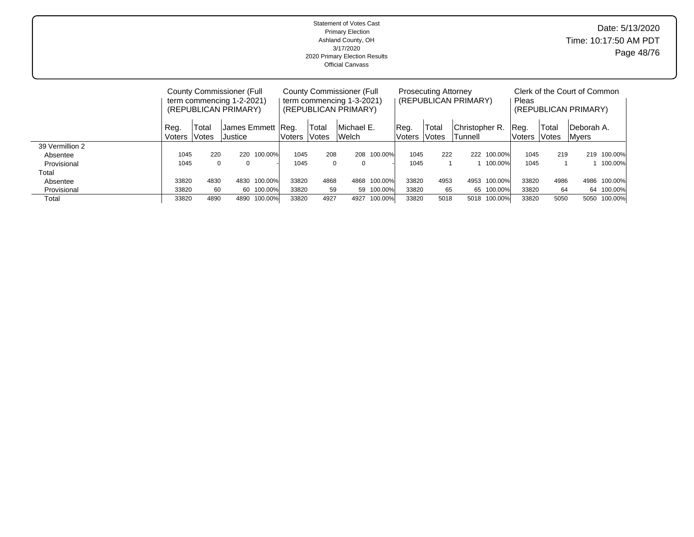|                           | <b>Statement of Votes Cast</b><br><b>Primary Election</b><br>Ashland County, OH<br>3/17/2020<br>2020 Primary Election Results<br><b>Official Canvass</b> |                             | Date: 5/13/2020<br>Time: 10:17:50 AM PDT<br>Page 48/76 |
|---------------------------|----------------------------------------------------------------------------------------------------------------------------------------------------------|-----------------------------|--------------------------------------------------------|
| County Commissioner (Full | County Commissioner (Full                                                                                                                                | <b>Prosecuting Attorney</b> | Clerk of the Court of Common                           |

|                 |                        |       | <b>County Commissioner (Full</b><br>term commencing 1-2-2021)<br>(REPUBLICAN PRIMARY) |            |                                                                        |      | County Commissioner (Full<br>term commencing 1-3-2021)<br>(REPUBLICAN PRIMARY) |                 |                            | <b>Prosecuting Attorney</b> | (REPUBLICAN PRIMARY) |                              | Pleas                |      | Clerk of the Court of Common<br>(REPUBLICAN PRIMARY) |             |
|-----------------|------------------------|-------|---------------------------------------------------------------------------------------|------------|------------------------------------------------------------------------|------|--------------------------------------------------------------------------------|-----------------|----------------------------|-----------------------------|----------------------|------------------------------|----------------------|------|------------------------------------------------------|-------------|
|                 | Reg.<br>Voters   Votes | Total | IJustice l                                                                            |            | Michael E.<br>James Emmett  Reg.<br>Total<br>Welch<br>lVotes<br>Voters |      | Reg.<br>Voters                                                                 | Total<br>lVotes | lChristopher R.<br>Tunnell |                             | Reg.<br>lVoters      | Total<br><i><b>Notes</b></i> | Deborah A.<br>IMvers |      |                                                      |             |
| 39 Vermillion 2 |                        |       |                                                                                       |            |                                                                        |      |                                                                                |                 |                            |                             |                      |                              |                      |      |                                                      |             |
| Absentee        | 1045                   | 220   | 220                                                                                   | 100.00%    | 1045                                                                   | 208  | 208                                                                            | 100.00%         | 1045                       | 222                         |                      | 222 100.00%                  | 1045                 | 219  |                                                      | 219 100.00% |
| Provisional     | 1045                   |       |                                                                                       |            | 1045                                                                   | 0    |                                                                                |                 | 1045                       |                             |                      | 100.00%                      | 1045                 |      |                                                      | 1 100.00%   |
| Total           |                        |       |                                                                                       |            |                                                                        |      |                                                                                |                 |                            |                             |                      |                              |                      |      |                                                      |             |
| Absentee        | 33820                  | 4830  | 4830                                                                                  | 100.00%    | 33820                                                                  | 4868 | 4868                                                                           | 100.00%         | 33820                      | 4953                        | 4953                 | 100.00%                      | 33820                | 4986 | 4986                                                 | 100.00%     |
| Provisional     | 33820                  | 60    |                                                                                       | 60 100.00% | 33820                                                                  | 59   | 59                                                                             | 100.00%         | 33820                      | 65                          |                      | 65 100.00%                   | 33820                | 64   | 64                                                   | 100.00%     |
| Total           | 33820                  | 4890  | 4890                                                                                  | 100.00%    | 33820                                                                  | 4927 | 4927                                                                           | 100.00%         | 33820                      | 5018                        | 5018                 | 100.00%                      | 33820                | 5050 | 5050                                                 | 100.00%     |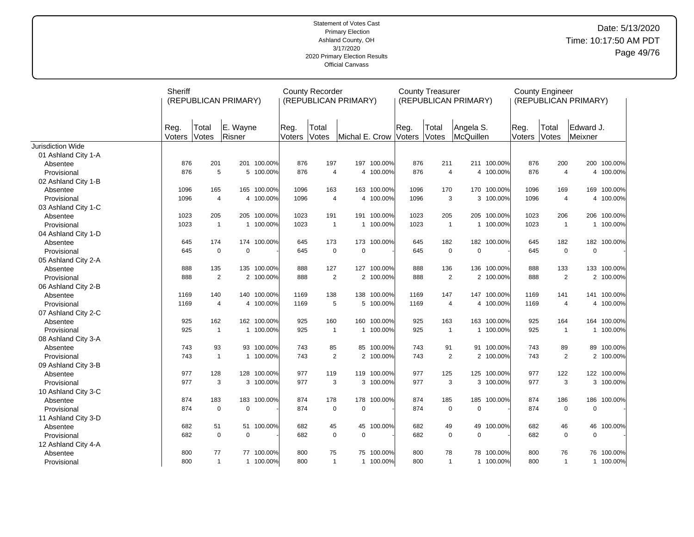## Date: 5/13/2020 Time: 10:17:50 AM PDT Page 49/76

|                     | Sheriff               | (REPUBLICAN PRIMARY)                                            |                    |             |                | <b>County Recorder</b> | (REPUBLICAN PRIMARY) |             |                | <b>County Treasurer</b> | (REPUBLICAN PRIMARY)   |             |                       | <b>County Engineer</b> | (REPUBLICAN PRIMARY) |             |
|---------------------|-----------------------|-----------------------------------------------------------------|--------------------|-------------|----------------|------------------------|----------------------|-------------|----------------|-------------------------|------------------------|-------------|-----------------------|------------------------|----------------------|-------------|
|                     | Reg.<br><b>Voters</b> | Total<br><b>Votes</b>                                           | E. Wayne<br>Risner |             | Reg.<br>Voters | Total<br>Votes         | Michal E. Crow       |             | Reg.<br>Voters | Total<br>Votes          | Angela S.<br>McQuillen |             | Reg.<br><b>Voters</b> | Total<br>Votes         | Edward J.<br>Meixner |             |
| Jurisdiction Wide   |                       |                                                                 |                    |             |                |                        |                      |             |                |                         |                        |             |                       |                        |                      |             |
| 01 Ashland City 1-A |                       |                                                                 |                    |             |                |                        |                      |             |                |                         |                        |             |                       |                        |                      |             |
| Absentee            | 876                   | 201                                                             |                    | 201 100.00% | 876            | 197                    |                      | 197 100.00% | 876            | 211                     |                        | 211 100.00% | 876                   | 200                    |                      | 200 100.00% |
| Provisional         | 876                   | 5                                                               |                    | 5 100.00%   | 876            | $\overline{4}$         |                      | 4 100.00%   | 876            | $\overline{4}$          |                        | 4 100.00%   | 876                   | $\overline{4}$         |                      | 4 100.00%   |
| 02 Ashland City 1-B |                       |                                                                 |                    |             |                |                        |                      |             |                |                         |                        |             |                       |                        |                      |             |
| Absentee            | 1096                  | 165                                                             |                    | 165 100.00% | 1096           | 163                    |                      | 163 100.00% | 1096           | 170                     |                        | 170 100.00% | 1096                  | 169                    | 169                  | 100.00%     |
| Provisional         | 1096                  | $\overline{4}$                                                  |                    | 4 100.00%   | 1096           | $\overline{4}$         |                      | 4 100.00%   | 1096           | 3                       |                        | 3 100.00%   | 1096                  | $\overline{4}$         | 4                    | 100.00%     |
| 03 Ashland City 1-C |                       |                                                                 |                    |             |                |                        |                      |             |                |                         |                        |             |                       |                        |                      |             |
| Absentee            |                       | 1023<br>205<br>205 100.00%<br>1023<br>1 100.00%<br>$\mathbf{1}$ |                    |             |                | 1023<br>191            |                      | 191 100.00% | 1023           | 205                     |                        | 205 100.00% | 1023                  | 206                    | 206                  | 100.00%     |
| Provisional         |                       |                                                                 |                    |             | 1023           | $\overline{1}$         |                      | 1 100.00%   | 1023           | $\mathbf{1}$            |                        | 1 100.00%   | 1023                  | $\overline{1}$         |                      | 1 100.00%   |
| 04 Ashland City 1-D |                       |                                                                 |                    |             |                |                        |                      |             |                |                         |                        |             |                       |                        |                      |             |
| Absentee            | 645                   | 174                                                             |                    | 174 100.00% | 645            | 173                    |                      | 173 100.00% | 645            | 182                     |                        | 182 100.00% | 645                   | 182                    |                      | 182 100.00% |
| Provisional         | 645                   | $\mathbf 0$                                                     | $\Omega$           |             | 645            | $\mathbf 0$            | $\mathbf 0$          |             | 645            | $\mathbf 0$             | $\mathbf 0$            |             | 645                   | $\mathbf 0$            | $\mathbf 0$          |             |
| 05 Ashland City 2-A |                       |                                                                 |                    |             |                |                        |                      |             |                |                         |                        |             |                       |                        |                      |             |
| Absentee            | 888                   | 135                                                             |                    | 135 100.00% | 888            | 127                    |                      | 127 100.00% | 888            | 136                     | 136                    | 100.00%     | 888                   | 133                    |                      | 133 100.00% |
| Provisional         | 888                   | 2                                                               |                    | 2 100.00%   | 888            | 2                      |                      | 2 100.00%   | 888            | 2                       |                        | 2 100.00%   | 888                   | 2                      |                      | 2 100.00%   |
| 06 Ashland City 2-B |                       |                                                                 |                    |             |                |                        |                      |             |                |                         |                        |             |                       |                        |                      |             |
| Absentee            | 1169                  | 140                                                             |                    | 140 100.00% | 1169           | 138                    |                      | 138 100.00% | 1169           | 147                     |                        | 147 100.00% | 1169                  | 141                    |                      | 141 100.00% |
| Provisional         | 1169                  | $\overline{4}$                                                  | 4                  | 100.00%     | 1169           | 5                      |                      | 5 100.00%   | 1169           | $\overline{4}$          |                        | 4 100.00%   | 1169                  | $\overline{4}$         | 4                    | 100.00%     |
| 07 Ashland City 2-C |                       |                                                                 |                    |             |                |                        |                      |             |                |                         |                        |             |                       |                        |                      |             |
| Absentee            | 925                   | 162                                                             |                    | 162 100.00% | 925            | 160                    |                      | 160 100.00% | 925            | 163                     |                        | 163 100.00% | 925                   | 164                    |                      | 164 100.00% |
| Provisional         | 925                   | $\mathbf{1}$                                                    |                    | 1 100.00%   | 925            | $\overline{1}$         |                      | 1 100.00%   | 925            | $\mathbf{1}$            |                        | 1 100.00%   | 925                   | $\overline{1}$         | $\mathbf{1}$         | 100.00%     |
| 08 Ashland City 3-A |                       |                                                                 |                    |             |                |                        |                      |             |                |                         |                        |             |                       |                        |                      |             |
| Absentee            | 743                   | 93                                                              |                    | 93 100.00%  | 743            | 85                     |                      | 85 100.00%  | 743            | 91                      |                        | 91 100.00%  | 743                   | 89                     |                      | 89 100.00%  |
| Provisional         | 743                   | $\mathbf{1}$                                                    |                    | 1 100.00%   | 743            | 2                      |                      | 2 100.00%   | 743            | $\overline{2}$          |                        | 2 100.00%   | 743                   | 2                      |                      | 2 100.00%   |
| 09 Ashland City 3-B |                       |                                                                 |                    |             |                |                        |                      |             |                |                         |                        |             |                       |                        |                      |             |
| Absentee            | 977                   | 128                                                             |                    | 128 100.00% | 977            | 119                    |                      | 119 100.00% | 977            | 125                     |                        | 125 100.00% | 977                   | 122                    |                      | 122 100.00% |
| Provisional         | 977                   | 3                                                               |                    | 3 100.00%   | 977            | 3                      |                      | 3 100.00%   | 977            | 3                       |                        | 3 100.00%   | 977                   | 3                      |                      | 3 100.00%   |
| 10 Ashland City 3-C |                       |                                                                 |                    |             |                |                        |                      |             |                |                         |                        |             |                       |                        |                      |             |
| Absentee            | 874                   | 183                                                             |                    | 183 100.00% | 874            | 178                    |                      | 178 100.00% | 874            | 185                     | 185                    | 100.00%     | 874                   | 186                    | 186                  | 100.00%     |
| Provisional         | 874                   | $\mathbf 0$                                                     | $\Omega$           |             | 874            | $\mathbf 0$            | $\pmb{0}$            |             | 874            | $\mathbf 0$             | $\mathbf 0$            |             | 874                   | $\mathbf 0$            | $\mathbf 0$          |             |
| 11 Ashland City 3-D |                       |                                                                 |                    |             |                |                        |                      |             |                |                         |                        |             |                       |                        |                      |             |
| Absentee            | 682                   | 51                                                              |                    | 51 100.00%  | 682            | 45                     | 45                   | 100.00%     | 682            | 49                      | 49                     | 100.00%     | 682                   | 46                     | 46                   | 100.00%     |
| Provisional         | 682                   | $\mathbf 0$                                                     | $\Omega$           |             | 682            | $\mathbf 0$            | $\mathbf 0$          |             | 682            | $\mathbf 0$             | $\mathbf 0$            |             | 682                   | $\mathbf 0$            | $\mathbf 0$          |             |
| 12 Ashland City 4-A |                       |                                                                 |                    |             |                |                        |                      |             |                |                         |                        |             |                       |                        |                      |             |
| Absentee            | 800                   | 77                                                              |                    | 77 100.00%  | 800            | 75                     | 75                   | 100.00%     | 800            | 78                      |                        | 78 100.00%  | 800                   | 76                     | 76                   | 100.00%     |
| Provisional         | 800                   | $\mathbf{1}$                                                    |                    | 1 100.00%   | 800            | $\mathbf{1}$           |                      | 1 100.00%   | 800            | $\mathbf{1}$            |                        | 1 100.00%   | 800                   | $\mathbf{1}$           |                      | 1 100.00%   |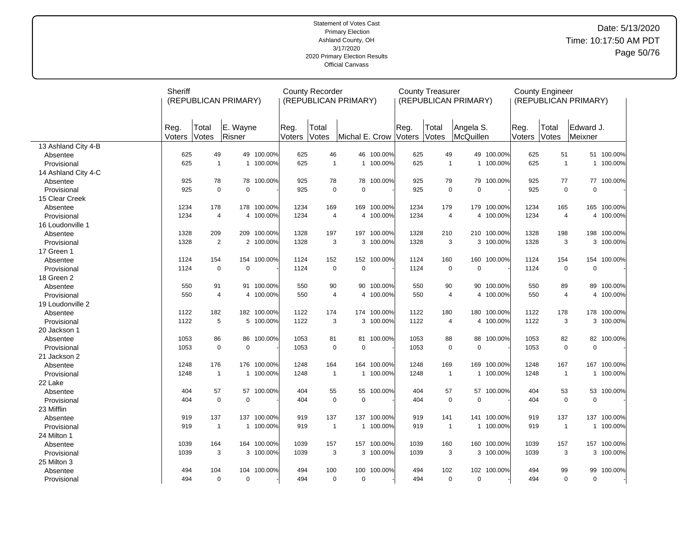## Date: 5/13/2020 Time: 10:17:50 AM PDT Page 50/76

|                     | Sheriff        | (REPUBLICAN PRIMARY) |                    |             |                | <b>County Recorder</b> | (REPUBLICAN PRIMARY) |             |                | <b>County Treasurer</b> | (REPUBLICAN PRIMARY)   |             |                | <b>County Engineer</b> | (REPUBLICAN PRIMARY) |             |
|---------------------|----------------|----------------------|--------------------|-------------|----------------|------------------------|----------------------|-------------|----------------|-------------------------|------------------------|-------------|----------------|------------------------|----------------------|-------------|
|                     | Reg.<br>Voters | Total<br>Votes       | E. Wayne<br>Risner |             | Reg.<br>Voters | Total<br>Votes         | Michal E. Crow       |             | Reg.<br>Voters | Total<br>Votes          | Angela S.<br>McQuillen |             | Reg.<br>Voters | Total<br>Votes         | Edward J.<br>Meixner |             |
| 13 Ashland City 4-B |                |                      |                    |             |                |                        |                      |             |                |                         |                        |             |                |                        |                      |             |
| Absentee            | 625            | 49                   |                    | 49 100.00%  | 625            | 46                     |                      | 46 100.00%  | 625            | 49                      |                        | 49 100.00%  | 625            | 51                     |                      | 51 100.00%  |
| Provisional         | 625            | $\mathbf{1}$         |                    | 1 100.00%   | 625            | $\overline{1}$         | $\mathbf{1}$         | 100.00%     | 625            | $\mathbf{1}$            |                        | 1 100.00%   | 625            | $\mathbf{1}$           | $\mathbf{1}$         | 100.00%     |
| 14 Ashland City 4-C |                |                      |                    |             |                |                        |                      |             |                |                         |                        |             |                |                        |                      |             |
| Absentee            | 925            | 78                   |                    | 78 100.00%  | 925            | 78                     | 78                   | 100.00%     | 925            | 79                      | 79                     | 100.00%     | 925            | 77                     |                      | 77 100.00%  |
| Provisional         | 925            | $\mathbf 0$          | $\mathbf 0$        |             | 925            | $\mathbf 0$            | 0                    |             | 925            | $\mathbf 0$             | $\mathbf 0$            |             | 925            | $\mathbf 0$            | $\mathbf 0$          |             |
| 15 Clear Creek      |                |                      |                    |             |                |                        |                      |             |                |                         |                        |             |                |                        |                      |             |
| Absentee            | 1234           | 178                  |                    | 178 100.00% | 1234           | 169                    | 169                  | 100.00%     | 1234           | 179                     | 179                    | 100.00%     | 1234           | 165                    | 165                  | 100.00%     |
| Provisional         | 1234           | $\overline{4}$       |                    | 4 100.00%   | 1234           | $\overline{4}$         |                      | 4 100.00%   | 1234           | 4                       |                        | 4 100.00%   | 1234           | $\overline{4}$         | 4                    | 100.00%     |
| 16 Loudonville 1    |                |                      |                    |             |                |                        |                      |             |                |                         |                        |             |                |                        |                      |             |
| Absentee            | 1328           | 209                  |                    | 209 100.00% | 1328           | 197                    | 197                  | 100.00%     | 1328           | 210                     | 210                    | 100.00%     | 1328           | 198                    | 198                  | 100.00%     |
| Provisional         | 1328           | 2                    |                    | 2 100.00%   | 1328           | 3                      |                      | 3 100.00%   | 1328           | 3                       |                        | 3 100.00%   | 1328           | 3                      |                      | 3 100.00%   |
| 17 Green 1          |                |                      |                    |             |                |                        |                      |             |                |                         |                        |             |                |                        |                      |             |
| Absentee            | 1124           | 154                  |                    | 154 100.00% | 1124           | 152                    |                      | 152 100.00% | 1124           | 160                     | 160                    | 100.00%     | 1124           | 154                    | 154                  | 100.00%     |
| Provisional         | 1124           | $\mathbf 0$          | $\mathbf 0$        |             | 1124           | $\mathbf 0$            | $\mathbf 0$          |             | 1124           | $\mathbf 0$             | $\mathbf 0$            |             | 1124           | $\mathbf 0$            | $\mathbf 0$          |             |
| 18 Green 2          |                |                      |                    |             |                |                        |                      |             |                |                         |                        |             |                |                        |                      |             |
| Absentee            | 550            | 91                   |                    | 91 100.00%  | 550            | 90                     | 90                   | 100.00%     | 550            | 90                      |                        | 90 100.00%  | 550            | 89                     | 89                   | 100.00%     |
| Provisional         | 550            | $\overline{4}$       |                    | 4 100.00%   | 550            | $\overline{4}$         |                      | 4 100.00%   | 550            | 4                       |                        | 4 100.00%   | 550            | 4                      |                      | 4 100.00%   |
| 19 Loudonville 2    |                |                      |                    |             |                |                        |                      |             |                |                         |                        |             |                |                        |                      |             |
| Absentee            | 1122           | 182                  |                    | 182 100.00% | 1122           | 174                    |                      | 174 100.00% | 1122           | 180                     |                        | 180 100.00% | 1122           | 178                    |                      | 178 100.00% |
| Provisional         | 1122           | 5                    |                    | 5 100.00%   | 1122           | 3                      | 3                    | 100.00%     | 1122           | 4                       | 4                      | 100.00%     | 1122           | 3                      | 3                    | 100.00%     |
| 20 Jackson 1        |                |                      |                    |             |                |                        |                      |             |                |                         |                        |             |                |                        |                      |             |
| Absentee            | 1053           | 86                   |                    | 86 100.00%  | 1053           | 81                     | 81                   | 100.00%     | 1053           | 88                      | 88                     | 100.00%     | 1053           | 82                     |                      | 82 100.00%  |
| Provisional         | 1053           | $\mathbf 0$          | $\mathbf 0$        |             | 1053           | $\mathbf 0$            | 0                    |             | 1053           | $\pmb{0}$               | $\mathbf 0$            |             | 1053           | $\mathbf 0$            | $\mathsf 0$          |             |
| 21 Jackson 2        |                |                      |                    |             |                |                        |                      |             |                |                         |                        |             |                |                        |                      |             |
| Absentee            | 1248           | 176                  |                    | 176 100.00% | 1248           | 164                    | 164                  | 100.00%     | 1248           | 169                     | 169                    | 100.00%     | 1248           | 167                    | 167                  | 100.00%     |
| Provisional         | 1248           | $\mathbf{1}$         |                    | 1 100.00%   | 1248           | $\mathbf{1}$           | $\mathbf 1$          | 100.00%     | 1248           | $\mathbf{1}$            | 1                      | 100.00%     | 1248           | $\mathbf{1}$           | $\mathbf{1}$         | 100.00%     |
| 22 Lake             |                |                      |                    |             |                |                        |                      |             |                |                         |                        |             |                |                        |                      |             |
| Absentee            | 404            | 57                   |                    | 57 100.00%  | 404            | 55                     | 55                   | 100.00%     | 404            | 57                      | 57                     | 100.00%     | 404            | 53                     | 53                   | 100.00%     |
| Provisional         | 404            | $\mathbf 0$          | $\mathbf 0$        |             | 404            | $\mathbf 0$            | 0                    |             | 404            | $\mathbf 0$             | $\Omega$               |             | 404            | $\mathbf 0$            | $\mathbf 0$          |             |
| 23 Mifflin          |                |                      |                    |             |                |                        |                      |             |                |                         |                        |             |                |                        |                      |             |
| Absentee            | 919            | 137                  |                    | 137 100.00% | 919            | 137                    | 137                  | 100.00%     | 919            | 141                     | 141                    | 100.00%     | 919            | 137                    | 137                  | 100.00%     |
| Provisional         | 919            | $\mathbf{1}$         |                    | 1 100.00%   | 919            | $\overline{1}$         | $\mathbf{1}$         | 100.00%     | 919            | $\mathbf{1}$            |                        | 1 100.00%   | 919            | $\overline{1}$         | $\mathbf{1}$         | 100.00%     |
| 24 Milton 1         |                |                      |                    |             |                |                        |                      |             |                |                         |                        |             |                |                        |                      |             |
| Absentee            | 1039           | 164                  |                    | 164 100.00% | 1039           | 157                    | 157                  | 100.00%     | 1039           | 160                     | 160                    | 100.00%     | 1039           | 157                    | 157                  | 100.00%     |
| Provisional         | 1039           | 3                    |                    | 3 100.00%   | 1039           | 3                      |                      | 3 100.00%   | 1039           | 3                       |                        | 3 100.00%   | 1039           | 3                      |                      | 3 100.00%   |
| 25 Milton 3         |                |                      |                    |             |                |                        |                      |             |                |                         |                        |             |                |                        |                      |             |
| Absentee            | 494            | 104                  |                    | 104 100.00% | 494            | 100                    | 100                  | 100.00%     | 494            | 102                     | 102                    | 100.00%     | 494            | 99                     | 99                   | 100.00%     |
| Provisional         | 494            | $\mathbf 0$          | $\mathbf 0$        |             | 494            | $\mathbf 0$            | 0                    |             | 494            | $\mathbf 0$             | $\mathbf 0$            |             | 494            | $\Omega$               | $\mathbf 0$          |             |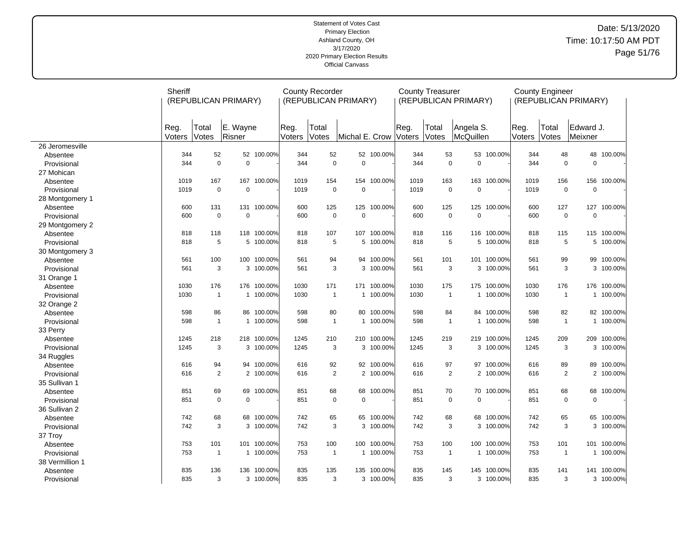## Date: 5/13/2020 Time: 10:17:50 AM PDT Page 51/76

|                 | Sheriff        | (REPUBLICAN PRIMARY) |                    |             |                | <b>County Recorder</b> | (REPUBLICAN PRIMARY) |             |                | <b>County Treasurer</b> | (REPUBLICAN PRIMARY)   |             |                | <b>County Engineer</b> | (REPUBLICAN PRIMARY) |            |
|-----------------|----------------|----------------------|--------------------|-------------|----------------|------------------------|----------------------|-------------|----------------|-------------------------|------------------------|-------------|----------------|------------------------|----------------------|------------|
|                 | Reg.<br>Voters | Total<br>Votes       | E. Wayne<br>Risner |             | Reg.<br>Voters | Total<br><b>Votes</b>  | Michal E. Crow       |             | Reg.<br>Voters | Total<br>Votes          | Angela S.<br>McQuillen |             | Reg.<br>Voters | Total<br>Votes         | Edward J.<br>Meixner |            |
| 26 Jeromesville |                |                      |                    |             |                |                        |                      |             |                |                         |                        |             |                |                        |                      |            |
| Absentee        | 344            | 52                   |                    | 52 100.00%  | 344            | 52                     | 52                   | 100.00%     | 344            | 53                      |                        | 53 100.00%  | 344            | 48                     | 48                   | 100.00%    |
| Provisional     | 344            | $\mathbf 0$          | $\mathbf 0$        |             | 344            | $\mathbf 0$            | $\Omega$             |             | 344            | $\mathbf 0$             | $\overline{0}$         |             | 344            | $\mathbf 0$            | $\mathbf 0$          |            |
| 27 Mohican      |                |                      |                    |             |                |                        |                      |             |                |                         |                        |             |                |                        |                      |            |
| Absentee        | 1019           | 167                  | 167                | 100.00%     | 1019           | 154                    | 154                  | 100.00%     | 1019           | 163                     | 163                    | 100.00%     | 1019           | 156                    | 156                  | 100.00%    |
| Provisional     | 1019           | $\mathbf 0$          | $\Omega$           |             | 1019           | $\mathbf 0$            | $\mathbf 0$          |             | 1019           | $\mathbf 0$             | $\Omega$               |             | 1019           | $\mathbf 0$            | $\pmb{0}$            |            |
| 28 Montgomery 1 |                |                      |                    |             |                |                        |                      |             |                |                         |                        |             |                |                        |                      |            |
| Absentee        | 600            | 131                  |                    | 131 100.00% | 600            | 125                    | 125                  | 100.00%     | 600            | 125                     | 125                    | 100.00%     | 600            | 127                    | 127                  | 100.00%    |
| Provisional     | 600            | $\mathbf 0$          | $\Omega$           |             | 600            | $\mathbf 0$            | $\mathbf 0$          |             | 600            | $\mathbf 0$             | $\Omega$               |             | 600            | $\mathbf 0$            | $\mathbf 0$          |            |
| 29 Montgomery 2 |                |                      |                    |             |                |                        |                      |             |                |                         |                        |             |                |                        |                      |            |
| Absentee        | 818            | 118                  | 118                | 100.00%     | 818            | 107                    | 107                  | 100.00%     | 818            | 116                     | 116                    | 100.00%     | 818            | 115                    | 115                  | 100.00%    |
| Provisional     | 818            | 5                    |                    | 5 100.00%   | 818            | 5                      |                      | 5 100.00%   | 818            | 5                       |                        | 5 100.00%   | 818            | 5                      |                      | 5 100.00%  |
| 30 Montgomery 3 |                |                      |                    |             |                |                        |                      |             |                |                         |                        |             |                |                        |                      |            |
| Absentee        | 561            | 100                  | 100                | 100.00%     | 561            | 94                     | 94                   | 100.00%     | 561            | 101                     | 101                    | 100.00%     | 561            | 99                     | 99                   | 100.00%    |
| Provisional     | 561            | 3                    |                    | 3 100.00%   | 561            | 3                      |                      | 3 100.00%   | 561            | 3                       |                        | 3 100.00%   | 561            | 3                      | 3                    | 100.00%    |
| 31 Orange 1     |                |                      |                    |             |                |                        |                      |             |                |                         |                        |             |                |                        |                      |            |
| Absentee        | 1030           | 176                  |                    | 176 100.00% | 1030           | 171                    | 171                  | 100.00%     | 1030           | 175                     |                        | 175 100.00% | 1030           | 176                    | 176                  | 100.00%    |
| Provisional     | 1030           | $\overline{1}$       |                    | 1 100.00%   | 1030           | $\mathbf{1}$           |                      | 1 100.00%   | 1030           | $\overline{1}$          |                        | 1 100.00%   | 1030           | $\mathbf{1}$           | $\mathbf{1}$         | 100.00%    |
| 32 Orange 2     |                |                      |                    |             |                |                        |                      |             |                |                         |                        |             |                |                        |                      |            |
| Absentee        | 598            | 86                   |                    | 86 100.00%  | 598            | 80                     | 80                   | 100.00%     | 598            | 84                      |                        | 84 100.00%  | 598            | 82                     |                      | 82 100.00% |
| Provisional     | 598            | $\overline{1}$       |                    | 1 100.00%   | 598            | $\overline{1}$         |                      | 1 100.00%   | 598            | $\overline{1}$          |                        | 1 100.00%   | 598            | $\mathbf{1}$           |                      | 1 100.00%  |
| 33 Perry        |                |                      |                    |             |                |                        |                      |             |                |                         |                        |             |                |                        |                      |            |
| Absentee        | 1245           | 218                  |                    | 218 100.00% | 1245           | 210                    |                      | 210 100.00% | 1245           | 219                     |                        | 219 100.00% | 1245           | 209                    | 209                  | 100.00%    |
| Provisional     | 1245           | 3                    |                    | 3 100.00%   | 1245           | 3                      | 3                    | 100.00%     | 1245           | 3                       |                        | 3 100.00%   | 1245           | 3                      |                      | 3 100.00%  |
| 34 Ruggles      |                |                      |                    |             |                |                        |                      |             |                |                         |                        |             |                |                        |                      |            |
| Absentee        | 616            | 94                   |                    | 94 100.00%  | 616            | 92                     | 92                   | 100.00%     | 616            | 97                      |                        | 97 100.00%  | 616            | 89                     | 89                   | 100.00%    |
| Provisional     | 616            | $\overline{2}$       | $\overline{2}$     | 100.00%     | 616            | $\overline{2}$         | $\overline{2}$       | 100.00%     | 616            | $\overline{2}$          |                        | 2 100.00%   | 616            | $\overline{2}$         | $\overline{2}$       | 100.00%    |
| 35 Sullivan 1   |                |                      |                    |             |                |                        |                      |             |                |                         |                        |             |                |                        |                      |            |
| Absentee        | 851            | 69                   | 69                 | 100.00%     | 851            | 68                     | 68                   | 100.00%     | 851            | 70                      | 70                     | 100.00%     | 851            | 68                     | 68                   | 100.00%    |
| Provisional     | 851            | $\mathbf 0$          | $\Omega$           |             | 851            | $\mathbf 0$            | $\mathbf 0$          |             | 851            | $\mathbf 0$             | $\Omega$               |             | 851            | $\Omega$               | $\mathbf 0$          |            |
| 36 Sullivan 2   |                |                      |                    |             |                |                        |                      |             |                |                         |                        |             |                |                        |                      |            |
| Absentee        | 742            | 68                   | 68                 | 100.00%     | 742            | 65                     | 65                   | 100.00%     | 742            | 68                      |                        | 68 100.00%  | 742            | 65                     | 65                   | 100.00%    |
| Provisional     | 742            | 3                    |                    | 3 100.00%   | 742            | 3                      | 3                    | 100.00%     | 742            | 3                       |                        | 3 100.00%   | 742            | 3                      | 3                    | 100.00%    |
| 37 Troy         |                |                      |                    |             |                |                        |                      |             |                |                         |                        |             |                |                        |                      |            |
| Absentee        | 753            | 101                  |                    | 101 100.00% | 753            | 100                    | 100                  | 100.00%     | 753            | 100                     | 100                    | 100.00%     | 753            | 101                    | 101                  | 100.00%    |
| Provisional     | 753            | $\overline{1}$       |                    | 1 100.00%   | 753            | $\mathbf{1}$           |                      | 1 100.00%   | 753            | $\overline{1}$          |                        | 1 100.00%   | 753            | $\mathbf{1}$           | $\mathbf{1}$         | 100.00%    |
| 38 Vermillion 1 |                |                      |                    |             |                |                        |                      |             |                |                         |                        |             |                |                        |                      |            |
| Absentee        | 835            | 136                  | 136                | 100.00%     | 835            | 135                    | 135                  | 100.00%     | 835            | 145                     | 145                    | 100.00%     | 835            | 141                    | 141                  | 100.00%    |
| Provisional     | 835            | 3                    |                    | 3 100.00%   | 835            | 3                      |                      | 3 100.00%   | 835            | 3                       |                        | 3 100.00%   | 835            | 3                      |                      | 3 100.00%  |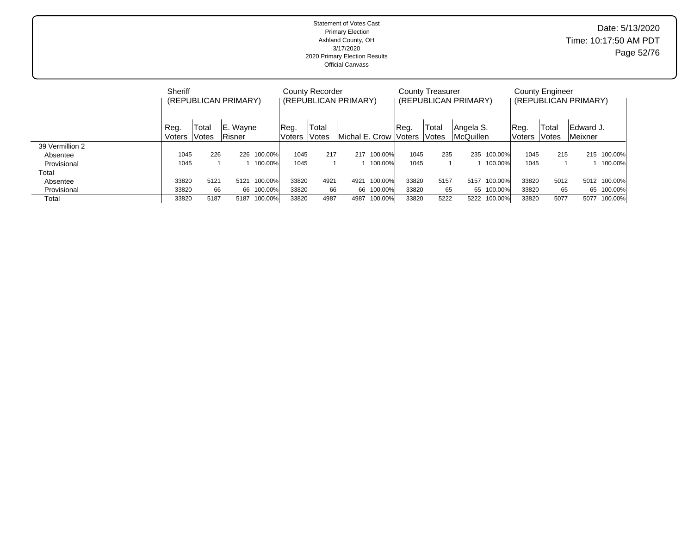| <b>Statement of Votes Cast</b><br><b>Primary Election</b><br>Ashland County, OH<br>3/17/2020<br>2020 Primary Election Results<br><b>Official Canvass</b> | Date: 5/13/2020<br>Time: 10:17:50 AM PDT<br>Page 52/76 |
|----------------------------------------------------------------------------------------------------------------------------------------------------------|--------------------------------------------------------|
|                                                                                                                                                          |                                                        |

|                 | Sheriff                |       | (REPUBLICAN PRIMARY)      |         |                | County Recorder       | (REPUBLICAN PRIMARY)    |             |       | <b>County Treasurer</b> | (REPUBLICAN PRIMARY)   |            |                 | <b>County Engineer</b> | (REPUBLICAN PRIMARY)  |              |
|-----------------|------------------------|-------|---------------------------|---------|----------------|-----------------------|-------------------------|-------------|-------|-------------------------|------------------------|------------|-----------------|------------------------|-----------------------|--------------|
|                 | Reg.<br>Voters   Votes | Total | E. Wayne<br><b>Risner</b> |         | Reg.<br>Voters | Total<br><b>Votes</b> | Michal E. Crow   Voters |             | Reg.  | Total<br><b>Notes</b>   | Angela S.<br>McQuillen |            | Reg.<br> Voters | Total<br> Votes        | Edward J.<br> Meixner |              |
| 39 Vermillion 2 |                        |       |                           |         |                |                       |                         |             |       |                         |                        |            |                 |                        |                       |              |
| Absentee        | 1045                   | 226   | 226                       | 100.00% | 1045           | 217                   |                         | 217 100.00% | 1045  | 235                     | 235                    | 100.00%    | 1045            | 215                    |                       | 215 100.00%  |
| Provisional     | 1045                   |       |                           | 100.00% | 1045           |                       |                         | 100.00%     | 1045  |                         |                        | 100.00%    | 1045            |                        |                       | 100.00%      |
| Total           |                        |       |                           |         |                |                       |                         |             |       |                         |                        |            |                 |                        |                       |              |
| Absentee        | 33820                  | 5121  | 5121                      | 100.00% | 33820          | 4921                  | 4921                    | 100.00%     | 33820 | 5157                    | 5157                   | 100.00%    | 33820           | 5012                   |                       | 5012 100.00% |
| Provisional     | 33820                  | 66    | 66                        | 100.00% | 33820          | 66                    |                         | 66 100.00%  | 33820 | 65                      |                        | 65 100.00% | 33820           | 65                     |                       | 65 100.00%   |
| Total           | 33820                  | 5187  | 5187                      | 100.00% | 33820          | 4987                  | 4987                    | 100.00%     | 33820 | 5222                    | 5222                   | 100.00%    | 33820           | 5077                   | 5077                  | 100.00%      |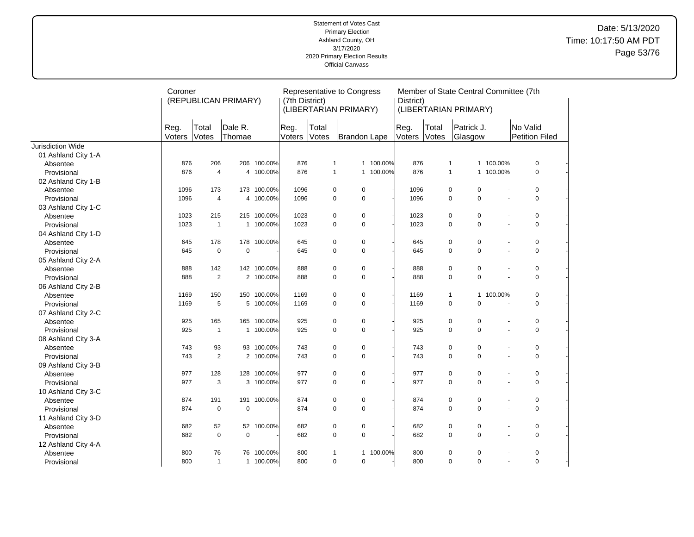|                     | Coroner        |                       | (REPUBLICAN PRIMARY) |             | (7th District) |                | Representative to Congress<br>(LIBERTARIAN PRIMARY) |           | District)      |                       | Member of State Central Committee (7th<br>(LIBERTARIAN PRIMARY) |                         |                       |                            |  |
|---------------------|----------------|-----------------------|----------------------|-------------|----------------|----------------|-----------------------------------------------------|-----------|----------------|-----------------------|-----------------------------------------------------------------|-------------------------|-----------------------|----------------------------|--|
|                     | Reg.<br>Voters | Total<br><b>Votes</b> | Dale R.<br>Thomae    |             | Reg.<br>Voters | Total<br>Votes | Brandon Lape                                        |           | Reg.<br>Voters | Total<br><b>Votes</b> | Patrick J.<br>Glasgow                                           |                         |                       | No Valid<br>Petition Filed |  |
| Jurisdiction Wide   |                |                       |                      |             |                |                |                                                     |           |                |                       |                                                                 |                         |                       |                            |  |
| 01 Ashland City 1-A |                |                       |                      |             |                |                |                                                     |           |                |                       |                                                                 |                         |                       |                            |  |
| Absentee            | 876            | 206                   | 206                  | 100.00%     | 876            | $\mathbf{1}$   |                                                     | 1 100.00% | 876            |                       | $\mathbf{1}$                                                    | 1 100.00%               |                       | $\mathbf 0$                |  |
| Provisional         | 876            | $\overline{4}$        |                      | 4 100.00%   | 876            | $\mathbf{1}$   |                                                     | 1 100.00% | 876            |                       | $\mathbf{1}$                                                    | 1 100.00%               |                       | $\mathbf 0$                |  |
| 02 Ashland City 1-B |                |                       |                      |             |                |                |                                                     |           |                |                       |                                                                 |                         |                       |                            |  |
| Absentee            | 1096           | 173                   | 173                  | 100.00%     | 1096           |                | 0<br>$\pmb{0}$                                      |           | 1096           |                       | $\mathbf 0$<br>$\mathbf 0$                                      |                         |                       | 0                          |  |
| Provisional         | 1096           | 4                     | 4                    | 100.00%     | 1096           |                | $\pmb{0}$<br>$\pmb{0}$                              |           | 1096           |                       | $\mathsf 0$<br>$\mathbf 0$                                      |                         |                       | $\pmb{0}$                  |  |
| 03 Ashland City 1-C |                |                       |                      |             |                |                |                                                     |           |                |                       |                                                                 |                         |                       |                            |  |
| Absentee            | 1023           | 215                   | 215                  | 100.00%     | 1023           | $\pmb{0}$      | $\mathbf 0$                                         |           | 1023           |                       | $\mathbf 0$<br>$\mathbf 0$                                      |                         |                       | $\pmb{0}$                  |  |
| Provisional         | 1023           | $\overline{1}$        | $\mathbf{1}$         | 100.00%     | 1023           |                | $\mathbf 0$<br>$\mathbf 0$                          |           | 1023           |                       | $\mathbf 0$<br>$\mathbf 0$                                      |                         | ÷.                    | $\mathbf 0$                |  |
| 04 Ashland City 1-D |                |                       |                      |             |                |                |                                                     |           |                |                       |                                                                 |                         |                       |                            |  |
| Absentee            | 645            | 178                   | 178                  | 100.00%     | 645            | $\pmb{0}$      | $\pmb{0}$                                           |           | 645            |                       | $\mathbf 0$<br>$\mathbf 0$                                      |                         |                       | 0                          |  |
| Provisional         | 645            | $\mathbf 0$           | $\mathbf 0$          |             | 645            |                | 0<br>0                                              |           | 645            |                       | $\mathbf 0$<br>$\mathbf 0$                                      |                         | $\overline{a}$        | $\mathbf 0$                |  |
| 05 Ashland City 2-A |                |                       |                      |             |                |                |                                                     |           |                |                       |                                                                 |                         |                       |                            |  |
| Absentee            | 888            | 142                   |                      | 142 100.00% | 888            | $\pmb{0}$      | 0                                                   |           | 888            |                       | 0<br>0                                                          |                         |                       | 0                          |  |
| Provisional         | 888            | $\overline{2}$        | $\overline{2}$       | 100.00%     | 888            | $\mathbf 0$    | $\pmb{0}$                                           |           | 888            |                       | $\pmb{0}$<br>$\mathsf 0$                                        |                         |                       | $\pmb{0}$                  |  |
| 06 Ashland City 2-B |                |                       |                      |             |                |                |                                                     |           |                |                       |                                                                 |                         |                       |                            |  |
| Absentee            | 1169           | 150                   |                      | 150 100.00% | 1169           | $\pmb{0}$      | $\pmb{0}$                                           |           | 1169           |                       | $\mathbf{1}$                                                    | 100.00%<br>$\mathbf{1}$ |                       | $\pmb{0}$                  |  |
| Provisional         | 1169           | 5                     | 5                    | 100.00%     | 1169           |                | $\mathbf 0$<br>$\mathbf 0$                          |           | 1169           |                       | $\mathbf 0$                                                     | $\mathbf 0$             |                       | $\mathbf 0$                |  |
| 07 Ashland City 2-C |                |                       |                      |             |                |                |                                                     |           |                |                       |                                                                 |                         |                       |                            |  |
| Absentee            | 925            | 165                   | 165                  | 100.00%     | 925            | $\pmb{0}$      | $\pmb{0}$                                           |           | 925            |                       | $\mathbf 0$<br>0                                                |                         |                       | 0                          |  |
| Provisional         | 925            | $\overline{1}$        | $\mathbf{1}$         | 100.00%     | 925            |                | $\pmb{0}$<br>0                                      |           | 925            |                       | $\mathsf 0$<br>$\mathsf 0$                                      |                         |                       | $\pmb{0}$                  |  |
| 08 Ashland City 3-A |                |                       |                      |             |                |                |                                                     |           |                |                       |                                                                 |                         |                       |                            |  |
| Absentee            | 743            | 93                    |                      | 93 100.00%  | 743            |                | 0<br>$\pmb{0}$                                      |           | 743            |                       | $\mathbf 0$<br>$\mathbf 0$                                      |                         |                       | 0                          |  |
| Provisional         | 743            | $\overline{2}$        |                      | 2 100.00%   | 743            |                | $\mathbf 0$<br>$\mathbf 0$                          |           | 743            |                       | $\mathbf 0$<br>$\Omega$                                         |                         |                       | $\Omega$                   |  |
| 09 Ashland City 3-B |                |                       |                      |             |                |                |                                                     |           |                |                       |                                                                 |                         |                       |                            |  |
| Absentee            | 977            | 128                   | 128                  | 100.00%     | 977            |                | 0<br>$\pmb{0}$                                      |           | 977            |                       | $\mathbf 0$<br>$\pmb{0}$                                        |                         |                       | 0                          |  |
| Provisional         | 977            | 3                     |                      | 3 100.00%   | 977            |                | 0<br>$\mathbf 0$                                    |           | 977            |                       | $\mathsf 0$<br>$\mathbf 0$                                      |                         | ÷.                    | $\mathbf 0$                |  |
| 10 Ashland City 3-C |                |                       |                      |             |                |                |                                                     |           |                |                       |                                                                 |                         |                       |                            |  |
| Absentee            | 874            | 191                   | 191                  | 100.00%     | 874            | $\pmb{0}$      | 0                                                   |           | 874            |                       | $\mathbf 0$<br>$\mathbf 0$                                      |                         |                       | 0                          |  |
| Provisional         | 874            | $\mathbf 0$           | $\mathbf 0$          |             | 874            |                | $\pmb{0}$<br>$\pmb{0}$                              |           | 874            |                       | $\mathsf 0$<br>$\pmb{0}$                                        |                         | $\tilde{\phantom{a}}$ | $\pmb{0}$                  |  |
| 11 Ashland City 3-D |                |                       |                      |             |                |                |                                                     |           |                |                       |                                                                 |                         |                       |                            |  |
| Absentee            | 682            | 52                    |                      | 52 100.00%  | 682            | $\pmb{0}$      | $\pmb{0}$                                           |           | 682            |                       | $\mathbf 0$<br>$\pmb{0}$                                        |                         | $\overline{a}$        | 0                          |  |
| Provisional         | 682            | $\mathbf 0$           | $\mathbf 0$          |             | 682            | $\mathbf 0$    | $\mathbf 0$                                         |           | 682            |                       | $\mathbf 0$<br>$\mathbf 0$                                      |                         | ÷.                    | $\mathbf 0$                |  |
| 12 Ashland City 4-A |                |                       |                      |             |                |                |                                                     |           |                |                       |                                                                 |                         |                       |                            |  |
| Absentee            | 800            | 76                    | 76                   | 100.00%     | 800            | 1              | $\mathbf{1}$                                        | 100.00%   | 800            |                       | 0                                                               | 0                       |                       | 0                          |  |
| Provisional         | 800            | $\overline{1}$        |                      | 1 100.00%   | 800            | $\pmb{0}$      | $\mathbf 0$                                         |           | 800            |                       | $\mathbf 0$                                                     | $\mathbf 0$             | $\overline{a}$        | $\pmb{0}$                  |  |
|                     |                |                       |                      |             |                |                |                                                     |           |                |                       |                                                                 |                         |                       |                            |  |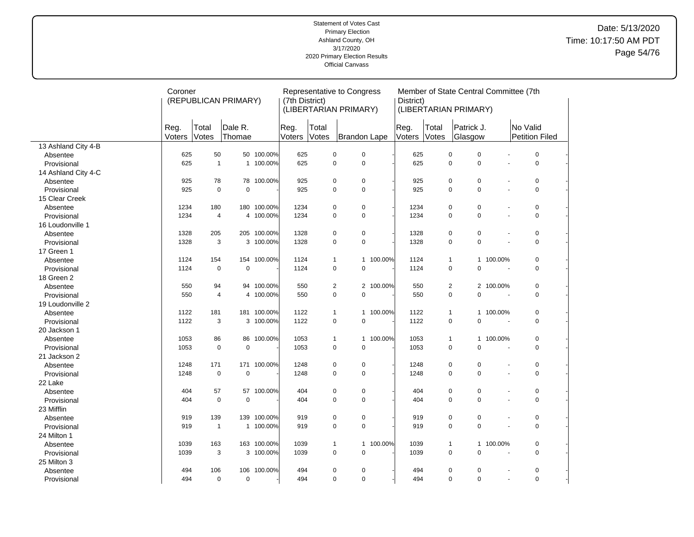|                     | Coroner        |                | (REPUBLICAN PRIMARY) |             | (7th District) |                | Representative to Congress<br>(LIBERTARIAN PRIMARY) |         | District)      |                | Member of State Central Committee (7th<br>(LIBERTARIAN PRIMARY) |                          |                            |             |  |
|---------------------|----------------|----------------|----------------------|-------------|----------------|----------------|-----------------------------------------------------|---------|----------------|----------------|-----------------------------------------------------------------|--------------------------|----------------------------|-------------|--|
|                     | Reg.<br>Voters | Total<br>Votes | Dale R.<br>Thomae    |             | Reg.<br>Voters | Total<br>Votes | Brandon Lape                                        |         | Reg.<br>Voters | Total<br>Votes | Patrick J.<br>Glasgow                                           |                          | No Valid<br>Petition Filed |             |  |
| 13 Ashland City 4-B |                |                |                      |             |                |                |                                                     |         |                |                |                                                                 |                          |                            |             |  |
| Absentee            | 625            | 50             |                      | 50 100.00%  | 625            | $\pmb{0}$      | $\pmb{0}$                                           |         | 625            |                | $\pmb{0}$<br>$\mathbf 0$                                        |                          |                            | $\pmb{0}$   |  |
| Provisional         | 625            | $\mathbf{1}$   |                      | 1 100.00%   | 625            | 0              | $\mathbf 0$                                         |         | 625            |                | $\mathbf 0$<br>$\mathbf 0$                                      | $\overline{a}$           |                            | 0           |  |
| 14 Ashland City 4-C |                |                |                      |             |                |                |                                                     |         |                |                |                                                                 |                          |                            |             |  |
| Absentee            | 925            | 78             |                      | 78 100.00%  | 925            | 0              | $\pmb{0}$                                           |         | 925            |                | $\mathbf 0$<br>$\mathbf 0$                                      |                          |                            | 0           |  |
| Provisional         | 925            | $\mathbf 0$    | $\mathbf 0$          |             | 925            | 0              | $\pmb{0}$                                           |         | 925            |                | $\pmb{0}$<br>$\mathbf 0$                                        | $\mathbf{r}$             |                            | 0           |  |
| 15 Clear Creek      |                |                |                      |             |                |                |                                                     |         |                |                |                                                                 |                          |                            |             |  |
| Absentee            | 1234           | 180            |                      | 180 100.00% | 1234           | 0              | $\pmb{0}$                                           |         | 1234           |                | $\pmb{0}$<br>$\pmb{0}$                                          | $\sim$                   |                            | 0           |  |
| Provisional         | 1234           | 4              |                      | 4 100.00%   | 1234           | 0              | $\mathbf 0$                                         |         | 1234           |                | $\mathbf 0$<br>$\mathbf 0$                                      | $\overline{\phantom{a}}$ |                            | $\mathbf 0$ |  |
| 16 Loudonville 1    |                |                |                      |             |                |                |                                                     |         |                |                |                                                                 |                          |                            |             |  |
| Absentee            | 1328           | 205            |                      | 205 100.00% | 1328           | 0              | $\pmb{0}$                                           |         | 1328           |                | $\mathbf 0$<br>$\pmb{0}$                                        |                          |                            | 0           |  |
| Provisional         | 1328           | 3              |                      | 3 100.00%   | 1328           | 0              | $\pmb{0}$                                           |         | 1328           |                | $\mathbf 0$<br>$\mathbf 0$                                      |                          |                            | 0           |  |
| 17 Green 1          |                |                |                      |             |                |                |                                                     |         |                |                |                                                                 |                          |                            |             |  |
| Absentee            | 1124           | 154            | 154                  | 100.00%     | 1124           | $\mathbf{1}$   | $\mathbf{1}$                                        | 100.00% | 1124           |                | $\mathbf{1}$<br>$\mathbf{1}$                                    | 100.00%                  |                            | 0           |  |
| Provisional         | 1124           | $\mathbf 0$    | $\mathbf 0$          |             | 1124           | 0              | $\mathbf 0$                                         |         | 1124           |                | $\mathbf 0$<br>$\mathbf 0$                                      | $\overline{\phantom{a}}$ |                            | 0           |  |
| 18 Green 2          |                |                |                      |             |                |                |                                                     |         |                |                |                                                                 |                          |                            |             |  |
| Absentee            | 550            | 94             |                      | 94 100.00%  | 550            | $\overline{2}$ | $\overline{2}$                                      | 100.00% | 550            |                | $\overline{2}$<br>$\overline{2}$                                | 100.00%                  |                            | 0           |  |
| Provisional         | 550            | $\overline{4}$ |                      | 4 100.00%   | 550            | 0              | $\mathbf 0$                                         |         | 550            |                | $\mathbf 0$<br>$\mathbf 0$                                      |                          |                            | 0           |  |
| 19 Loudonville 2    |                |                |                      |             |                |                |                                                     |         |                |                |                                                                 |                          |                            |             |  |
| Absentee            | 1122           | 181            |                      | 181 100.00% | 1122           | $\mathbf{1}$   | $\mathbf{1}$                                        | 100.00% | 1122           |                | $\mathbf{1}$                                                    | 1 100.00%                |                            | 0           |  |
| Provisional         | 1122           | 3              |                      | 3 100.00%   | 1122           | 0              | $\mathbf 0$                                         |         | 1122           |                | 0<br>$\mathbf 0$                                                |                          |                            | 0           |  |
| 20 Jackson 1        |                |                |                      |             |                |                |                                                     |         |                |                |                                                                 |                          |                            |             |  |
| Absentee            | 1053           | 86             |                      | 86 100.00%  | 1053           | $\mathbf{1}$   | $\mathbf{1}$                                        | 100.00% | 1053           |                | $\mathbf{1}$<br>$\mathbf{1}$                                    | 100.00%                  |                            | 0           |  |
| Provisional         | 1053           | $\mathbf 0$    | $\mathbf 0$          |             | 1053           | 0              | $\pmb{0}$                                           |         | 1053           |                | $\pmb{0}$<br>$\pmb{0}$                                          |                          |                            | 0           |  |
| 21 Jackson 2        |                |                |                      |             |                |                |                                                     |         |                |                |                                                                 |                          |                            |             |  |
| Absentee            | 1248           | 171            |                      | 171 100.00% | 1248           | 0              | $\pmb{0}$                                           |         | 1248           |                | $\pmb{0}$<br>$\mathbf 0$                                        |                          |                            | $\pmb{0}$   |  |
| Provisional         | 1248           | $\mathbf 0$    | $\mathbf 0$          |             | 1248           | 0              | $\mathbf 0$                                         |         | 1248           |                | $\mathbf 0$<br>0                                                |                          |                            | 0           |  |
| 22 Lake             |                |                |                      |             |                |                |                                                     |         |                |                |                                                                 |                          |                            |             |  |
| Absentee            | 404            | 57             |                      | 57 100.00%  | 404            | 0              | $\pmb{0}$                                           |         | 404            |                | $\mathbf 0$<br>$\mathbf 0$                                      |                          |                            | 0           |  |
| Provisional         | 404            | $\mathbf 0$    | $\mathbf 0$          |             | 404            | 0              | $\pmb{0}$                                           |         | 404            |                | $\mathbf 0$<br>$\mathbf 0$                                      |                          |                            | 0           |  |
| 23 Mifflin          |                |                |                      |             |                |                |                                                     |         |                |                |                                                                 |                          |                            |             |  |
| Absentee            | 919            | 139            |                      | 139 100.00% | 919            | 0              | $\pmb{0}$                                           |         | 919            |                | $\pmb{0}$<br>0                                                  | $\sim$                   |                            | 0           |  |
| Provisional         | 919            | $\mathbf{1}$   | $\mathbf{1}$         | 100.00%     | 919            | 0              | $\mathbf 0$                                         |         | 919            |                | $\mathbf 0$<br>$\mathbf 0$                                      | $\overline{a}$           |                            | 0           |  |
| 24 Milton 1         |                |                |                      |             |                |                |                                                     |         |                |                |                                                                 |                          |                            |             |  |
| Absentee            | 1039           | 163            |                      | 163 100.00% | 1039           | 1              | $\mathbf{1}$                                        | 100.00% | 1039           |                | $\mathbf{1}$<br>$\mathbf{1}$                                    | 100.00%                  |                            | 0           |  |
| Provisional         | 1039           | 3              |                      | 3 100.00%   | 1039           | 0              | $\pmb{0}$                                           |         | 1039           |                | $\mathbf 0$<br>0                                                |                          |                            | 0           |  |
| 25 Milton 3         |                |                |                      |             |                |                |                                                     |         |                |                |                                                                 |                          |                            |             |  |
| Absentee            | 494            | 106            | 106                  | 100.00%     | 494            | 0              | $\pmb{0}$                                           |         | 494            |                | $\pmb{0}$<br>0                                                  |                          |                            | 0           |  |
| Provisional         | 494            | $\mathbf 0$    | $\mathbf 0$          |             | 494            | 0              | $\mathbf 0$                                         |         | 494            |                | $\mathbf 0$<br>$\mathbf 0$                                      | $\overline{\phantom{a}}$ |                            | 0           |  |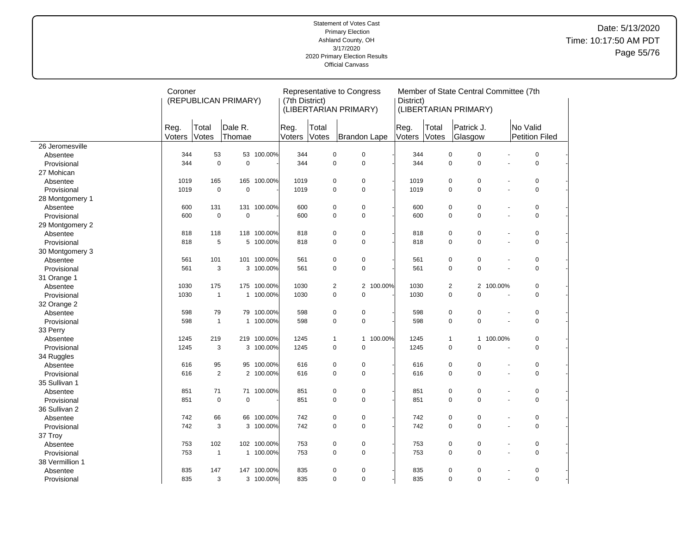|                             | Coroner        |                | (REPUBLICAN PRIMARY) |             | (7th District) |                               | Representative to Congress<br>(LIBERTARIAN PRIMARY) |                           | District)      | Member of State Central Committee (7th<br>(LIBERTARIAN PRIMARY) |                       |                |         |          |                |  |
|-----------------------------|----------------|----------------|----------------------|-------------|----------------|-------------------------------|-----------------------------------------------------|---------------------------|----------------|-----------------------------------------------------------------|-----------------------|----------------|---------|----------|----------------|--|
|                             | Reg.<br>Voters | Total<br>Votes | Dale R.<br>Thomae    |             | Reg.<br>Voters | Total<br>Votes                | Brandon Lape                                        |                           | Reg.<br>Voters | Total<br>Votes                                                  | Patrick J.<br>Glasgow |                |         | No Valid | Petition Filed |  |
| 26 Jeromesville             |                |                |                      |             |                |                               |                                                     |                           |                |                                                                 |                       |                |         |          |                |  |
| Absentee                    | 344            | 53             |                      | 53 100.00%  | 344            | $\pmb{0}$                     |                                                     | $\pmb{0}$                 | 344            |                                                                 | $\pmb{0}$             | $\pmb{0}$      |         |          | $\pmb{0}$      |  |
| Provisional                 | 344            | $\mathbf 0$    | $\overline{0}$       |             | 344            | $\mathbf 0$                   |                                                     | $\mathbf 0$               | 344            |                                                                 | $\mathbf 0$           | $\mathbf 0$    | $\sim$  |          | 0              |  |
| 27 Mohican                  |                |                |                      |             |                |                               |                                                     |                           |                |                                                                 |                       |                |         |          |                |  |
| Absentee                    | 1019           | 165            |                      | 165 100.00% | 1019           | 0                             |                                                     | $\pmb{0}$                 | 1019           |                                                                 | 0                     | 0              |         |          | 0              |  |
| Provisional                 | 1019           | $\mathbf 0$    | $\mathbf 0$          |             | 1019           | $\mathbf 0$                   |                                                     | $\mathbf 0$               | 1019           |                                                                 | 0                     | $\mathbf 0$    | $\sim$  |          | $\mathbf 0$    |  |
| 28 Montgomery 1             |                |                |                      |             |                |                               |                                                     |                           |                |                                                                 |                       |                |         |          |                |  |
| Absentee                    | 600            | 131            | 131                  | 100.00%     | 600            | 0                             |                                                     | $\mathbf 0$               | 600            |                                                                 | 0                     | 0              | $\sim$  |          | 0              |  |
| Provisional                 | 600            | $\mathbf 0$    | $\mathbf 0$          |             | 600            | $\mathbf 0$                   |                                                     | $\mathbf 0$               | 600            |                                                                 | 0                     | $\mathbf 0$    | $\sim$  |          | $\mathbf 0$    |  |
|                             |                |                |                      |             |                |                               |                                                     |                           |                |                                                                 |                       |                |         |          |                |  |
| 29 Montgomery 2<br>Absentee | 818            | 118            |                      | 118 100.00% | 818            | 0                             |                                                     | $\mathbf 0$               | 818            |                                                                 | $\pmb{0}$             | $\mathbf 0$    |         |          | 0              |  |
| Provisional                 | 818            | 5              |                      | 5 100.00%   | 818            | $\mathbf 0$                   |                                                     | $\mathbf 0$               | 818            |                                                                 | 0                     | $\mathbf 0$    | $\sim$  |          | $\mathbf 0$    |  |
|                             |                |                |                      |             |                |                               |                                                     |                           |                |                                                                 |                       |                |         |          |                |  |
| 30 Montgomery 3             | 561            | 101            |                      | 101 100.00% | 561            | $\pmb{0}$                     |                                                     | $\pmb{0}$                 | 561            |                                                                 | 0                     | $\mathbf 0$    |         |          | $\pmb{0}$      |  |
| Absentee                    | 561            | 3              |                      | 3 100.00%   | 561            | $\mathbf 0$                   |                                                     | $\mathbf 0$               | 561            |                                                                 | $\mathbf 0$           | $\mathbf 0$    |         |          | $\mathbf 0$    |  |
| Provisional                 |                |                |                      |             |                |                               |                                                     |                           |                |                                                                 |                       |                |         |          |                |  |
| 31 Orange 1                 | 1030           | 175            | 175                  | 100.00%     | 1030           |                               |                                                     | $\overline{2}$<br>100.00% | 1030           |                                                                 |                       | $\overline{2}$ |         |          | 0              |  |
| Absentee                    |                |                |                      |             |                | $\overline{2}$<br>$\mathsf 0$ |                                                     | $\pmb{0}$                 | 1030           |                                                                 | $\overline{2}$<br>0   | $\mathsf 0$    | 100.00% |          | 0              |  |
| Provisional                 | 1030           | $\mathbf{1}$   |                      | 1 100.00%   | 1030           |                               |                                                     |                           |                |                                                                 |                       |                |         |          |                |  |
| 32 Orange 2                 |                |                |                      |             |                |                               |                                                     |                           |                |                                                                 |                       |                |         |          |                |  |
| Absentee                    | 598            | 79             | 79                   | 100.00%     | 598            | $\pmb{0}$                     |                                                     | $\mathbf 0$               | 598            |                                                                 | $\pmb{0}$             | $\pmb{0}$      |         |          | 0              |  |
| Provisional                 | 598            | $\overline{1}$ |                      | 1 100.00%   | 598            | $\mathsf 0$                   |                                                     | $\pmb{0}$                 | 598            |                                                                 | 0                     | $\mathbf 0$    |         |          | 0              |  |
| 33 Perry                    |                |                |                      |             |                |                               |                                                     |                           |                |                                                                 |                       |                |         |          |                |  |
| Absentee                    | 1245           | 219            |                      | 219 100.00% | 1245           | $\mathbf{1}$                  |                                                     | 100.00%<br>$\mathbf{1}$   | 1245           |                                                                 | $\mathbf{1}$          | $\mathbf{1}$   | 100.00% |          | 0              |  |
| Provisional                 | 1245           | 3              |                      | 3 100.00%   | 1245           | $\mathbf 0$                   |                                                     | $\mathbf 0$               | 1245           |                                                                 | 0                     | $\mathbf 0$    |         |          | 0              |  |
| 34 Ruggles                  |                |                |                      |             |                |                               |                                                     |                           |                |                                                                 |                       |                |         |          |                |  |
| Absentee                    | 616            | 95             |                      | 95 100.00%  | 616            | $\pmb{0}$                     |                                                     | $\pmb{0}$                 | 616            |                                                                 | 0                     | $\pmb{0}$      |         |          | $\pmb{0}$      |  |
| Provisional                 | 616            | 2              |                      | 2 100.00%   | 616            | 0                             |                                                     | $\mathbf 0$               | 616            |                                                                 | 0                     | $\mathbf 0$    |         |          | $\mathbf 0$    |  |
| 35 Sullivan 1               |                |                |                      |             |                |                               |                                                     |                           |                |                                                                 |                       |                |         |          |                |  |
| Absentee                    | 851            | 71             |                      | 71 100.00%  | 851            | $\pmb{0}$                     |                                                     | $\pmb{0}$                 | 851            |                                                                 | 0                     | $\pmb{0}$      |         |          | $\pmb{0}$      |  |
| Provisional                 | 851            | $\mathbf 0$    | $\mathbf 0$          |             | 851            | $\mathbf 0$                   |                                                     | $\pmb{0}$                 | 851            |                                                                 | 0                     | $\mathbf 0$    |         |          | $\mathbf 0$    |  |
| 36 Sullivan 2               |                |                |                      |             |                |                               |                                                     |                           |                |                                                                 |                       |                |         |          |                |  |
| Absentee                    | 742            | 66             |                      | 66 100.00%  | 742            | 0                             |                                                     | $\pmb{0}$                 | 742            |                                                                 | $\pmb{0}$             | $\pmb{0}$      |         |          | 0              |  |
| Provisional                 | 742            | 3              |                      | 3 100.00%   | 742            | $\mathbf 0$                   |                                                     | $\pmb{0}$                 | 742            |                                                                 | 0                     | $\mathbf 0$    |         |          | $\pmb{0}$      |  |
| 37 Troy                     |                |                |                      |             |                |                               |                                                     |                           |                |                                                                 |                       |                |         |          |                |  |
| Absentee                    | 753            | 102            |                      | 102 100.00% | 753            | 0                             |                                                     | $\pmb{0}$                 | 753            |                                                                 | $\pmb{0}$             | $\pmb{0}$      |         |          | 0              |  |
| Provisional                 | 753            | $\overline{1}$ |                      | 1 100.00%   | 753            | $\mathbf 0$                   |                                                     | $\mathbf 0$               | 753            |                                                                 | $\mathbf 0$           | $\mathbf 0$    |         |          | 0              |  |
| 38 Vermillion 1             |                |                |                      |             |                |                               |                                                     |                           |                |                                                                 |                       |                |         |          |                |  |
| Absentee                    | 835            | 147            |                      | 147 100.00% | 835            | $\mathbf 0$                   |                                                     | 0                         | 835            |                                                                 | $\pmb{0}$             | 0              |         |          | 0              |  |
| Provisional                 | 835            | 3              |                      | 3 100.00%   | 835            | $\mathbf 0$                   |                                                     | $\mathbf 0$               | 835            |                                                                 | $\Omega$              | $\mathbf 0$    | $\sim$  |          | 0              |  |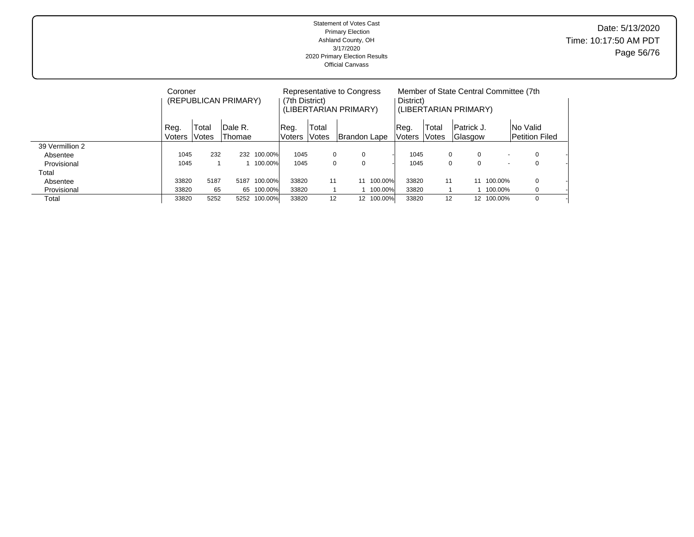Statement of Votes Cast Primary Election Ashland County, OH 3/17/2020 2020 Primary Election Results Official Canvass Date: 5/13/2020 Time: 10:17:50 AM PDT Page 56/76

|                 | Coroner               |                | (REPUBLICAN PRIMARY) |         | (7th District) |                | Representative to Congress<br>(LIBERTARIAN PRIMARY) |            | District)      |                       | Member of State Central Committee (7th<br>(LIBERTARIAN PRIMARY) |                          |                                          |  |
|-----------------|-----------------------|----------------|----------------------|---------|----------------|----------------|-----------------------------------------------------|------------|----------------|-----------------------|-----------------------------------------------------------------|--------------------------|------------------------------------------|--|
|                 | Reg.<br><b>Voters</b> | Total<br>Votes | IDale R.<br>Thomae   |         | Req.<br>Voters | Total<br>Votes | Brandon Lape                                        |            | Reg.<br>Voters | Total<br><b>Votes</b> | Patrick J.<br>Glasgow                                           |                          | <b>No Valid</b><br><b>Petition Filed</b> |  |
| 39 Vermillion 2 |                       |                |                      |         |                |                |                                                     |            |                |                       |                                                                 |                          |                                          |  |
| Absentee        | 1045                  | 232            | 232                  | 100.00% | 1045           | 0              | 0                                                   |            | 1045           |                       | $\mathbf 0$<br>0                                                |                          | 0                                        |  |
| Provisional     | 1045                  |                |                      | 100.00% | 1045           | 0              | $\Omega$                                            |            | 1045           |                       | 0<br>0                                                          | $\overline{\phantom{a}}$ | 0                                        |  |
| Total           |                       |                |                      |         |                |                |                                                     |            |                |                       |                                                                 |                          |                                          |  |
| Absentee        | 33820                 | 5187           | 5187                 | 100.00% | 33820          | 11             | 11                                                  | 100.00%    | 33820          | 11                    | 11                                                              | 100.00%                  | $\mathbf 0$                              |  |
| Provisional     | 33820                 | 65             | 65                   | 100.00% | 33820          |                |                                                     | 100.00%    | 33820          |                       |                                                                 | 100.00%                  | 0                                        |  |
| Total           | 33820                 | 5252           | 5252                 | 100.00% | 33820          | 12             |                                                     | 12 100.00% | 33820          | 12                    |                                                                 | 12 100.00%               | $\Omega$                                 |  |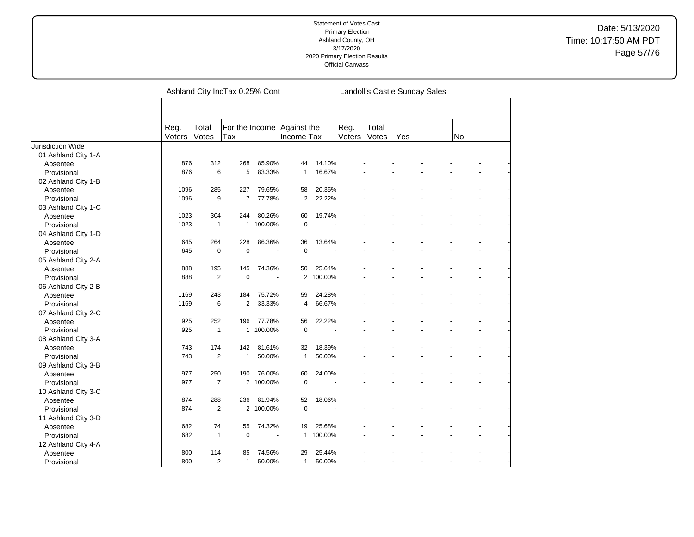Date: 5/13/2020 Time: 10:17:50 AM PDT Page 57/76

|                     |                |                | Ashland City IncTax 0.25% Cont |                |                           |           |                | Landoll's Castle Sunday Sales |     |    |  |  |
|---------------------|----------------|----------------|--------------------------------|----------------|---------------------------|-----------|----------------|-------------------------------|-----|----|--|--|
|                     | Reg.<br>Voters | Total<br>Votes | For the Income<br>Tax          |                | Against the<br>Income Tax |           | Reg.<br>Voters | Total<br>Votes                | Yes | No |  |  |
| Jurisdiction Wide   |                |                |                                |                |                           |           |                |                               |     |    |  |  |
| 01 Ashland City 1-A |                |                |                                |                |                           |           |                |                               |     |    |  |  |
| Absentee            | 876            | 312            | 268                            | 85.90%         | 44                        | 14.10%    |                |                               |     |    |  |  |
| Provisional         | 876            | 6              | 5                              | 83.33%         | $\mathbf{1}$              | 16.67%    |                |                               |     |    |  |  |
| 02 Ashland City 1-B |                |                |                                |                |                           |           |                |                               |     |    |  |  |
| Absentee            | 1096           | 285            | 227                            | 79.65%         | 58                        | 20.35%    |                |                               |     |    |  |  |
| Provisional         | 1096           | 9              | $\overline{7}$                 | 77.78%         | 2                         | 22.22%    |                |                               |     |    |  |  |
| 03 Ashland City 1-C |                |                |                                |                |                           |           |                |                               |     |    |  |  |
| Absentee            | 1023           | 304            | 244                            | 80.26%         | 60                        | 19.74%    |                |                               |     |    |  |  |
| Provisional         | 1023           | $\mathbf{1}$   |                                | 1 100.00%      | $\mathbf 0$               |           |                |                               |     |    |  |  |
| 04 Ashland City 1-D |                |                |                                |                |                           |           |                |                               |     |    |  |  |
| Absentee            | 645            | 264            | 228                            | 86.36%         | 36                        | 13.64%    |                |                               |     |    |  |  |
| Provisional         | 645            | $\pmb{0}$      | $\mathbf 0$                    | ä,             | $\mathbf 0$               |           |                |                               |     |    |  |  |
| 05 Ashland City 2-A |                |                |                                |                |                           |           |                |                               |     |    |  |  |
| Absentee            | 888            | 195            | 145                            | 74.36%         | 50                        | 25.64%    |                |                               |     |    |  |  |
| Provisional         | 888            | 2              | $\mathbf 0$                    |                |                           | 2 100.00% |                |                               |     |    |  |  |
| 06 Ashland City 2-B |                |                |                                |                |                           |           |                |                               |     |    |  |  |
| Absentee            | 1169           | 243            | 184                            | 75.72%         | 59                        | 24.28%    |                |                               |     |    |  |  |
| Provisional         | 1169           | 6              | 2                              | 33.33%         | 4                         | 66.67%    |                |                               |     |    |  |  |
| 07 Ashland City 2-C |                |                |                                |                |                           |           |                |                               |     |    |  |  |
| Absentee            | 925            | 252            | 196                            | 77.78%         | 56                        | 22.22%    |                |                               |     |    |  |  |
| Provisional         | 925            | 1              | $\mathbf{1}$                   | 100.00%        | $\pmb{0}$                 |           |                |                               |     |    |  |  |
| 08 Ashland City 3-A |                |                |                                |                |                           |           |                |                               |     |    |  |  |
| Absentee            | 743            | 174            | 142                            | 81.61%         | 32                        | 18.39%    |                |                               |     |    |  |  |
| Provisional         | 743            | $\overline{2}$ | $\mathbf{1}$                   | 50.00%         | $\mathbf{1}$              | 50.00%    |                |                               |     |    |  |  |
| 09 Ashland City 3-B |                |                |                                |                |                           |           |                |                               |     |    |  |  |
| Absentee            | 977            | 250            | 190                            | 76.00%         | 60                        | 24.00%    |                |                               |     |    |  |  |
| Provisional         | 977            | 7              |                                | 7 100.00%      | $\mathbf 0$               |           |                |                               |     |    |  |  |
| 10 Ashland City 3-C |                |                |                                |                |                           |           |                |                               |     |    |  |  |
| Absentee            | 874            | 288            | 236                            | 81.94%         | 52                        | 18.06%    |                |                               |     |    |  |  |
| Provisional         | 874            | 2              |                                | 2 100.00%      | $\mathbf 0$               |           |                |                               |     |    |  |  |
| 11 Ashland City 3-D |                |                |                                |                |                           |           |                |                               |     |    |  |  |
| Absentee            | 682            | 74             | 55                             | 74.32%         | 19                        | 25.68%    |                |                               |     |    |  |  |
| Provisional         | 682            | $\mathbf{1}$   | $\mathbf 0$                    | $\blacksquare$ | $\mathbf{1}$              | 100.00%   |                |                               |     |    |  |  |
| 12 Ashland City 4-A |                |                |                                |                |                           |           |                |                               |     |    |  |  |
| Absentee            | 800            | 114            | 85                             | 74.56%         | 29                        | 25.44%    |                |                               |     |    |  |  |
| Provisional         | 800            | $\overline{2}$ | $\mathbf{1}$                   | 50.00%         | $\mathbf{1}$              | 50.00%    |                |                               |     |    |  |  |
|                     |                |                |                                |                |                           |           |                |                               |     |    |  |  |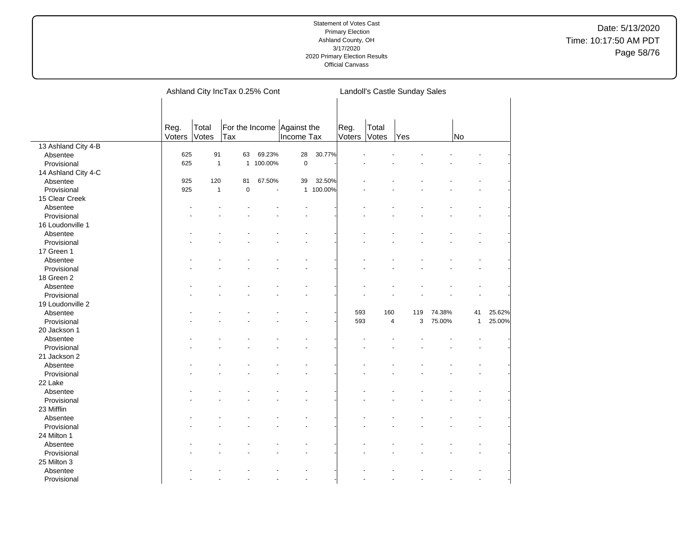Date: 5/13/2020 Time: 10:17:50 AM PDT Page 58/76

|                     |        | Ashland City IncTax 0.25% Cont |           |           |             |           | Landoll's Castle Sunday Sales |                |     |        |              |        |
|---------------------|--------|--------------------------------|-----------|-----------|-------------|-----------|-------------------------------|----------------|-----|--------|--------------|--------|
|                     |        |                                |           |           |             |           |                               |                |     |        |              |        |
|                     |        | For the Income Against the     |           |           |             |           |                               |                |     |        |              |        |
|                     | Reg.   | Total                          |           |           |             |           | Reg.                          | Total          |     |        |              |        |
|                     | Voters | Votes                          | Tax       |           | Income Tax  |           | Voters                        | Votes          | Yes |        | No           |        |
| 13 Ashland City 4-B |        |                                |           |           |             |           |                               |                |     |        |              |        |
| Absentee            | 625    | 91                             | 63        | 69.23%    | 28          | 30.77%    |                               |                |     |        |              |        |
| Provisional         | 625    | $\overline{1}$                 |           | 1 100.00% | $\mathbf 0$ |           |                               |                |     |        |              |        |
| 14 Ashland City 4-C |        |                                |           |           |             |           |                               |                |     |        |              |        |
| Absentee            | 925    | 120                            | 81        | 67.50%    | 39          | 32.50%    |                               |                |     |        |              |        |
| Provisional         | 925    | $\mathbf{1}$                   | $\pmb{0}$ | L,        |             | 1 100.00% |                               |                |     |        |              |        |
| 15 Clear Creek      |        |                                |           |           |             |           |                               |                |     |        |              |        |
| Absentee            |        |                                |           |           |             |           |                               |                |     |        |              |        |
| Provisional         |        |                                |           |           |             |           |                               |                |     |        |              |        |
| 16 Loudonville 1    |        |                                |           |           |             |           |                               |                |     |        |              |        |
| Absentee            |        |                                |           |           |             |           |                               |                |     |        |              |        |
| Provisional         |        |                                |           |           |             |           |                               |                |     |        |              |        |
| 17 Green 1          |        |                                |           |           |             |           |                               |                |     |        |              |        |
| Absentee            |        |                                |           |           |             |           |                               |                |     |        |              |        |
| Provisional         |        |                                |           |           |             |           |                               |                |     |        |              |        |
| 18 Green 2          |        |                                |           |           |             |           |                               |                |     |        |              |        |
| Absentee            |        |                                |           |           |             |           |                               |                |     |        |              |        |
| Provisional         |        |                                |           |           |             |           |                               |                |     |        |              |        |
| 19 Loudonville 2    |        |                                |           |           |             |           |                               |                |     |        |              |        |
| Absentee            |        |                                |           |           |             |           | 593                           | 160            | 119 | 74.38% | 41           | 25.62% |
| Provisional         |        |                                |           |           |             |           | 593                           | $\overline{4}$ | 3   | 75.00% | $\mathbf{1}$ | 25.00% |
| 20 Jackson 1        |        |                                |           |           |             |           |                               |                |     |        |              |        |
|                     |        |                                |           |           |             |           |                               |                |     |        |              |        |
| Absentee            |        |                                |           |           |             |           |                               |                |     |        |              |        |
| Provisional         |        |                                |           |           |             |           |                               |                |     |        |              |        |
| 21 Jackson 2        |        |                                |           |           |             |           |                               |                |     |        |              |        |
| Absentee            |        |                                |           |           |             |           |                               |                |     |        |              |        |
| Provisional         |        |                                |           |           |             |           |                               |                |     |        |              |        |
| 22 Lake             |        |                                |           |           |             |           |                               |                |     |        |              |        |
| Absentee            |        |                                |           |           |             |           |                               |                |     |        |              |        |
| Provisional         |        |                                |           |           |             |           |                               |                |     |        |              |        |
| 23 Mifflin          |        |                                |           |           |             |           |                               |                |     |        |              |        |
| Absentee            |        |                                |           |           |             |           |                               |                |     |        |              |        |
| Provisional         |        |                                |           |           |             |           |                               |                |     |        |              |        |
| 24 Milton 1         |        |                                |           |           |             |           |                               |                |     |        |              |        |
| Absentee            |        |                                |           |           |             |           |                               |                |     |        |              |        |
| Provisional         |        |                                |           |           |             |           |                               |                |     |        |              |        |
| 25 Milton 3         |        |                                |           |           |             |           |                               |                |     |        |              |        |
| Absentee            |        |                                |           |           |             |           |                               |                |     |        |              |        |
| Provisional         |        |                                |           |           | L.          |           |                               |                |     |        |              |        |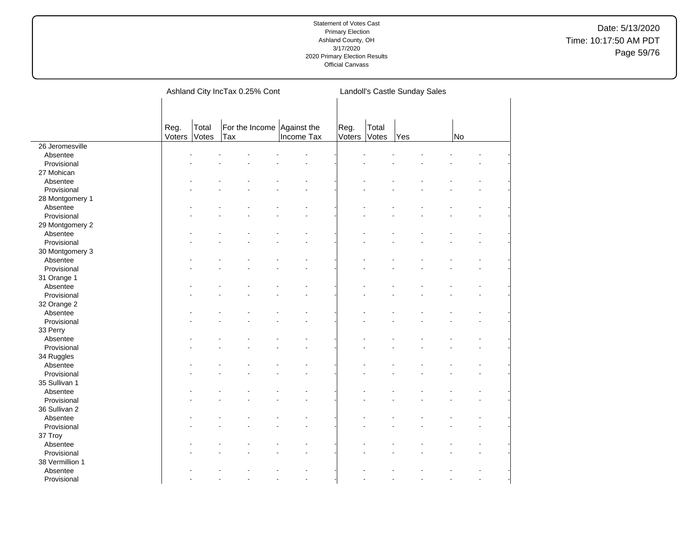Date: 5/13/2020 Time: 10:17:50 AM PDT Page 59/76

|                 |        |       | Ashland City IncTax 0.25% Cont |                | Landoll's Castle Sunday Sales |       |     |  |           |  |  |
|-----------------|--------|-------|--------------------------------|----------------|-------------------------------|-------|-----|--|-----------|--|--|
|                 |        |       |                                |                |                               |       |     |  |           |  |  |
|                 | Reg.   | Total | For the Income Against the     |                | Reg.                          | Total |     |  |           |  |  |
|                 | Voters | Votes | Tax                            | Income Tax     | Voters                        | Votes | Yes |  | <b>No</b> |  |  |
| 26 Jeromesville |        |       |                                |                |                               |       |     |  |           |  |  |
| Absentee        |        |       |                                |                |                               |       |     |  |           |  |  |
| Provisional     |        |       |                                |                |                               |       |     |  |           |  |  |
| 27 Mohican      |        |       |                                |                |                               |       |     |  |           |  |  |
| Absentee        |        |       |                                |                |                               |       |     |  |           |  |  |
| Provisional     |        |       |                                |                |                               |       |     |  |           |  |  |
| 28 Montgomery 1 |        |       |                                |                |                               |       |     |  |           |  |  |
| Absentee        |        |       |                                |                |                               |       |     |  |           |  |  |
| Provisional     |        |       |                                |                |                               |       |     |  |           |  |  |
| 29 Montgomery 2 |        |       |                                |                |                               |       |     |  |           |  |  |
| Absentee        |        |       |                                |                |                               |       |     |  |           |  |  |
| Provisional     |        |       |                                |                |                               |       |     |  |           |  |  |
| 30 Montgomery 3 |        |       |                                |                |                               |       |     |  |           |  |  |
| Absentee        |        |       |                                |                |                               |       |     |  |           |  |  |
| Provisional     |        |       |                                |                |                               |       |     |  |           |  |  |
| 31 Orange 1     |        |       |                                |                |                               |       |     |  |           |  |  |
| Absentee        |        |       |                                |                |                               |       |     |  |           |  |  |
| Provisional     |        |       |                                |                |                               |       |     |  |           |  |  |
| 32 Orange 2     |        |       |                                |                |                               |       |     |  |           |  |  |
| Absentee        |        |       |                                |                |                               |       |     |  |           |  |  |
| Provisional     |        |       |                                |                |                               |       |     |  |           |  |  |
| 33 Perry        |        |       |                                |                |                               |       |     |  |           |  |  |
| Absentee        |        |       |                                |                |                               |       |     |  |           |  |  |
| Provisional     |        |       |                                |                |                               |       |     |  |           |  |  |
| 34 Ruggles      |        |       |                                |                |                               |       |     |  |           |  |  |
| Absentee        |        |       |                                |                |                               |       |     |  |           |  |  |
| Provisional     |        |       |                                |                |                               |       |     |  |           |  |  |
| 35 Sullivan 1   |        |       |                                |                |                               |       |     |  |           |  |  |
| Absentee        |        |       |                                |                |                               |       |     |  |           |  |  |
| Provisional     |        |       |                                |                |                               |       |     |  |           |  |  |
| 36 Sullivan 2   |        |       |                                |                |                               |       |     |  |           |  |  |
| Absentee        |        |       |                                |                |                               |       |     |  |           |  |  |
| Provisional     |        |       |                                |                |                               |       |     |  |           |  |  |
| 37 Troy         |        |       |                                |                |                               |       |     |  |           |  |  |
| Absentee        |        |       |                                |                |                               |       |     |  |           |  |  |
| Provisional     |        |       |                                |                |                               |       |     |  |           |  |  |
| 38 Vermillion 1 |        |       |                                |                |                               |       |     |  |           |  |  |
| Absentee        |        |       |                                |                |                               |       |     |  |           |  |  |
| Provisional     |        |       |                                | $\overline{a}$ |                               |       |     |  |           |  |  |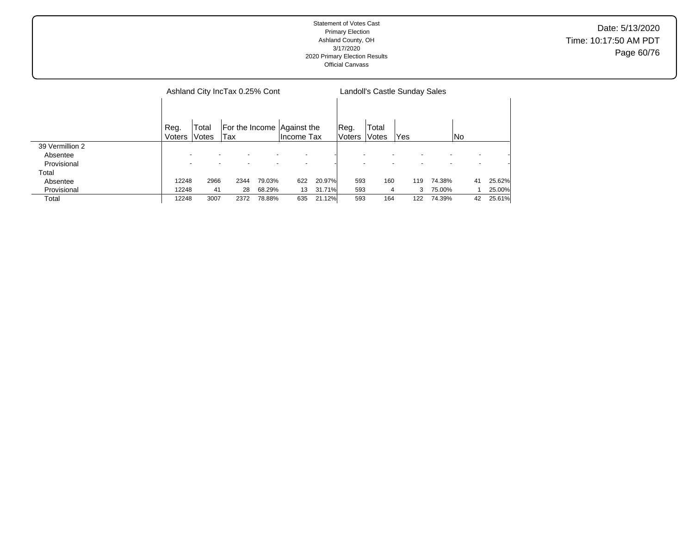| Statement of Votes Cast<br><b>Primary Election</b><br>Ashland County, OH<br>3/17/2020<br>2020 Primary Election Results<br><b>Official Canvass</b> | Date: 5/13/2020<br>Time: 10:17:50 AM PDT<br>Page 60/76 |
|---------------------------------------------------------------------------------------------------------------------------------------------------|--------------------------------------------------------|
|                                                                                                                                                   |                                                        |

|                 |                |                | Ashland City IncTax 0.25% Cont |        |                                          |        | Landoll's Castle Sunday Sales |                |     |        |    |        |  |  |
|-----------------|----------------|----------------|--------------------------------|--------|------------------------------------------|--------|-------------------------------|----------------|-----|--------|----|--------|--|--|
|                 | Reg.<br>Voters | Total<br>Votes | Tax                            |        | For the Income Against the<br>Income Tax |        | Reg.<br><b>Voters</b>         | Total<br>Votes | Yes |        | No |        |  |  |
| 39 Vermillion 2 |                |                |                                |        |                                          |        |                               |                |     |        |    |        |  |  |
| Absentee        |                |                |                                |        |                                          |        |                               |                |     |        |    |        |  |  |
| Provisional     |                |                |                                |        |                                          |        |                               |                |     |        |    |        |  |  |
| Total           |                |                |                                |        |                                          |        |                               |                |     |        |    |        |  |  |
| Absentee        | 12248          | 2966           | 2344                           | 79.03% | 622                                      | 20.97% | 593                           | 160            | 119 | 74.38% | 41 | 25.62% |  |  |
| Provisional     | 12248          | 41             | 28                             | 68.29% | 13                                       | 31.71% | 593                           | 4              | 3   | 75.00% |    | 25.00% |  |  |
| Total           | 12248          | 3007           | 2372                           | 78.88% | 635                                      | 21.12% | 593                           | 164            | 122 | 74.39% | 42 | 25.61% |  |  |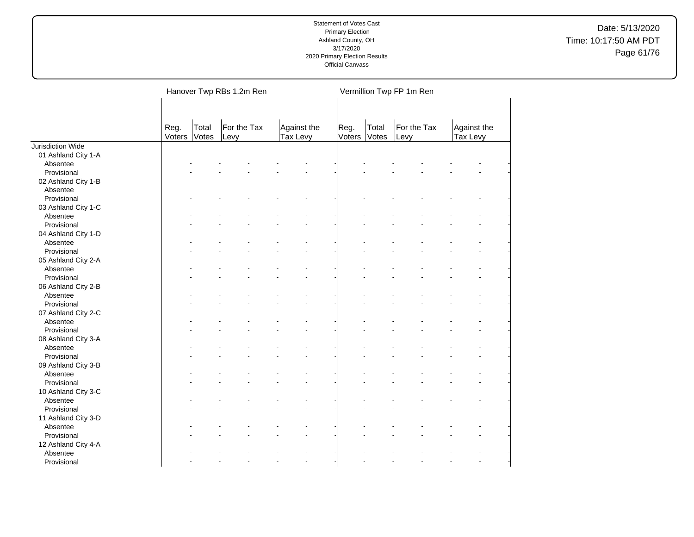Date: 5/13/2020 Time: 10:17:50 AM PDT Page 61/76

|                     |                |                | Hanover Twp RBs 1.2m Ren |                         |                |                | Vermillion Twp FP 1m Ren |                         |  |
|---------------------|----------------|----------------|--------------------------|-------------------------|----------------|----------------|--------------------------|-------------------------|--|
|                     | Reg.<br>Voters | Total<br>Votes | For the Tax<br>Levy      | Against the<br>Tax Levy | Reg.<br>Voters | Total<br>Votes | For the Tax<br>Levy      | Against the<br>Tax Levy |  |
| Jurisdiction Wide   |                |                |                          |                         |                |                |                          |                         |  |
| 01 Ashland City 1-A |                |                |                          |                         |                |                |                          |                         |  |
| Absentee            |                |                |                          |                         |                |                |                          |                         |  |
| Provisional         |                |                |                          |                         |                |                |                          |                         |  |
| 02 Ashland City 1-B |                |                |                          |                         |                |                |                          |                         |  |
| Absentee            |                |                |                          |                         |                |                |                          |                         |  |
| Provisional         |                |                |                          |                         |                |                |                          |                         |  |
| 03 Ashland City 1-C |                |                |                          |                         |                |                |                          |                         |  |
| Absentee            |                |                |                          |                         |                |                |                          |                         |  |
| Provisional         |                |                |                          |                         |                |                |                          |                         |  |
| 04 Ashland City 1-D |                |                |                          |                         |                |                |                          |                         |  |
| Absentee            |                |                |                          |                         |                |                |                          |                         |  |
| Provisional         |                |                |                          |                         |                |                |                          |                         |  |
| 05 Ashland City 2-A |                |                |                          |                         |                |                |                          |                         |  |
| Absentee            |                |                |                          |                         |                |                |                          |                         |  |
| Provisional         |                |                |                          |                         |                |                |                          |                         |  |
| 06 Ashland City 2-B |                |                |                          |                         |                |                |                          |                         |  |
| Absentee            |                |                |                          |                         |                |                |                          |                         |  |
| Provisional         |                |                |                          |                         |                |                |                          |                         |  |
| 07 Ashland City 2-C |                |                |                          |                         |                |                |                          |                         |  |
| Absentee            |                |                |                          |                         |                |                |                          |                         |  |
| Provisional         |                |                |                          |                         |                |                |                          |                         |  |
| 08 Ashland City 3-A |                |                |                          |                         |                |                |                          |                         |  |
| Absentee            |                |                |                          |                         |                |                |                          |                         |  |
| Provisional         |                |                |                          |                         |                |                |                          |                         |  |
| 09 Ashland City 3-B |                |                |                          |                         |                |                |                          |                         |  |
| Absentee            |                |                |                          |                         |                |                |                          |                         |  |
| Provisional         |                |                |                          |                         |                |                |                          |                         |  |
| 10 Ashland City 3-C |                |                |                          |                         |                |                |                          |                         |  |
| Absentee            |                |                |                          |                         |                |                |                          |                         |  |
| Provisional         |                |                |                          |                         |                |                |                          |                         |  |
| 11 Ashland City 3-D |                |                |                          |                         |                |                |                          |                         |  |
| Absentee            |                |                |                          |                         |                |                |                          |                         |  |
| Provisional         |                |                |                          |                         |                |                |                          |                         |  |
| 12 Ashland City 4-A |                |                |                          |                         |                |                |                          |                         |  |
| Absentee            |                |                |                          |                         |                |                |                          |                         |  |
| Provisional         |                |                |                          | ÷,                      |                |                |                          |                         |  |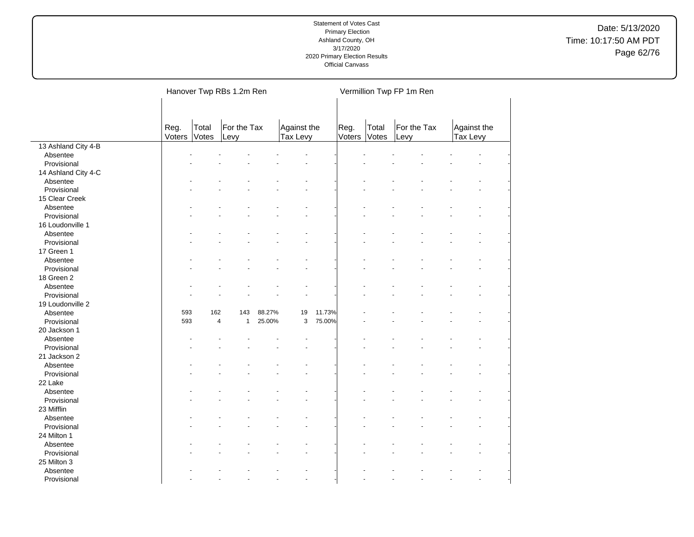Date: 5/13/2020 Time: 10:17:50 AM PDT Page 62/76

|                     |        |                | Hanover Twp RBs 1.2m Ren |        |             |        |        |       | Vermillion Twp FP 1m Ren |             |  |
|---------------------|--------|----------------|--------------------------|--------|-------------|--------|--------|-------|--------------------------|-------------|--|
|                     |        |                |                          |        |             |        |        |       |                          |             |  |
|                     | Reg.   | Total          | For the Tax              |        | Against the |        | Reg.   | Total | For the Tax              | Against the |  |
|                     | Voters | Votes          | Levy                     |        | Tax Levy    |        | Voters | Votes | Levy                     | Tax Levy    |  |
| 13 Ashland City 4-B |        |                |                          |        |             |        |        |       |                          |             |  |
| Absentee            |        |                |                          |        |             |        |        |       |                          |             |  |
| Provisional         |        |                |                          |        |             |        |        |       |                          |             |  |
| 14 Ashland City 4-C |        |                |                          |        |             |        |        |       |                          |             |  |
| Absentee            |        |                |                          |        |             |        |        |       |                          |             |  |
| Provisional         |        |                |                          |        |             |        |        |       |                          |             |  |
| 15 Clear Creek      |        |                |                          |        |             |        |        |       |                          |             |  |
| Absentee            |        |                |                          |        |             |        |        |       |                          |             |  |
| Provisional         |        |                |                          |        |             |        |        |       |                          |             |  |
| 16 Loudonville 1    |        |                |                          |        |             |        |        |       |                          |             |  |
| Absentee            |        |                |                          |        |             |        |        |       |                          |             |  |
| Provisional         |        |                |                          |        |             |        |        |       |                          |             |  |
| 17 Green 1          |        |                |                          |        |             |        |        |       |                          |             |  |
| Absentee            |        |                |                          |        |             |        |        |       |                          |             |  |
| Provisional         |        |                |                          |        |             |        |        |       |                          |             |  |
| 18 Green 2          |        |                |                          |        |             |        |        |       |                          |             |  |
| Absentee            |        |                |                          |        |             |        |        |       |                          |             |  |
| Provisional         |        |                |                          |        |             |        |        |       |                          |             |  |
| 19 Loudonville 2    |        |                |                          |        |             |        |        |       |                          |             |  |
| Absentee            | 593    | 162            | 143                      | 88.27% | 19          | 11.73% |        |       |                          |             |  |
| Provisional         | 593    | $\overline{4}$ | $\mathbf{1}$             | 25.00% | 3           | 75.00% |        |       |                          |             |  |
| 20 Jackson 1        |        |                |                          |        |             |        |        |       |                          |             |  |
| Absentee            |        |                |                          |        |             |        |        |       |                          |             |  |
| Provisional         |        |                |                          |        |             |        |        |       |                          |             |  |
| 21 Jackson 2        |        |                |                          |        |             |        |        |       |                          |             |  |
| Absentee            |        |                |                          |        |             |        |        |       |                          |             |  |
| Provisional         |        |                |                          |        |             |        |        |       |                          |             |  |
| 22 Lake             |        |                |                          |        |             |        |        |       |                          |             |  |
| Absentee            |        |                |                          |        |             |        |        |       |                          |             |  |
| Provisional         |        |                |                          |        |             |        |        |       |                          |             |  |
| 23 Mifflin          |        |                |                          |        |             |        |        |       |                          |             |  |
| Absentee            |        |                |                          |        |             |        |        |       |                          |             |  |
|                     |        |                |                          |        |             |        |        |       |                          |             |  |
| Provisional         |        |                |                          |        |             |        |        |       |                          |             |  |
| 24 Milton 1         |        |                |                          |        |             |        |        |       |                          |             |  |
| Absentee            |        |                |                          |        |             |        |        |       |                          |             |  |
| Provisional         |        |                |                          |        |             |        |        |       |                          |             |  |
| 25 Milton 3         |        |                |                          |        |             |        |        |       |                          |             |  |
| Absentee            |        |                |                          |        |             |        |        |       |                          |             |  |
| Provisional         |        |                |                          |        |             |        |        |       |                          |             |  |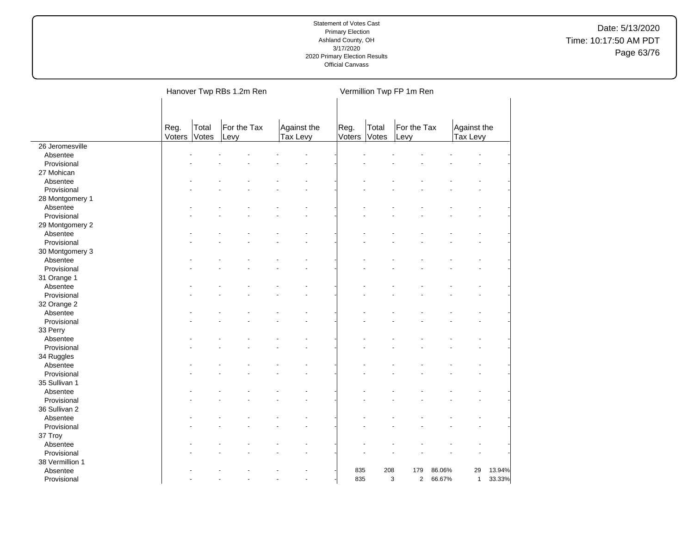Date: 5/13/2020 Time: 10:17:50 AM PDT Page 63/76

|                 |        |       | Hanover Twp RBs 1.2m Ren |             |    |        |       | Vermillion Twp FP 1m Ren |        |              |        |
|-----------------|--------|-------|--------------------------|-------------|----|--------|-------|--------------------------|--------|--------------|--------|
|                 |        |       |                          |             |    |        |       |                          |        |              |        |
|                 |        |       |                          |             |    |        |       |                          |        |              |        |
|                 | Reg.   | Total | For the Tax              | Against the |    | Reg.   | Total | For the Tax              |        | Against the  |        |
|                 | Voters | Votes | Levy                     | Tax Levy    |    | Voters | Votes | Levy                     |        | Tax Levy     |        |
| 26 Jeromesville |        |       |                          |             |    |        |       |                          |        |              |        |
| Absentee        |        |       |                          |             |    |        |       |                          |        |              |        |
| Provisional     |        |       |                          |             |    |        |       |                          |        |              |        |
| 27 Mohican      |        |       |                          |             |    |        |       |                          |        |              |        |
| Absentee        |        |       |                          |             |    |        |       |                          |        |              |        |
| Provisional     |        |       |                          |             |    |        |       |                          |        |              |        |
| 28 Montgomery 1 |        |       |                          |             |    |        |       |                          |        |              |        |
| Absentee        |        |       |                          |             |    |        |       |                          |        |              |        |
| Provisional     |        |       |                          |             |    |        |       |                          |        |              |        |
| 29 Montgomery 2 |        |       |                          |             |    |        |       |                          |        |              |        |
| Absentee        |        |       |                          |             |    |        |       |                          |        |              |        |
| Provisional     |        |       |                          |             |    |        |       |                          |        |              |        |
| 30 Montgomery 3 |        |       |                          |             |    |        |       |                          |        |              |        |
| Absentee        |        |       |                          |             |    |        |       |                          |        |              |        |
| Provisional     |        |       |                          |             |    |        |       |                          |        |              |        |
| 31 Orange 1     |        |       |                          |             |    |        |       |                          |        |              |        |
| Absentee        |        |       |                          |             |    |        |       |                          |        |              |        |
| Provisional     |        |       |                          |             |    |        |       |                          |        |              |        |
| 32 Orange 2     |        |       |                          |             |    |        |       |                          |        |              |        |
| Absentee        |        |       |                          |             |    |        |       |                          |        |              |        |
| Provisional     |        |       |                          |             |    |        |       |                          |        |              |        |
| 33 Perry        |        |       |                          |             |    |        |       |                          |        |              |        |
| Absentee        |        |       |                          |             |    |        |       |                          |        |              |        |
| Provisional     |        |       |                          |             |    |        |       |                          |        |              |        |
| 34 Ruggles      |        |       |                          |             |    |        |       |                          |        |              |        |
| Absentee        |        |       |                          |             |    |        |       |                          |        |              |        |
| Provisional     |        |       |                          |             |    |        |       |                          |        |              |        |
| 35 Sullivan 1   |        |       |                          |             |    |        |       |                          |        |              |        |
| Absentee        |        |       |                          |             |    |        |       |                          |        |              |        |
| Provisional     |        |       |                          |             |    |        |       |                          |        |              |        |
| 36 Sullivan 2   |        |       |                          |             |    |        |       |                          |        |              |        |
| Absentee        |        |       |                          |             |    |        |       |                          |        |              |        |
| Provisional     |        |       |                          |             |    |        |       |                          |        |              |        |
| 37 Troy         |        |       |                          |             |    |        |       |                          |        |              |        |
| Absentee        |        |       |                          |             |    |        |       |                          |        |              |        |
| Provisional     |        |       |                          |             |    |        |       |                          |        |              |        |
| 38 Vermillion 1 |        |       |                          |             |    |        |       |                          |        |              |        |
| Absentee        |        |       |                          |             |    | 835    | 208   | 179                      | 86.06% | 29           | 13.94% |
|                 |        |       |                          |             | L. | 835    |       | 3<br>$\overline{2}$      | 66.67% | $\mathbf{1}$ | 33.33% |
| Provisional     |        |       |                          |             |    |        |       |                          |        |              |        |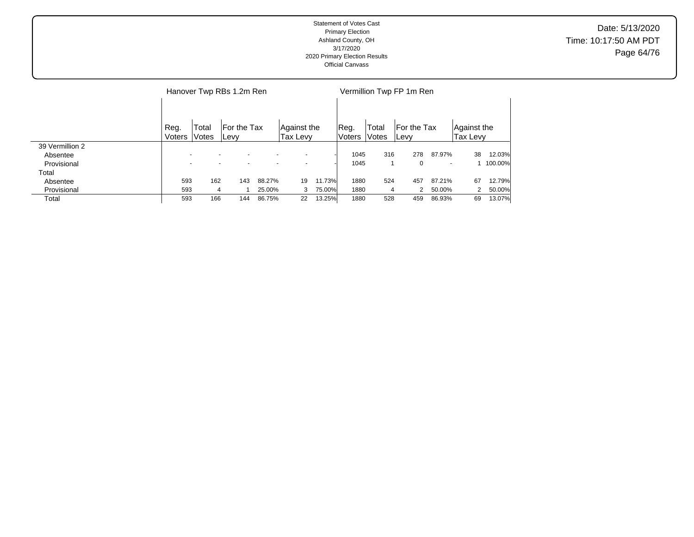#### Statement of Votes Cast Primary Election Ashland County, OH 3/17/2020 2020 Primary Election Results Official Canvass Date: 5/13/2020 Time: 10:17:50 AM PDT Page 64/76

|                 |                          | Hanover Twp RBs 1.2m Ren |                      |                          |                         |        |                |                | Vermillion Twp FP 1m Ren    |                          |                         |         |  |  |  |  |
|-----------------|--------------------------|--------------------------|----------------------|--------------------------|-------------------------|--------|----------------|----------------|-----------------------------|--------------------------|-------------------------|---------|--|--|--|--|
|                 |                          |                          |                      |                          |                         |        |                |                |                             |                          |                         |         |  |  |  |  |
|                 | Reg.<br>Voters           | Total<br>Votes           | For the Tax<br>∣Levy |                          | Aqainst the<br>Tax Levy |        | Reg.<br>Voters | Total<br>Votes | For the Tax<br><b>ILevy</b> |                          | Against the<br>Tax Levy |         |  |  |  |  |
| 39 Vermillion 2 |                          |                          |                      |                          |                         |        |                |                |                             |                          |                         |         |  |  |  |  |
| Absentee        |                          |                          |                      |                          |                         |        | 1045           | 316            | 278                         | 87.97%                   | 38                      | 12.03%  |  |  |  |  |
| Provisional     | $\overline{\phantom{0}}$ | $\overline{\phantom{0}}$ |                      | $\overline{\phantom{0}}$ |                         |        | 1045           |                | 0                           | $\overline{\phantom{a}}$ |                         | 100.00% |  |  |  |  |
| Total           |                          |                          |                      |                          |                         |        |                |                |                             |                          |                         |         |  |  |  |  |
| Absentee        | 593                      | 162                      | 143                  | 88.27%                   | 19                      | 11.73% | 1880           | 524            | 457                         | 87.21%                   | 67                      | 12.79%  |  |  |  |  |
| Provisional     | 593                      | 4                        |                      | 25.00%                   | 3                       | 75.00% | 1880           | 4              | 2                           | 50.00%                   |                         | 50.00%  |  |  |  |  |
| Total           | 593                      | 166                      | 144                  | 86.75%                   | 22                      | 13.25% | 1880           | 528            | 459                         | 86.93%                   | 69                      | 13.07%  |  |  |  |  |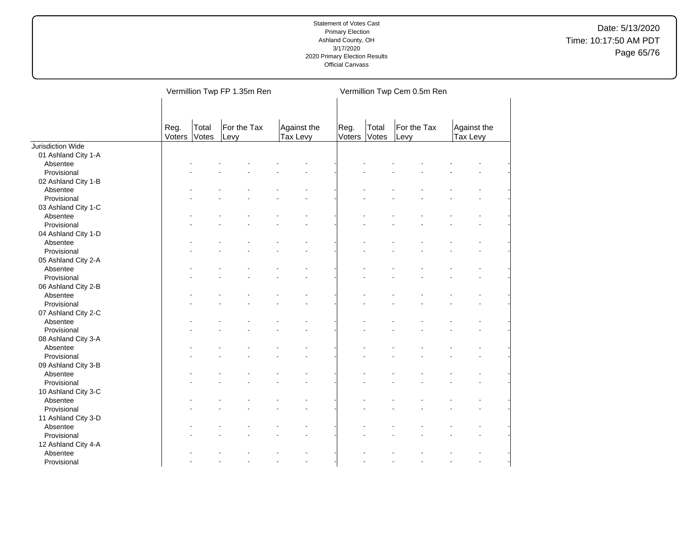Date: 5/13/2020 Time: 10:17:50 AM PDT Page 65/76

|                     |                |                | Vermillion Twp FP 1.35m Ren |                         |                |                | Vermillion Twp Cem 0.5m Ren |                         |  |
|---------------------|----------------|----------------|-----------------------------|-------------------------|----------------|----------------|-----------------------------|-------------------------|--|
|                     | Reg.<br>Voters | Total<br>Votes | For the Tax<br>Levy         | Against the<br>Tax Levy | Reg.<br>Voters | Total<br>Votes | For the Tax<br>Levy         | Against the<br>Tax Levy |  |
| Jurisdiction Wide   |                |                |                             |                         |                |                |                             |                         |  |
| 01 Ashland City 1-A |                |                |                             |                         |                |                |                             |                         |  |
| Absentee            |                |                |                             |                         |                |                |                             |                         |  |
| Provisional         |                |                |                             |                         |                |                |                             |                         |  |
| 02 Ashland City 1-B |                |                |                             |                         |                |                |                             |                         |  |
| Absentee            |                |                |                             |                         |                |                |                             |                         |  |
| Provisional         |                |                |                             |                         |                |                |                             |                         |  |
| 03 Ashland City 1-C |                |                |                             |                         |                |                |                             |                         |  |
| Absentee            |                |                |                             |                         |                |                |                             |                         |  |
| Provisional         |                |                |                             |                         |                |                |                             |                         |  |
| 04 Ashland City 1-D |                |                |                             |                         |                |                |                             |                         |  |
| Absentee            |                |                |                             |                         |                |                |                             |                         |  |
| Provisional         |                |                |                             |                         |                |                |                             |                         |  |
| 05 Ashland City 2-A |                |                |                             |                         |                |                |                             |                         |  |
| Absentee            |                |                |                             |                         |                |                |                             |                         |  |
| Provisional         |                |                |                             |                         |                |                |                             |                         |  |
| 06 Ashland City 2-B |                |                |                             |                         |                |                |                             |                         |  |
| Absentee            |                |                |                             |                         |                |                |                             |                         |  |
| Provisional         |                |                |                             |                         |                |                |                             |                         |  |
| 07 Ashland City 2-C |                |                |                             |                         |                |                |                             |                         |  |
| Absentee            |                |                |                             |                         |                |                |                             |                         |  |
| Provisional         |                |                |                             |                         |                |                |                             |                         |  |
| 08 Ashland City 3-A |                |                |                             |                         |                |                |                             |                         |  |
| Absentee            |                |                |                             |                         |                |                |                             |                         |  |
| Provisional         |                |                |                             |                         |                |                |                             |                         |  |
| 09 Ashland City 3-B |                |                |                             |                         |                |                |                             |                         |  |
| Absentee            |                |                |                             |                         |                |                |                             |                         |  |
| Provisional         |                |                |                             |                         |                |                |                             |                         |  |
| 10 Ashland City 3-C |                |                |                             |                         |                |                |                             |                         |  |
| Absentee            |                |                |                             |                         |                |                |                             |                         |  |
| Provisional         |                |                |                             |                         |                |                |                             |                         |  |
| 11 Ashland City 3-D |                |                |                             |                         |                |                |                             |                         |  |
| Absentee            |                |                |                             |                         |                |                |                             |                         |  |
| Provisional         |                |                |                             |                         |                |                |                             |                         |  |
| 12 Ashland City 4-A |                |                |                             |                         |                |                |                             |                         |  |
| Absentee            |                |                |                             |                         |                |                |                             |                         |  |
| Provisional         |                |                |                             | $\ddot{\phantom{1}}$    |                |                |                             |                         |  |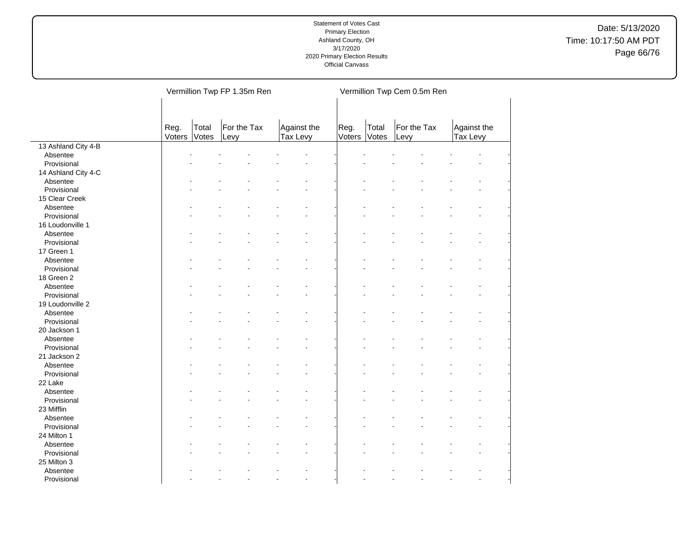|                     |                |                | Vermillion Twp FP 1.35m Ren |                         |                |                | Vermillion Twp Cem 0.5m Ren |                         |
|---------------------|----------------|----------------|-----------------------------|-------------------------|----------------|----------------|-----------------------------|-------------------------|
|                     | Reg.<br>Voters | Total<br>Votes | For the Tax<br>Levy         | Against the<br>Tax Levy | Reg.<br>Voters | Total<br>Votes | For the Tax<br>Levy         | Against the<br>Tax Levy |
| 13 Ashland City 4-B |                |                |                             |                         |                |                |                             |                         |
| Absentee            |                |                |                             |                         |                |                |                             |                         |
| Provisional         |                |                |                             |                         |                |                |                             |                         |
| 14 Ashland City 4-C |                |                |                             |                         |                |                |                             |                         |
| Absentee            |                |                |                             |                         |                |                |                             |                         |
| Provisional         |                |                |                             |                         |                |                |                             |                         |
| 15 Clear Creek      |                |                |                             |                         |                |                |                             |                         |
| Absentee            |                |                |                             |                         |                |                |                             |                         |
| Provisional         |                |                |                             |                         |                |                |                             |                         |
| 16 Loudonville 1    |                |                |                             |                         |                |                |                             |                         |
| Absentee            |                |                |                             |                         |                |                |                             |                         |
| Provisional         |                |                |                             |                         |                |                |                             |                         |
| 17 Green 1          |                |                |                             |                         |                |                |                             |                         |
| Absentee            |                |                |                             |                         |                |                |                             |                         |
| Provisional         |                |                |                             |                         |                |                |                             |                         |
| 18 Green 2          |                |                |                             |                         |                |                |                             |                         |
| Absentee            |                |                |                             |                         |                |                |                             |                         |
| Provisional         |                |                |                             |                         |                |                |                             |                         |
| 19 Loudonville 2    |                |                |                             |                         |                |                |                             |                         |
| Absentee            |                |                |                             |                         |                |                |                             |                         |
| Provisional         |                |                |                             |                         |                |                |                             |                         |
| 20 Jackson 1        |                |                |                             |                         |                |                |                             |                         |
| Absentee            |                |                |                             |                         |                |                |                             |                         |
| Provisional         |                |                |                             |                         |                |                |                             |                         |
| 21 Jackson 2        |                |                |                             |                         |                |                |                             |                         |
| Absentee            |                |                |                             |                         |                |                |                             |                         |
| Provisional         |                |                |                             |                         |                |                |                             |                         |
| 22 Lake             |                |                |                             |                         |                |                |                             |                         |
| Absentee            |                |                |                             |                         |                |                |                             |                         |
| Provisional         |                |                |                             |                         |                |                |                             |                         |
| 23 Mifflin          |                |                |                             |                         |                |                |                             |                         |
| Absentee            |                |                |                             |                         |                |                |                             |                         |
| Provisional         |                |                |                             |                         |                |                |                             |                         |
| 24 Milton 1         |                |                |                             |                         |                |                |                             |                         |
| Absentee            |                |                |                             |                         |                |                |                             |                         |
| Provisional         |                |                |                             |                         |                |                |                             |                         |
| 25 Milton 3         |                |                |                             |                         |                |                |                             |                         |
| Absentee            |                |                |                             |                         |                |                |                             |                         |
| Provisional         |                |                |                             | $\overline{a}$          |                |                |                             |                         |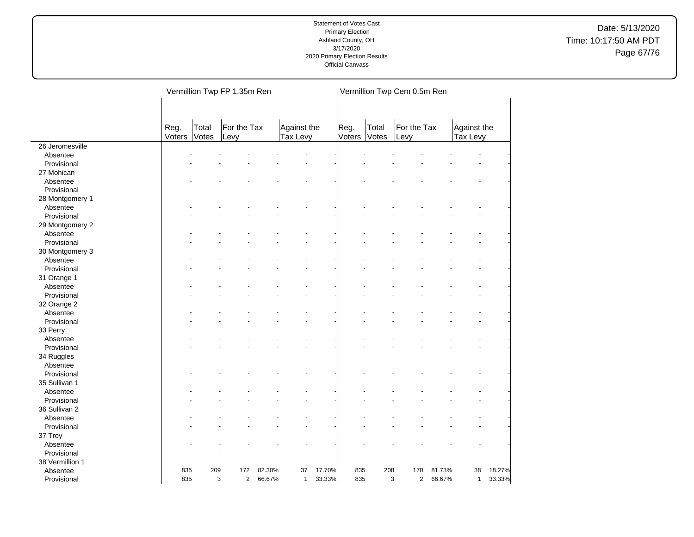Date: 5/13/2020 Time: 10:17:50 AM PDT Page 67/76

|                 |                |                | Vermillion Twp FP 1.35m Ren |        |                         |        |                |                | Vermillion Twp Cem 0.5m Ren |        |                         |        |
|-----------------|----------------|----------------|-----------------------------|--------|-------------------------|--------|----------------|----------------|-----------------------------|--------|-------------------------|--------|
|                 | Reg.<br>Voters | Total<br>Votes | For the Tax<br>Levy         |        | Against the<br>Tax Levy |        | Reg.<br>Voters | Total<br>Votes | For the Tax<br>Levy         |        | Against the<br>Tax Levy |        |
| 26 Jeromesville |                |                |                             |        |                         |        |                |                |                             |        |                         |        |
| Absentee        |                |                |                             |        |                         |        |                |                |                             |        |                         |        |
| Provisional     |                |                |                             |        |                         |        |                |                |                             |        |                         |        |
| 27 Mohican      |                |                |                             |        |                         |        |                |                |                             |        |                         |        |
| Absentee        |                |                |                             |        |                         |        |                |                |                             |        |                         |        |
| Provisional     |                |                |                             |        |                         |        |                |                |                             |        |                         |        |
| 28 Montgomery 1 |                |                |                             |        |                         |        |                |                |                             |        |                         |        |
| Absentee        |                |                |                             |        |                         |        |                |                |                             |        |                         |        |
| Provisional     |                |                |                             |        |                         |        |                |                |                             |        |                         |        |
| 29 Montgomery 2 |                |                |                             |        |                         |        |                |                |                             |        |                         |        |
| Absentee        |                |                |                             |        |                         |        |                |                |                             |        |                         |        |
| Provisional     |                |                |                             |        |                         |        |                |                |                             |        |                         |        |
| 30 Montgomery 3 |                |                |                             |        |                         |        |                |                |                             |        |                         |        |
| Absentee        |                |                |                             |        |                         |        |                |                |                             |        |                         |        |
| Provisional     |                |                |                             |        |                         |        |                |                |                             |        |                         |        |
| 31 Orange 1     |                |                |                             |        |                         |        |                |                |                             |        |                         |        |
| Absentee        |                |                |                             |        |                         |        |                |                |                             |        |                         |        |
| Provisional     |                |                |                             |        |                         |        |                |                |                             |        |                         |        |
| 32 Orange 2     |                |                |                             |        |                         |        |                |                |                             |        |                         |        |
| Absentee        |                |                |                             |        |                         |        |                |                |                             |        |                         |        |
| Provisional     |                |                |                             |        |                         |        |                |                |                             |        |                         |        |
| 33 Perry        |                |                |                             |        |                         |        |                |                |                             |        |                         |        |
| Absentee        |                |                |                             |        |                         |        |                |                |                             |        |                         |        |
| Provisional     |                |                |                             |        |                         |        |                |                |                             |        |                         |        |
| 34 Ruggles      |                |                |                             |        |                         |        |                |                |                             |        |                         |        |
| Absentee        |                |                |                             |        |                         |        |                |                |                             |        |                         |        |
| Provisional     |                |                |                             |        |                         |        |                |                |                             |        |                         |        |
| 35 Sullivan 1   |                |                |                             |        |                         |        |                |                |                             |        |                         |        |
| Absentee        |                |                |                             |        |                         |        |                |                |                             |        |                         |        |
|                 |                |                |                             |        |                         |        |                |                |                             |        |                         |        |
| Provisional     |                |                |                             |        |                         |        |                |                |                             |        |                         |        |
| 36 Sullivan 2   |                |                |                             |        |                         |        |                |                |                             |        |                         |        |
| Absentee        |                |                |                             |        |                         |        |                |                |                             |        |                         |        |
| Provisional     |                |                |                             |        |                         |        |                |                |                             |        |                         |        |
| 37 Troy         |                |                |                             |        |                         |        |                |                |                             |        |                         |        |
| Absentee        |                |                |                             |        |                         |        |                |                |                             |        |                         |        |
| Provisional     |                |                |                             |        |                         |        |                |                |                             |        |                         |        |
| 38 Vermillion 1 |                |                |                             |        |                         |        |                |                |                             |        |                         |        |
| Absentee        | 835            | 209            | 172                         | 82.30% | 37                      | 17.70% | 835            | 208            | 170                         | 81.73% | 38                      | 18.27% |
| Provisional     | 835            | 3              | $\mathbf{2}$                | 66.67% | $\mathbf{1}$            | 33.33% | 835            |                | 3<br>2                      | 66.67% | $\mathbf{1}$            | 33.33% |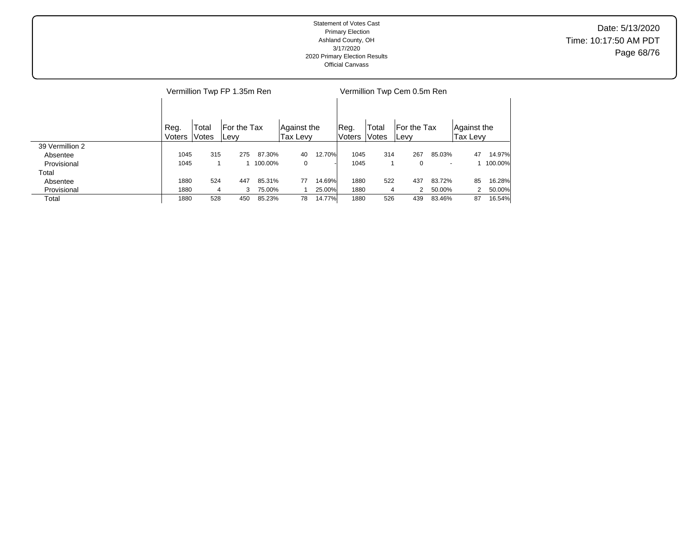|                 |        |       | Vermillion Twp FP 1.35m Ren |           |             |        | Vermillion Twp Cem 0.5m Ren |       |              |                          |             |           |  |  |
|-----------------|--------|-------|-----------------------------|-----------|-------------|--------|-----------------------------|-------|--------------|--------------------------|-------------|-----------|--|--|
|                 |        |       |                             |           |             |        |                             |       |              |                          |             |           |  |  |
|                 | Reg.   | Total | For the Tax                 |           | Aqainst the |        | Reg.                        | Total | For the Tax  |                          | Against the |           |  |  |
|                 | Voters | Votes | ∣Levy                       |           | Tax Levy    |        | <b>Voters</b>               | Votes | <b>ILevy</b> |                          | Tax Levy    |           |  |  |
| 39 Vermillion 2 |        |       |                             |           |             |        |                             |       |              |                          |             |           |  |  |
| Absentee        | 1045   | 315   | 275                         | 87.30%    | 40          | 12.70% | 1045                        | 314   | 267          | 85.03%                   | 47          | 14.97%    |  |  |
| Provisional     | 1045   |       |                             | 1 100.00% | 0           |        | 1045                        |       | 0            | $\overline{\phantom{a}}$ |             | 1 100.00% |  |  |
| Total           |        |       |                             |           |             |        |                             |       |              |                          |             |           |  |  |
| Absentee        | 1880   | 524   | 447                         | 85.31%    | 77          | 14.69% | 1880                        | 522   | 437          | 83.72%                   | 85          | 16.28%    |  |  |
| Provisional     | 1880   | 4     | 3                           | 75.00%    |             | 25.00% | 1880                        | 4     | 2            | 50.00%                   |             | 50.00%    |  |  |
| Total           | 1880   | 528   | 450                         | 85.23%    | 78          | 14.77% | 1880                        | 526   | 439          | 83.46%                   | 87          | 16.54%    |  |  |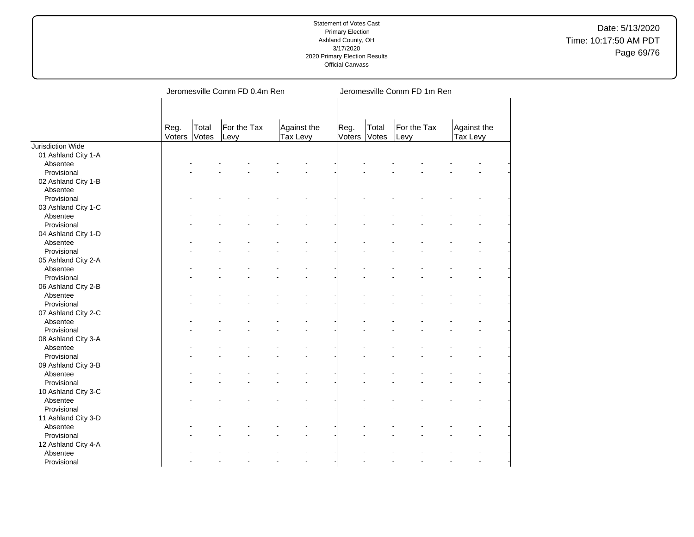Date: 5/13/2020 Time: 10:17:50 AM PDT Page 69/76

|                     |                |                | Jeromesville Comm FD 0.4m Ren |                         | Jeromesville Comm FD 1m Ren |                |                     |                         |  |  |  |  |
|---------------------|----------------|----------------|-------------------------------|-------------------------|-----------------------------|----------------|---------------------|-------------------------|--|--|--|--|
|                     | Reg.<br>Voters | Total<br>Votes | For the Tax<br>Levy           | Against the<br>Tax Levy | Reg.<br>Voters              | Total<br>Votes | For the Tax<br>Levy | Against the<br>Tax Levy |  |  |  |  |
| Jurisdiction Wide   |                |                |                               |                         |                             |                |                     |                         |  |  |  |  |
| 01 Ashland City 1-A |                |                |                               |                         |                             |                |                     |                         |  |  |  |  |
| Absentee            |                |                |                               |                         |                             |                |                     |                         |  |  |  |  |
| Provisional         |                |                |                               |                         |                             |                |                     |                         |  |  |  |  |
| 02 Ashland City 1-B |                |                |                               |                         |                             |                |                     |                         |  |  |  |  |
| Absentee            |                |                |                               |                         |                             |                |                     |                         |  |  |  |  |
| Provisional         |                |                |                               |                         |                             |                |                     |                         |  |  |  |  |
| 03 Ashland City 1-C |                |                |                               |                         |                             |                |                     |                         |  |  |  |  |
| Absentee            |                |                |                               |                         |                             |                |                     |                         |  |  |  |  |
| Provisional         |                |                |                               |                         |                             |                |                     |                         |  |  |  |  |
| 04 Ashland City 1-D |                |                |                               |                         |                             |                |                     |                         |  |  |  |  |
| Absentee            |                |                |                               |                         |                             |                |                     |                         |  |  |  |  |
| Provisional         |                |                |                               |                         |                             |                |                     |                         |  |  |  |  |
| 05 Ashland City 2-A |                |                |                               |                         |                             |                |                     |                         |  |  |  |  |
| Absentee            |                |                |                               |                         |                             |                |                     |                         |  |  |  |  |
| Provisional         |                |                |                               |                         |                             |                |                     |                         |  |  |  |  |
| 06 Ashland City 2-B |                |                |                               |                         |                             |                |                     |                         |  |  |  |  |
| Absentee            |                |                |                               |                         |                             |                |                     |                         |  |  |  |  |
| Provisional         |                |                |                               |                         |                             |                |                     |                         |  |  |  |  |
| 07 Ashland City 2-C |                |                |                               |                         |                             |                |                     |                         |  |  |  |  |
| Absentee            |                |                |                               |                         |                             |                |                     |                         |  |  |  |  |
| Provisional         |                |                |                               |                         |                             |                |                     |                         |  |  |  |  |
| 08 Ashland City 3-A |                |                |                               |                         |                             |                |                     |                         |  |  |  |  |
| Absentee            |                |                |                               |                         |                             |                |                     |                         |  |  |  |  |
| Provisional         |                |                |                               |                         |                             |                |                     |                         |  |  |  |  |
| 09 Ashland City 3-B |                |                |                               |                         |                             |                |                     |                         |  |  |  |  |
| Absentee            |                |                |                               |                         |                             |                |                     |                         |  |  |  |  |
| Provisional         |                |                |                               |                         |                             |                |                     |                         |  |  |  |  |
| 10 Ashland City 3-C |                |                |                               |                         |                             |                |                     |                         |  |  |  |  |
| Absentee            |                |                |                               |                         |                             |                |                     |                         |  |  |  |  |
|                     |                |                |                               |                         |                             |                |                     |                         |  |  |  |  |
| Provisional         |                |                |                               |                         |                             |                |                     |                         |  |  |  |  |
| 11 Ashland City 3-D |                |                |                               |                         |                             |                |                     |                         |  |  |  |  |
| Absentee            |                |                |                               |                         |                             |                |                     |                         |  |  |  |  |
| Provisional         |                |                |                               |                         |                             |                |                     |                         |  |  |  |  |
| 12 Ashland City 4-A |                |                |                               |                         |                             |                |                     |                         |  |  |  |  |
| Absentee            |                |                |                               |                         |                             |                |                     |                         |  |  |  |  |
| Provisional         |                |                |                               | ä,                      |                             |                |                     | $\ddot{\phantom{1}}$    |  |  |  |  |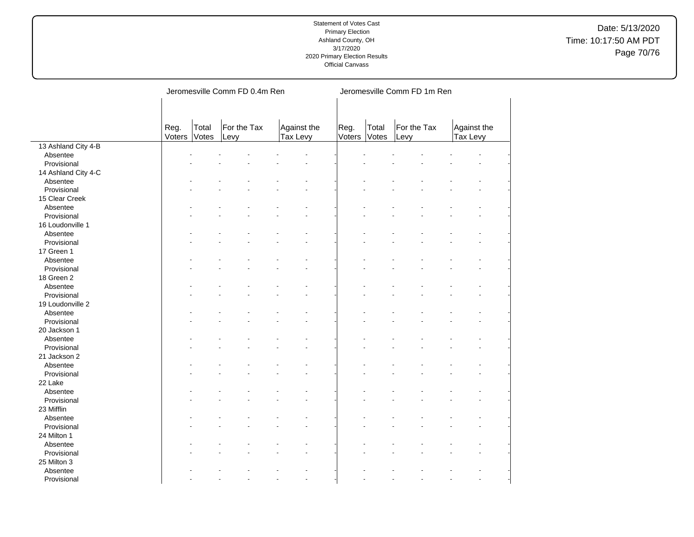Date: 5/13/2020 Time: 10:17:50 AM PDT Page 70/76

|                     |                | Jeromesville Comm FD 0.4m Ren         |  |                         | Jeromesville Comm FD 1m Ren |                |                |                     |  |                         |  |  |  |
|---------------------|----------------|---------------------------------------|--|-------------------------|-----------------------------|----------------|----------------|---------------------|--|-------------------------|--|--|--|
|                     |                |                                       |  |                         |                             |                |                |                     |  |                         |  |  |  |
|                     | Reg.<br>Voters | Total<br>For the Tax<br>Votes<br>Levy |  | Against the<br>Tax Levy |                             | Reg.<br>Voters | Total<br>Votes | For the Tax<br>Levy |  | Against the<br>Tax Levy |  |  |  |
| 13 Ashland City 4-B |                |                                       |  |                         |                             |                |                |                     |  |                         |  |  |  |
| Absentee            |                |                                       |  |                         |                             |                |                |                     |  |                         |  |  |  |
| Provisional         |                |                                       |  |                         |                             |                |                |                     |  |                         |  |  |  |
| 14 Ashland City 4-C |                |                                       |  |                         |                             |                |                |                     |  |                         |  |  |  |
| Absentee            |                |                                       |  |                         |                             |                |                |                     |  |                         |  |  |  |
| Provisional         |                |                                       |  |                         |                             |                |                |                     |  |                         |  |  |  |
| 15 Clear Creek      |                |                                       |  |                         |                             |                |                |                     |  |                         |  |  |  |
| Absentee            |                |                                       |  |                         |                             |                |                |                     |  |                         |  |  |  |
| Provisional         |                |                                       |  |                         |                             |                |                |                     |  |                         |  |  |  |
| 16 Loudonville 1    |                |                                       |  |                         |                             |                |                |                     |  |                         |  |  |  |
| Absentee            |                |                                       |  |                         |                             |                |                |                     |  |                         |  |  |  |
| Provisional         |                |                                       |  |                         |                             |                |                |                     |  |                         |  |  |  |
| 17 Green 1          |                |                                       |  |                         |                             |                |                |                     |  |                         |  |  |  |
| Absentee            |                |                                       |  |                         |                             |                |                |                     |  |                         |  |  |  |
| Provisional         |                |                                       |  |                         |                             |                |                |                     |  |                         |  |  |  |
| 18 Green 2          |                |                                       |  |                         |                             |                |                |                     |  |                         |  |  |  |
| Absentee            |                |                                       |  |                         |                             |                |                |                     |  |                         |  |  |  |
| Provisional         |                |                                       |  |                         |                             |                |                |                     |  |                         |  |  |  |
| 19 Loudonville 2    |                |                                       |  |                         |                             |                |                |                     |  |                         |  |  |  |
| Absentee            |                |                                       |  |                         |                             |                |                |                     |  |                         |  |  |  |
| Provisional         |                |                                       |  |                         |                             |                |                |                     |  |                         |  |  |  |
| 20 Jackson 1        |                |                                       |  |                         |                             |                |                |                     |  |                         |  |  |  |
| Absentee            |                |                                       |  |                         |                             |                |                |                     |  |                         |  |  |  |
| Provisional         |                |                                       |  |                         |                             |                |                |                     |  |                         |  |  |  |
| 21 Jackson 2        |                |                                       |  |                         |                             |                |                |                     |  |                         |  |  |  |
| Absentee            |                |                                       |  |                         |                             |                |                |                     |  |                         |  |  |  |
| Provisional         |                |                                       |  |                         |                             |                |                |                     |  |                         |  |  |  |
| 22 Lake             |                |                                       |  |                         |                             |                |                |                     |  |                         |  |  |  |
| Absentee            |                |                                       |  |                         |                             |                |                |                     |  |                         |  |  |  |
| Provisional         |                |                                       |  |                         |                             |                |                |                     |  |                         |  |  |  |
| 23 Mifflin          |                |                                       |  |                         |                             |                |                |                     |  |                         |  |  |  |
| Absentee            |                |                                       |  |                         |                             |                |                |                     |  |                         |  |  |  |
| Provisional         |                |                                       |  |                         |                             |                |                |                     |  |                         |  |  |  |
| 24 Milton 1         |                |                                       |  |                         |                             |                |                |                     |  |                         |  |  |  |
| Absentee            |                |                                       |  |                         |                             |                |                |                     |  |                         |  |  |  |
| Provisional         |                |                                       |  |                         |                             |                |                |                     |  |                         |  |  |  |
| 25 Milton 3         |                |                                       |  |                         |                             |                |                |                     |  |                         |  |  |  |
| Absentee            |                |                                       |  |                         |                             |                |                |                     |  |                         |  |  |  |
| Provisional         |                |                                       |  |                         |                             |                |                |                     |  |                         |  |  |  |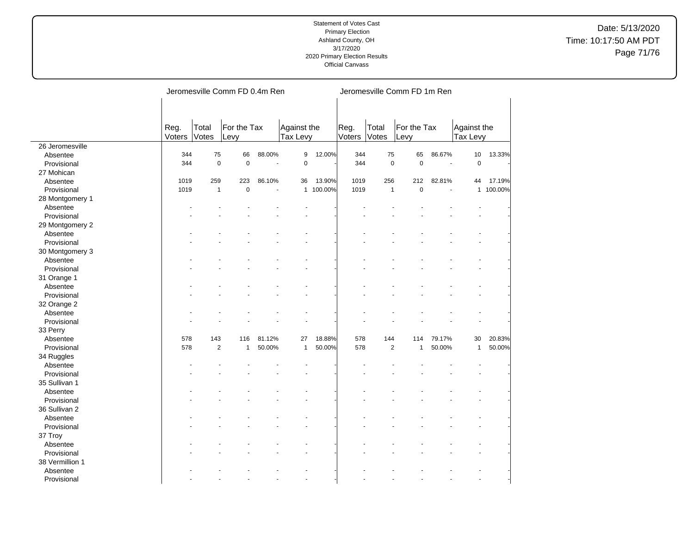|                        |                | Jeromesville Comm FD 0.4m Ren |                |                       |                |                         |      |                |                     | Jeromesville Comm FD 1m Ren |                                |           |  |  |  |  |
|------------------------|----------------|-------------------------------|----------------|-----------------------|----------------|-------------------------|------|----------------|---------------------|-----------------------------|--------------------------------|-----------|--|--|--|--|
|                        | Reg.<br>Voters | Total<br>Votes                | Levy           | For the Tax           |                | Against the<br>Tax Levy |      | Total<br>Votes | For the Tax<br>Levy |                             | Against the<br><b>Tax Levy</b> |           |  |  |  |  |
| 26 Jeromesville        |                |                               |                |                       |                |                         |      |                |                     |                             |                                |           |  |  |  |  |
| Absentee               | 344            | 75                            | 66             | 88.00%                | 9              | 12.00%                  | 344  | 75             | 65                  | 86.67%                      | 10                             | 13.33%    |  |  |  |  |
| Provisional            | 344            | $\pmb{0}$                     | $\pmb{0}$      | $\tilde{\phantom{a}}$ | $\pmb{0}$      |                         | 344  | $\mathbf 0$    | $\mathbf 0$         | ÷,                          | $\pmb{0}$                      |           |  |  |  |  |
| 27 Mohican             |                |                               |                |                       |                |                         |      |                |                     |                             |                                |           |  |  |  |  |
| Absentee               | 1019           | 259                           | 223            | 86.10%                | 36             | 13.90%                  | 1019 | 256            | 212                 | 82.81%                      | 44                             | 17.19%    |  |  |  |  |
| Provisional            | 1019           | $\mathbf{1}$                  | $\overline{0}$ | $\overline{a}$        |                | 1 100.00%               | 1019 | $\mathbf{1}$   | $\overline{0}$      | ÷.                          |                                | 1 100.00% |  |  |  |  |
| 28 Montgomery 1        |                |                               |                |                       |                |                         |      |                |                     |                             |                                |           |  |  |  |  |
| Absentee               |                |                               |                |                       |                |                         |      |                |                     |                             |                                |           |  |  |  |  |
| Provisional            |                |                               |                |                       |                |                         |      |                |                     |                             |                                |           |  |  |  |  |
| 29 Montgomery 2        |                |                               |                |                       |                |                         |      |                |                     |                             |                                |           |  |  |  |  |
| Absentee               |                |                               |                |                       |                |                         |      |                |                     |                             |                                |           |  |  |  |  |
| Provisional            |                |                               |                |                       |                |                         |      |                |                     |                             |                                |           |  |  |  |  |
| 30 Montgomery 3        |                |                               |                |                       |                |                         |      |                |                     |                             |                                |           |  |  |  |  |
| Absentee               |                |                               |                |                       |                |                         |      |                |                     |                             |                                |           |  |  |  |  |
| Provisional            |                |                               |                |                       |                |                         |      |                |                     |                             |                                |           |  |  |  |  |
| 31 Orange 1            |                |                               |                |                       |                |                         |      |                |                     |                             |                                |           |  |  |  |  |
| Absentee               |                |                               |                |                       |                |                         |      |                |                     |                             |                                |           |  |  |  |  |
| Provisional            |                |                               |                |                       |                |                         |      |                |                     |                             |                                |           |  |  |  |  |
| 32 Orange 2            |                |                               |                |                       |                |                         |      |                |                     |                             |                                |           |  |  |  |  |
| Absentee               |                |                               |                |                       |                |                         |      |                |                     |                             |                                |           |  |  |  |  |
| Provisional            |                |                               |                |                       |                |                         |      |                |                     |                             |                                |           |  |  |  |  |
| 33 Perry               |                |                               |                |                       |                |                         |      |                |                     |                             |                                |           |  |  |  |  |
| Absentee               | 578            | 143                           | 116            | 81.12%                | 27             | 18.88%                  | 578  | 144            | 114                 | 79.17%                      | 30                             | 20.83%    |  |  |  |  |
| Provisional            | 578            | $\overline{2}$                | $\mathbf{1}$   | 50.00%                | $\mathbf{1}$   | 50.00%                  | 578  | $\overline{2}$ | $\mathbf{1}$        | 50.00%                      | $\mathbf{1}$                   | 50.00%    |  |  |  |  |
|                        |                |                               |                |                       |                |                         |      |                |                     |                             |                                |           |  |  |  |  |
| 34 Ruggles<br>Absentee |                |                               |                |                       |                |                         |      |                |                     |                             |                                |           |  |  |  |  |
|                        |                |                               |                |                       |                |                         |      |                |                     |                             |                                |           |  |  |  |  |
| Provisional            |                |                               |                |                       |                |                         |      |                |                     |                             |                                |           |  |  |  |  |
| 35 Sullivan 1          |                |                               |                |                       |                |                         |      |                |                     |                             |                                |           |  |  |  |  |
| Absentee               |                |                               |                |                       |                |                         |      |                |                     |                             |                                |           |  |  |  |  |
| Provisional            |                |                               |                |                       |                |                         |      |                |                     |                             |                                |           |  |  |  |  |
| 36 Sullivan 2          |                |                               |                |                       |                |                         |      |                |                     |                             |                                |           |  |  |  |  |
| Absentee               |                |                               |                |                       |                |                         |      |                |                     |                             |                                |           |  |  |  |  |
| Provisional            |                |                               |                |                       |                |                         |      |                |                     |                             |                                |           |  |  |  |  |
| 37 Troy                |                |                               |                |                       |                |                         |      |                |                     |                             |                                |           |  |  |  |  |
| Absentee               |                |                               |                |                       |                |                         |      |                |                     |                             |                                |           |  |  |  |  |
| Provisional            |                |                               |                |                       |                |                         |      |                |                     |                             |                                |           |  |  |  |  |
| 38 Vermillion 1        |                |                               |                |                       |                |                         |      |                |                     |                             |                                |           |  |  |  |  |
| Absentee               |                |                               |                |                       |                |                         |      |                |                     |                             |                                |           |  |  |  |  |
| Provisional            |                |                               |                |                       | $\overline{a}$ |                         |      |                |                     |                             |                                |           |  |  |  |  |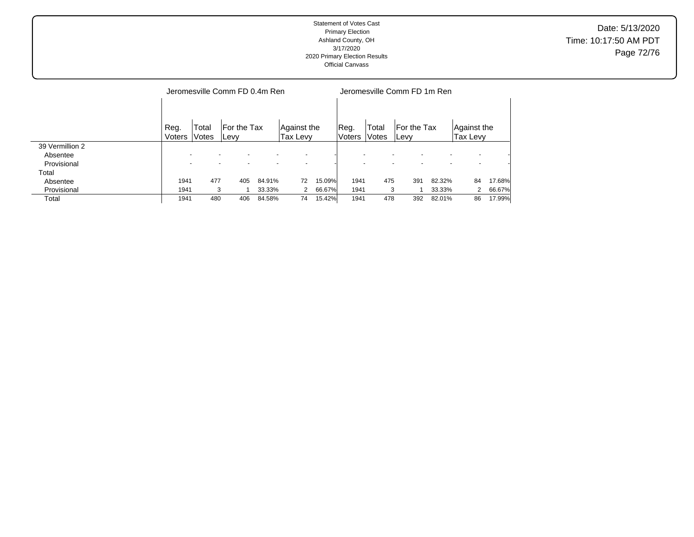| Statement of Votes Cast<br><b>Primary Election</b><br>Ashland County, OH<br>3/17/2020<br>2020 Primary Election Results<br><b>Official Canvass</b> | Date: 5/13/2020<br>Time: 10:17:50 AM PDT<br>Page 72/76 |
|---------------------------------------------------------------------------------------------------------------------------------------------------|--------------------------------------------------------|
|---------------------------------------------------------------------------------------------------------------------------------------------------|--------------------------------------------------------|

|                 |                | Jeromesville Comm FD 0.4m Ren |                      |        |                         |        |                       |                | Jeromesville Comm FD 1m Ren |        |                         |        |  |  |  |
|-----------------|----------------|-------------------------------|----------------------|--------|-------------------------|--------|-----------------------|----------------|-----------------------------|--------|-------------------------|--------|--|--|--|
|                 | Reg.<br>Voters | Total<br>Votes                | For the Tax<br>lLevy |        | Against the<br>Tax Levy |        | Reg.<br><b>Voters</b> | Total<br>Votes | For the Tax<br><b>ILevy</b> |        | Aqainst the<br>Tax Levy |        |  |  |  |
| 39 Vermillion 2 |                |                               |                      |        |                         |        |                       |                |                             |        |                         |        |  |  |  |
| Absentee        |                |                               |                      |        |                         |        |                       |                |                             |        |                         |        |  |  |  |
| Provisional     |                |                               |                      |        |                         |        |                       |                |                             |        |                         |        |  |  |  |
| Total           |                |                               |                      |        |                         |        |                       |                |                             |        |                         |        |  |  |  |
| Absentee        | 1941           | 477                           | 405                  | 84.91% | 72                      | 15.09% | 1941                  | 475            | 391                         | 82.32% | 84                      | 17.68% |  |  |  |
| Provisional     | 1941           | 3                             |                      | 33.33% | 2                       | 66.67% | 1941                  | 3              |                             | 33.33% |                         | 66.67% |  |  |  |
| Total           | 1941           | 480                           | 406                  | 84.58% | 74                      | 15.42% | 1941                  | 478            | 392                         | 82.01% | 86                      | 17.99% |  |  |  |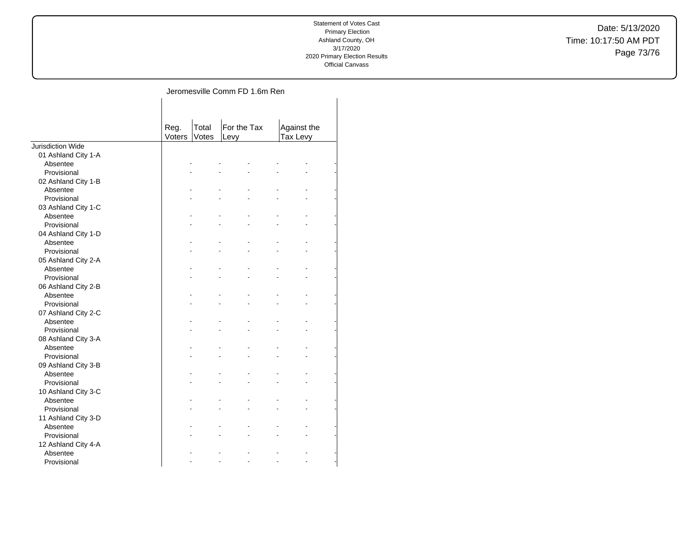Date: 5/13/2020 Time: 10:17:50 AM PDT Page 73/76

## Jeromesville Comm FD 1.6m Ren

|                     | Reg.<br>Voters | Total<br>Votes | For the Tax<br>Levy |                | Against the<br>Tax Levy |    |  |
|---------------------|----------------|----------------|---------------------|----------------|-------------------------|----|--|
| Jurisdiction Wide   |                |                |                     |                |                         |    |  |
| 01 Ashland City 1-A |                |                |                     |                |                         |    |  |
| Absentee            |                |                |                     |                |                         |    |  |
| Provisional         |                |                |                     | $\blacksquare$ |                         |    |  |
| 02 Ashland City 1-B |                |                |                     |                |                         |    |  |
| Absentee            |                |                |                     |                |                         |    |  |
| Provisional         |                |                |                     |                |                         |    |  |
| 03 Ashland City 1-C |                |                |                     |                |                         |    |  |
| Absentee            |                |                |                     | $\blacksquare$ |                         |    |  |
| Provisional         |                |                |                     |                |                         |    |  |
| 04 Ashland City 1-D |                |                |                     |                |                         |    |  |
| Absentee            |                |                |                     |                |                         |    |  |
| Provisional         |                |                |                     |                |                         |    |  |
| 05 Ashland City 2-A |                |                |                     |                |                         |    |  |
| Absentee            |                |                |                     | $\blacksquare$ |                         |    |  |
| Provisional         |                |                |                     | $\overline{a}$ |                         |    |  |
| 06 Ashland City 2-B |                |                |                     |                |                         |    |  |
| Absentee            |                |                |                     |                |                         |    |  |
| Provisional         |                |                |                     | $\blacksquare$ |                         | ä, |  |
| 07 Ashland City 2-C |                |                |                     |                |                         |    |  |
| Absentee            |                |                |                     | ä,             |                         |    |  |
| Provisional         |                |                |                     |                |                         |    |  |
| 08 Ashland City 3-A |                |                |                     |                |                         |    |  |
| Absentee            |                |                |                     | ٠              |                         |    |  |
| Provisional         |                |                |                     |                |                         |    |  |
| 09 Ashland City 3-B |                |                |                     |                |                         |    |  |
| Absentee            |                |                |                     |                |                         |    |  |
| Provisional         |                |                |                     | ٠              |                         |    |  |
| 10 Ashland City 3-C |                |                |                     |                |                         |    |  |
| Absentee            |                |                |                     | ٠              |                         | ä, |  |
| Provisional         |                |                |                     |                |                         |    |  |
| 11 Ashland City 3-D |                |                |                     |                |                         |    |  |
| Absentee            |                | $\overline{a}$ | L.                  | ÷,             |                         | ٠  |  |
| Provisional         |                |                |                     | ÷,             |                         |    |  |
| 12 Ashland City 4-A |                |                |                     |                |                         |    |  |
| Absentee            |                |                |                     |                |                         |    |  |
| Provisional         |                |                |                     | ÷.             | ÷.                      | ä, |  |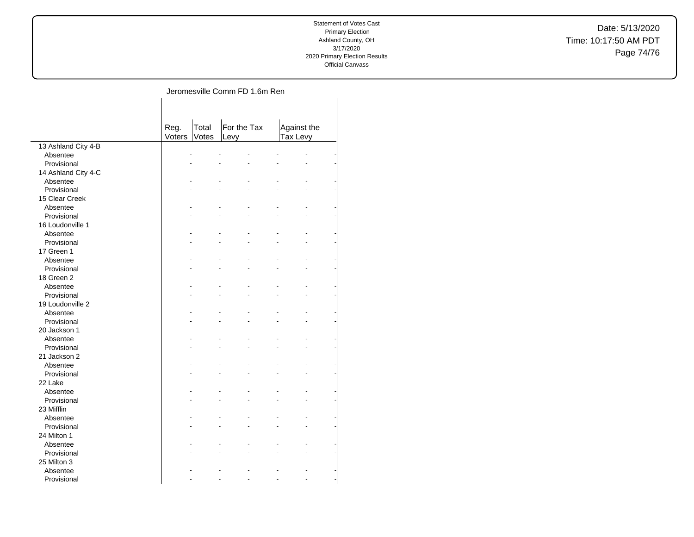Date: 5/13/2020 Time: 10:17:50 AM PDT Page 74/76

## Jeromesville Comm FD 1.6m Ren  $\mathbf{r}$

|                     | Reg.<br>Voters | Total<br>Votes | For the Tax<br>Levy |    | Against the<br>Tax Levy |  |
|---------------------|----------------|----------------|---------------------|----|-------------------------|--|
| 13 Ashland City 4-B |                |                |                     |    |                         |  |
| Absentee            |                | ä,             |                     |    |                         |  |
| Provisional         |                |                |                     |    |                         |  |
| 14 Ashland City 4-C |                |                |                     |    |                         |  |
| Absentee            |                |                |                     |    |                         |  |
| Provisional         |                |                |                     |    |                         |  |
| 15 Clear Creek      |                |                |                     |    |                         |  |
| Absentee            |                |                |                     |    |                         |  |
| Provisional         |                |                |                     |    |                         |  |
| 16 Loudonville 1    |                |                |                     |    |                         |  |
| Absentee            |                |                |                     |    |                         |  |
| Provisional         |                |                |                     |    |                         |  |
| 17 Green 1          |                |                |                     |    |                         |  |
| Absentee            |                |                |                     |    |                         |  |
| Provisional         |                |                |                     |    |                         |  |
| 18 Green 2          |                |                |                     |    |                         |  |
| Absentee            |                |                |                     |    |                         |  |
| Provisional         |                |                |                     |    |                         |  |
| 19 Loudonville 2    |                |                |                     |    |                         |  |
| Absentee            |                |                |                     |    |                         |  |
| Provisional         |                |                |                     |    |                         |  |
| 20 Jackson 1        |                |                |                     |    |                         |  |
| Absentee            |                |                |                     |    |                         |  |
| Provisional         |                |                |                     |    |                         |  |
| 21 Jackson 2        |                |                |                     |    |                         |  |
| Absentee            |                |                |                     |    |                         |  |
| Provisional         |                |                |                     |    |                         |  |
| 22 Lake             |                |                |                     |    |                         |  |
| Absentee            |                |                |                     |    |                         |  |
| Provisional         |                |                |                     |    |                         |  |
| 23 Mifflin          |                |                |                     |    |                         |  |
| Absentee            |                |                |                     |    |                         |  |
| Provisional         |                |                |                     |    |                         |  |
| 24 Milton 1         |                |                |                     |    |                         |  |
| Absentee            |                |                |                     |    |                         |  |
| Provisional         |                |                |                     |    |                         |  |
| 25 Milton 3         |                |                |                     |    |                         |  |
| Absentee            |                |                |                     |    |                         |  |
| Provisional         |                |                |                     | L. |                         |  |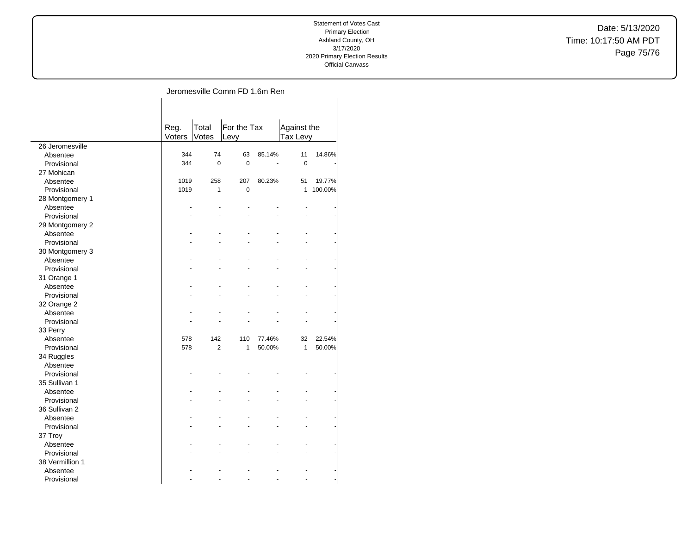Date: 5/13/2020 Time: 10:17:50 AM PDT Page 75/76

## Jeromesville Comm FD 1.6m Ren

|                 | Reg.<br>Voters | Total<br>Votes | For the Tax<br>Levy |        | Against the<br>Tax Levy |         |
|-----------------|----------------|----------------|---------------------|--------|-------------------------|---------|
| 26 Jeromesville |                |                |                     |        |                         |         |
| Absentee        | 344            | 74             | 63                  | 85.14% | 11                      | 14.86%  |
| Provisional     | 344            | $\Omega$       | $\Omega$            |        | 0                       |         |
| 27 Mohican      |                |                |                     |        |                         |         |
| Absentee        | 1019           | 258            | 207                 | 80.23% | 51                      | 19.77%  |
| Provisional     | 1019           | 1              | $\mathbf 0$         |        | 1                       | 100.00% |
| 28 Montgomery 1 |                |                |                     |        |                         |         |
| Absentee        |                |                |                     |        |                         |         |
| Provisional     |                |                |                     |        |                         |         |
| 29 Montgomery 2 |                |                |                     |        |                         |         |
| Absentee        |                |                |                     |        |                         |         |
| Provisional     |                |                |                     |        |                         |         |
| 30 Montgomery 3 |                |                |                     |        |                         |         |
| Absentee        |                |                |                     |        |                         |         |
| Provisional     |                |                |                     |        |                         |         |
| 31 Orange 1     |                |                |                     |        |                         |         |
| Absentee        |                |                |                     |        |                         |         |
| Provisional     |                |                |                     |        |                         |         |
| 32 Orange 2     |                |                |                     |        |                         |         |
| Absentee        |                |                |                     |        |                         |         |
| Provisional     |                |                |                     |        |                         |         |
| 33 Perry        |                |                |                     |        |                         |         |
| Absentee        | 578            | 142            | 110                 | 77.46% | 32                      | 22.54%  |
| Provisional     | 578            | $\overline{2}$ | 1                   | 50.00% | 1                       | 50.00%  |
| 34 Ruggles      |                |                |                     |        |                         |         |
| Absentee        |                |                |                     |        |                         |         |
| Provisional     |                |                |                     |        |                         |         |
| 35 Sullivan 1   |                |                |                     |        |                         |         |
| Absentee        |                |                |                     |        |                         |         |
| Provisional     |                |                |                     |        |                         |         |
| 36 Sullivan 2   |                |                |                     |        |                         |         |
| Absentee        |                |                |                     |        |                         |         |
| Provisional     |                |                |                     |        |                         |         |
| 37 Troy         |                |                |                     |        |                         |         |
| Absentee        |                |                |                     |        |                         |         |
| Provisional     |                |                |                     |        |                         |         |
| 38 Vermillion 1 |                |                |                     |        |                         |         |
| Absentee        |                |                |                     |        |                         |         |
| Provisional     |                |                |                     |        |                         |         |
|                 |                |                |                     |        |                         |         |